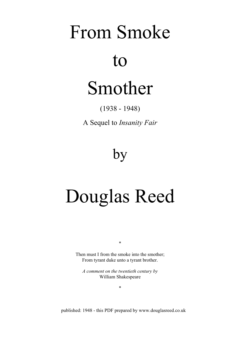# From Smoke

# to

# Smother

(1938 - 1948)

A Sequel to *Insanity Fair*

### by

# Douglas Reed

\*

Then must I from the smoke into the smother; From tyrant duke unto a tyrant brother.

*A comment on the twentieth century by* William Shakespeare

\*

published: 1948 - this PDF prepared by www.douglasreed.co.uk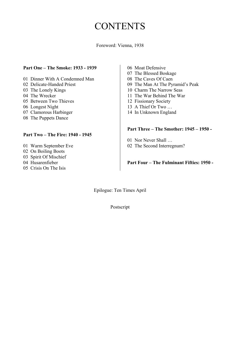#### **CONTENTS**

[Foreword: Vienna, 1938](#page-2-0) 

#### **Part One – The Smoke: 1933 - 1939**

- [01 Dinner With A Condemned Man](#page-5-0)
- [02 Delicate-Handed Priest](#page-7-0)
- [03 The Lonely Kings](#page-9-0)
- [04 The Wrecker](#page-12-0)
- [05 Between Two Thieves](#page-17-0)
- [06 Longest Night](#page-20-0)
- [07 Clamorous Harbinger](#page-23-0)
- [08 The Puppets Dance](#page-26-0)

#### **Part Two – The Fire: 1940 - 1945**

- [01 Warm September Eve](#page-33-0)
- [02 On Boiling Boots](#page-36-0)
- [03 Spirit Of Mischief](#page-39-0)
- [04 Husarenfieber](#page-41-0)
- [05 Crisis On The Isis](#page-45-0)
- [06 Moat Defensive](#page-47-0)
- [07 The Blessed Boskage](#page-49-0)
- [08 The Caves Of Caen](#page-52-0)
- [09 The Man At The Pyramid's Peak](#page-54-0)
- [10 Charm The Narrow Seas](#page-58-0)
- [11 The War Behind The War](#page-63-0)
- [12 Fissionary Society](#page-69-0)
- [13 A Thief Or Two …](#page-73-0)
- [14 In Unknown England](#page-76-0)

#### **Part Three – The Smother: 1945 – 1950 -**

- [01 Nor Never Shall …](#page-82-0)
- [02 The Second Interregnum?](#page-127-0)

#### **[Part Four – The Fulminant Fifties: 1950 -](#page-132-0)**

[Epilogue: Ten Times April](#page-159-0) 

[Postscript](#page-162-0)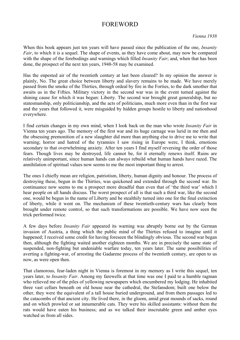#### FOREWORD

#### *Vienna 1938*

<span id="page-2-0"></span>When this book appears just ten years will have passed since the publication of the one, *Insanity Fair*, to which it is a sequel. The shape of events, as they have come about, may now be compared with the shape of the forebodings and warnings which filled *Insanity Fair*; and, when that has been done, the prospect of the next ten years, 1948-58 may be examined.

Has the enpested air of the twentieth century at last been cleared? In my opinion the answer is plainly, No. The great choice between liberty and slavery remains to be made. We have merely passed from the smoke of the Thirties, through ordeal by fire in the Forties, to the dark smother that awaits us in the Fifties. Military victory in the second war was in the event turned against the shining cause for which it was begun: Liberty. The second war brought great generalship, but no statesmanship, only politicianship, and the acts of politicians, much more even than in the first war and the years that followed it, were misguided by hidden groups hostile to liberty and nationhood everywhere.

I find certain changes in my own mind, when I look back on the man who wrote *Insanity Fair* in Vienna ten years ago. The memory of the first war and its huge carnage was lurid in me then and the obsessing premonition of a new slaughter did more than anything else to drive me to write that warning; horror and hatred of the tyrannies I saw rising in Europe were, I think, emotions secondary to that overwhelming anxiety. After ten years I find myself reversing the order of those fears. Though lives may be destroyed, life cannot be, for it eternally renews itself. Ruins are relatively unimportant, since human hands can always rebuild what human hands have razed. The annihilation of spiritual values now seems to me the most important thing to arrest.

The ones I chiefly mean are religion, patriotism, liberty, human dignity and honour. The process of destroying these, begun in the Thirties, was quickened and extended through the second war. Its continuance now seems to me a prospect more dreadful than even that of 'the third war' which I hear people on all hands discuss. The worst prospect of all is that such a third war, like the second one, would be begun in the name of Liberty and be stealthily turned into one for the final extinction of liberty, while it went on. The mechanism of these twentieth-century wars has clearly been brought under remote control, so that such transformations are possible. We have now seen the trick performed twice.

A few days before *Insanity Fair* appeared its warning was abruptly borne out by the German invasion of Austria, a thing which the public mind of the Thirties refused to imagine until it happened; I received some credit for having foreseen the blindingly obvious. The second war began then, although the fighting waited another eighteen months. We are in precisely the same state of suspended, non-fighting but undeniable warfare today, ten years later. The same possibilities of averting a fighting-war, of arresting the Gadarene process of the twentieth century, are open to us now, as were open then.

That clamorous, fear-laden night in Vienna is foremost in my memory as I write this sequel, ten years later, to *Insanity Fair*. Among my farewells at that time was one I paid to a humble ragman who relieved me of the piles of yellowing newspapers which encumbered my lodging. He inhabited three vast cellars beneath on old house near the cathedral, the Stefansdom; built one below the other, they were the equivalent of a tall house buried underground, and from them passages led to the catacombs of that ancient city. He lived there, in the gloom, amid great mounds of sacks, round and on which prowled or sat innumerable cats. They were his skilled assistants: without them the rats would have eaten his business; and as we talked their inscrutable green and amber eyes watched us from all sides.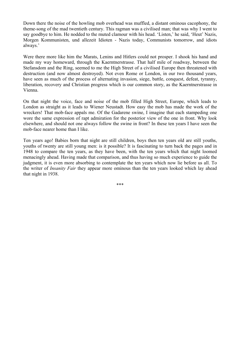Down there the noise of the howling mob overhead was muffled, a distant ominous cacophony, the theme-song of the mad twentieth century. This ragman was a civilised man; that was why I went to say goodbye to him. He nodded to the muted clamour with his head. 'Listen,' he said, 'Heut' Nazis, Morgen Kommunisten, und allezeit Idioten - Nazis today, Communists tomorrow, and idiots always.'

Were there more like him the Marats, Lenins and Hitlers could not prosper. I shook his hand and made my way homeward, through the Kaerntnerstrasse. That half mile of roadway, between the Stefansdom and the Ring, seemed to me the High Street of a civilised Europe then threatened with destruction (and now almost destroyed). Not even Rome or London, in our two thousand years, have seen as much of the process of alternating invasion, siege, battle, conquest, defeat, tyranny, liberation, recovery and Christian progress which is our common story, as the Kaerntnerstrasse in Vienna.

On that night the voice, face and noise of the mob filled High Street, Europe, which leads to London as straight as it leads to Wiener Neustadt. How easy the mob has made the work of the wreckers! That mob-face appals me. Of the Gadarene swine, I imagine that each stampeding one wore the same expression of rapt admiration for the posterior view of the one in front. Why look elsewhere, and should not one always follow the swine in front? In these ten years I have seen the mob-face nearer home than I like.

Ten years ago! Babies born that night are still children, boys then ten years old are still youths, youths of twenty are still young men: is it possible? It is fascinating to turn back the pages and in 1948 to compare the ten years, as they have been, with the ten years which that night loomed menacingly ahead. Having made that comparison, and thus having so much experience to guide the judgment, it is even more absorbing to contemplate the ten years which now lie before us all. To the writer of *Insanity Fair* they appear more ominous than the ten years looked which lay ahead that night in 1938.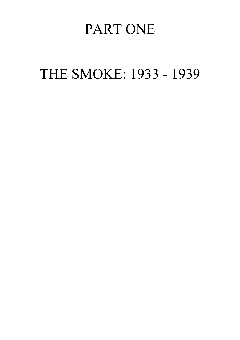# PART ONE

# THE SMOKE: 1933 - 1939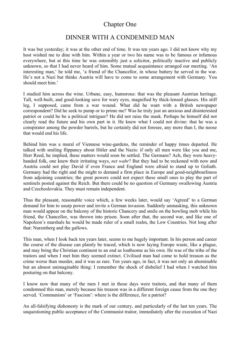#### Chapter One

#### DINNER WITH A CONDEMNED MAN

<span id="page-5-0"></span>It was but yesterday; it was at the other end of time. It was ten years ago. I did not know why my host wished me to dine with him. Within a year or two his name was to be famous or infamous everywhere, but at this time he was ostensibly just a solicitor, politically inactive and publicly unknown, so that I had never heard of him. Some mutual acquaintance arranged our meeting. 'An interesting man,' he told me, 'a friend of the Chancellor, in whose battery he served in the war. He's not a Nazi but thinks Austria will have to come to some arrangement with Germany. You should meet him.'

I studied him across the wine. Urbane, easy, humorous: that was the pleasant Austrian heritage. Tall, well-built, and good-looking save for wary eyes, magnified by thick-lensed glasses. His stiff leg, I supposed, came from a war wound. What did he want with a British newspaper correspondent? Did he seek to pump or to prime me? Was he truly just an anxious and disinterested patriot or could he be a political intriguer? He did not raise the mask. Perhaps he himself did not clearly read the future and his own part in it. He knew what I could not divine: that he was a conspirator among the powder barrels, but he certainly did not foresee, any more than I, the noose that would end his life.

Behind him was a mural of Viennese wine-gardens, the reminder of happy times departed. He talked with smiling flippancy about Hitler and the Nazis: if only all men were like you and me, Herr Reed, he implied, these matters would soon be settled. The Germans? Ach, they were heavyhanded folk, one knew their irritating ways, *net wahr*? But they had to be reckoned with now and Austria could not play David if even France and England were afraid to stand up to Goliath. Germany had the right and the might to demand a firm place in Europe and good-neighbourliness from adjoining countries; the great powers could not expect these small ones to play the part of sentinels posted against the Reich. But there could be no question of Germany swallowing Austria and Czechoslovakia. They must remain independent.

Thus the pleasant, reasonable voice which, a few weeks later, would say 'Agreed' to a German demand for him to usurp power and invite a German invasion. Suddenly unmasking, this unknown man would appear on the balcony of the historic Chancery and smile on the howling mob while his friend, the Chancellor, was thrown into prison. Soon after that, the second war, and like one of Napoleon's marshals he would be made ruler of a small realm, the Low Countries. Not long after that: Nuremberg and the gallows.

This man, when I look back ten years later, seems to me hugely important. In his person and career the course of the disease can plainly be traced, which is now laying Europe waste, like a plague, and may bring the Christian continent to an end as loathsome as his own. He was of the tribe of the traitors and when I met him they seemed extinct. Civilised man had come to hold treason as the crime worse than murder, and it was as rare. Ten years ago, in fact, it was not only an abominable but an almost unimaginable thing: I remember the shock of disbelief I had when I watched him posturing on that balcony.

I know now that many of the men I met in those days were traitors, and that many of them condemned this man, merely because his treason was in a different foreign cause from the one they served. 'Communism' or 'Fascism': where is the difference, for a patriot?

An all-falsifying dishonesty is the mark of our century, and particularly of the last ten years. The unquestioning public acceptance of the Communist traitor, immediately after the execution of Nazi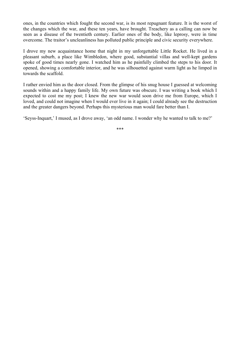ones, in the countries which fought the second war, is its most repugnant feature. It is the worst of the changes which the war, and these ten years, have brought. Treachery as a calling can now be seen as a disease of the twentieth century. Earlier ones of the body, like leprosy, were in time overcome. The traitor's uncleanliness has polluted public principle and civic security everywhere.

I drove my new acquaintance home that night in my unforgettable Little Rocket. He lived in a pleasant suburb, a place like Wimbledon, where good, substantial villas and well-kept gardens spoke of good times nearly gone. I watched him as he painfully climbed the steps to his door. It opened, showing a comfortable interior, and he was silhouetted against warm light as he limped in towards the scaffold.

I rather envied him as the door closed. From the glimpse of his snug house I guessed at welcoming sounds within and a happy family life. My own future was obscure. I was writing a book which I expected to cost me my post; I knew the new war would soon drive me from Europe, which I loved, and could not imagine when I would ever live in it again; I could already see the destruction and the greater dangers beyond. Perhaps this mysterious man would fare better than I.

'Seyss-Inquart,' I mused, as I drove away, 'an odd name. I wonder why he wanted to talk to me?'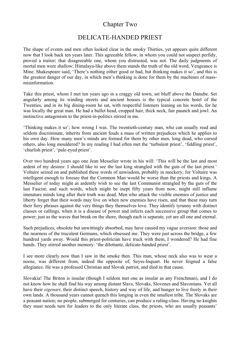#### Chapter Two

#### DELICATE-HANDED PRIEST

<span id="page-7-0"></span>The shape of events and men often looked clear in the smoky Thirties, yet appears quite different now that I look back ten years later. This agreeable fellow, in whom you could not suspect perfidy, proved a traitor; that disagreeable one, whom you distrusted, was not. The daily judgments of mortal men were shallow; Himalaya-like above them stands the truth of the old word, Vengeance is Mine. Shakespeare said, 'There's nothing either good or bad, but thinking makes it so', and this is the greatest danger of our day, in which men's thinking is done for them by the machines of massmisinformation.

Take this priest, whom I met ten years ago in a craggy old town, set bluff above the Danube. Set angularly among its winding streets and ancient houses is the typical concrete hotel of the Twenties, and in its big dining-room he sat, with respectful listeners leaning on his words, for he was locally the great man. He had a bullet head, cropped hair, thick neck, fair paunch and jowl. An instinctive antagonism to the priest-in-politics stirred in me.

'Thinking makes it so'; how wrong I was. The twentieth-century man, who can usually read and seldom discriminate, inherits from ancient feuds a mass of written prejudices which he applies to his own day. How many men's minds are formed for them by other men, long dead, who cursed others, also long mouldered? In my reading I had often met the 'turbulent priest', 'fiddling priest', 'churlish priest', 'pale-eyed priest'.

Over two hundred years ago one Jean Messelier wrote in his will: 'This will be the last and most ardent of my desires: I should like to see the last king strangled with the guts of the last priest.' Voltaire seized on and published these words of unwisdom, probably in mockery; for Voltaire was intelligent enough to foresee that the Common Man would be worse than the priests and kings. A Messelier of today might as ardently wish to see the last Communist strangled by the guts of the last Fascist; and such words, which might be inept fifty years from now, might still inflame immature minds long after their truth was dead. Men who attack the visible enemies of justice and liberty forget that their words may live on when new enemies have risen, and that these may turn their fiery phrases against the very things they themselves love. They identify tyranny with distinct classes or callings, when it is a disease of power and infects each successive group that comes to power; just as the waves that break on the shore, though each is separate, yet are all one and eternal.

Such prejudices, obsolete but unwittingly absorbed, may have caused my vague aversion: those and the nearness of the truculent Germans, which obsessed me. They were just across the bridge, a few hundred yards away. Would this priest-politician have truck with them, I wondered? He had fine hands. They stirred another memory: 'the dilettante, delicate-handed priest'.

I see more clearly now than I saw in the smoke then. This man, whose neck also was to wear a noose, was different from, indeed the opposite of, Seyss-Inquart. He never feigned a false allegiance. He was a professed Christian and Slovak patriot, and died in that cause.

Slovakia! The Briton is insular (though I seldom met one as insular as any Frenchman), and I do not know how he shall find his way among distant Slavs, Slovaks, Slovenes and Slavonians. Yet all have their *eigenart*, their distinct speech, history and way of life, and hunger to live freely in their own lands. A thousand years cannot quench this longing in even the smallest tribe. The Slovaks are a peasant-nation; no people, submerged for centuries, can produce a ruling-class. Having no knights they must needs turn for leaders to the only literate class, the priests, who are usually peasants'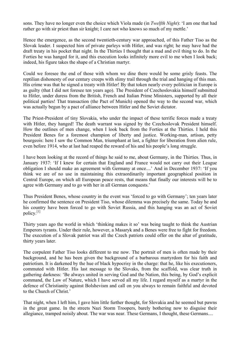sons. They have no longer even the choice which Viola made (in *Twelfth Night*): 'I am one that had rather go with sir priest than sir knight; I care not who knows so much of my mettle.'

Hence the emergence, as the second twentieth-century war approached, of this Father Tiso as the Slovak leader. I suspected him of private parleys with Hitler, and was right; he may have had the draft treaty in his pocket that night. In the Thirties I thought that a mad and evil thing to do. In the Forties he was hanged for it, and this execution looks infinitely more evil to me when I look back; indeed, his figure takes the shape of a Christian martyr.

Could we foresee the end of those with whom we dine there would be some grisly feasts. The reptilian dishonesty of our century creeps with slimy trail through the trial and hanging of this man. His crime was that he signed a treaty with Hitler! By that token nearly every politician in Europe is as guilty (that I did not foresee ten years ago). The President of Czechoslovakia himself submitted to Hitler, under duress from the British, French and Italian Prime Ministers, supported by all their political parties! That transaction (the Pact of Munich) opened the way to the second war, which was actually begun by a pact of alliance between Hitler and the Soviet dictator.

The Priest-President of tiny Slovakia, who under the impact of these terrific forces made a treaty with Hitler, they hanged! The death warrant was signed by the Czechoslovak President himself. How the outlines of men change, when I look back from the Forties at the Thirties. I held this President Benes for a foremost champion of liberty and justice. Working-man, artisan, petty bourgeois: here I saw the Common Man, triumphant at last, a fighter for liberation from alien rule, even before 1914, who at last had reaped the reward of his and his people's long struggle.

I have been looking at the record of things he said to me, about Germany, in the Thirties. Thus, in January 1937: 'If I knew for certain that England and France would not carry out their League obligation I should make an agreement with Germany at once....' And in December 1937: 'If you think we are of no use in maintaining this extraordinarily important geographical position in Central Europe, on which all European peace rests, that means that finally our interests will be to agree with Germany and to go with her in all German conquests.'

Thus President Benes, whose country in the event was 'forced to go with Germany'; ten years later he confirmed the sentence on President Tiso, whose dilemma was precisely the same. Today he and his country have been forced to go with Soviet Russia, and this hanging was an act of Soviet policy. $[1]$ 

Thirty years ago the world in which 'thinking makes it so' was being taught to think the Austrian Emperors tyrants. Under their rule, however, a Masaryk and a Benes were free to fight for freedom. The execution of a Slovak patriot was all the Czech patriots could offer on the altar of gratitude, thirty years later.

The corpulent Father Tiso looks different to me now. The portrait of men is often made by their background, and he has been given the background of a barbarous martyrdom for his faith and patriotism. It is darkened by the hue of black hypocrisy in the charge: that he, like his executioners, commuted with Hitler. His last message to the Slovaks, from the scaffold, was clear truth in gathering darkness: 'Be always united in serving God and the Nation, this being, by God's explicit command, the Law of Nature, which I have served all my life. I regard myself as a martyr in the defence of Christianity against Bolshevism and call on you always to remain faithful and devoted to the Church of Christ.'

That night, when I left him, I gave him little further thought, for Slovakia and he seemed but pawns in the great game. In the streets Nazi Storm Troopers, barely bothering now to disguise their allegiance, tramped noisily about. The war was near. These Germans, I thought, these Germans....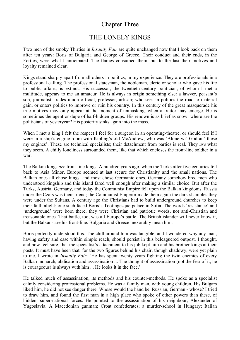#### Chapter Three

#### THE LONELY KINGS

<span id="page-9-0"></span>Two men of the smoky Thirties in *Insanity Fair* are quite unchanged now that I look back on them after ten years: Boris of Bulgaria and George of Greece. Their conduct and their ends, in the Forties, were what I anticipated. The flames consumed them, but to the last their motives and loyalty remained clear.

Kings stand sharply apart from all others in politics, in my experience. They are professionals in a professional calling. The professional statesman, the nobleman, cleric or scholar who gave his life to public affairs, is extinct. His successor, the twentieth-century politician, of whom I met a multitude, appears to me an amateur. He is always in origin something else: a lawyer, peasant's son, journalist, trades union official, professor, artisan; who sees in politics the road to material gain, or enters politics to improve or ruin his country. In this century of the great masquerade his true motives may only appear at the moment of unmasking, when a traitor may emerge. He is sometimes the agent or dupe of half-hidden groups. His renown is as brief as snow; where are the politicians of yesteryear? His posterity sinks again into the mass.

When I met a king I felt the respect I feel for a surgeon in an operating-theatre, or should feel if I were in a ship's engine-room with Kipling's old McAndrew, who was 'Alone wi' God an' these my engines'. These are technical specialists; their detachment from parties is real. They *are* what they seem. A chilly loneliness surrounded them, like that which encloses the front-line soldier in a war.

The Balkan kings *are* front-line kings. A hundred years ago, when the Turks after five centuries fell back to Asia Minor, Europe seemed at last secure for Christianity and the small nations. The Balkan ones all chose kings, and most chose Germanic ones. Germany somehow bred men who understood kingship and this island fared well enough after making a similar choice. But after the Turks, Austria, Germany, and today the Communist Empire fell upon the Balkan kingdoms. Russia under the Czars was their friend; the Communist Emperor made them again the dark shambles they were under the Sultans. A century ago the Christians had to build underground churches to keep their faith alight; one such faced Boris's Tootingesque palace in Sofia. The words 'resistance' and 'underground' were born there; they were Christian and patriotic words, not anti-Christian and treasonable ones. That battle, too, was all Europe's battle. The British islander will never know it, but the Balkans are his front-line. Bulgaria and Greece inexorably mean him.

Boris perfectly understood this. The chill around him was tangible, and I wondered why any man, having safety and ease within simple reach, should persist in this beleaguered outpost. I thought, and now feel sure, that the specialist's attachment to his job kept him and his brother-kings at their posts. It must have been that, for the two figures behind his chair, though shadowy, were yet plain to me. I wrote in *Insanity Fair*: 'He has spent twenty years fighting the twin enemies of every Balkan monarch, abdication and assassination ... The thought of assassination (not the fear of it, he is courageous) is always with him ... He looks it in the face.'

He talked much of assassination, its methods and his counter-methods. He spoke as a specialist calmly considering professional problems. He was a family man, with young children. His Bulgars liked him, he did not see danger there. Whose would the hand be, Russian, German - whose? I tried to draw him, and found the first man in a high place who spoke of other powers than these, of hidden, super-national forces. He pointed to the assassination of his neighbour, Alexander of Yugoslavia. A Macedonian gunman; Croat confederates; a murder-school in Hungary; Italian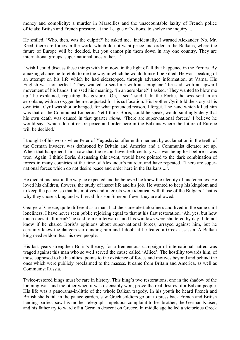money and complicity; a murder in Marseilles and the unaccountable laxity of French police officials; British and French pressure, at the League of Nations, to shelve the inquiry....

He smiled. 'Who, then, was the culprit?' he asked me, 'incidentally, I warned Alexander. No, Mr. Reed, there are forces in the world which do not want peace and order in the Balkans, where the future of Europe will be decided, but you cannot pin them down in any one country. They are international groups, super-national ones rather....'

I wish I could discuss these things with him now, in the light of all that happened in the Forties. By amazing chance he foretold to me the way in which he would himself be killed. He was speaking of an attempt on his life which he had sidestepped, through advance information, at Varna. His English was not perfect. 'They wanted to send me with an aeroplane,' he said, with an upward movement of his hands. I missed his meaning. 'In an aeroplane?' I asked. 'They wanted to blow me up,' he explained, repeating the gesture. 'Oh, I see,' said I. In the Forties he *was* sent in an aeroplane, with an oxygen helmet adjusted for his suffocation. His brother Cyril told the story at his own trial. Cyril was shot or hanged, for what pretended reason, I forget. The hand which killed him was that of the Communist Emperor. Yet I think Boris, could he speak, would smilingly deny that his own death was caused in that quarter *alone*. 'There are super-national forces,' I believe he would say, 'which do not desire peace and order here in the Balkans where the future of Europe will be decided.'

I thought of his words when Peter of Yugoslavia, after enthronement by acclamation in the teeth of the German invader, was dethroned by Britain and America and a Communist dictator set up. When that happened I first saw that the second twentieth-century war was being lost before it was won. Again, I think Boris, discussing this event, would have pointed to the dark combination of forces in many countries at the time of Alexander's murder, and have repeated, 'There are supernational forces which do not desire peace and order here in the Balkans ...'.

He died at his post in the way he expected and he believed he knew the identity of his 'enemies. He loved his children, flowers, the study of insect life and his job. He wanted to keep his kingdom and to keep the peace, so that his motives and interests were identical with those of the Bulgars. That is why they chose a king and will recall his son Simeon if ever they are allowed.

George of Greece, quite different as a man, had the same alert aloofness and lived in the same chill loneliness. I have never seen public rejoicing equal to that at his first restoration. 'Ah, yes, but how much does it all mean?' he said to me afterwards, and his windows were shuttered by day. I do not know if he shared Boris's opinions about super-national forces, arrayed against him, but he certainly knew the dangers surrounding him and I doubt if he feared a Greek assassin. A Balkan king need seldom fear his own people.

His last years strengthen Boris's theory, for a tremendous campaign of international hatred was waged against this man who so well served the cause called 'Allied'. The hostility towards him, of those supposed to be his allies, points to the existence of forces and motives beyond and behind the ones which were publicly proclaimed to the masses. It came from Britain and America, as well as Communist Russia.

Twice-restored kings must be rare in history. This king's two restorations, one in the shadow of the looming war, and the other when it was ostensibly won, prove the real desires of a Balkan people. His life was a panorama-in-little of the whole Balkan tragedy. In his youth he heard French and British shells fall in the palace garden, saw Greek soldiers go out to press back French and British landing-parties, saw his mother telegraph impetuous complaint to her brother, the German Kaiser, and his father try to ward off a German descent on Greece. In middle age he led a victorious Greek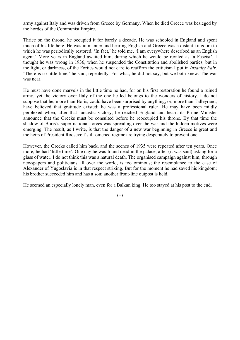army against Italy and was driven from Greece by Germany. When he died Greece was besieged by the hordes of the Communist Empire.

Thrice on the throne, he occupied it for barely a decade. He was schooled in England and spent much of his life here. He was in manner and bearing English and Greece was a distant kingdom to which he was periodically restored. 'In fact,' he told me, 'I am everywhere described as an English agent.' More years in England awaited him, during which he would be reviled as 'a Fascist'. I thought he was wrong in 1936, when he suspended the Constitution and abolished parties, but in the light, or darkness, of the Forties would not care to reaffirm the criticism I put in *Insanity Fair*. 'There is so little time,' he said, repeatedly. For what, he did not say, but we both knew. The war was near.

He must have done marvels in the little time he had, for on his first restoration he found a ruined army, yet the victory over Italy of the one he led belongs to the wonders of history. I do not suppose that he, more than Boris, could have been surprised by anything, or, more than Talleyrand, have believed that gratitude existed; he was a professional ruler. He may have been mildly perplexed when, after that fantastic victory, he reached England and heard its Prime Minister announce that the Greeks must be consulted before he reoccupied his throne. By that time the shadow of Boris's super-national forces was spreading over the war and the hidden motives were emerging. The result, as I write, is that the danger of a new war beginning in Greece is great and the heirs of President Roosevelt's ill-omened regime are trying desperately to prevent one.

However, the Greeks called him back, and the scenes of 1935 were repeated after ten years. Once more, he had 'little time'. One day he was found dead in the palace, after (it was said) asking for a glass of water. I do not think this was a natural death. The organised campaign against him, through newspapers and politicians all over the world, is too ominous; the resemblance to the case of Alexander of Yugoslavia is in that respect striking. But for the moment he had saved his kingdom; his brother succeeded him and has a son; another front-line outpost is held.

He seemed an especially lonely man, even for a Balkan king. He too stayed at his post to the end.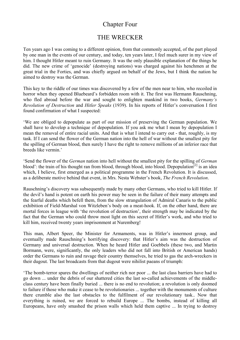#### Chapter Four

#### THE WRECKER

<span id="page-12-0"></span>Ten years ago I was coming to a different opinion, from that commonly accepted, of the part played by one man in the events of our century, and today, ten years later, I feel much surer in my view of him. I thought Hitler meant to ruin Germany. It was the only plausible explanation of the things he did. The new crime of 'genocide' (destroying nations) was charged against his henchmen at the great trial in the Forties, and was chiefly argued on behalf of the Jews, but I think the nation he aimed to destroy was the German.

This key to the riddle of our times was discovered by a few of the men near to him, who recoiled in horror when they opened Bluebeard's forbidden room with it. The first was Hermann Rauschning, who fled abroad before the war and sought to enlighten mankind in two books, *Germany's Revolution of Destruction* and *Hitler Speaks* (1939). In his reports of Hitler's conversation I first found confirmation of what I suspected:

'We are obliged to depopulate as part of our mission of preserving the German population. We shall have to develop a technique of depopulation. If you ask me what I mean by depopulation I mean the removal of entire racial units. And that is what I intend to carry out - that, roughly, is my task. If I can send the flower of the German nation into the hell of war without the smallest pity for the spilling of German blood, then surely I have the right to remove millions of an inferior race that breeds like vermin.'

'Send the flower of the *German* nation into hell without the smallest pity for the spilling of *German* blood': the train of his thought ran from blood, through blood, into blood. Depopulation<sup>[\[2\]](#page-167-0)</sup> is an idea which, I believe, first emerged as a political programme in the French Revolution. It is discussed, as a deliberate motive behind that event, in Mrs. Nesta Webster's book, *The French Revolution*.

Rauschning's discovery was subsequently made by many other Germans, who tried to kill Hitler. If the devil's hand is potent on earth his power may be seen in the failure of their many attempts and the fearful deaths which befell them, from the slow strangulation of Admiral Canaris to the public exhibition of Field-Marshal von Witzleben's body on a meat-hook. If, on the other hand, there are mortal forces in league with 'the revolution of destruction', their strength may be indicated by the fact that the German who could throw most light on this secret of Hitler's work, and who tried to kill him, received twenty years imprisonment at Nuremberg!

This man, Albert Speer, the Minister for Armaments, was in Hitler's innermost group, and eventually made Rauschning's horrifying discovery: that Hitler's aim was the destruction of Germany and universal destruction. When he heard Hitler and Goebbels (these two, and Martin Bormann, were, significantly, the only leaders who did not fall into British or American hands) order the Germans to ruin and ravage their country themselves, he tried to gas the arch-wreckers in their dugout. The last broadcasts from that dugout were nihilist paeans of triumph:

'The bomb-terror spares the dwellings of neither rich nor poor ... the last class barriers have had to go down ... under the debris of our shattered cities the last so-called achievements of the middleclass century have been finally buried ... there is no end to revolution; a revolution is only doomed to failure if those who make it cease to be revolutionaries ... together with the monuments of culture there crumble also the last obstacles to the fulfilment of our revolutionary task.. Now that everything is ruined, we are forced to rebuild Europe ... The bombs, instead of killing all Europeans, have only smashed the prison walls which held them captive ... In trying to destroy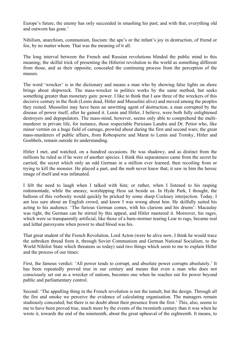Europe's future, the enemy has only succeeded in smashing his past; and with that, everything old and outworn has gone.'

Nihilism, anarchism, communism, fascism: the ape's or the infant's joy in destruction, of friend or foe, by no matter whom. That was the meaning of it all.

The long interval between the French and Russian revolutions blinded the public mind to this meaning; the skilful trick of presenting the Hitlerist revolution to the world as something different from those, and as their opposite, concealed the continuing process from the perception of the masses.

The word 'wrecker' is in the dictionary and means a man who by showing false lights on shore brings about shipwreck. The mass-wrecker in politics works by the same method, but seeks something greater than monetary gain: power. I like to think that I saw three of the wreckers of this decisive century in the flesh (Lenin dead, Hitler and Mussolini alive) and moved among the peoples they ruined. Mussolini may have been an unwitting agent of destruction, a man corrupted by the disease of power itself, after he gained it. Lenin and Hitler, I believe, were both fully enlightened destroyers and depopulators. The mass-mind, however, seems only able to comprehend the multimurderer in private life, for instance, those respectable Parisians Landru and Dr. Petiot who, like minor vermin on a huge field of carnage, prowled about during the first and second wars; the great mass-murderers of public affairs, from Robespierre and Marat to Lenin and Trotsky, Hitler and Goebbels, remain outside its understanding.

Hitler I met, and watched, on a hundred occasions. He was shadowy, and as distinct from the millions he ruled as if he were of another species. I think this separateness came from the secret he carried, the secret which only an odd German in a million ever learned, then recoiling from or trying to kill the monster. He played a part, and the mob never knew that; it saw in him the heroic image of itself and was infatuated.

I felt the need to laugh when I talked with him; or rather, when I listened to his rasping rodomontade, while the uneasy, worshipping Hess sat beside us. In Hyde Park, I thought, the balloon of this verbosity would quickly be pricked by some sharp Cockney interjection. Today, I am less sure about an English crowd, and know I was wrong about him. He skilfully suited his acting to his audience. 'The furious German comes, with his clarions and his drums': Macaulay was right, the German can be stirred by this appeal, and Hitler mastered it. Moreover, his rages, which were so transparently artificial, like those of a barn-stormer tearing Lear to rags, became real and lethal paroxysms when power to shed blood was his.

That great student of the French Revolution, Lord Acton (were he alive now, I think he would trace the unbroken thread from it, through Soviet Communism and German National Socialism, to the World Nihilist State which threatens us today) said two things which seem to me to explain Hitler and the process of our times:

First, the famous verdict: 'All power tends to corrupt, and absolute power corrupts absolutely.' It has been repeatedly proved true in our century and means that even a man who does not consciously set out as a wrecker of nations, becomes one when he reaches out for power beyond public and parliamentary control.

Second: 'The appalling thing in the French revolution is not the tumult, but the design. Through all the fire and smoke we perceive the evidence of calculating organisation. The managers remain studiously concealed; but there is no doubt about their presence from the first.' This, also, seems to me to have been proved true, much more by the events of the twentieth century than it was when he wrote it, towards the end of the nineteenth, about the great upheaval of the eighteenth. It means, to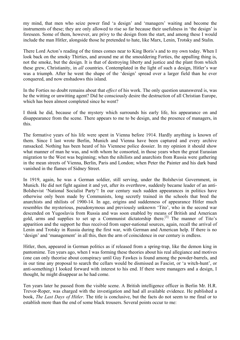my mind, that men who seize power find 'a design' and 'managers' waiting and become the instruments of these; they are only allowed to rise so far because their usefulness in 'the design' is foreseen. Some of them, however, are privy to the design from the start, and among these I would include the man Hitler, alongside those he pretended to hate, like Marx, Lenin, Trotsky and Stalin.

There Lord Acton's reading of the times comes near to King Boris's and to my own today. When I look back on the smoky Thirties, and around me at the smouldering Forties, the appalling thing is, not the smoke, but the design. It is that of destroying liberty and justice and the plant from which these grew, Christianity, in *all* countries. Contemplated in the light of such a design, Hitler's war was a triumph. After he went the shape of the 'design' spread over a larger field than he ever conquered, and now enshadows this island.

In the Forties no doubt remains about that *effect* of his work. The only question unanswered is, was he the witting or unwitting agent? Did he consciously desire the destruction of all Christian Europe, which has been almost completed since he went?

I think he did, because of the mystery which surrounds his early life, his appearance on and disappearance from the scene. There appears to me to be design, and the presence of managers, in this.

The formative years of his life were spent in Vienna before 1914. Hardly anything is known of them. Since I last wrote Berlin, Munich and Vienna have been captured and every archive ransacked. Nothing has been heard of his Viennese police dossier. In my opinion it should show what manner of man he was, and with whom he consorted, in those years when the great Eurasian migration to the West was beginning; when the nihilists and anarchists from Russia were gathering in the mean streets of Vienna, Berlin, Paris and London; when Peter the Painter and his dark band vanished in the flames of Sidney Street.

In 1919, again, he was a German soldier, still serving, under the Bolshevist Government, in Munich. He did not fight against it and yet, after its overthrow, suddenly became leader of an anti-Bolshevist 'National Socialist Party'! In our century such sudden appearances in politics have otherwise only been made by Communists, long secretly trained in the schools that bred the anarchists and nhilists of 1900-14. In age, origins and suddenness of appearance Hitler much resembles the mysterious, pseudonymous and previously unknown 'Tito', who in the second war descended on Yugoslavia from Russia and was soon enabled by means of British and American gold, arms and supplies to set up a Communist dictatorship there.<sup>[\[3\]](#page-167-0)</sup> The manner of Tito's apparition and the support he thus received from super-national sources, again, recall the arrival of Lenin and Trotsky in Russia during the first war, with German and American help. If there is no 'design' and 'management' in all this, then the arm of coincidence in our century is endless.

Hitler, then, appeared in German politics as if released from a spring-trap, like the demon king in pantomime. Ten years ago, when I was forming these theories about his real allegiance and motives (one can only theorise about conspiracy until Guy Fawkes is found among the powder-barrels, and in our time any proposal to search the cellars would be dismissed as Fascist, or 'a witch-hunt', or anti-something) I looked forward with interest to his end. If there were managers and a design, I thought, he might disappear as he had come.

Ten years later he passed from the visible scene. A British intelligence officer in Berlin Mr. H.R. Trevor-Roper, was charged with the investigation and had all available evidence. He published a book, *The Last Days of Hitler*. The title is conclusive, but the facts do not seem to me final or to establish more than the end of some black trousers. Several points occur to me: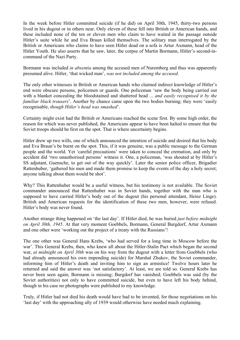In the week before Hitler committed suicide (if he did) on April 30th, 1945, thirty-two persons lived in his dugout or in others near. Only eleven of these fell into British or American hands, and these included none of the ten or eleven men who claim to have waited in the passage outside Hitler's suite while he and Eva Braun killed themselves. The solitary man interrogated by the British or Americans who claims to have seen Hitler dead on a sofa is Artur Axmann, head of the Hitler Youth. He also asserts that he saw, later, the corpse of Martin Bormann, Hitler's second-incommand of the Nazi Party.

Bormann was included *in absentia* among the accused men of Nuremberg and thus was apparently presumed alive. Hitler, 'that wicked man', *was not included among the accused*.

The only other witnesses in British or American hands who claimed indirect knowledge of Hitler's end were obscure persons, policemen or guards. One policeman 'saw the body being carried out with a blanket concealing the bloodstained and shattered head ... *and easily recognised it by the familiar black trousers*'. Another by chance came upon the two bodies burning; they were 'easily recognisable, *though Hitler's head was smashed*'.

Certainty might exist had the British or Americans reached the scene first. By some high order, the reason for which was never published, the Americans appear to have been halted to ensure that the Soviet troops should be first on the spot. That is where uncertainty begins.

Hitler drew up two wills, one of which announced the intention of suicide and desired that his body and Eva Braun's be burnt on the spot. This, if it was genuine, was a public message to the German people and the world. Yet 'careful precautions' were taken to conceal the cremation, and only by accident did 'two unauthorised persons' witness it. One, a policeman, 'was shouted at by Hitler's SS adjutant, Guensche, to get out of the way quickly'. Later the senior police officer, Brigadier Rattenhuber, 'gathered his men and made them promise to keep the events of the day a holy secret; anyone talking about them would be shot'.

Why? This Rattenhuber would be a useful witness, but his testimony is not available. The Soviet commander announced that Rattenhuber was in Soviet hands, together with the man who is supposed to have carried Hitler's body out of the dugout (his personal attendant, Heinz Linge). British and American requests for the identification of these two men, however, were refused. Hitler's body was never found.

Another strange thing happened on 'the last day'. If Hitler died, he was buried *just before midnight on April 30th, 1945*. At that very moment Goebbels, Bormann, General Burgdorf, Artur Axmann and one other were 'working out the project of a treaty with the Russians'!

The one other was General Hans Krebs, 'who had served for a long time in Moscow before the war'. This General Krebs, then, who knew all about the Hitler-Stalin Pact which began the second war, *at midnight on April 30th* was on his way from the dugout with a letter from Goebbels (who had already announced his own impending suicide) for Marshal Zhukov, the Soviet commander, informing him of Hitler's death and inviting him to sign an armistice! Twelve hours later he returned and said the answer was 'not satisfactory'. At least, we are told so. General Krebs has never been seen again; Bormann is missing; Burgdorf has vanished; Goebbels was said (by the Soviet authorities) not only to have committed suicide, but even to have left his body behind, though in his case no photographs were published to my knowledge.

Truly, if Hitler had not died his death would have had to be invented, for those negotiations on his 'last day' with the approaching ally of 1939 would otherwise have needed much explaining.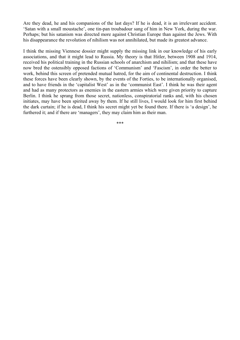Are they dead, he and his companions of the last days? If he is dead, it is an irrelevant accident. 'Satan with a small moustache', one tin-pan troubadour sang of him in New York, during the war. Perhaps; but his satanism was directed more against Christian Europe than against the Jews. With his disappearance the revolution of nihilism was not annihilated, but made its greatest advance.

I think the missing Viennese dossier might supply the missing link in our knowledge of his early associations, and that it might lead to Russia. My theory is that Hitler, between 1908 and 1914, received his political training in the Russian schools of anarchism and nihilism; and that these have now bred the ostensibly opposed factions of 'Communism' and 'Fascism', in order the better to work, behind this screen of pretended mutual hatred, for the aim of continental destruction. I think these forces have been clearly shown, by the events of the Forties, to be internationally organised, and to have friends in the 'capitalist West' as in the 'communist East'. I think he was their agent and had as many protectors as enemies in the eastern armies which were given priority to capture Berlin. I think he sprang from those secret, nationless, conspiratorial ranks and, with his chosen initiates, may have been spirited away by them. If he still lives, I would look for him first behind the dark curtain; if he is dead, I think his secret might yet be found there. If there is 'a design', he furthered it; and if there are 'managers', they may claim him as their man.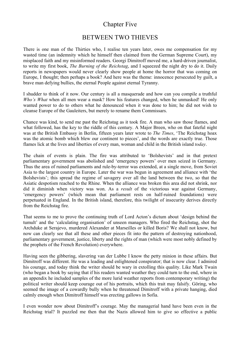#### Chapter Five

#### BETWEEN TWO THIEVES

<span id="page-17-0"></span>There is one man of the Thirties who, I realise ten years later, owes me compensation for my wasted time (an indemnity which he himself then claimed from the German Supreme Court), my misplaced faith and my misinformed readers. Georgi Dimitroff moved me, a hard-driven journalist, to write my first book, *The Burning of the Reichstag*, and I squeezed the night dry to do it. Daily reports in newspapers would never clearly show people at home the horror that was coming on Europe, I thought; then perhaps a book? And here was the theme: innocence persecuted by guilt, a brave man defying bullies, the eternal People against eternal Tyranny.

I shudder to think of it now. Our century is all a masquerade and how can you compile a truthful *Who's What* when all men wear a mask? How his features changed, when he unmasked! He only wanted power to do to others what he denounced when it was done to him; he did not wish to cleanse Europe of the Gauleiters, but merely to rename them Commissars.

Chance was kind, to send me past the Reichstag as it took fire. A man who saw those flames, and what followed, has the key to the riddle of this century. A Major Breen, who on that fateful night was at the British Embassy in Berlin, fifteen years later wrote to *The Times*, 'The Reichstag hoax was the atomic bomb which blew our continent to pieces', and the words are exactly true. Those flames lick at the lives and liberties of every man, woman and child in the British island *today*.

The chain of events is plain. The fire was attributed to 'Bolshevists' and in that pretext parliamentary government was abolished and 'emergency powers' over men seized in Germany. Thus the area of ruined parliaments and rule-by-terror was extended, at a single move, from Soviet Asia to the largest country in Europe. Later the war was begun in agreement and alliance with 'the Bolshevists'; this spread the regime of savagery over all the land between the two, so that the Asiatic despotism reached to the Rhine. When the alliance was broken this area did not shrink, nor did it diminish when victory was won. As a *result* of the victorious war against Germany, 'emergency powers' (which mean that parliament rests on half-ruined foundations) were perpetuated in England. In the British island, therefore, this twilight of insecurity derives directly from the Reichstag fire.

That seems to me to prove the continuing truth of Lord Acton's dictum about 'design behind the tumult' and the 'calculating organisation' of unseen managers. Who fired the Reichstag, shot the Archduke at Serajevo, murdered Alexander at Marseilles or killed Boris? We shall not know, but now can clearly see that all these and other pieces fit into the pattern of destroying nationhood, parliamentary government, justice, liberty and the rights of man (which were most nobly defined by the prophets of the French Revolution) everywhere.

Having seen the gibbering, slavering van der Lubbe I know the petty minion in these affairs. But Dimitroff was different. He was a leading and enlightened conspirator; that is now clear. I admired his courage, and today think the writer should be wary in extolling this quality. Like Mark Twain (who began a book by saying that if his readers wanted weather they could turn to the end, where in an appendix he included samples of the more lurid weather reports from contemporary writing) the political writer should keep courage out of his portraits, which this trait may falsify. Göring, who seemed the image of a cowardly bully when he threatened Dimitroff with a private hanging, died calmly enough when Dimitroff himself was erecting gallows in Sofia.

I even wonder now about Dimitroff's courage. May the managerial hand have been even in the Reichstag trial? It puzzled me then that the Nazis allowed him to give so effective a public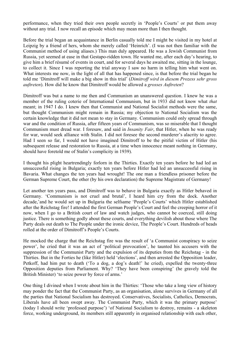performance, when they tried their own people secretly in 'People's Courts' or put them away without any trial. I now recall an episode which may mean more than I then thought.

Before the trial began an acquaintance in Berlin casually told me I might be visited in my hotel at Leipzig by a friend of hers, whom she merely called 'Heinrich'. (I was not then familiar with the Communist method of using aliases.) This man duly appeared. He was a Jewish Communist from Russia, yet seemed at ease in that Gestapo-ridden town. He wanted me, after each day's hearing, to give him a brief résumé of events in court, and for several days he awaited me, sitting in the lounge, to collect it. Since I was reporting the trial anyway I saw no harm in telling him what went on. What interests me now, in the light of all that has happened since, is that before the trial began he told me 'Dimitroff will make a big show in this trial' (*Dimitroff wird in diesem Prozess sehr gross auftreten*). How did he know that Dimitroff would be allowed a *grosses Auftreten*?

Dimitroff was but a name to me then and Communism an unanswered question. I knew he was a member of the ruling coterie of International Communism, but in 1933 did not know what *that* meant; in 1947 I do. I knew then that Communist and National Socialist methods were the same, but thought Communism might remain in Russia; my objection to National Socialism was the certain knowledge that it did not mean to stay in Germany. Communism could only spread through war and the condition of Russia, after fifteen years of Communism, was so miserable that I thought Communism must dread war. I foresaw, and said in *Insanity Fair*, that Hitler, when he was ready for war, would seek alliance with Stalin. I did not foresee the second murderer's alacrity to agree. Had I seen so far, I would not have imagined Dimitroff to be the pitiful victim of Hitler (his subsequent release and restoration to Russia, at a time when innocence meant nothing in Germany, should have foretold me of Stalin's complicity in 1939).

I thought his plight heartrendingly forlorn in the Thirties. Exactly ten years before he had led an unsuccessful rising in Bulgaria; exactly ten years before Hitler had led an unsuccessful rising in Bavaria. What changes the ten years had wrought! The one man a friendless prisoner before the German Supreme Court, the other (by his own declaration) the Supreme Magistrate of Germany!

Let another ten years pass, and Dimitroff was to behave in Bulgaria exactly as Hitler behaved in Germany. 'Communism is not cruel and brutal', I heard him cry from the dock. Another decade,'and he would set up in Bulgaria the selfsame 'People's Courts' which Hitler established after the Reichstag fire! I attended the first German People's Court and feel the creeping horror of it now, when I go to a British court of law and watch judges, who cannot be coerced, still doing justice. There is something godly about these courts, and everything devilish about those where The Party deals out death to The People under the ironic device, The People's Court. Hundreds of heads rolled at the order of Dimitroff's People's Courts.

He mocked the charge that the Reichstag fire was the result of 'a Communist conspiracy to seize power', he cried that it was an act of 'political provocation', he taunted his accusers with the suppression of the Communist Party and the expulsion of its deputies from the Reichstag - in the Thirties. But in the Forties he (like Hitler) held 'elections', and then arrested the Opposition leader, Petkoff, had him put to death ('To a dog, a dog's death!' he cried), expelled the twenty-three Opposition deputies from Parliament. Why? 'They have been conspiring' (he gravely told the British Minister) 'to seize power by force of arms.'

One thing I divined when I wrote about him in the Thirties: 'Those who take a long view of history may ponder the fact that the Communist Party, as an organisation, alone survives in Germany of all the parties that National Socialism has destroyed. Conservatives, Socialists, Catholics, Democrats, Liberals have all been swept away. The Communist Party, which it was the primary purpose' (today I should write 'professed purpose') 'of National Socialism to destroy, remains - a skeleton force, working underground, its members still apparently in organised relationship with each other,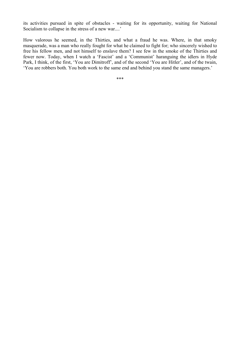its activities pursued in spite of obstacles - waiting for its opportunity, waiting for National Socialism to collapse in the stress of a new war....'

How valorous he seemed, in the Thirties, and what a fraud he was. Where, in that smoky masquerade, was a man who really fought for what he claimed to fight for; who sincerely wished to free his fellow men, and not himself to enslave them? I see few in the smoke of the Thirties and fewer now. Today, when I watch a 'Fascist' and a 'Communist' haranguing the idlers in Hyde Park, I think, of the first, 'You are Dimitroff', and of the second 'You are Hitler', and of the twain, 'You are robbers both. You both work to the same end and behind you stand the same managers.'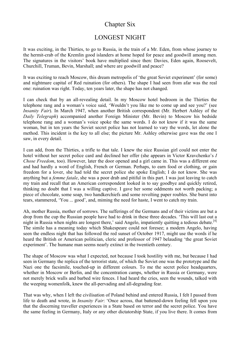#### Chapter Six

#### LONGEST NIGHT

<span id="page-20-0"></span>It was exciting, in the Thirties, to go to Russia, in the train of a Mr. Eden, from whose journey to the hermit-crab of the Kremlin good islanders at home hoped for peace and goodwill among men. The signatures in the visitors' book have multiplied since then: Davies, Eden again, Roosevelt, Churchill, Truman, Bevin, Marshall; and where are goodwill and peace?

It was exciting to reach Moscow, this dream metropolis of 'the great Soviet experiment' (for some) and nightmare capital of Red ruination (for others). The shape I had seen from afar was the real one: ruination was right. Today, ten years later, the shape has not changed.

I can check that by an all-revealing detail. In my Moscow hotel bedroom in the Thirties the telephone rang and a woman's voice said, 'Wouldn't you like me to come up and see you?' (see *Insanity Fair*). In March 1947, when another British correspondent (Mr. Herbert Ashley of the *Daily Telegraph*) accompanied another Foreign Minister (Mr. Bevin) to Moscow his bedside telephone rang and a woman's voice spoke the same words. I do not know if it was the same woman, but in ten years the Soviet secret police has not learned to vary the words, let alone the method. This incident is the key to all else; the picture Mr. Ashley otherwise gave was the one I saw, in every detail.

I can add, from the Thirties, a trifle to that tale. I knew the nice Russian girl could not enter the hotel without her secret police card and declined her offer (she appears in Victor Kravchenko's *I Chose Freedom*, too). However, later the door opened and a girl came in. This was a different one and had hardly a word of English, French or German. Perhaps, to earn food or clothing, or gain freedom for a lover, she had told the secret police she spoke English; I do not know. She was anything but a *femme fatale*, she was a poor drab and pitiful in this part. I was just leaving to catch my train and recall that an American correspondent looked in to say goodbye and quickly retired, thinking no doubt that I was a willing captive. I gave her some oddments not worth packing; a piece of chocolate, some soap, two handkerchiefs and some revolting paper roubles. She burst into tears, stammered, 'You ... good', and, miming the need for haste, I went to catch my train.

Ah, mother Russia, mother of sorrows. The sufferings of the Germans and of their victims are but a drop from the cup the Russian people have had to drink in these three decades. 'This will last out a night in Russia when nights are longest there,' said Angelo, impatiently quitting a tedious debate.<sup>[\[4\]](#page-167-0)</sup> The simile has a meaning today which Shakespeare could not foresee; a modern Angelo, having seen the endless night that has followed the red sunset of October 1917, might use the words if he heard the British or American politician, cleric and professor of 1947 belauding 'the great Soviet experiment'. The humane man seems nearly extinct in the twentieth century.

The shape of Moscow was what I expected, not because I took hostility with me, but because I had seen in Germany the replica of the terrorist state, of which the Soviet one was the prototype and the Nazi one the facsimile, touched-up in different colours. To me the secret police headquarters, whether in Moscow or Berlin, and the concentration camps, whether in Russia or Germany, were not merely brick walls and barbed wire fences. I had heard the cries, seen the wounds, talked with the weeping womenfolk, knew the all-pervading and all-degrading fear.

That was why, when I left the civilisation of Poland behind and entered Russia, I felt I passed from life to death and wrote, in *Insanity Fair*: 'Once across, that battened-down feeling fell upon you that the discerning traveller experiences in a State based on terror and the secret police. You have the same feeling in Germany, Italy or any other dictatorship State, if you live there. It comes from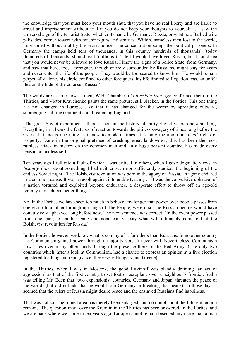the knowledge that you must keep your mouth shut, that you have no real liberty and are liable to arrest and imprisonment without trial if you do not keep your thoughts to yourself ... I saw the universal sign of the terrorist State, whether its name be Germany, Russia, or what not. Barbed wire palisades, corner towers with machine-guns and sentries. Within, nameless men lost to the world, imprisoned without trial by the secret police. The concentration camp, the political prisoners. In Germany the camps held tens of thousands, in this country hundreds of thousands' (today 'hundreds of thousands' should read 'millions'). 'I felt I would have loved Russia, but I could see that you would never be allowed to love Russia. I knew the signs of a police State, from Germany, and saw that here, too, a foreigner, though entirely surrounded by Russians, might stay for years and never enter the life of the people. They would be too scared to know him. He would remain perpetually alone, his circle confined to other foreigners, his life limited to Legation teas, an unfelt flea on the hide of the colossus Russia.'

The words are as true now as then; W.H. Chamberlin's *Russia's Iron Age* confirmed them in the Thirties, and Victor Kravchenko paints the same picture, still blacker, in the Forties. This one thing has not changed in Europe, save that it has changed for the worse by spreading outward, submerging half the continent and threatening England.

'The great Soviet experiment': there is not, in the history of thirty Soviet years, one *new* thing. Everything in it bears the features of reaction towards the pitiless savagery of times long before the Czars. If there is one thing in it new to modern times, it is only the abolition of *all* rights of property. Done in the original pretence of crushing great landowners, this has been the most ruthless attack in history on the common man and, in a huge peasant country, has made every peasant a landless serf.

Ten years ago I fell into a fault of which I was critical in others, when I gave dogmatic views, in *Insanity Fair*, about something I had neither seen nor sufficiently studied: the beginning of the endless Soviet night. 'The Bolshevist revolution was born in the agony of Russia, an agony endured in a common cause. It was a revolt against intolerable tyranny ... It was the convulsive upheaval of a nation tortured and exploited beyond endurance, a desperate effort to throw off an age-old tyranny and achieve better things.'

No. In the Forties we have seen too much to believe any longer that power-over-people passes from one group to another through uprisings of The People; were it so, the Russian people would have convulsively upheaved long before now. The next sentence was correct: 'In the event power passed from one gang to another gang and none can yet say what will ultimately come out of the Bolshevist revolution for Russia.'

In the Forties, however, we know what is coming of it for others than Russians. In no other country has Communism gained power through a majority vote. It never will. Nevertheless, Communism now rules over many other lands, through the presence there of the Red Army. (The only two countries which, after a look at Communism, had a chance to express an opinion at a free election registered loathing and repugnance; these were Hungary and Greece).

In the Thirties, when I was in Moscow, the good Litvinoff was blandly defining 'an act of aggression' as that of the first country to set foot or aeroplane over a neighbour's frontier. Stalin was telling Mr. Eden that 'two expansionist countries, Germany and Japan, threaten the peace of the world' (but did not add that he would join Germany in breaking that peace). In those days it seemed that the rulers of Russia might desire peace and the enslaved Russians find happiness.

That was not so. The ruined area has merely been enlarged, and no doubt about the future intention remains. The question-mark over the Kremlin in the Thirties has been answered, in the Forties, and we are back where we came in ten years ago. Europe cannot remain bisected any more than a man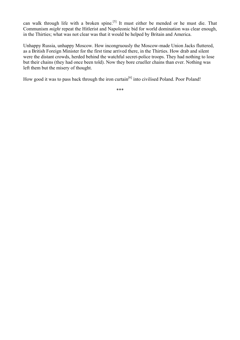can walk through life with a broken spine.<sup>[\[5\]](#page-167-0)</sup> It must either be mended or he must die. That Communism *might* repeat the Hitlerist and Napoleonic bid for world domination was clear enough, in the Thirties; what was not clear was that it would be helped by Britain and America.

Unhappy Russia, unhappy Moscow. How incongruously the Moscow-made Union Jacks fluttered, as a British Foreign Minister for the first time arrived there, in the Thirties. How drab and silent were the distant crowds, herded behind the watchful secret-police troops. They had nothing to lose but their chains (they had once been told). Now they bore crueller chains than ever. Nothing was left them but the misery of thought.

How good it was to pass back through the iron curtain<sup>[\[6\]](#page-167-0)</sup> into civilised Poland. Poor Poland!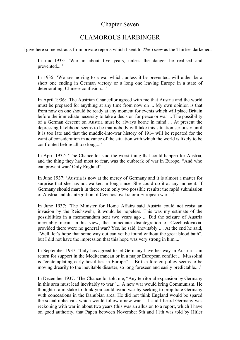#### Chapter Seven

#### CLAMOROUS HARBINGER

<span id="page-23-0"></span>I give here some extracts from private reports which I sent to *The Times* as the Thirties darkened:

In mid-1933: 'War in about five years, unless the danger be realised and prevented....'

In 1935: 'We are moving to a war which, unless it be prevented, will either be a short one ending in German victory or a long one leaving Europe in a state of deteriorating, Chinese confusion....'

In April 1936: 'The Austrian Chancellor agreed with me that Austria and the world must be prepared for anything at any time from now on ... My own opinion is that from now on one should be ready at any moment for events which will place Britain before the immediate necessity to take a decision for peace or war ... The possibility of a German descent on Austria must be always borne in mind ... At present the depressing likelihood seems to be that nobody will take this situation seriously until it is too late and that the muddle-into-war history of 1914 will be repeated for the want of consideration in advance of the situation with which the world is likely to be confronted before all too long....'

In April 1937: 'The Chancellor said the worst thing that could happen for Austria, and the thing they had most to fear, was the outbreak of war in Europe. "And who can prevent war? Only England"....'

In June 1937: 'Austria is now at the mercy of Germany and it is almost a matter for surprise that she has not walked in long since. She could do it at any moment. If Germany should march in there seem only two possible results: the rapid submission of Austria and disintegration of Czechoslovakia or a European war....'

In June 1937: 'The Minister for Home Affairs said Austria could not resist an invasion by the Reichswehr; it would be hopeless. This was my estimate of the possibilities in a memorandum sent two years ago ... Did the seizure of Austria inevitably mean, in his view, the immediate disintegration of Czechoslovakia, provided there were no general war? Yes, he said, inevitably .... At the end he said, "Well, let's hope that some way out can yet be found without the great blood bath", but I did not have the impression that this hope was very strong in him....'

In September 1937: 'Italy has agreed to let Germany have her way in Austria ... in return for support in the Mediterranean or in a major European conflict ... Mussolini is "contemplating early hostilities in Europe" ... British foreign policy seems to be moving drearily to the inevitable disaster, so long foreseen and easily predictable....'

In December 1937: 'The Chancellor told me, "Any territorial expansion by Germany in this area must lead inevitably to war" ... A new war would bring Communism. He thought it a mistake to think you could avoid war by seeking to propitiate Germany with concessions in the Danubian area. He did not think England would be spared the social upheavals which would follow a new war ... I said I heard Germany was reckoning with war in about two years (this was an allusion to a report, which I have on good authority, that Papen between November 9th and 11th was told by Hitler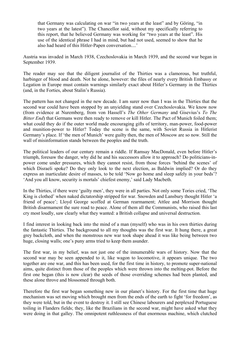that Germany was calculating on war "in two years at the least" and by Göring, "in two years at the latest"). The Chancellor said, without my specifically referring to this report, that he believed Germany was working for "two years at the least". His use of the identical phrase I had in mind, but had not used, seemed to show that he also had heard of this Hitler-Papen conversation....'

Austria was invaded in March 1938, Czechoslovakia in March 1939, and the second war began in September 1939.

The reader may see that the diligent journalist of the Thirties was a clamorous, but truthful, harbinger of blood and death. Not he alone, however: the files of nearly every British Embassy or Legation in Europe must contain warnings similarly exact about Hitler's Germany in the Thirties (and, in the Forties, about Stalin's Russia).

The pattern has not changed in the new decade. I am surer now than I was in the Thirties that the second war could have been stopped by an unyielding stand over Czechoslovakia. We know now (from evidence at Nuremberg, from von Hassell's *The Other Germany* and Gisevius's *To The Bitter End*) that Germans were then ready to remove or kill Hitler. The Pact of Munich foiled them; what could they do if the outer world made encouraging gifts of territory, man-power, food-power and munition-power to Hitler? Today the scene is the same, with Soviet Russia in Hitlerist Germany's place. If 'the men of Munich' were guilty then, the men of Moscow are so now. Still the wall of misinformation stands between the peoples and the truth.

The political leaders of our century remain a riddle. If Ramsay MacDonald, even before Hitler's triumph, foresaw the danger, why did he and his successors allow it to approach? Do politicians-inpower come under pressures, which they cannot resist, from those forces 'behind the scenes' of which Disraeli spoke? Do they only look to the next election, as Baldwin implied? Or do they express an inarticulate desire of masses, to be told 'Now go home and sleep safely in your beds'? 'And you all know, security is mortals' chiefest enemy,' said Lady Macbeth.

In the Thirties, if there were 'guilty men', they were in all parties. Not only some Tories cried, 'The King is clothed' when naked dictatorship stripped for war. Snowden and Lansbury thought Hitler 'a friend of peace'; Lloyd George scoffed at German rearmament; Attlee and Morrison thought British disarmament the sure road to peace. Alone of them all the Communists, who raised this last cry most loudly, saw clearly what they wanted: a British collapse and universal destruction.

I find interest in looking back into the mind of a man (myself) who was in his own thirties during the fantastic Thirties. The background to all my thoughts was the first war. It hung there, a great grey backcloth, and when the monstrous new war took shape ahead it was like being between two huge, closing walls; one's puny arms tried to keep them asunder.

The first war, in my belief, was not just one of the innumerable wars of history. Now that the second war may be seen appended to it, like wagon to locomotive, it appears unique. The two together are one war, and this has been used, for the first time in history, to promote super-national aims, quite distinct from those of the peoples which were thrown into the melting-pot. Before the first one began (this is now clear) the seeds of those overriding schemes had been planted, and these alone throve and blossomed through both.

Therefore the first war began something new in our planet's history. For the first time that huge mechanism was set moving which brought men from the ends of the earth to fight 'for freedom', as they were told, but in the event to destroy it. I still see Chinese labourers and perplexed Portuguese toiling in Flanders fields; they, like the Brazilians in the second war, might have asked what they were doing in that galley. The omnipotent ruthlessness of that enormous machine, which clutched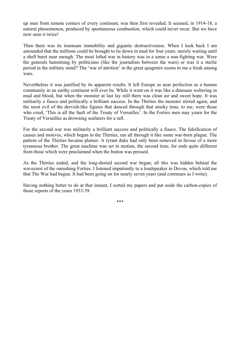up men from remote corners of every continent, was then first revealed. It seemed, in 1914-18, a natural phenomenon, produced by spontaneous combustion, which could never recur. But we have now seen it twice!

Then there was its insensate immobility and gigantic destructiveness. When I look back I am astounded that the millions could be brought to lie down in mud for four years, merely waiting until a shell burst near enough. The most lethal war in history was in a sense a non-fighting war. Were the generals hamstrung by politicians (like the journalists between the wars) or was it a sterile period in the military mind? The 'war of attrition' in the great quagmire seems to me a freak among wars.

Nevertheless it was justified by its apparent results. It left Europe as near perfection as a human community in an earthy continent will ever be. While it went on it was like a dinosaur weltering in mud and blood, but when the monster at last lay still there was clean air and sweet hope. It was militarily a fiasco and politically a brilliant success. In the Thirties the monster stirred again, and the most evil of the dervish-like figures that danced through that smoky time, to me, were those who cried, 'This is all the fault of the Treaty of Versailles'. In the Forties men may yearn for the Treaty of Versailles as drowning seafarers for a raft.

For the second war was militarily a brilliant success and politically a fiasco. The falsification of causes and motives, which began in the Thirties, ran all through it like some war-born plague. The pattern of the Thirties became plainer. A tyrant duke had only been removed in favour of a more tyrannous brother. The great machine was set in motion, the second time, for ends quite different from those which were proclaimed when the button was pressed.

As the Thirties ended, and the long-denied second war began, all this was hidden behind the wavecrest of the onrushing Forties. I listened impatiently to a loudspeaker in Devon, which told me that The War had begun. It had been going on for nearly seven years (and continues as I write).

Having nothing better to do at that instant, I sorted my papers and put aside the carbon-copies of those reports of the years 1933-39.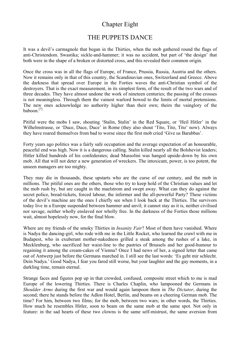#### Chapter Eight

#### THE PUPPETS DANCE

<span id="page-26-0"></span>It was a devil's carmagnole that began in the Thirties, when the mob gathered round the flags of anti-Christendom. Swastika; sickle-and-hammer; it was no accident, but part of 'the design' that both were in the shape of a broken or distorted cross, and this revealed their common origin.

Once the cross was in all the flags of Europe, of France, Prussia, Russia, Austria and the others. Now it remains only in that of this country, the Scandinavian ones, Switzerland and Greece. Above the darkness that spread over Europe in the Forties waves the anti-Christian symbol of the destroyers. That is the exact measurement, in its simplest form, of the result of the two wars and of three decades. They have almost undone the work of nineteen centuries; the passing of the crosses is not meaningless. Through them the vainest warlord bowed to the limits of mortal pretensions. The new ones acknowledge no authority higher than their own; theirs the vainglory of the baboon $^{[7]}$  $^{[7]}$  $^{[7]}$ 

Pitiful were the mobs I saw, shouting 'Stalin, Stalin' in the Red Square, or 'Heil Hitler' in the Wilhelmstrasse, or 'Duce, Duce, Duce' in Rome (they also shout 'Tito, Tito, Tito' now). Always they have roared themselves from bad to worse since the first mob cried 'Give us Barabbas'.

Forty years ago politics was a fairly safe occupation and the average expectation of an honourable, peaceful end was high. Now it is a dangerous calling. Stalin killed nearly all the Bolshevist leaders; Hitler killed hundreds of his confederates; dead Mussolini was hanged upside-down by his own mob. All that will not deter a new generation of wreckers. The intoxicant, power, is too potent, the unseen managers are too mighty.

They may die in thousands, these upstarts who are the curse of our century, and the mob in millions. The pitiful ones are the others, those who try to keep hold of the Christian values and let the mob rush by, but are caught in the maelstrom and swept away. What can they do against the secret police, bread-tickets, forced labour, the informer and the all-powerful Party? These victims of the devil's machine are the ones I chiefly see when I look back at the Thirties. The survivors today live in a Europe suspended between hammer and anvil; it cannot stay as it is, neither civilised nor savage, neither wholly enslaved nor wholly free. In the darkness of the Forties those millions wait, almost hopelessly now, for the final blow.

Where are my friends of the smoky Thirties in *Insanity Fair*? Most of them have vanished. Where is Nadya the dancing-girl, who rode with me in the Little Rocket, who learned the crawl with me in Budapest, who in exuberant mother-nakedness grilled a steak among the rushes of a lake, in Mecklenburg, who sacrificed her waist-line to the pastries of Brussels and her good-humour to regaining it among the cream-cakes of Vienna? Once I had news of her, a signed letter that came out of Antwerp just before the Germans marched in. I still see the last words: 'Es geht mir schlecht. Dein Nadya.' Good Nadya, I fear you fared still worse, but your laughter and the gay moments, in a darkling time, remain eternal.

Strange faces and figures pop up in that crowded, confused, composite street which to me is mad Europe of the lowering Thirties. There is Charles Chaplin, who lampooned the Germans in *Shoulder Arms* during the first war and would again lampoon them in *The Dictator*, during the second; there he stands before the Adlon Hotel, Berlin, and beams on a cheering German mob. The time? For him, between two films; for the mob, between two wars; in other words, the Thirties. How much he resembles Hitler, soon to beam on the same mob at the same spot. Not only in feature: in the sad hearts of these two clowns is the same self-mistrust, the same aversion from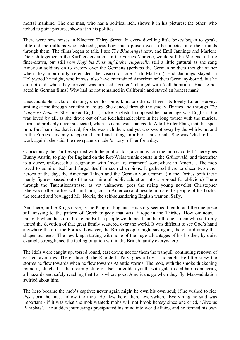mortal mankind. The one man, who has a political itch, shows it in his pictures; the other, who itched to paint pictures, shows it in his politics.

There were new noises in Nineteen Thirty Street. In every dwelling little boxes began to speak; little did the millions who listened guess how much poison was to be injected into their minds through them. The films began to talk. I see *The Blue Angel* now, and Emil Jannings and Marlene Dietrich together in the Kurfuerstendamm. In the Forties Marlene, would still be Marlene, a little finer-drawn, but still *vom Kopf bis Fuss auf Liebe eingestellt*, still a little guttural as she sang American soldiers on to victory over the Germans (perhaps the German soldiers thought of her when they mournfully serenaded the vision of one 'Lili Marlen'.) Had Jannings stayed in Hollywood he might, who knows, also have entertained American soldiers Germany-bound, but he did not and, when they arrived, was arrested, 'grilled', charged with 'collaboration'. Had he not acted in German films? Why had he not remained in California and stayed an honest man?

Unaccountable tricks of destiny, cruel to some, kind to others. There sits lovely Lilian Harvey, smiling at me through her film make-up. She danced through the smoky Thirties and through *The Congress Dances*. She looked English, spoke English; I supposed her parentage was English. She was loved by all, as she drove out of the Reichskanzlerplatz in her long tourer with the musical horn and probably never suspected, when its name was changed to Adolf Hitler Platz, that this spelt ruin. But I surmise that it did, for she was rich then, and yet was swept away by the whirlwind and in the Forties suddenly reappeared, frail and ailing, in a Paris music-hall. She was 'glad to be at work again', she said; the newspapers made 'a story' of her for a day.

Capriciously the Thirties sported with the public idols, around whom the mob cavorted. There goes Bunny Austin, to play for England on the Rot-Weiss tennis courts in the Grünewald, and thereafter to a queer, unforseeable assignation with 'moral rearmament' somewhere in America. The mob loved to admire itself and forget itself in such champions. It gathered there to cheer two other heroes of the day, the American Tilden and the German von Cramm. (In the Forties both these manly figures passed out of the sunshine of public adulation into a reproachful oblivion.) There through the Tauentizenstrasse, as yet unknown, goes the rising young novelist Christopher Isherwood (the Forties will find him, too, in America) and beside him are the people of his books: the scented and bewigged Mr. Norris, the self-squandering English wanton, Sally.

And there, in the Ringstrasse, is the King of England. His story seemed then to add the one piece still missing to the pattern of Greek tragedy that was Europe in the Thirties. How ominous, I thought: when the storm broke the British people would need, on their throne, a man who so firmly united the devotion of that great family scattered over the world. It was difficult to see God's hand anywhere then; in the Forties, however, the British people might say again, there's a divinity that shapes our ends. The new king, starting with none of the huge advantages of his brother, by quiet example strengthened the feeling of union within the British family everywhere.

The idols were caught up, tossed round, cast down; not for them the tranquil, continuing renown of earlier favourites. There, through the Rue de la Paix, goes a boy, Lindbergh. He little knew the storms he flew towards when he flew towards Atlantic storms. The mob, with the smoke thickening round it, clutched at the dream-picture of itself: a golden youth, with gale-tossed hair, conquering all hazards and safely reaching that Paris where good Americans go when they fly. Mass-adulation swirled about him.

The hero became the mob's captive; never again might he own his own soul; if he wished to ride *this* storm he must follow the mob. He flew here, there, everywhere. Everything he said was important - if it was what the mob wanted; mobs will not brook heresy since one cried, 'Give us Barabbas'. The sudden journeyings precipitated his mind into world affairs, and he formed his own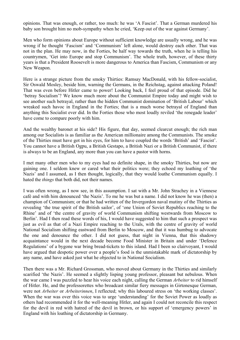opinions. That was enough, or rather, too much: he was 'A Fascist'. That a German murdered his baby son brought him no mob-sympathy when he cried, 'Keep out of the war against Germany'.

Men who form opinions about Europe without sufficient knowledge are usually wrong, and he was wrong if he thought 'Fascism' and 'Communism' left alone, would destroy each other. That was not in the plan. He may now, in the Forties, be half way towards the truth, when he is telling his countrymen, 'Get into Europe and stop Communism'. The whole truth, however, of these thirty years is that a President Roosevelt is more dangerous to America than Fascism, Communism or any New Weapon.

Here is a strange picture from the smoky Thirties: Ramsay MacDonald, with his fellow-socialist, Sir Oswald Mosley, beside him, warning the Germans, in the Reichstag, against attacking Poland! That was even before Hitler came to power! Looking back, I feel proud of that episode. Did he 'betray Socialism'? We know much more about the Communist Empire today and might wish to see another such betrayal, rather than the hidden Communist domination of 'British Labour' which wreaked such havoc in England in the Forties; that is a much worse betrayal of England than anything this Socialist ever did. In the Forties those who most loudly reviled 'the renegade leader' have come to compare poorly with him.

And the wealthy baronet at his side? His figure, that day, seemed clearcut enough; the rich man among our Socialists is as familiar as the American millionaire among the Communists. The smoke of the Thirties must have got in his eyes, for him to have coupled the words 'British' and 'Fascist'. You cannot have a British Ogpu, a British Gestapo, a British Nazi or a British Communist, if there is always to be an England, any more than you can have a pastor with horns.

I met many other men who to my eyes had no definite shape, in the smoky Thirties, but now are gaining one. I seldom knew or cared what their politics were; they echoed my loathing of 'the Nazis' and I assumed, as I then thought, logically, that they would loathe Communism equally. I hated the *things* that both did, not their names.

I was often wrong, as I now see, in this assumption. I sat with a Mr. John Strachey in a Viennese café and with him denounced 'the Nazis'. To me he was but a name. I did not know he was (then) a champion of Communism; or that he had written of the Invergordon naval mutiny of the Thirties as revealing 'the true spirit of the British sailor', of 'one Union of Soviet Republics reaching to the Rhine' and of 'the centre of gravity of world Communism shifting westwards from Moscow to Berlin'. Had I then read these words of his, I would have suggested to him that such a prospect was just as evil as that of a Nazi Empire reaching to the Urals, with the centre of gravity of world National Socialism shifting eastward from Berlin to Moscow, and that it was humbug to advocate the one and denounce the other. I did not guess, that night in Vienna, that this shadowy acquaintance would in the next decade become Food Minister in Britain and under 'Defence Regulations' of a bygone war bring bread-tickets to this island. Had I been so clairvoyant, I would have argued that despotic power over a people's food is the unmistakable mark of dictatorship by any name, and have asked just what he objected to in National Socialism.

Then there was a Mr. Richard Grossman, who moved about Germany in the Thirties and similarly scarified 'the Nazis'. He seemed a slightly lisping young professor, pleasant but nebulous. When the war came I was puzzled to hear his voice each night, calling the German *Arbeiter* to rid himself of Hitler. He, and the professorettes who broadcast similar fiery messages in Girtonesque German, were not *Arbeiter* or *Arbeiterinnen*, I reflected; why this laboured stress on 'the working classes'. When the war was over this voice was to urge 'understanding' for the Soviet Power as loudly as others had recommended it for the well-meaning Hitler, and again I could not reconcile this respect for the devil in red with hatred of the devil in brown, or his support of 'emergency powers' in England with his loathing of dictatorship in Germany.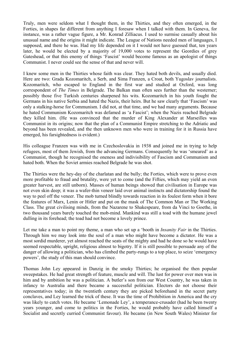Truly, men were seldom what I thought them, in the Thirties, and they often emerged, in the Forties, in shapes far different from anything I foresaw when I talked with them. In Geneva, for instance, was a rather vague figure, a Mr. Konrad Zilliacus. I used to surmise casually about his unusual name and the origins it might indicate. The League of Nations needed men of languages, I supposed, and there he was. Had my life depended on it I would not have guessed that, ten years later, he would be elected by a majority of 19,000 votes to represent the Geordies of grey Gateshead, or that this enemy of things 'Fascist' would become famous as an apologist of things Communist. I never could see the sense of that and never will.

I knew some men in the Thirties whose faith was clear. They hated both devils, and usually died. Here are two: Grada Kozomaritch, a Serb, and Sima Franzen, a Croat, both Yugoslav journalists. Kozomaritch, who escaped to England in the first war and studied at Oxford, was long correspondent of *The Times* in Belgrade. The Balkan man often sees further than the westerner; possibly those five Turkish centuries sharpened his wits. Kozomaritch in his youth fought the Germans in his native Serbia and hated the Nazis, their heirs. But he saw clearly that 'Fascism' was only a stalking-horse for Communism. I did not, at that time, and we had many arguments. Because he hated Communism Kozomaritch was defamed as 'a Fascist'; when the Nazis reached Belgrade they killed him. (He was convinced that the murder of King Alexander at Marseilles was Communist in its origins; now that the plan of a Communist Empire stretching to the Adriatic and beyond has been revealed, and the then unknown men who were in training for it in Russia have emerged, his farsightedness is evident.)

His colleague Franzen was with me in Czechoslovakia in 1938 and joined me in trying to help refugees, most of them Jewish, from the advancing Germans. Consequently he was 'smeared' as a Communist, though he recognised the oneness and indivisibility of Fascism and Communism and hated both. When the Soviet armies reached Belgrade he was shot.

The Thirties were the hey-day of the charlatan and the bully; the Forties, which were to prove even more profitable to fraud and brutality, were yet to come (and the Fifties, which may yield an even greater harvest, are still unborn). Masses of human beings showed that civilisation in Europe was not even skin deep; it was a wafer-thin veneer laid over animal instincts and dictatorship found the way to peel off the veneer. The mob turned blindly towards reaction in its foulest form when it bore the features of Marx, Lenin or Hitler and put on the mask of The Common Man or The Working Class. The great civilising minds, from the Nazarene to Shakespeare, from da Vinci to Goethe, in two thousand years barely touched the mob-mind. Mankind was still a toad with the humane jewel dulling in its forehead; the toad had not become a lovely prince.

Let me take a man to point my theme, a man who set up a 'booth in *Insanity Fair* in the Thirties. Through him we may look into the soul of a man who might have become a dictator. He was a most sordid murderer, yet almost reached the seats of the mighty and had he done so he would have seemed respectable, upright, religious almost to bigotry. If it is still possible to persuade any of the danger of allowing a politician, who has climbed the party-rungs to a top place, to seize 'emergency powers', the study of this man should convince.

Thomas John Ley appeared in Danzig in the smoky Thirties; he organised the then popular sweepstakes. He had great strength of feature, muscle and will. The lust for power over men was in him and by ambition he was a politician. A butler's son from our West Country, he was taken in infancy to Australia and there became a successful politician. Electors do not choose their representatives today; in the twentieth century they are picked beforehand in the secret party conclaves, and Ley learned the trick of these. It was the time of Prohibition in America and the cry was likely to catch votes. He became 'Lemonade Ley', a temperance-crusader (had he been twenty years younger, and come to politics in the Forties, he would probably have called himself a Socialist and secretly curried Communist favour). He became (in New South Wales) Minister for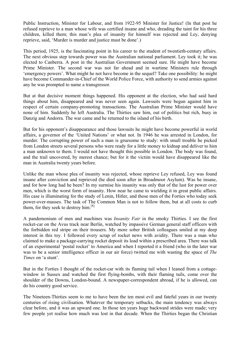Public Instruction, Minister for Labour, and from 1922-95 Minister for Justice! (In that post he refused reprieve to a man whose wife was certified insane and who, dreading the taint for his three children, killed them; this man's plea of insanity for himself was rejected and Ley, denying reprieve, said, 'Murder is murder and justice must be done'.)

This period, 1925, is the fascinating point in his career to the student of twentieth-century affairs. The next obvious step towards power was the Australian national parliament. Ley took it; he was elected to Canberra. A post in the Australian Government seemed sure. He might have become Prime Minister. The second war was not far ahead and in wartime Ministers rule through 'emergency powers'. What might he not have become in the sequel? Take one possibility: he might have become Commander-in-Chief of the World Police Force, with authority to send armies against any he was prompted to name a transgressor.

But at that decisive moment things happened. His opponent at the election, who had said hard things about him, disappeared and was never seen again. Lawsuits were begun against him in respect of certain company-promoting transactions. The Australian Prime Minister would have none of him. Suddenly he left Australia. The Thirties saw him, out of politics but rich, busy in Danzig and Andorra. The war came and he returned to the island of his birth.

But for his opponent's disappearance and those lawsuits he might have become powerful in world affairs, a governor of the 'United Nations' or what not. In 1946 he was arrested in London, for murder. The corrupting power of such a man is gruesome to study: with small trouble he picked from London streets several persons who were ready for a little money to kidnap and deliver to him a man unknown to them. I would not have thought this possible in London. The body was found, and the trail uncovered, by merest chance; but for it the victim would have disappeared like the man in Australia twenty years before.

Unlike the man whose plea of insanity was rejected, whose reprieve Ley refused, Ley was found insane after conviction and reprieved (he died soon after in Broadmoor Asylum). Was he insane, and for how long had he been? In my surmise his insanity was only that of the lust for power over men, which is the worst form of insanity. How near he came to wielding it in great public affairs. His case is illuminating for the study of Lenin, Hitler, and those men of the Forties who today seek power-over-masses. The task of The Common Man is not to follow them, but at all costs to curb them, for they seek to destroy him.<sup>[\[8\]](#page-167-0)</sup>

A pandemonium of men and machines was *Insanity Fair* in the smoky Thirties. I see the first rocket-car on the Avus track near Berlin, watched by impassive German general staff officers with the forbidden red stripe on their trousers. My more sober British colleagues smiled at my deep interest in this toy. I followed every scrap of rocket news with avidity. There was a man who claimed to make a package-carrying rocket deposit its load within a prescribed area. There was talk of an experimental 'postal rocket' to America and when I reported it a friend (who in the later war was to be a senior intelligence officer in our air force) twitted me with wasting the space of *The Times* on 'a stunt'.

But in the Forties I thought of the rocket-car with its flaming tail when I leaned from a cottagewindow in Sussex and watched the first flying-bombs, with their flaming tails, come over the shoulder of the Downs, London-bound. A newspaper-correspondent abroad, if he is allowed, can do his country good service.

The Nineteen-Thirties seem to me to have been the ten most evil and fateful years in our twenty centuries of rising civilisation. Whatever the temporary setbacks, the main tendency was always clear before, and it was an upward one. In those ten years huge backward strides were made; very few people yet realise how much was lost in that decade. When the Thirties began the Christian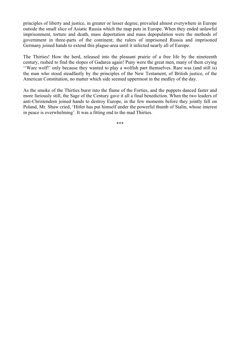principles of liberty and justice, in greater or lesser degree, prevailed almost everywhere in Europe outside the small slice of Asiatic Russia which the map puts in Europe. When they ended unlawful imprisonment, torture and death, mass deportation and mass depopulation were the methods of government in three-parts of the continent; the rulers of imprisoned Russia and imprisoned Germany joined hands to extend this plague-area until it infected nearly all of Europe.

The Thirties! How the herd, released into the pleasant prairie of a free life by the nineteenth century, rushed to find the slopes of Gadarea again! Puny were the great men, many of them crying ''Ware wolf!' only because they wanted to play a wolfish part themselves. Rare was (and still is) the man who stood steadfastly by the principles of the New Testament, of British justice, of the American Constitution, no matter which side seemed uppermost in the medley of the day.

As the smoke of the Thirties burst into the flame of the Forties, and the puppets danced faster and more furiously still, the Sage of the Century gave it all a final benediction. When the two leaders of anti-Christendom joined hands to destroy Europe, in the few moments before they jointly fell on Poland, Mr. Shaw cried, 'Hitler has put himself under the powerful thumb of Stalin, whose interest in peace is overwhelming'. It was a fitting end to the mad Thirties.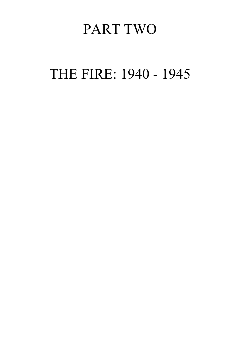### PART TWO

# THE FIRE: 1940 - 1945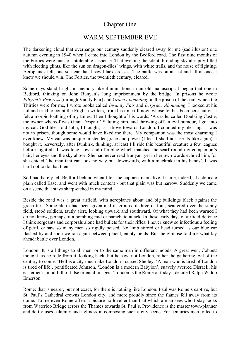#### Chapter One

#### WARM SEPTEMBER EVE

<span id="page-33-0"></span>The darkening cloud that overhangs our century suddenly cleared away for me (sad illusion) one autumn evening in 1940 when I came into London by the Bedford road. The first nine months of the Forties were ones of intolerable suspense. That evening the silent, brooding sky abruptly filled with fleeting glints, like the sun on dragon-flies' wings, with white trails, and the noise of fighting. Aeroplanes fell, one so near that I saw black crosses. The battle was on at last and all at once I knew we should win. The Forties, the twentieth century, cleared.

Some days stand bright in memory like illuminations in an old manuscript. I began that one in Bedford, thinking on John Bunyan's long imprisonment by the bridge. In prisons he wrote *Pilgrim's Progress* (through Vanity Fair) and *Grace Abounding*; in the prison of the soul, which the Thirties were for me, I wrote books called *Insanity Fair* and *Disgrace Abounding*. I looked at his jail and tried to count the English writers, from his time till now, whose lot has been persecution. I felt a morbid loathing of my times. Then I thought of his words: 'A castle, called Doubting Castle, the owner whereof was Giant Despair.' Saluting him, and throwing off an evil humour, I got into my car. God bless old John, I thought, as I drove towards London. I counted my blessings. I was not in prison, though some would have liked me there. My companion was the most charming I ever knew. My car was unique in slender grace and power (I fear I shall not see its like again). I bought it, perversely, after Dunkirk, thinking, at least I'll ride this beautiful creature a few leagues before nightfall. It was long, low, and of a blue which matched the scarf round my companion's hair, her eyes and the sky above. She had never read Bunyan, yet in her own words echoed him, for she chided 'the man that can look no way but downwards, with a muckrake in his hands'. It was hard not to do that then.

So I had barely left Bedford behind when I felt the happiest man alive. I came, indeed, at a delicate plain called Ease, and went with much content - but that plain was but narrow. Suddenly we came on a scene that stays sharp-etched in my mind.

Beside the road was a great airfield, with aeroplanes about and big buildings black against the green turf. Some alarm had been given and in groups of three or four, scattered over the sunny field, stood soldiers, tautly alert, looking upward and southward. Of what they had been warned I do not know, perhaps of a bombing-raid or parachute-attack. In these early days of airfield-defence I think sergeants and corporals alone had bullets for their rifles. I never knew so infectious a feeling of peril, or saw so many men so rigidly poised. No limb stirred or head turned as our blue car flashed by and soon we ran again between placid, empty fields. But the glimpse told me what lay ahead: battle over London.

London! It is all things to all men, or to the same man in different moods. A great wen, Cobbett thought, as he rode from it, looking back, but he saw, not London, rather the gathering evil of the century to come. 'Hell is a city much like London', cursed Shelley. 'A man who is tired of London is tired of life', pontificated Johnson. 'London is a modern Babylon', suavely averred Disraeli, his easterner's mind full of false oriental images. 'London is the Rome of today', decided Ralph Waldo Emerson.

Rome: that is nearer, but not exact, for there is nothing like London. Paul was Rome's captive, but St. Paul's Cathedral crowns London city, and more proudly since the flames fell away from its dome. To me even Rome offers a picture no lovelier than that which a man sees who today looks from Waterloo Bridge across the Thames towards St. Paul's. Providence is the master town-planner and deftly uses calamity and ugliness in composing such a city scene. For centuries men toiled to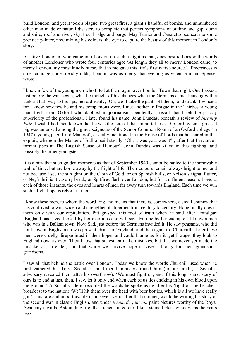build London, and yet it took a plague, two great fires, a giant's handful of bombs, and unnumbered other man-made or natural disasters to complete that perfect symphony of outline and gap, dome and spire, roof and river, sky, tree, bridge and barge. May Turner and Canaletto bequeath to some prentice painter, now mixing his colours, the eye to capture the beauty of this moment in London's story.

A native Londoner, who came into London on such a night as that, does best to borrow the words of another Londoner who wrote four centuries ago: 'At length they all to merry London came, to merry London, my most kindly nurse, that to me gave this life's first native source.' If merriness is quiet courage under deadly odds. London was as merry that evening as when Edmund Spenser wrote.

I knew a few of the young men who tilted at the dragon over London Town that night. One I asked, just before the war began, what he thought of his chances when the Germans came. Pausing with a tankard half way to his lips, he said easily, 'Oh, we'll take the pants off them,' and drank. I winced, for I knew how few he and his companions were. I met another in Prague in the Thirties, a young man fresh from Oxford who dabbled in journalism; penitently I recall that I felt the prickly superiority of the professional. I later found his name, John Dundas, beneath a review of *Insanity Fair*. I wish I had then known that he was the hero of that immortal jest at Oxford, when a greased pig was unloosed among the grave seigneurs of the Senior Common Room of an Oxford college (in 1947 a young peer, Lord Mancroft, casually mentioned in the House of Lords that he shared in that exploit, whereon the Master of Balliol said sternly, 'Oh, it was you, was it?'; after that I recant all former jibes at The English Sense of Humour). John Dundas was killed in this fighting, and possibly the other youngster.

It is a pity that such golden moments as that of September 1940 cannot be nailed to the immovable wall of time, but are borne away by the flight of life. Their colours remain always bright to me, and not because I see the sun glint on the Cloth of Gold, or on Spanish hulls, or Nelson's signal flutter, or Ney's brilliant cavalry break, or Spitfires flash over London, but for a different reason. I see, at each of those instants, the eyes and hearts of men far away turn towards England. Each time we win such a fight hope is reborn in them.

I know these men, to whom the word England means that there is, somewhere, a small country that has contrived to win, widen and strengthen its liberties from century to century. Hope finally dies in them only with our capitulation. Pitt grasped this root of truth when he said after Trafalgar: 'England has saved herself by her exertions and will save Europe by her example.' I know a man who was in a Balkan town, Novi Sad, just before the Germans invaded it. He saw peasants, who did not know an Englishman was present, drink to 'England' and then again to 'Churchill'. Later these men were cruelly disappointed in their hopes and could blame us for it, yet I wager they look to England now, as ever. They know that statesmen make mistakes, but that we never yet made the mistake of surrender, and that while we survive hope survives, if only for their grandsons' grandsons.

I saw all that behind the battle over London. Today we know the words Churchill used when he first gathered his Tory, Socialist and Liberal ministers round him (to our credit, a Socialist adversary revealed them after his overthrow): 'We must fight on, and if this long island story of ours is to end at last, then, I say, let it only end when each of us lies choking in his own blood upon the ground.' A Socialist cleric recorded the words he spoke aside after his 'fight on the beaches' broadcast to the nation: 'We'll hit them over the head with beer bottles, which is all we have really got.' This rare and unportrayable man, seven years after that summer, would be writing his story of the second war in classic English, and under a *nom de pinceau* paint pictures worthy of the Royal Academy's walls. Astounding life, that richens in colour, like a stained-glass window, as the years pass.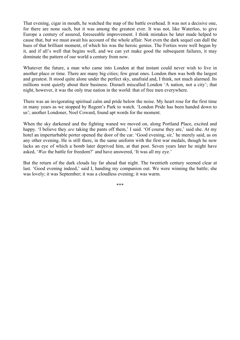That evening, cigar in mouth, he watched the map of the battle overhead. It was not a decisive one, for there are none such, but it was among the greatest ever. It was not, like Waterloo, to give Europe a century of assured, foreseeable improvement. I think mistakes he later made helped to cause that, but we must await his account of the whole affair. Not even the dark sequel can dull the hues of that brilliant moment, of which his was the heroic genius. The Forties were well begun by it, and if all's well that begins well, and we can yet make good the subsequent failures, it may dominate the pattern of our world a century from now.

Whatever the future, a man who came into London at that instant could never wish to live in another place or time. There are many big cities; few great ones. London then was both the largest and greatest. It stood quite alone under the perfect sky, unafraid and, I think, not much alarmed. Its millions went quietly about their business. Disraeli miscalled London 'A nation, not a city'; that night, however, it was the only true nation in the world: that of free men everywhere.

There was an invigorating spiritual calm and pride below the noise. My heart rose for the first time in many years as we stopped by Regent's Park to watch. 'London Pride has been handed down to us'; another Londoner, Noel Coward, found apt words for the moment.

When the sky darkened and the fighting waned we moved on, along Portland Place, excited and happy. 'I believe they *are* taking the pants off them,' I said. 'Of course they are,' said she. At my hotel an imperturbable porter opened the door of the car. 'Good evening, sir,' he merely said, as on any other evening. He is still there, in the same uniform with the first war medals, though he now lacks an eye of which a bomb later deprived him, at that post. Seven years later he might have asked, '*Was* the battle for freedom?' and have answered, 'It was all my eye.'

But the return of the dark clouds lay far ahead that night. The twentieth century seemed clear at last. 'Good evening indeed,' said I, handing my companion out. We were winning the battle; she was lovely; it was September; it was a cloudless evening; it was warm.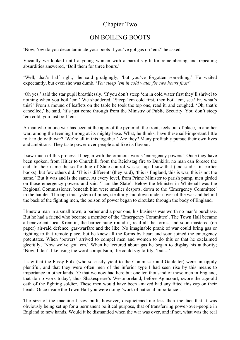## Chapter Two

# ON BOILING BOOTS

'Now, 'ow do you decontaminate your boots if you've got gas on 'em?' he asked.

Vacantly we looked until a young woman with a parrot's gift for remembering and repeating absurdities answered, 'Boil them for three hours.'

'Well, that's half right,' he said grudgingly, 'but you've forgotten something.' He waited expectantly, but even she was dumb. '*You steep 'em in cold water for two hours first!*'

'Oh yes,' said the star pupil breathlessly. 'If you don't steep 'em in cold water first they'll shrivel to nothing when you boil 'em.' We shuddered. 'Steep 'em cold first, then boil 'em, see? Er, what's this?' From a mound of leaflets on the table he took the top one, read it, and coughed. 'Oh, that's cancelled,' he said, 'it's just come through from the Ministry of Public Security. You don't steep 'em cold, you just boil 'em.'

A man who in one war has been at the apex of the pyramid, the front, feels out of place, in another war, among the teeming throng at its mighty base. What, he thinks, have these self-important little folk to do with war? 'We're all in this together!' Are they? Many profitably pursue their own lives and ambitions. They taste power-over-people and like its flavour.

I saw much of this process. It began with the ominous words 'emergency powers'. Once they have been spoken, from Hitler to Churchill, from the Reichstag fire to Dunkirk, no man can foresee the end. In their name the scaffolding of State-control was set up. I saw that (and said it in earlier books), but few others did. 'This is different' (they said), 'this is England, this is war, this is not the same.' But it was and is the same. At every level, from Prime Minister to parish pump, men girded on those emergency powers and said 'I am the State'. Below the Minister in Whitehall was the Regional Commissioner, beneath him were smaller despots, down to the 'Emergency Committee' in the hamlet. Through this system of pipes, stealthily laid down under cover of the war and behind the back of the fighting men, the poison of power began to circulate through the body of England.

I knew a man in a small town, a barber and a poor one; his business was worth no man's purchase. But he had a friend who became a member of the 'Emergency Committee'. The Town Hall became a benevolent local Kremlin, the barber hung round it, read all the forms, and soon mastered (on paper) air-raid defence, gas-warfare and the like. No imaginable prank of war could bring gas or fighting to that remote place, but he knew all the forms by heart and soon joined the emergency potentates. When 'powers' arrived to compel men and women to do this or that he exclaimed gleefully, 'Now we've got 'em.' When he lectured about gas he began to display his authority; 'Now, I don't like using the word compulsion,' he could say loftily, 'but ...'

I saw that the Fussy Folk (who so easily yield to the Commissar and Gauleiter) were unhappily plentiful, and that they were often men of the inferior type I had seen rise by this means to importance in other lands. 'O that we now had here but one ten thousand of those men in England, that do no work today'; thus Shakespeare's Westmoreland, before Agincourt, swore the age-old oath of the fighting soldier. These men would have been amazed had any fitted this cap on their heads. Once inside the Town Hall you were doing 'work of national importance'.

The size of the machine I saw built, however, disquietened me less than the fact that it was obviously being set up for a permanent political purpose, that of transferring power-over-people in England to new hands. Would it be dismantled when the war was over, and if not, what was the real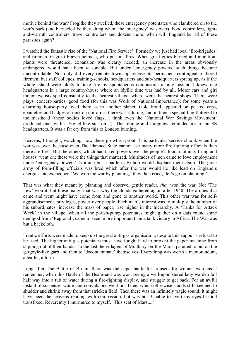motive behind the war? Froglike they swelled, these emergency potentates who clambered on to the war's back (and barnacle-like they clung when 'the emergency' was over). Food controllers, lightand-warmth controllers, travel controllers and dozens more: when will England be rid of these parasites again?

I watched the fantastic rise of the 'National Fire Service'. Formerly we just had local 'fire-brigades' and firemen, in great brazen helmets, who put out fires. When great cities burned and munitionplants were threatened, expansion was clearly needed; an increase in the areas obviously endangered would have been reasonable. But under 'emergency powers' such things become uncontrollable. Not only did every remote township receive its permanent contingent of bored firemen, but staff colleges, training-schools, headquarters and sub-headquarters sprang up, as if the whole island were likely to take fire by spontaneous combustion at any instant. I knew one headquarters in a large country-house where an idyllic time was had by all. Motor cars and girl motor cyclists sped constantly to the nearest village, where were the nearest shops. There were plays, concert-parties, good food (for this was Work of National Importance); for some years a charming house-party lived there as in another planet. Gold braid appeared on peaked caps, epaulettes and badges of rank on uniforms, there was saluting, and in time a special flag fluttered to the masthead (these bodies loved flags; I think even the 'National War Savings Movement' produced one, with a Soviet-like star on it). The retinue and trappings reminded me of an SS headquarters. It was a far cry from this to London burning.

Heavens, I thought, watching, how these growths sprout. This particular service shrank when the war was over, because even The Planned State cannot use many more fire-fighting officials than there are fires. But the others, which had taken powers over the people's food, clothing, firing and houses, went on; these were the things that mattered. Multitudes of men came to love employment under 'emergency powers'. Nothing but a battle in Britain would displace them again. The great army of form-filling officials was bred which after the war would lie like lead on England's energies and exchequer. 'We won the war by planning,' they then cried, 'let's go on planning.'

That was what they meant by planning and observe, gentle reader, *they* won the war. Not 'The Few' won it, but these many; that was why the clouds gathered again after 1940. The armies that came and went might have come from and gone to another world. This other war was for selfaggrandisement, privileges, power-over-people. Each man's interest was to multiply the number of his subordinates, increase the mass of paper, rise higher in the hierarchy. A 'Tanks for Attack Week' in the village, when all the parish-pump potentates might gather on a dais round some demigod from 'Regional', came to seem more important than a tank victory in Africa. The War was but a backcloth.

Frantic efforts were made to keep up the great anti-gas organisation, despite this vapour's refusal to be used. The higher anti-gas potentates must have fought hard to prevent the paper-machine from slipping out of their hands. To the last the villagers of Mudbury-on-the-Marsh paraded to put on the gargoyle-like garb and then to 'decontaminate' themselves. Everything was worth a memorandum, a leaflet, a form.

Long after The Battle of Britain there was the paper-battle for trousers for women wardens. I remember, when this Battle of the Beam-end was won, seeing a well-upholstered lady warden fall half way into a tub of water during a fire-fighting display, and struggle to get back. For an awful instant of suspense, while taut convulsions went on, Time, which otherwise stands still, seemed to shudder and shrink away from that stricken field. Then there was an infinitely tragic sound: it might have been the heavens rending with compassion, but was not. Unable to avert my eyes I stood transfixed. Reverently I murmured to myself, 'This seat of Mars....'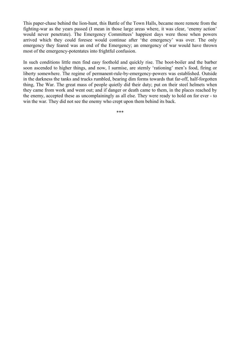This paper-chase behind the lion-hunt, this Battle of the Town Halls, became more remote from the fighting-war as the years passed (I mean in those large areas where, it was clear, 'enemy action' would never penetrate). The Emergency Committees' happiest days were those when powers arrived which they could foresee would continue after 'the emergency' was over. The only emergency they feared was an end of the Emergency; an emergency of war would have thrown most of the emergency-potentates into frightful confusion.

In such conditions little men find easy foothold and quickly rise. The boot-boiler and the barber soon ascended to higher things, and now, I surmise, are sternly 'rationing' men's food, firing or liberty somewhere. The regime of permanent-rule-by-emergency-powers was established. Outside in the darkness the tanks and trucks rumbled, bearing dim forms towards that far-off, half-forgotten thing, The War. The great mass of people quietly did their duty; put on their steel helmets when they came from work and went out; and if danger or death came to them, in the places reached by the enemy, accepted these as uncomplainingly as all else. They were ready to hold on for ever - to win the war. They did not see the enemy who crept upon them behind its back.

\*\*\*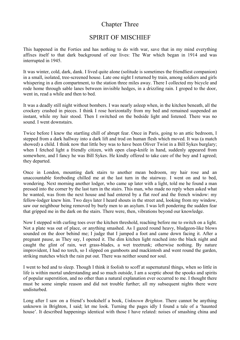# Chapter Three

## SPIRIT OF MISCHIEF

This happened in the Forties and has nothing to do with war, save that in my mind everything affixes itself to that dark background of our lives: The War which began in 1914 and was interrupted in 1945.

It was winter, cold, dark, dank. I lived quite alone (solitude is sometimes the friendliest companion) in a small, isolated, tree-screened house. Late one night I returned by train, among soldiers and girls whispering in a dim compartment, to the station three miles away. There I collected my bicycle and rode home through sable lanes between invisible hedges, in a drizzling rain. I groped to the door, went in, read a while and then to bed.

It was a deadly still night without bombers. I was nearly asleep when, in the kitchen beneath, all the crockery crashed in pieces. I think I rose horizontally from my bed and remained suspended an instant, while my hair stood. Then I switched on the bedside light and listened. There was no sound. I went downstairs.

Twice before I knew the startling chill of abrupt fear. Once in Paris, going to an attic bedroom, I stepped from a dark hallway into a dark lift and trod on human flesh which moved. It was (a match showed) a child. I think now that little boy was to have been Oliver Twist in a Bill Sykes burglary; when I fetched light a friendly citizen, with open clasp-knife in hand, suddenly appeared from somewhere, and I fancy he was Bill Sykes. He kindly offered to take care of the boy and I agreed; they departed.

Once in London, mounting dark stairs to another mean bedroom, my hair rose and an unaccountable foreboding chilled me at the last turn in the stairway. I went on and to bed, wondering. Next morning another lodger, who came up later with a light, told me he found a man pressed into the corner by the last turn in the stairs. This man, who made no reply when asked what he wanted, was from the next house and had entered by a flat roof and the french window: my fellow-lodger knew him. Two days later I heard shouts in the street and, looking from my window, saw our neighbour being removed by burly men to an asylum. I was left pondering the sudden fear that gripped me in the dark on the stairs. There were, then, vibrations beyond our knowledge.

Now I stepped with curling toes over the kitchen threshold, reaching before me to switch on a light. Not a plate was out of place, or anything smashed. As I gazed round heavy, bludgeon-like blows sounded on the door behind me; I judge that I jumped a foot and came down facing it. After a pregnant pause, as They say, I opened it. The dim kitchen light reached into the black night and caught the glint of rain, wet grass-blades, a wet treetrunk; otherwise nothing. By nature improvident, I had no torch, so I slipped on gumboots and mackintosh and went round the garden, striking matches which the rain put out. There was neither sound nor soul.

I went to bed and to sleep. Though I think it foolish to scoff at supernatural things, when so little in life is within mortal understanding and so much outside, I am a sceptic about the spooks and spirits of popular superstition, and no other than a natural explanation ever occurred to me. I thought there must be some simple reason and did not trouble further; all my subsequent nights there were undisturbed.

Long after I saw on a friend's bookshelf a book, *Unknown Brighton*. There cannot be anything unknown in Brighton, I said; let me look. Turning the pages idly I found a tale of a 'haunted house'. It described happenings identical with those I have related: noises of smashing china and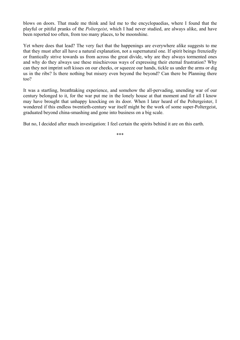blows on doors. That made me think and led me to the encyclopaedias, where I found that the playful or pitiful pranks of the *Poltergeist*, which I had never studied, are always alike, and have been reported too often, from too many places, to be moonshine.

Yet where does that lead? The very fact that the happenings are everywhere alike suggests to me that they must after all have a natural explanation, not a supernatural one. If spirit beings frenziedly or frantically strive towards us from across the great divide, why are they always tormented ones and why do they always use these mischievous ways of expressing their eternal frustration? Why can they not imprint soft kisses on our cheeks, or squeeze our hands, tickle us under the arms or dig us in the ribs? Is there nothing but misery even beyond the beyond? Can there be Planning there too?

It was a startling, breathtaking experience, and somehow the all-pervading, unending war of our century belonged to it, for the war put me in the lonely house at that moment and for all I know may have brought that unhappy knocking on its door. When I later heard of the Poltergeister, I wondered if this endless twentieth-century war itself might be the work of some super-Poltergeist, graduated beyond china-smashing and gone into business on a big scale.

But no, I decided after much investigation: I feel certain the spirits behind it are on this earth.

\*\*\*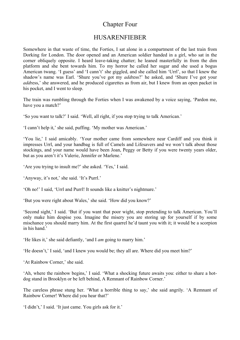## Chapter Four

## HUSARENFIEBER

Somewhere in that waste of time, the Forties, I sat alone in a compartment of the last train from Dorking for London. The door opened and an American soldier handed in a girl, who sat in the corner obliquely opposite. I heard leave-taking chatter; he leaned masterfully in from the dim platform and she bent towards him. To my horror he called her sugar and she used a bogus American twang. 'I guess' and 'I cann't' she giggled, and she called him 'Urrl', so that I knew the shadow's name was Earl. 'Shure you've got my *add*ress?' he asked, and 'Shure I've got your *add*ress,' she answered, and he produced cigarettes as from air, but I knew from an open packet in his pocket, and I went to sleep.

The train was rumbling through the Forties when I was awakened by a voice saying, 'Pardon me, have you a match?'

'So you want to talk?' I said. 'Well, all right, if you stop trying to talk American.'

'I cann't help it,' she said, puffing. 'My mother was American.'

'You lie,' I said amicably. 'Your mother came from somewhere near Cardiff and you think it impresses Urrl, and your handbag is full of Camels and Lifesavers and we won't talk about those stockings, and your name would have been Joan, Peggy or Betty if you were twenty years older, but as you aren't it's Valerie, Jennifer or Marlene.'

'Are you trying to insult me?' she asked. 'Yes,' I said.

'Anyway, it's not,' she said. 'It's Purrl.'

'Oh no!' I said, 'Urrl and Purrl! It sounds like a knitter's nightmare.'

'But you were right about Wales,' she said. 'How did you know?'

'Second sight,' I said. 'But if you want that poor wight, stop pretending to talk American. You'll only make him despise you. Imagine the misery you are storing up for yourself if by some mischance you should marry him. At the first quarrel he'd taunt you with it; it would be a scorpion in his hand.'

'He likes it,' she said defiantly, 'and I *am* going to marry him.'

'He doesn't,' I said, 'and I knew you would be; they all are. Where did you meet him?'

'At Rainbow Corner,' she said.

'Ah, where the rainbow begins,' I said. 'What a shocking future awaits you: either to share a hotdog stand in Brooklyn or be left behind, A Remnant of Rainbow Corner.'

The careless phrase stung her. 'What a horrible thing to say,' she said angrily. 'A Remnant of Rainbow Corner! Where did you hear that?'

'I didn't,' I said. 'It just came. You girls ask for it.'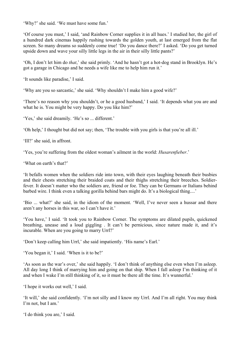'Why?' she said. 'We must have some fun.'

'Of course you must,' I said, 'and Rainbow Corner supplies it in all hues.' I studied her, the girl of a hundred dark cinemas happily rushing towards the golden youth, at last emerged from the flat screen. So many dreams so suddenly come true! 'Do you dance there?' I asked. 'Do you get turned upside down and wave your silly little legs in the air in their silly little pants?'

'Oh, I don't let him do *that*,' she said primly. 'And he hasn't got a hot-dog stand in Brooklyn. He's got a garage in Chicago and he needs a wife like me to help him run it.'

'It sounds like paradise,' I said.

'Why are you so sarcastic,' she said. 'Why shouldn't I make him a good wife?'

'There's no reason why you shouldn't, or he a good husband,' I said. 'It depends what you are and what he is. You might be very happy. Do you like him?'

'Yes,' she said dreamily. 'He's so ... different.'

'Oh help,' I thought but did not say; then, 'The trouble with you girls is that you're all ill.'

'Ill?' she said, in affront.

'Yes, you're suffering from the oldest woman's ailment in the world: *Husarenfieber*.'

'What on earth's that?'

'It befalls women when the soldiers ride into town, with their eyes laughing beneath their busbies and their chests stretching their braided coats and their thighs stretching their breeches. Soldierfever. It doesn't matter who the soldiers are, friend or foe. They can be Germans or Italians behind barbed wire. I think even a talking gorilla behind bars might do. It's a biological thing....'

'Bio ... what?' she said, in the idiom of the moment. 'Well, I've never seen a hussar and there aren't any horses in this war, so I can't have it.'

'You have,' I said. 'It took you to Rainbow Corner. The symptoms are dilated pupils, quickened breathing, unease and a loud giggling . It can't be pernicious, since nature made it, and it's incurable. When are you going to marry Urrl?'

'Don't keep calling him Urrl,' she said impatiently. 'His name's Earl.'

'You began it,' I said. 'When is it to be?'

'As soon as the war's over,' she said happily. 'I don't think of anything else even when I'm asleep. All day long I think of marrying him and going on that ship. When I fall asleep I'm thinking of it and when I wake I'm still thinking of it, so it must be there all the time. It's wunnerful.'

'I hope it works out well,' I said.

'It will,' she said confidently. 'I'm not silly and I know my Urrl. And I'm all right. You may think I'm not, but I am.'

'I do think you are,' I said.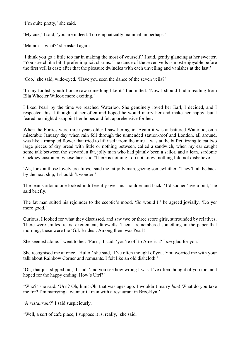'I'm quite pretty,' she said.

'My cue,' I said, 'you are indeed. Too emphatically mammalian perhaps.'

'Mamm ... what?' she asked again.

'I think you go a little too far in making the most of yourself,' I said, gently glancing at her sweater. 'You stretch it a bit. I prefer implicit charms. The dance of the seven veils is most enjoyable before the first veil is cast; after that the pleasure dwindles with each unveiling and vanishes at the last.'

'Coo,' she said, wide-eyed. 'Have you seen the dance of the seven veils?'

'In my foolish youth I once saw something like it,' I admitted. 'Now I should find a reading from Ella Wheeler Wilcox more exciting.'

I liked Pearl by the time we reached Waterloo. She genuinely loved her Earl, I decided, and I respected this. I thought of her often and hoped he would marry her and make her happy, but I feared he might disappoint her hopes and felt apprehensive for her.

When the Forties were three years older I saw her again. Again it was at battered Waterloo, on a miserable January day when rain fell through the unmended station-roof and London, all around, was like a trampled flower that tried to lift itself from the mire. I was at the buffet, trying to eat two large pieces of dry bread with little or nothing between, called a sandwich, when my ear caught some talk between the steward, a fat, jolly man who had plainly been a sailor, and a lean, sardonic Cockney customer, whose face said 'There is nothing I do not know; nothing I do not disbelieve.'

'Ah, look at those lovely creatures,' said the fat jolly man, gazing somewhither. 'They'll all be back by the next ship, I shouldn't wonder.'

The lean sardonic one looked indifferently over his shoulder and back. 'I'd sooner 'ave a pint,' he said briefly.

The fat man suited his rejoinder to the sceptic's mood. 'So would I,' he agreed jovially. 'Do yer more good.'

Curious, I looked for what they discussed, and saw two or three score girls, surrounded by relatives. There were smiles, tears, excitement, farewells. Then I remembered something in the paper that morning; these were the 'G.I. Brides'. Among them was Pearl!

She seemed alone. I went to her. 'Purrl,' I said, 'you're off to America? I *am* glad for you.'

She recognised me at once. 'Hullo,' she said, 'I've often thought of you. You worried me with your talk about Rainbow Corner and remnants. I felt like an old dishcloth.'

'Oh, that just slipped out,' I said, 'and you see how wrong I was. I've often thought of you too, and hoped for the happy ending. How's Urrl?'

'Who?' she said. 'Urrl? Oh, him! Oh, that was ages ago. I wouldn't marry *him*! What do you take me for? I'm marrying a wunnerful man with a restaurant in Brooklyn.'

'A *restaurant*?' I said suspiciously.

'Well, a sort of café place, I suppose it is, really,' she said.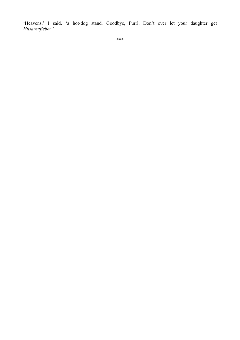'Heavens,' I said, 'a hot-dog stand. Goodbye, Purrl. Don't ever let your daughter get *Husarenfieber*.'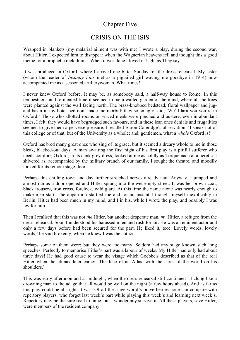# Chapter Five

### CRISIS ON THE ISIS

Wrapped in blankets (my malarial ailment was with me) I wrote a play, during the second war, about Hitler. I expected him to disappear when the Wagnerian heavens fell and thought this a good theme for a prophetic melodrama. When it was done I loved it. Ugh, as They say.

It was produced in Oxford, where I arrived one bitter Sunday for the dress rehearsal. My sister (whom the reader of *Insanity Fair* met as a pigtailed girl waving me goodbye in 1914) now accompanied me as a seasoned artillerywoman. What times!

I never knew Oxford before. It may be, as somebody said, a half-way house to Rome. In this tempestuous and tormented time it seemed to me a walled garden of the mind, where all the trees were planted against the wall facing north. The brass-knobbed bedstead, floral wallpaper and jugand-basin in my hotel bedroom made me morbid: they so smugly said, 'We'll larn you you're in Oxford.' Those who allotted rooms or served meals were pinched and austere; even in abundant times, I felt, they would have begrudged such favours, and in these lean ones denials and frugalities seemed to give them a perverse pleasure. I recalled Baron Coleridge's observation: 'I speak not of this college or of that, but of the University as a whole; and, gentlemen, what a *whole* Oxford is!'

Oxford has bred many great ones who sing of its grace, but it seemed a dreary whole to me in those bleak, blacked-out days. A man awaiting the first night of his first play is a pitiful sufferer who needs comfort; Oxford, in its dank grey dress, looked at me as coldly as Torquemada at a heretic. I shivered as, accompanied by the military branch of our family, I sought the theatre, and moodily looked for its remote stage-door.

Perhaps this chilling town and day further stretched nerves already taut. Anyway, I jumped and almost ran as a door opened and Hitler sprang into the wet empty street. It was he; brown coat, black trousers, iron cross, forelock, wild glare. At this time the name alone was nearly enough to make men start. The apparition startled me and for an instant I thought myself inexplicably in Berlin. Hitler had been much in my mind, and I in his, while I wrote the play, and possibly I was fey for him.

Then I realised that this was not *the* Hitler, but another desperate man, *my* Hitler, a refugee from the dress rehearsal. Soon I understood his harassed mien and rush for air. He was an eminent actor and only a few days before had been secured for the part. He liked it, too: 'Lovely words, lovely words,' he said brokenly, when he knew I was the author.

Perhaps some of them were; but they were too many. Seldom had any stage known such long speeches. Perfectly to memorise Hitler's part was a labour of weeks. My Hitler had only had about three days! He had good cause to wear the visage which Goebbels described as that of the real Hitler when the climax later came: 'The face of an Atlas, with the cares of the world on his shoulders.'

This was early afternoon and at midnight, when the dress rehearsal still continued ' I clung like a drowning man to the adage that all would be well on the night (a few hours ahead). And as far as this play could be all right, it was. Of all the stage-world's brave heroes none can compare with repertory players, who forget last week's part while playing this week's and learning next week's. Repertory may be the sure road to fame, but I wonder any survive it. All these players, save Hitler, were members of the resident company.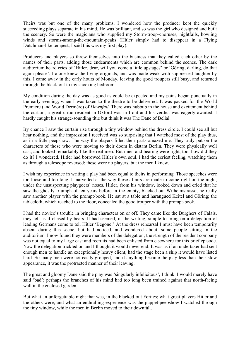Theirs was but one of the many problems. I wondered how the producer kept the quickly succeeding plays separate in his mind. He was brilliant, and so was the girl who designed and built the scenery. So were the magicians who supplied my Storm-troop-choruses, nightfalls, howling winds and storms-among-the-mountain-peaks (Hitler simply had to disappear in a Flying Dutchman-like tempest; I said this was my first play).

Producers and players so threw themselves into the business that they called each other by the names of their parts, adding those endearments which are common behind the scenes. The dark auditorium heard cries of 'Hitler, dear, will you come a little upstage?' or 'Göring, darling, do that again please'. I alone knew the living originals, and was made weak with suppressed laughter by this. I came away in the early hours of Monday, leaving the good troupers still busy, and returned through the black-out to my shocking bedroom.

My condition during the day was as good as could be expected and my pains began punctually in the early evening, when I was taken to the theatre to be delivered. It was packed for the World Première (and World Dernière) of *Downfall*. There was hubbub in the house and excitement behind the curtain; a great critic resident in Oxford was in front and his verdict was eagerly awaited. I hardly caught his strange-sounding title but think it was The Dane of Belial.

By chance I saw the curtain rise through a tiny window behind the dress circle. I could see all but hear nothing, and the impression I received was so surprising that I watched most of the play thus, as in a little peepshow. The way the players filled their parts amazed me. They truly put on the characters of those who were moving to their doom in distant Berlin. They were physically well cast, and looked remarkably like the real men. But mien and bearing were right, too; how did they do it? I wondered. Hitler had borrowed Hitler's own soul. I had the eeriest feeling, watching them as through a telescope reversed: these were no players, but the men I knew.

I wish my experience in writing a play had been equal to theirs in performing. Those speeches were too loose and too long. I marvelled at the way these affairs are made to come right on the night, under the unsuspecting playgoers' noses. Hitler, from his window, looked down and cried that he saw the ghostly triumph of ten years before in the empty, blacked-out Wilhelmstrasse; he really saw another player with the prompt-book. He sat at a table and harangued Keitel and Göring; the tablecloth, which reached to the floor, concealed the good trouper with the prompt-book.

I had the novice's trouble in bringing characters on or off. They came like the Burghers of Calais, they left as if chased by bears. It had seemed, in the writing, simple to bring on a delegation of leading Germans come to tell Hitler 'Begone!' At the dress rehearsal I must have been temporarily absent during this scene, but had noticed, and wondered about, some people sitting in the auditorium. I now found they were members of the delegation; the strength of the resident company was not equal to my large cast and recruits had been enlisted from elsewhere for this brief episode. Now the delegation trickled on and I thought it would never end. It was as if an undertaker had sent enough men to handle an exceptionally heavy client; had the stage been a ship it would have listed hard. So many men were not easily grouped, and if anything became the play less than their slow appearance, it was the protracted manner of their leaving.

The great and gloomy Dane said the play was 'singularly infelicitous', I think. I would merely have said 'bad'; perhaps the branches of his mind had too long been trained against that north-facing wall in the enclosed garden.

But what an unforgettable night that was, in the blacked-out Forties; what great players Hitler and the others were; and what an enthralling experience was the puppet-peepshow I watched through the tiny window, while the men in Berlin moved to their downfall.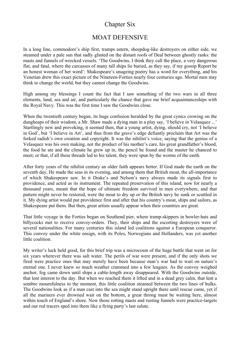# Chapter Six

### MOAT DEFENSIVE

In a long line, commodore's ship first, tramps astern, sheepdog-like destroyers on either side, we steamed under a pale sun that sadly glinted on the distant roofs of Deal between ghostly ranks: the masts and funnels of wrecked vessels. 'The Goodwins, I think they call the place, a very dangerous flat, and fatal, where the carcasses of many tall ships lie buried, as they say, if my gossip Report be an honest woman of her word': Shakespeare's unageing poetry has a word for everything, and his Venetian drew this exact picture of the Nineteen-Forties nearly four centuries ago. Mortal men may think to change the world, but they cannot change the Goodwins.

High among my blessings I count the fact that I saw something of the two wars in all three elements, land, sea and air, and particularly the chance that gave me brief acquaintanceships with the Royal Navy. This was the first time I saw the Goodwins close.

When the twentieth century began, its huge confusion heralded by the great cynics crowing on the dungheaps of their wisdom, a Mr. Shaw made a dying man in a play say, 'I believe in Velasquez ...' Startlingly new and provoking, it seemed then, that a young artist, dying, should cry, not 'I believe in God', but 'I believe in Art', and thus from the grave's edge defiantly proclaim that Art was the forked radish's own creation and copyright. It was the nihilist's voice, saying that the genius of a Velasquez was his own making, not the product of his mother's care, his great grandfather's blood, the food he ate and the climate he grew up in, the pencil he found and the master he chanced to meet; or that, if all these threads led to his talent, they were spun by the worms of the earth.

After forty years of the nihilist century an older faith appears better. If God made the earth on the seventh day, He made the seas in its evening, and among them that British moat, the all-importance of which Shakespeare saw. In it Drake's and Nelson's navy always made its signals first to providence, and acted as its instrument. The repeated preservation of this island, now for nearly a thousand years, meant that the hope of ultimate freedom survived in men everywhere, and that pattern might never be restored, were the moat to dry up or the British navy be sunk or scuttled in it. My dying artist would put providence first and after that his country's moat, ships and sailors, as Shakespeare put them. But then, great artists usually appear when their countries are great.

That little voyage in the Forties began on Southend pier, where tramp-skippers in bowler-hats and billycocks met to receive convoy-orders. They, their ships and the escorting destroyers were of several nationalities. For many centuries this island led coalitions against a European conqueror. This convoy under the white ensign, with its Poles, Norwegians and Hollanders, was yet another little coalition.

My writer's luck held good, for this brief trip was a microcosm of the huge battle that went on for six years wherever there was salt water. The perils of war were present, and if the only shots we fired were practice ones that may merely have been because man's war had to wait on nature's eternal one. I never knew so much weather crammed into a few leagues. As the convoy weighed anchor, fog came down until ships a cable-length away disappeared. With the Goodwins outside, that lent interest to the day. But when we reached them it lifted and in a dead grey calm, that lent a sombre mournfulness to the moment, this little coalition steamed between the two lines of hulks. The Goodwins look as if a man cast into the sea might stand upright there until rescue came, yet if all the mariners ever drowned wait on the bottom, a great throng must be waiting here, almost within touch of England's shore. Now those rotting masts and rusting funnels were practice-targets and our red tracers sped into them like a firing party's last salute.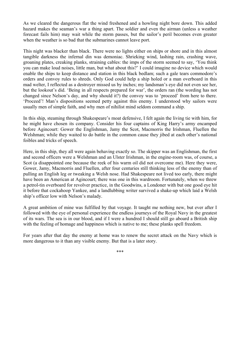As we cleared the dangerous flat the wind freshened and a howling night bore down. This added hazard makes the seaman's war a thing apart. The soldier and even the airman (unless a weather forecast fails him) may wait while the storm passes, but the sailor's peril becomes even greater when the weather is so bad that the submarines cannot leave port.

This night was blacker than black. There were no lights either on ships or shore and in this almost tangible darkness the infernal din was demoniac. Shrieking wind, lashing rain, crashing wave, groaning plates, creaking planks, straining cables: the imps of the storm seemed to say, 'You think you can make loud noises, little man, but what about this?' I could imagine no device which would enable the ships to keep distance and station in this black bedlam; such a gale tears commodore's orders and convoy rules to shreds. Only God could help a ship holed or a man overboard in this mad welter, I reflected as a destroyer missed us by inches; my landsman's eye did not even see her, but the lookout's did. 'Being in all respects prepared for war', the orders ran (the wording has not changed since Nelson's day, and why should it?) the convoy was to 'proceed' from here to there. 'Proceed'! Man's dispositions seemed petty against this enemy. I understood why sailors were usually men of simple faith, and why men of nihilist mind seldom command a ship.

In this ship, steaming through Shakespeare's moat defensive, I felt again the living tie with him, for he might have chosen its company. Consider his four captains of King Harry's army encamped before Agincourt: Gower the Englishman, Jamy the Scot, Macmorris the Irishman, Fluellen the Welshman; while they waited to do battle in the common cause they jibed at each other's national foibles and tricks of speech.

Here, in this ship, they all were again behaving exactly so. The skipper was an Englishman, the first and second officers were a Welshman and an Ulster Irishman, in the engine-room was, of course, a Scot (a disappointed one because the reek of his warm oil did not overcome me). Here they were, Gower, Jamy, Macmorris and Fluellen, after four centuries still thinking less of the enemy than of pulling an English leg or tweaking a Welsh nose. Had Shakespeare not lived too early, there might have been an American at Agincourt; there was one in this wardroom. Fortunately, when we threw a petrol-tin overboard for revolver practice, in the Goodwins, a Londoner with but one good eye hit it before that cockahoop Yankee, and a landlubbing writer survived a shake-up which laid a Welsh ship's officer low with Nelson's malady.

A great ambition of mine was fulfilled by that voyage. It taught me nothing new, but ever after I followed with the eye of personal experience the endless journeys of the Royal Navy in the greatest of its wars. The sea is in our blood, and if I were a hundred I should still go aboard a British ship with the feeling of homage and happiness which is native to me; these planks spell freedom.

For years after that day the enemy at home was to renew the secret attack on the Navy which is more dangerous to it than any visible enemy. But that is a later story.

\*\*\*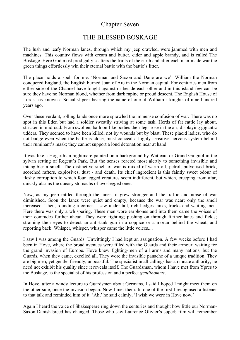## Chapter Seven

### THE BLESSED BOSKAGE

The lush and leafy Norman lanes, through which my jeep crawled, were jammed with men and machines. This country flows with cream and butter, cider and apple brandy, and is called The Boskage. Here God most prodigally scatters the fruits of the earth and after each man-made war the green things effortlessly win their eternal battle with the battle's litter.

The place holds a spell for me. 'Norman and Saxon and Dane are we': William the Norman conquered England, the English burned Joan of Arc in the Norman capital. For centuries men from either side of the Channel have fought against or beside each other and in this island few can be sure they have no Norman blood, whether from dark rapine or proud descent. The English House of Lords has known a Socialist peer bearing the name of one of William's knights of nine hundred years ago.

Over these verdant, rolling lands once more sprawled the immense confusion of war. There was no spot in this Eden but had a soldier sweatily striving at some task. Herds of fat cattle lay about, stricken in mid-cud. From swollen, balloon-like bodies their legs rose in the air, displaying gigantic udders. They seemed to have been killed, not by wounds but by blast. These placid ladies, who do not budge even when the battle is close, must conceal a highly sensitive nervous system behind their ruminant's mask; they cannot support a loud detonation near at hand.

It was like a Hogarthian nightmare painted on a background by Watteau, or Grand Guignol in the sylvan setting of Regent's Park. But the senses reacted most alertly to something invisible and intangible: a smell. The distinctive smell of war is mixed of warm oil, petrol, pulverised brick, scorched rafters, explosives, dust - and death. Its chief ingredient is this faintly sweet odour of fleshy corruption to which four-legged creatures seem indifferent, but which, creeping from afar, quickly alarms the queasy stomachs of two-legged ones.

Now, as my jeep rattled through the lanes, it grew stronger and the traffic and noise of war diminished. Soon the lanes were quiet and empty, because the war was near; only the smell increased. Then, rounding a corner, I saw under tall, rich hedges tanks, trucks and waiting men. Here there was only a whispering. These men wore earphones and into them came the voices of their comrades further ahead. They were fighting; pushing on through further lanes and fields; straining their eyes to detect an anti-tank gun in a coppice or a mortar behind the wheat; and reporting back. Whisper, whisper, whisper came the little voices....

I saw I was among the Guards. Unwittingly I had kept an assignation. A few weeks before I had been in Hove, where the broad avenues were filled with the Guards and their armour, waiting for the grand invasion of Europe. Hove knew fighting-men of all arms and many nations, but the Guards, when they came, excelled all. They wore the invisible panache of a unique tradition. They are big men, yet gentle, friendly, unboastful. The specialist in all callings has an innate authority; he need not exhibit his quality since it reveals itself. The Guardsman, whom I have met from Ypres to the Boskage, is the specialist of his profession and a perfect *gentilhomme*.

In Hove, after a windy lecture to Guardsmen about Germans, I said I hoped I might meet them on the other side, once the invasion began. Now I met them. In one of the first I recognised a listener to that talk and reminded him of it. 'Ah,' he said calmly, 'I wish we were in Hove now.'

Again I heard the voice of Shakespeare ring down the centuries and thought how little our Norman-Saxon-Danish breed has changed. Those who saw Laurence Olivier's superb film will remember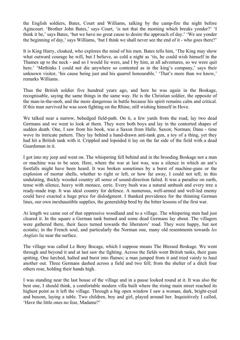the English soldiers, Bates, Court and Williams, talking by the camp-fire the night before Agincourt. 'Brother John Bates,' says Court, 'is not that the morning which breaks yonder?' 'I think it be,' says Bates, 'but we have no great cause to desire the approach of day.' 'We see yonder the beginning of day,' says Williams, 'but I think we shall never see the end of it - who goes there?'

It is King Harry, cloaked, who explores the mind of his men. Bates tells him, 'The King may show what outward courage he will, but I believe, as cold a night as 'tis, he could wish himself in the Thames up to the neck - and so I would lie were, and I by him, at all adventures, so we were quit here.' 'Methinks I could not die anywhere so contented as in the king's company,' says their unknown visitor, 'his cause being just and his quarrel honourable.' 'That's more than we know,' remarks Williams.

Thus the British soldier five hundred years ago, and here he was again in the Boskage, recognisable, saying the same things in the same way. He is the Christian soldier, the opposite of the man-in-the-mob, and the more dangerous in battle because his spirit remains calm and critical. If this man survived he was soon fighting on the Rhine, still wishing himself in Hove.

We talked near a narrow, behedged field-path. On it, a few yards from the road, lay two dead Germans and we went to look at them. They were both boys and lay in the contorted shapes of sudden death. One, I saw from his book, was a Saxon from Halle. Saxon; Norman; Dane - time wove its intricate pattern. They lay behind a hand-drawn anti-tank gun, a toy of a thing, yet they had hit a British tank with it. Crippled and lopsided it lay on the far side of the field with a dead Guardsman in it.

I got into my jeep and went on. The whispering fell behind and in the brooding Boskage not a man or machine was to be seen. Here, where the war at last was, was a silence in which an ant's footfalls might have been heard. It was broken sometimes by a burst of machine-guns or the explosion of mortar shells, whether to right or left, or how far away, I could not tell; in this undulating, thickly wooded country all sense of sound-direction failed. It was a paradise on earth, tense with silence, heavy with menace, eerie. Every bush was a natural ambush and every tree a ready-made trap. It was ideal country for defence. A numerous, well-armed and well-led enemy could have exacted a huge price for dislodgment. I thanked providence for the thinning German lines, our own inexhaustible supplies, the generalship bred by the bitter lessons of the first war.

At length we came out of that oppressive woodland and to a village. The whispering men had just cleared it. In the square a German tank burned and some dead Germans lay about. The villagers were gathered there, their faces turned towards the liberators' road. They were happy, but not ecstatic; in the French soul, and particularly the Norman one, many old resentments towards *les Anglais* lie near the surface.

The village was called Le Beny Bocage, which I suppose means The Blessed Boskage. We went through and beyond it and at last saw the fighting. Across the fields went British tanks, their guns spitting. One lurched, halted and burst into flames; a man jumped from it and tried vainly to haul another out. Three Germans dashed across a field and two fell; from the shelter of a ditch four others rose, holding their hands high.

I was standing near the last house of the village and in a pause looked round at it. It was also the best one, I should think, a comfortable modern villa built where the rising main street reached its highest point as it left the village. Through a big open window I saw a woman, dark, bright-eyed and buxom, laying a table. Two children, boy and girl, played around her. Inquisitively I called, 'Have the little ones no fear, Madame?'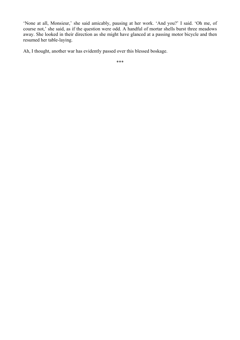'None at all, Monsieur,' she said amicably, pausing at her work. 'And you?' I said. 'Oh me, of course not,' she said, as if the question were odd. A handful of mortar shells burst three meadows away. She looked in their direction as she might have glanced at a passing motor bicycle and then resumed her table-laying.

Ah, I thought, another war has evidently passed over this blessed boskage.

\*\*\*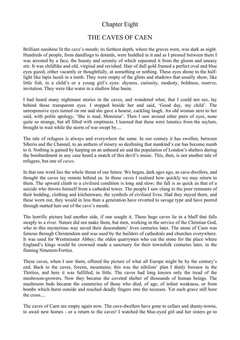# Chapter Eight

### THE CAVES OF CAEN

Brilliant sunshine lit the cave's mouth; its furthest depth, where the graves were, was dark as night. Hundreds of people, from dandlings to dotards, were huddled in it and as I pressed between them I was arrested by a face, the beauty and serenity of which separated it from the gloom and uneasy stir. It was childlike and old, virginal and ravished. Hair of dull gold framed a perfect oval and blue eyes gazed, either vacantly or thoughtfully, at something or nothing. These eyes shone in the halflight like lapis lazuli in a tomb. They were empty of the glints and shadows that usually show, like little fish, in a child's or a young girl's eyes: shyness, curiosity, modesty, boldness, reserve, invitation. They were like water in a shallow blue basin.

I had heard many nightmare stories in the caves, and wondered what, that I could not see, lay behind those transparent eyes. I stopped beside her and said, 'Good day, my child'. The unresponsive eyes turned on me and she gave a hoarse, cackling laugh. An old woman next to her said, with polite apology, 'She is mad, Monsieur'. Then I saw around other pairs of eyes, none quite so strange, but all filled with emptiness. I learned that these were lunatics from the asylum, brought to wait while the storm of war swept by....

The tale of refugees is always and everywhere the same. In our century it has swollen, between Siberia and the Channel, to an anthem of misery so deafening that mankind's ear has become numb to it. Nothing is gained by harping on an unheard air and the population of London's shelters during the bombardment in any case heard a snatch of this devil's music. This, then, is not another tale of refugees, but one of *caves*.

In that one word lies the whole threat of our future. We began, dark ages ago, as cave-dwellers, and thought the caves lay remote behind us. In those caves I realised how quickly we may return to them. The upward climb to a civilised condition is long and slow; the fall is as quick as that of a suicide who throws himself from a cathedral tower. The people I saw clung to the poor remnants of their bedding, clothing and kitchenware, the symbols of civilised lives. Had they stayed there, and these worn out, they would in less than a generation have reverted to savage type and have peered through matted hair out of the cave's mouth.

The horrific picture had another side, if one sought it. These huge caves lie in a bluff that falls steeply to a river. Nature did not make them, but men, working in the service of the Christian God, who in this mysterious way saved their descendants' lives centuries later. The stone of Caen was famous through Christendom and was used by the builders of cathedrals and churches everywhere. It was used for Westminster Abbey; the olden quarrymen who cut the stone for the place where England's kings would be crowned made a sanctuary for their townsfolk centuries later, in the flaming Nineteen-Forties.

These caves, when I saw them, offered the picture of what all Europe might be by the century's end. Back to the caves, forests, mountains; this was the nihilists' plan I dimly foresaw in the Thirties, and here it was fulfilled, in little. The caves had long known only the tread of the mushroom-growers. Now they became the coveted shelter of thousands of human beings. The mushroom beds became the cemeteries of those who died, of age, of infant weakness, or from bombs which burst outside and reached deadly fingers into the recesses. Yet each grave still bore the cross...

The caves of Caen are empty again now. The cave-dwellers have gone to cellars and shanty-towns, to await new homes - or a return to the caves! I watched the blue-eyed girl and her sisters go to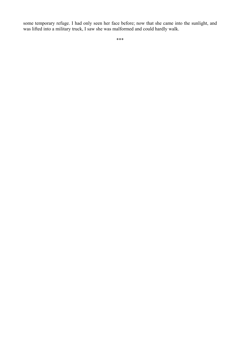some temporary refuge. I had only seen her face before; now that she came into the sunlight, and was lifted into a military truck, I saw she was malformed and could hardly walk.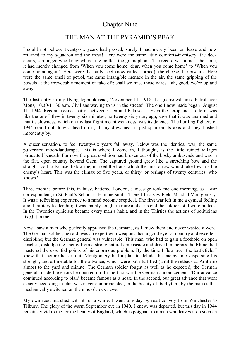### Chapter Nine

## THE MAN AT THE PYRAMID'S PEAK

I could not believe twenty-six years had passed; surely I had merely been on leave and now returned to my squadron and the mess! Here were the same little comforts-in-misery: the deck chairs, scrounged who knew where, the bottles, the gramophone. The record was almost the same; it had merely changed from 'When you come home, dear, when you come home' to 'When you come home again'. Here were the bully beef (now called corned), the cheese, the biscuits. Here were the same smell of petrol, the same intangible menace in the air, the same gripping of the bowels at the irrevocable moment of take-off: shall we miss those wires - ah, good, we're up and away.

The last entry in my flying logbook read, 'November 11, 1918. La guerre est finis. Patrol over Mons, 10.30-11.30 a.m. Civilians waving to us in the streets'. The one I now made began 'August 11, 1944. Reconnaissance patrol between Caen and Falaise ...' Even the aeroplane I rode in was like the one I flew in twenty-six minutes, no twenty-six years, ago, save that it was unarmed and that its slowness, which on my last flight meant weakness, was its defence. The hurtling fighters of 1944 could not draw a bead on it; if any drew near it just span on its axis and they flashed impotently by.

A queer sensation, to feel twenty-six years fall away. Below was the identical war, the same pulverised moon-landscape. This is where I come in, I thought, as the little ruined villages pirouetted beneath. For now the great coalition had broken out of the bosky ambuscade and was in the flat, open country beyond Caen. The captured ground grew like a stretching bow and the straight road to Falaise, below me, marked the track which the final arrow would take towards the enemy's heart. This was the climax of five years, or thirty; or perhaps of twenty centuries, who knows?

Three months before this, in busy, battered London, a message took me one morning, as a war correspondent, to St. Paul's School in Hammersmith. There I first saw Field-Marshal Montgomery. It was a refreshing experience to a mind become sceptical. The first war left in me a cynical feeling about military leadership; it was mainly fought in mire and at its end the soldiers still wore puttees! In the Twenties cynicism became every man's habit, and in the Thirties the actions of politicians fixed it in me.

Now I saw a man who perfectly appraised the Germans, as I knew them and never wasted a word. The German soldier, he said, was an expert with weapons, had a good eye for country and excellent discipline; but the German general was vulnerable. This man, who had to gain a foothold on open beaches, dislodge the enemy from a strong natural ambuscade and drive him across the Rhine, had mastered the essential points of his enormous problem. By the time I flew over the battlefield I knew that, before he set out, Montgomery had a plan to delude the enemy into dispersing his strength, and a timetable for the advance, which were both fulfilled (until the setback at Arnhem) almost to the yard and minute. The German soldier fought as well as he expected, the German generals made the errors he counted on. In the first war the German announcement, 'Our advance continued according to plan' became famous as a hoax. In the second, our great advance that went exactly according to plan was never comprehended, in the beauty of its rhythm, by the masses that mechanically switched on the nine o'clock news.

My own road marched with it for a while. I went one day by road convoy from Winchester to Tilbury. The glory of the warm September eve in 1940, I knew, was departed, but this day in 1944 remains vivid to me for the beauty of England, which is poignant to a man who leaves it on such an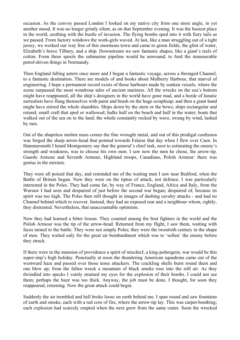occasion. As the convoy passed London I looked on my native city from one more angle, in yet another mood. It was no longer grimly silent, as on that September evening. It was the busiest place in the world, seething with the bustle of invasion. The flying bombs sped into it with fiery tails as we passed. From factory windows the work-girls waved. At last, like a man struggling out of a tight jersey, we worked our way free of this enormous town and came to green fields, the glint of water, Elizabeth's brave Tilbury, and a ship. Downstream we saw fantastic shapes, like a giant's reels of cotton. From these spools the submarine pipeline would be unwound, to feed the innumerable petrol-driven things in Normandy.

Then England falling astern once more and I began a fantastic voyage, across a thronged Channel, to a fantastic destination. There are models of and books about Mulberry Harbour, that marvel of engineering. I hope a permanent record exists of those harbours made by sunken vessels, where the scene surpassed the most wondrous tales of ancient mariners. All the wrecks on the sea's bottom might have reappeared, all the ship's designers in the world have gone mad, and a horde of lunatic surrealists have flung themselves with paint and brush on the huge scrapheap; and then a giant hand might have stirred the whole shambles. Ships down by the stern or the bows; ships rectangular and rotund; small craft that sped or wallowed; hulks half on the beach and half in the water; boats that walked out of the sea on to the land; the whole constantly rocked by wave, swung by wind, lashed by rain.

Out of the shapeless molten mass comes the fine wrought metal, and out of this prodigal confusion was forged the sharp arrow-head that pointed towards Falaise that day when I flew over Caen. In Hammersmith I heard Montgomery say that the general's chief task, next to estimating the enemy's strength and weakness, was to choose his own men. I saw now the men he chose, the arrow-tip. Guards Armour and Seventh Armour, Highland troops, Canadians, Polish Armour: there was genius in the mixture.

They were all poised that day, and reminded me of the waiting men I saw near Bedford, when the Battle of Britain began. Now they were on the tiptoe of attack, not defence. I was particularly interested in the Poles. They had come far, by way of France, England, Africa and Italy, from the Warsaw I had seen and despaired of just before the second war began; despaired of, because its spirit was too high. The Poles then still thought in images of dashing cavalry attacks - and had no Channel behind which to recover. Instead, they had an exposed rear and a neighbour whom, rightly, they distrusted. Nevertheless, that unaccountable optimism.

Now they had learned a bitter lesson. They counted among the best fighters in the world and the Polish Armour was the tip of the arrow-head. Returned from my flight, I saw them, waiting with faces turned to the battle. They were not simply Poles; they were the twentieth century in the shape of men. They waited only for the great air bombardment which was to 'soften' the enemy before they struck.

If there were in the mansion of providence a spirit of mischief, a king-poltergeist, war would be this super-imp's high holiday. Punctually at noon the thundering American squadrons came out of the westward haze and passed over those tense attackers. The crackling shells burst round them and one blew up; from the fallen wreck a mountain of black smoke rose into the still air. As they dwindled into specks I vainly strained my eyes for the explosion of their bombs. I could not see them; perhaps the haze was too thick. Anyway, the job must be done, I thought, for soon they reappeared, returning. Now the great attack could begin.

Suddenly the air trembled and hell broke loose on earth behind me. I span round and saw fountains of earth and smoke, each with a red core of fire, where the arrow-tip lay. This was carpet-bombing; each explosion had scarcely erupted when the next grew from the same crater. Soon the wrecked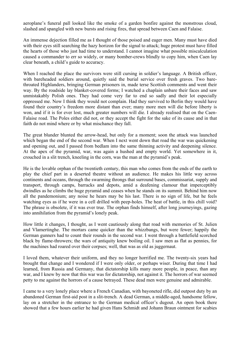aeroplane's funeral pall looked like the smoke of a garden bonfire against the monstrous cloud, slashed and spangled with new bursts and rising fires, that spread between Caen and Falaise.

An immense dejection filled me as I thought of those poised and eager men. Many must have died with their eyes still searching the hazy horizon for the signal to attack; huge protest must have filled the hearts of those who just had time to understand. I cannot imagine what possible miscalculation caused a commander to err so widely, or many bomber-crews blindly to copy him, when Caen lay clear beneath, a child's guide to accuracy.

When I reached the place the survivors were still cursing in soldier's language. A British officer, with bareheaded soldiers around, quietly said the burial service over fresh graves. Two barethroated Highlanders, bringing German prisoners in, made terse Scottish comments and went their way. By the roadside lay blanket-covered forms; I watched a chaplain unbare their faces and saw unmistakably Polish ones. They had come very far to end so sadly and their lot especially oppressed me. Now I think they would not complain. Had they survived to Berlin they would have found their country's freedom more distant than ever; many more men will die before liberty is won, and if it is for ever lost, much greater numbers will die. I already realised that on the Caen-Falaise road. The Poles either did not, or they accept the fight for the sake of its cause and in that faith do not mind where or by what mischance they fall.

The great blunder blunted the arrow-head, but only for a moment; soon the attack was launched which began the end of the second war. When I next went down that road the war was quickening and opening out, and I passed from bedlam into the same thinning activity and deepening silence. At the apex of the pyramid, war, was again a hushed and empty world. Yet somewhere in it, crouched in a slit trench, kneeling in the corn, was the man at the pyramid's peak.

He is the lovable orphan of the twentieth century, this man who comes from the ends of the earth to play the chief part in a deserted theatre without an audience. He makes his little way across continents and oceans, through the swarming throngs that surround bases, commissariat, supply and transport, through camps, barracks and depots, amid a deafening clamour that imperceptibly dwindles as he climbs the huge pyramid and ceases when he stands on its summit. Behind him now all the pandemonium; any noise he hears may be his last. There is no sign of life, but he feels watching eyes as if he were in a cell drilled with peep-holes. The heat of battle, in this chill void? The phrase is obsolete, if it was ever true. The orphan finds himself, after long journeyings, gazing into annihilation from the pyramid's lonely peak.

How little it changes, I thought, as I went cautiously along that road with memories of St. Julien and Vlamertinghe. The mortars came quicker than the whizzbangs, but were fewer; happily the German gunners had to count their rounds in the second war. I went through a battlefield scorched black by flame-throwers; the wars of antiquity knew boiling oil. I saw men as flat as pennies, for the machines had roared over their corpses; well, that was as old as juggernaut.

I loved them, whatever their uniform, and they no longer horrified me. The twenty-six years had brought that change and I wondered if I were only older, or perhaps wiser. During that time I had learned, from Russia and Germany, that dictatorship kills many more people, in peace, than any war, and I knew by now that this war was for dictatorship, not against it. The horrors of war seemed petty to me against the horrors of a cause betrayed. These dead men were genuine and admirable.

I came to a very lonely place where a French Canadian, with bayoneted rifle, did outpost duty by an abandoned German first-aid post in a slit-trench. A dead German, a middle-aged, handsome fellow, lay on a stretcher in the entrance to the German medical officer's dugout. An open book there showed that a few hours earlier he had given Hans Schmidt and Johann Braun ointment for scabies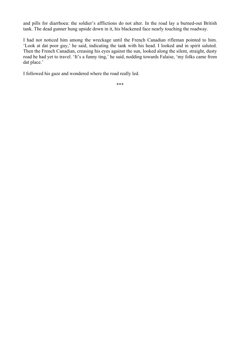and pills for diarrhoea: the soldier's afflictions do not alter. In the road lay a burned-out British tank. The dead gunner hung upside down in it, his blackened face nearly touching the roadway.

I had not noticed him among the wreckage until the French Canadian rifleman pointed to him. 'Look at dat poor guy,' he said, indicating the tank with his head. I looked and in spirit saluted. Then the French Canadian, creasing his eyes against the sun, looked along the silent, straight, dusty road he had yet to travel. 'It's a funny ting,' he said, nodding towards Falaise, 'my folks came from dat place.'

I followed his gaze and wondered where the road really led.

\*\*\*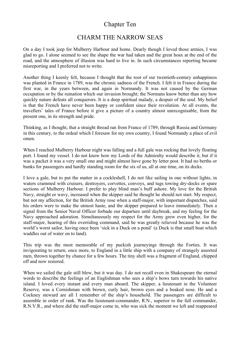## Chapter Ten

### CHARM THE NARROW SEAS

On a day I took jeep for Mulberry Harbour and home. Dearly though I loved those armies, I was glad to go. I alone seemed to see the shape the war had taken and the great hoax at the end of the road, and the atmosphere of illusion was hard to live in. In such circumstances reporting became misreporting and I preferred not to write.

Another thing I keenly felt, because I thought that the root of our twentieth-century unhappiness was planted in France in 1789, was the chronic sadness of the French. I felt it in France during the first war, in the years between, and again in Normandy. It was not caused by the German occupation or by the ruination which our invasion brought; the Normans know better than any how quickly nature defeats all conquerors. It is a deep spiritual malady, a despair of the soul. My belief is that the French have never been happy or confident since their revolution. At all events, the travellers' tales of France before it give a picture of a country almost unrecognisable, from the present one, in its strength and pride.

Thinking, as I thought, that a straight thread ran from France of 1789, through Russia and Germany in this century, to the ordeal which I foresaw for my own country, I found Normandy a place of evil omen.

When I reached Mulberry Harbour night was falling and a full gale was rocking that lovely floating port. I found my vessel. I do not know how my Lords of the Admiralty would describe it, but if it was a packet it was a very small one and might almost have gone by letter post. It had no berths or bunks for passengers and hardly standing room for the six of us, all at one time, on its decks.

I love a gale, but to put the matter in a cockleshell, I do not like sailing in one without lights, in waters crammed with cruisers, destroyers, corvettes, convoys, and tugs towing dry-docks or spare sections of Mulberry Harbour. I prefer to play blind man's buff ashore. My love for the British Navy, straight or wavy, increased when the skipper said he thought he should not start. My respect, but not my affection, for the British Army rose when a staff-major, with important dispatches, said his orders were to make the utmost haste, and the skipper prepared to leave immediately. Then a signal from the Senior Naval Officer forbade our departure until daybreak, and my feeling for the Navy approached adoration. Simultaneously my respect for the Army grew even higher, for the staff-major, hearing of this overriding command, said he was greatly relieved because he was the world's worst sailor, having once been 'sick in a Duck on a pond' (a Duck is that small boat which waddles out of water on to land).

This trip was the most memorable of my puckish journeyings through the Forties. It was invigorating to return, once more, to England in a little ship with a company of strangely assorted men, thrown together by chance for a few hours. The tiny shell was a fragment of England, chipped off and now restored.

When we sailed the gale still blew, but it was day. I do not recall even in Shakespeare the eternal words to describe the feelings of an Englishman who sees a ship's bows turn towards his native island. I loved every instant and every man aboard. The skipper, a lieutenant in the Volunteer Reserve, was a Cornishman with brown, curly hair, brown eyes and a beaked nose. He and a Cockney steward are all I remember of the ship's household. The passengers are difficult to assemble in order of rank. Was the lieutenant-commander, R.N., superior to the full commander, R.N.V.R., and where did the staff-major come in, who was sick the moment we left and reappeared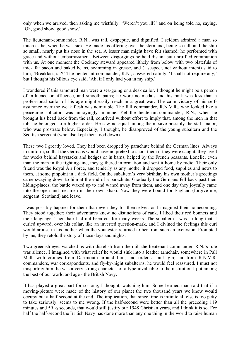only when we arrived, then asking me wistfully, 'Weren't you ill?' and on being told no, saying, 'Oh, good show, good show.'

The lieutenant-commander, R.N., was tall, dyspeptic, and dignified. I seldom admired a man so much as he, when he was sick. He made his offering over the stern and, being so tall, and the ship so small, nearly put his nose in the sea. A lesser man might have felt shamed: he performed with grace and without embarrassment. Between disgorgings he held distant but unruffled communion with us. At one moment the Cockney steward appeared lithely from below with two platefuls of thick fat bacon and baked beans, swimming in grease, and (I suspect, not without intent) said to him, 'Breakfast, sir?' The lieutenant-commander, R.N., answered calmly, 'I shall not require any,' but I thought his bilious eye said, 'Ah, if I only had you in my ship.'

I wondered if this armoured man were a sea-going or a desk sailor. I thought he might be a person of influence or affluence, and smooth paths; he wore no medals and his rank was less than a professional sailor of his age might easily reach in a great war. The calm victory of his selfassurance over the weak flesh was admirable. The full commander, R.N.V.R., who looked like a peacetime solicitor, was annoyingly immune. Yet the lieutenant-commander, R.N., when he brought his head back from the rail, contrived without effort to imply that, among the men in that tub, he belonged to a higher order. He saw no equal among them, save possibly the staff-major, who was prostrate below. Especially, I thought, he disapproved of the young subaltern and the Scottish sergeant (who also kept their food down).

These two I greatly loved. They had been dropped by parachute behind the German lines. Always in uniform, so that the Germans would have no pretext to shoot them if they were caught, they lived for weeks behind haystacks and hedges or in barns, helped by the French peasants. Lonelier even than the man in the fighting-line, they gathered information and sent it home by radio. Their only friend was the Royal Air Force, and tenderly as any mother it dropped food, supplies and news to them, at some pinpoint in a dark field. On the subaltern's very birthday his own mother's greetings came swaying down to him at the end of a parachute. Gradually the Germans fell back past their hiding-places; the battle waxed up to and waned away from them, and one day they joyfully came into the open and met men in their own khaki. Now they were bound for England (forgive me, sergeant: Scotland) and leave.

I was possibly happier for them than even they for themselves, as I imagined their homecoming. They stood together; their adventures knew no distinctions of rank. I liked their red bonnets and their language. Their hair had not been cut for many weeks. The subaltern's was so long that it curled upward, over his collar, like an inverted question-mark, and I divined the feelings this curl would arouse in his mother when the youngster returned to her from such an excursion. Prompted by me, they retold the story of those days and nights.

Two greenish eyes watched us with disrelish from the rail: the lieutenant-commander, R.N.'s rule was silence. I imagined with what relief he would sink into a leather armchair, somewhere in Pall Mall, with cronies from Dartmouth around him, and order a pink gin; far from R.N.V.R. commanders, war correspondents, and fly-by-night subalterns, he would feel reassured. I must not misportray him; he was a very strong character, of a type invaluable to the institution I put among the best of our world and age - the British Navy.

It has played a great part for so long, I thought, watching him. Some learned man said that if a moving-picture were made of the history of our planet the two thousand years we know would occupy but a half-second at the end. The implication, that since time is infinite all else is too petty to take seriously, seems to me wrong. If the half-second were better than all the preceding 119 minutes and 59 ½ seconds, that would still justify our 1948 Christian years, and I think it is so. For half the half-second the British Navy has done more than any one thing in the world to raise human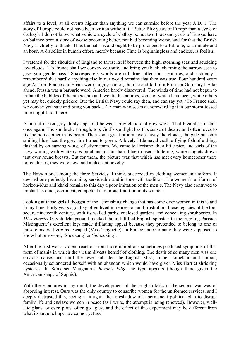affairs to a level, at all events higher than anything we can surmise before the year A.D. 1. The story of Europe could not have been written without it. 'Better fifty years of Europe than a cycle of Cathay'; I do not know what vehicle a cycle of Cathay is, but two thousand years of Europe have on balance been a story of worse becoming better, not bad becoming worse, and for that the British Navy is chiefly to thank. Thus the half-second ought to be prolonged to a full one, to a minute and an hour. A disbelief in human effort, merely because Time is beginningless and endless, is foolish.

I watched for the shoulder of England to thrust itself between the high, storming seas and scudding low clouds. 'To France shall we convey you safe, and bring you back, charming the narrow seas to give you gentle pass.' Shakespeare's words are still true, after four centuries, and suddenly I remembered that hardly anything else in our world remains that then was true. Four hundred years ago Austria, France and Spain were mighty names, the rise and fall of a Prussian Germany lay far ahead, Russia was a barbaric word, America barely discovered. The winds of time had not begun to inflate the bubbles of the nineteenth and twentieth centuries, some of which have been, while others yet may be, quickly pricked. But the British Navy could say then, and can say yet, 'To France shall we convey you safe and bring you back ...' A man who seeks a shoreward light in our storm-tossed time might find it here.

A line of darker grey dimly appeared between grey cloud and grey wave. That breathless instant once again. The sun broke through, too; God's spotlight has this sense of theatre and often loves to fix the homecomer in its beam. Then some great broom swept away the clouds, the gale put on a smiling blue face, the grey line turned to green. A lovely little naval craft, a flying-fish of a thing, flashed by on curving wings of silver foam. We came to Portsmouth, a little pier, and girls of the navy waiting with white caps on abundant fair hair, blue trousers fluttering, white singlets drawn taut over round breasts. But for them, the picture was that which has met every homecomer there for centuries; they were new, and a pleasant novelty.

The Navy alone among the three Services, I think, succeeded in clothing women in uniform. It devised one perfectly becoming, serviceable and in tone with tradition. The women's uniforms of horizon-blue and khaki remain to this day a poor imitation of the men's. The Navy also contrived to implant its quiet, confident, competent and proud tradition in its women.

Looking at those girls I thought of the astonishing change that has come over women in this island in my time. Forty years ago they often lived in repression and frustration, those legacies of the toosecure nineteenth century, with its walled parks, enclosed gardens and concealing shrubberies. In *Miss Harriet* Guy de Maupassant mocked the unfulfilled English spinster; to the giggling Parisian Mistinguette's excellent legs made titillating appeal because they pretended to belong to one of those cloistered virgins, escaped (Miss Tinguette); in France and Germany they were supposed to know but one word, 'Shockang' or 'Schocking'.

After the first war a violent reaction from those inhibitions sometimes produced symptoms of that form of mania in which the victim divests herself of clothing. The death of so many men was one obvious cause, and until the fever subsided the English Miss, in her homeland and abroad, occasionally squandered herself with an abandon which would have given Miss Harriet shrieking hysterics. In Somerset Maugham's *Razor's Edge* the type appears (though there given the American shape of Sophie).

With these pictures in my mind, the development of the English Miss in the second war was of absorbing interest. Ours was the only country to conscribe women for the uniformed services, and I deeply distrusted this, seeing in it again the foreshadow of a permanent political plan to disrupt family life and enslave women in peace (as I write, the attempt is being renewed). However, welllaid plans, or even plots, often go agley, and the effect of this experiment may be different from what its authors hope: we cannot yet see.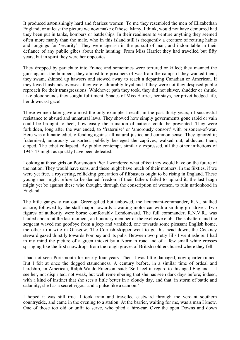It produced astonishingly hard and fearless women. To me they resembled the men of Elizabethan England, or at least the picture we now make of those. Many, I think, would not have demurred had they been put in tanks, bombers or battleships. In their readiness to venture anything they seemed often more manly than the male, who in this island still is frequently a creature of retiring habits and longings for 'security'. They were tigerish in the pursuit of man, and indomitable in their defiance of any public gibes about their hunting. From Miss Harriet they had travelled but fifty years, but in spirit they were her opposites.

They dropped by parachute into France and sometimes were tortured or killed; they manned the guns against the bombers; they almost tore prisoners-of-war from the camps if they wanted them; they swam, shinned up hawsers and stowed away to reach a departing Canadian or American. If they loved husbands overseas they were admirably loyal and if they were not they despised public reproach for their transgressions. Whichever path they took, they did not shiver, shudder or shrink. Like bloodhounds they sought fulfilment. Shades of Miss Harriet, her stays, her privet-hedged life, her downcast gaze!

These women later gave almost the only example I recall, in the past thirty years, of successful resistance to absurd and unnatural laws. They showed how simply governments gone rabid or vain could be brought to heel, how easily the ruination of nations could be prevented. They were forbidden, long after the war ended, to 'fraternise' or 'amorously consort' with prisoners-of-war. Here was a lunatic edict, offending against all natural justice and common sense. They ignored it; fraternised, amorously consorted, publicly besieged the captives, walked out, abducted them, eloped. The edict collapsed. By public contempt, similarly expressed, all the other inflictions of 1945-47 might as quickly have been defeated.

Looking at those girls on Portsmouth Pier I wondered what effect they would have on the future of the nation. They would have sons, and these might have much of their mothers. In the Sixties, if we were yet free, a roystering, rollicking generation of filibusters ought to be rising in England. These young men might refuse to be denied freedom if their fathers failed to uphold it; the last laugh might yet be against these who thought, through the conscription of women, to ruin nationhood in England.

The little gangway ran out. Green-gilled but unbowed, the lieutenant-commander, R.N., stalked ashore, followed by the staff-major, towards a waiting motor car with a smiling girl driver. Two figures of authority were borne comfortably Londonward. The full commander, R.N.V.R., was hauled aboard at the last moment, an honorary member of the exclusive club. The subaltern and the sergeant waved me goodbye from a jeep and vanished, one towards some pleasant English home, the other to a wife in Glasgow. The Cornish skipper went to get his head down, the Cockney steward gazed thirstily towards Pompey and its pubs. Between two pretty Jills I went ashore. I had in my mind the picture of a green thicket by a Norman road and of a few small white crosses springing like the first snowdrops from the rough graves of British soldiers buried where they fell.

I had not seen Portsmouth for nearly four years. Then it was little damaged, now quarter-ruined. But I felt at once the dogged staunchness. A century before, in a similar time of ordeal and hardship, an American, Ralph Waldo Emerson, said: 'So I feel in regard to this aged England ... I see her, not dispirited, not weak, but well remembering that she has seen dark days before; indeed, with a kind of instinct that she sees a little better in a cloudy day, and that, in storm of battle and calamity, she has a secret vigour and a pulse like a cannon.'

I hoped it was still true. I took train and travelled eastward through the verdant southern countryside, and came in the evening to a station. At the barrier, waiting for me, was a man I knew. One of those too old or unfit to serve, who plied a hire-car. Over the open Downs and down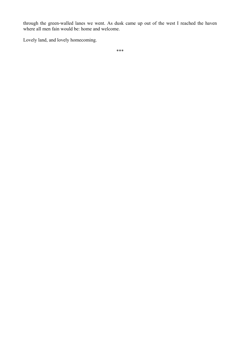through the green-walled lanes we went. As dusk came up out of the west I reached the haven where all men fain would be: home and welcome.

Lovely land, and lovely homecoming.

\*\*\*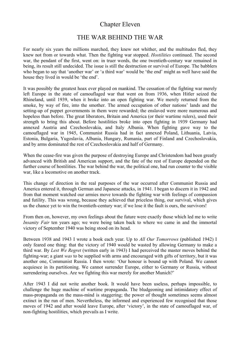## Chapter Eleven

## THE WAR BEHIND THE WAR

For nearly six years the millions marched, they knew not whither, and the multitudes fled, they knew not from or towards what. Then the fighting war stopped. *Hostilities* continued. The second war, the pendant of the first, went on: in truer words, the one twentieth-century war remained in being, its result still undecided. The issue is still the destruction or survival of Europe. The babblers who began to say that 'another war' or 'a third war' would be 'the end' might as well have said the house they lived in would be 'the end'.

It was possibly the greatest hoax ever played on mankind. The cessation of the fighting war merely left Europe in the state of camouflaged war that went on from 1936, when Hitler seized the Rhineland, until 1939, when it broke into an open fighting war. We merely returned from the smoke, by way of fire, into the smother. The armed occupation of other nations' lands and the setting-up of puppet governments in them were rewarded; the enslaved were more numerous and hopeless than before. The great liberators, Britain and America (or their wartime rulers), used their strength to bring this about. Before hostilities broke into open fighting in 1939 Germany had annexed Austria and Czechoslovakia, and Italy Albania. When fighting gave way to the camouflaged war in 1945, Communist Russia had in fact annexed Poland, Lithuania, Latvia, Estonia, Bulgaria, Yugoslavia, Albania, Hungary, Rumania, part of Finland and Czechoslovakia, and by arms dominated the rest of Czechoslovakia and half of Germany.

When the cease-fire was given the purpose of destroying Europe and Christendom had been greatly advanced with British and American support, and the fate of the rest of Europe depended on the further course of hostilities. The war behind the war, the political one, had run counter to the visible war, like a locomotive on another track.

This change of direction in the real purposes of the war occurred after Communist Russia and America entered it, through German and Japanese attacks, in 1941. I began to discern it in 1942 and from that moment watched our armies move towards the fighting war with feelings of compassion and futility. This was wrong, because they achieved that priceless thing, our survival, which gives us the chance yet to win the twentieth-century war; if we lose it the fault is ours, the survivors!

From then on, however, my own feelings about the future were exactly those which led me to write *Insanity Fair* ten years ago; we were being taken back to where we came in and the immortal victory of September 1940 was being stood on its head.

Between 1938 and 1943 I wrote a book each year. Up to *All Our Tomorrows* (published 1942) I only feared one thing: that the victory of 1940 would be wasted by allowing Germany to make a third war. By *Lest We Regret* (written early in 1943) I had perceived the master moves behind the fighting-war; a giant *was* to be supplied with arms and encouraged with gifts of territory, but it was another one, Communist Russia. I then wrote: 'Our honour is bound up with Poland. We cannot acquiesce in its partitioning. We cannot surrender Europe, either to Germany or Russia, without surrendering ourselves. Are we fighting this war merely for another Munich?'

After 1943 I did not write another book. It would have been useless, perhaps impossible, to challenge the huge machine of wartime propaganda. The bludgeoning and intimidatory effect of mass-propaganda on the mass-mind is staggering; the power of thought sometimes seems almost extinct in the run of men. Nevertheless, the informed and experienced few recognised that those moves of 1942 and after would leave Europe, after 'victory', in the state of camouflaged war, of non-fighting hostilities, which prevails as I write.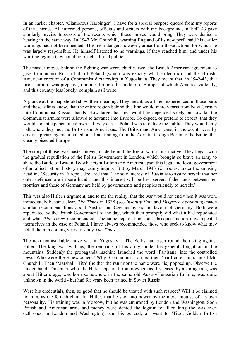In an earlier chapter, 'Clamorous Harbinger', I have for a special purpose quoted from my reports of the Thirties. All informed persons, officials and writers with my background, in 1942-43 gave similarly precise forecasts of the results which those moves would bring. They were denied a hearing in the same way. In 1947 Mr. Churchill, warning England of its new peril, said his earlier warnings had not been heeded. The fresh danger, however, arose from those actions for which he was largely responsible. He himself listened to no warnings, if they reached him, and under his wartime regime they could not reach a broad public.

The master moves behind the fighting-war were, chiefly, two: the British-American agreement to give Communist Russia half of Poland (which was exactly what Hitler did) and the British-American erection of a Communist dictatorship in Yugoslavia. They meant that, in 1942-43, that 'iron curtain' was prepared, running through the middle of Europe, of which America violently, and this country less loudly, complain as I write.

A glance at the map should show their meaning. They meant, as all men experienced in those parts and these affairs knew, that the entire region behind this line would merely pass from Nazi German into Communist Russian hands. How large that area would be depended solely on how far the Communist armies were allowed to advance into Europe. To expect, or pretend to expect, that they would stop at a paper-line drawn half way across Poland was to delude the public. They would only halt where they met the British and Americans. The British and Americans, in the event, were by obvious prearrangement halted on a line running from the Adriatic through Berlin to the Baltic, that cleanly bisected Europe.

The story of those two master moves, made behind the fog of war, is instructive. They began with the gradual repudiation of the Polish Government in London, which brought so brave an army to share the Battle of Britain. By what right Britain and America upset this legal and loyal government of an allied nation, history may vainly inquire. But by March 1943 *The Times*, under the amusing headline 'Security in Europe', declared that 'The sole interest of Russia is to assure herself that her outer defences are in sure hands; and this interest will be best served if the lands between her frontiers and those of Germany are held by governments and peoples friendly to herself.'

This was also Hitler's argument, and to me the reality, that the war would not end when it was won, immediately became clear. *The Times* in 1938 (see *Insanity Fair* and *Disgrace Abounding*) made similar recommendations about Austria and Czechoslovakia, in favour of Germany. Both were repudiated by the British Government of the day, which then promptly did what it had repudiated and what *The Times* recommended. The same repudiation and subsequent action now repeated themselves in the case of Poland. I have always recommended those who seek to know what may befall them in coming years to study *The Times*.

The next unmistakable move was in Yugoslavia. The Serbs had risen round their king against Hitler. The king was with us; the remnants of his army, under his general, fought on in the mountains. Suddenly the propaganda machine launched the word 'Partisans' into the controlled news. Who were these newcomers? Why, Communists formed their 'hard core', announced Mr. Churchill. Then 'Marshal' 'Tito' (neither the rank nor the name were his) popped up. Observe the hidden hand. This man, who like Hitler appeared from nowhere as if released by a spring-trap, was about Hitler's age, was born somewhere in the same old Austro-Hungarian Empire, was quite unknown in the world - but had for years been trained in Soviet Russia.

Were his credentials, then, so good that he should be treated with such respect? Will it be claimed for him, as the foolish claim for Hitler, that he shot into power by the mere impulse of his own personality. His training was in Moscow, but he was enthroned by London and Washington. Soon British and American arms and money were denied the legitimate allied king (he was even dethroned in London and Washington), and his general; all went to 'Tito'. Golden British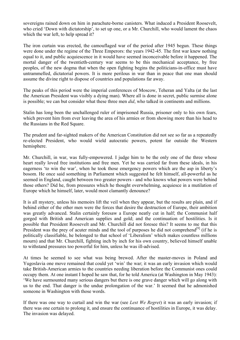sovereigns rained down on him in parachute-borne canisters. What induced a President Roosevelt, who cried 'Down with dictatorship', to set up one, or a Mr. Churchill, who would lament the chaos which the war left, to help spread it?

The iron curtain was erected, the camouflaged war of the period after 1945 begun. These things were done under the regime of the Three Emperors: the years 1942-45. The first war knew nothing equal to it, and public acquiescence in it would have seemed inconceivable before it happened. The mortal danger of the twentieth-century war seems to be this mechanical acceptance, by free peoples, of the new dogma that when the open fighting begins the politicians-in-office must have untrammelled, dictatorial powers. It is more perilous in war than in peace that one man should assume the divine right to dispose of countries and populations far away.

The peaks of this period were the imperial conferences of Moscow, Teheran and Yalta (at the last the American President was visibly a dying man). Where all is done in secret, public surmise alone is possible; we can but consider what these three men *did*, who talked in continents and millions.

Stalin has long been the unchallenged ruler of imprisoned Russia, prisoner only to his own fears, which prevent him from ever leaving the area of his armies or from showing more than his head to the Russians in the Red Square.

The prudent and far-sighted makers of the American Constitution did not see so far as a repeatedly re-elected President, who would wield autocratic powers, potent far outside the Western hemisphere.

Mr. Churchill, in war, was fully-empowered. I judge him to be the only one of the three whose heart really loved free institutions and free men. Yet he was carried far from these ideals, in his eagerness 'to win the war', when he took those emergency powers which are the asp in liberty's bosom. He once said something in Parliament which suggested he felt himself, all-powerful as he seemed in England, caught between two greater powers - and who knows what powers were behind those others? Did he, from pressures which he thought overwhelming, acquiesce in a mutilation of Europe which he himself, later, would most clamantly denounce?

It is all mystery, unless his memoirs lift the veil when they appear, but the results are plain, and if behind either of the other men were the forces that desire the destruction of Europe, their ambition was greatly advanced. Stalin certainly foresaw a Europe neatly cut in half; the Communist half gorged with British and American supplies and gold; and the continuation of hostilities. Is it possible that President Roosevelt and Mr. Churchill did not foresee this? It seems to me that this President was the prey of acuter minds and the tool of purposes he did not comprehend<sup>[\[9\]](#page-168-0)</sup> (if he is politically classifiable, he belonged to that school of 'Liberalism' which makes countless millions mourn) and that Mr. Churchill, fighting inch by inch for his own country, believed himself unable to withstand pressures too powerful for him, unless he was ill-advised.

At times he seemed to see what was being brewed. After the master-moves in Poland and Yugoslavia one move remained that could yet 'win' the war; it was an early invasion which would take British-American armies to the countries needing liberation before the Communist ones could occupy them. At one instant I hoped he saw that, for he told America (at Washington in May 1943): 'We have surmounted many serious dangers but there is one grave danger which will go along with us to the end. That danger is the undue prolongation of the war.' It seemed that he admonished someone in Washington with those words.

If there was one way to curtail and win the war (see *Lest We Regret*) it was an early invasion; if there was one certain to prolong it, and ensure the continuance of hostilities in Europe, it was delay. The invasion was delayed.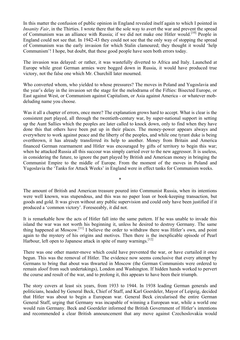In this matter the confusion of public opinion in England revealed itself again to which I pointed in *Insanity Fair*, in the Thirties. I wrote there that the sole way to avert the war and prevent the spread of Communism was an alliance with Russia; if we did not make one Hitler would.<sup>[\[10\]](#page-168-0)</sup> People in England could not see that. In 1942-43 they could not see that the only way of stopping the spread of Communism was the early invasion for which Stalin clamoured; they thought it would 'help Communism'! I hope, but doubt, that these good people have seen both errors today.

The invasion was delayed: or rather, it was wastefully diverted to Africa and Italy. Launched at Europe while great German armies were bogged down in Russia, it would have produced true victory, not the false one which Mr. Churchill later mourned.

Who converted whom, who yielded to whose pressures? The moves in Poland and Yugoslavia and the year's delay in the invasion set the stage for the melodrama of the Fifties: Bisected Europe, or East against West, or Communism against Capitalism, or Asia against America - or whatever mobdeluding name you choose.

Was it all a chapter of errors, once more? The explanation grows hard to accept. What is clear is the consistent part played, all through the twentieth-century war, by super-national support in setting up the Aunt Sallies which the peoples are later called to knock down, only to find when they have done this that others have been put up in their places. The money-power appears always and everywhere to work against peace and the liberty of the peoples, and while one tyrant duke is being overthrown, it has already transferred its help to another. Money from Britain and America financed German rearmament and Hitler was encouraged by gifts of territory to begin this war; when he attacked Russia all this succour was simply carried over to the new aggressor. It is useless, in considering the future, to ignore the part played by British and American money in bringing the Communist Empire to the middle of Europe. From the moment of the moves in Poland and Yugoslavia the 'Tanks for Attack Weeks' in England were in effect tanks for Communism weeks.

The amount of British and American treasure poured into Communist Russia, when its intentions were well known, was stupendous, and this was no paper loan or book-keeping transaction, but goods and gold. It was given without any public supervision and could only have been justified if it produced a 'common victory'. Foreseeably, it did not.

\*

It is remarkable how the acts of Hitler fall into the same pattern. If he was unable to invade this island the war was not worth his beginning it, unless he desired to destroy Germany. The same thing happened at Moscow.[\[11\]](#page-168-0) I believe the order to withdraw there was Hitler's own, and point again to the mystery of his origins and motives. Then there is the inexplicable episode of Pearl Harbour, left open to Japanese attack in spite of many warnings.<sup>[\[12\]](#page-168-0)</sup>

There was one other master-move which could have prevented the war, or have curtailed it once begun. This was the removal of Hitler. The evidence now seems conclusive that every attempt by Germans to bring that about was thwarted in Moscow (the German Communists were ordered to remain aloof from such undertakings), London and Washington. If hidden hands worked to pervert the course and result of the war, and to prolong it, this appears to have been their triumph.

The story covers at least six years, from 1933 to 1944. In 1938 leading German generals and politicians, headed by General Beck, Chief of Staff, and Karl Goerdeler, Mayor of Leipzig, decided that Hitler was about to begin a European war. General Beck circularised the entire German General Staff, urging that Germany was incapable of winning a European war, while a world one would ruin Germany. Beck and Goerdeler informed the British Government of Hitler's intentions and recommended a clear British announcement that any move against Czechoslovakia would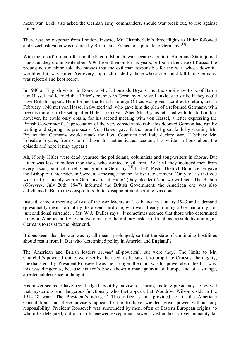mean war. Beck also asked the German army commanders, should war break out, to rise against **Hitler** 

There was no response from London. Instead, Mr. Chamberlain's three flights to Hitler followed and Czechoslovakia was ordered by Britain and France to capitulate to Germany.<sup>[\[13\]](#page-168-0)</sup>

With the rebuff of that offer and the Pact of Munich, war became certain if Hitler and Stalin joined hands, as they did in September 1939. From then on for six years, or four in the case of Russia, the propaganda machine told the masses that the evil man responsible for the war, whose downfall would end it, was Hitler. Yet every approach made by those who alone could kill him, Germans, was rejected and kept secret.

In 1940 an English visitor in Rome, a Mr. J. Lonsdale Bryans, met the son-in-law to be of Baron von Hassel and learned that Hitler's enemies in Germany were still anxious to strike if they could have British support. He informed the British Foreign Office, was given facilities to return, and in February 1940 met von Hassel in Switzerland, who gave him the plan of a reformed Germany, with free institutions, to be set up after Hitler's removal. When Mr. Bryans returned with this to London, however, he could only obtain, for his second meeting with von Hassel, a letter expressing the British Government's 'appreciation of the very considerable risk' this doomed German had run by writing and signing his proposals. Von Hassel gave further proof of good faith by warning Mr. Bryans that Germany would attack the Low Countries and Italy declare war. (I believe Mr. Lonsdale Bryans, from whom I have this authenticated account, has written a book about the episode and hope it may appear.)

Ah, if only Hitler were dead, yearned the politicians, columnists and song-writers in chorus. But Hitler was less friendless than those who wanted to kill him. By 1941 they included men from every social, political or religious group in Germany.<sup>[\[14\]](#page-168-0)</sup> In 1942 Pastor Dietrich Bonnhoeffer gave the Bishop of Chichester, in Sweden, a message for the British Government. 'Only tell us that you will treat reasonably with a Germany rid of Hitler' (they pleaded) 'and we will act.' The Bishop (*Observer*, July 20th, 1947) informed the British Government; the American one was also enlightened. 'But to the conspirators' bitter disappointment nothing was done.'

Instead, came a meeting of two of the war leaders at Casablanca in January 1943 and a demand (presumably meant to mollify the absent third one, who was already training a German army) for 'unconditional surrender'. Mr. W.A. Dulles says: 'It sometimes seemed that those who determined policy in America and England were making the military task as difficult as possible by uniting all Germans to resist to the bitter end.'

It does seem that the war was by all means prolonged, so that the state of continuing hostilities should result from it. But who 'determined policy in America and England'?

The American and British leaders *seemed* all-powerful, but were they? The limits to Mr. Churchill's power, I opine, were set by the need, as he saw it, to propitiate Croesus, the mighty, unexhausted ally. President Roosevelt was the stronger, then, but was his power absolute? If it was, this was dangerous, because his son's book shows a man ignorant of Europe and of a strange, arrested adolescence in thought.

His power seems to have been hedged about by 'advisers'. During his long presidency he revived that mysterious and dangerous functionary who first appeared at Woodrow Wilson's side in the 1914-18 war: 'The President's adviser.' This office is not provided for in the American Constitution, and these advisers appear to me to have wielded great power without any responsibility. President Roosevelt was surrounded by men, often of Eastern European origins, to whom he delegated, out of his oft-renewed exceptional powers, vast authority over humanity far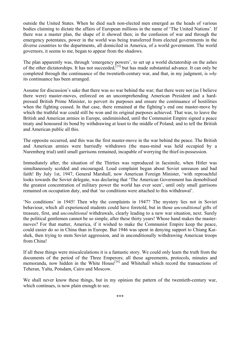outside the United States. When he died such non-elected men emerged as the heads of various bodies claiming to dictate the affairs of European millions in the name of 'The United Nations'. If there was a master plan, the shape of it showed then; in the confusion of war and through the emergency potentates, power in the world was being transferred from elected governments in the diverse countries to the departments, all domiciled in America, of a world government. The world governors, it seems to me, began to appear from the shadows.

The plan apparently was, through 'emergency powers', to set up a world dictatorship on the ashes of the other dictatorships. It has not succeeded, $[15]$  but has made substantial advance. It can only be completed through the continuance of the twentieth-century war, and that, in my judgment, is *why* its continuance has been arranged.

Assume for discussion's sake that there was *no* war behind the war; that there were not (as I believe there were) master-moves, enforced on an uncomprehending American President and a hardpressed British Prime Minister, to pervert its purposes and ensure the continuance of hostilities when the fighting ceased. In that case, there remained at the fighting's end one master-move by which the truthful war could still be won and its original purposes achieved. That was, to leave the British and American armies in Europe, undiminished, until the Communist Empire signed a peace treaty and honoured its bond by withdrawing at least to the middle of Poland; and to tell the British and American public all this.

The opposite occurred, and this was the first master-move in the war behind the peace. The British and American armies were hurriedly withdrawn (the mass-mind was held occupied by a Nuremberg trial) until small garrisons remained, incapable of worrying the thief-in-possession.

Immediately after, the situation of the Thirties was reproduced in facsimile, when Hitler was simultaneously scolded and encouraged. Loud complaint began about Soviet unreason and bad faith! By July 1st, 1947, General Marshall, now American Foreign Minister, 'with reproachful looks towards the Soviet delegate, was declaring that 'The American Government has demobilised the greatest concentration of military power the world has ever seen', until only small garrisons remained on occupation duty, and that 'no conditions were attached to this withdrawal'.

'No conditions' in 1945! Then why the complaints in 1947? The mystery lies not in Soviet behaviour, which all experienced students could have foretold, but in those *unconditional* gifts of treasure, first, and *unconditional* withdrawals, clearly leading to a new war situation, next. Surely the political gentlemen cannot be so simple, after these thirty years! Whose hand makes the mastermoves? For that matter, America, if it wished to make the Communist Empire keep the peace, could easier do so in China than in Europe. But 1946 was spent in denying support to Chiang Kaishek, then trying to stem Soviet aggression, and in unconditionally withdrawing American troops from China!

If all these things were miscalculations it is a fantastic story. We could only learn the truth from the documents of the period of the Three Emperors; all those agreements, protocols, minutes and memoranda, now hidden in the White House<sup>[\[16\]](#page-169-0)</sup> and Whitehall which record the transactions of Teheran, Yalta, Potsdam, Cairo and Moscow.

We shall never know these things, but in my opinion the pattern of the twentieth-century war, which continues, is now plain enough to see.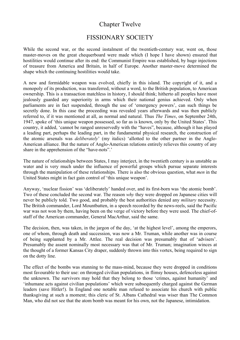# Chapter Twelve

### FISSIONARY SOCIETY

While the second war, or the second instalment of the twentieth-century war, went on, those master-moves on the great chequerboard were made which (I hope I have shown) ensured that hostilities would continue after its end: the Communist Empire was established, by huge injections of treasure from America and Britain, in half of Europe. Another master-move determined the shape which the continuing hostilities would take.

A new and formidable weapon was evolved, chiefly in this island. The copyright of it, and a monopoly of its production, was transferred, without a word, to the British population, to American ownership. This is a transaction matchless in history, I should think; hitherto all peoples have most jealously guarded any superiority in arms which their national genius achieved. Only when parliaments are in fact suspended, through the use of 'emergency powers', can such things be secretly done. In this case the proceeding was revealed years afterwards and was then publicly referred to, if it was mentioned at all, as normal and natural. Thus *The Times*, on September 24th, 1947, spoke of 'this unique weapon possessed, so far as is known, only by the United States'. This country, it added, 'cannot be ranged unreservedly with the "haves", because, although it has played a leading part, perhaps the leading part, in the fundamental physical research, the construction of the atomic arsenals was *deliberately*' (my italics) 'allotted to the other partner in the Anglo-American alliance. But the nature of Anglo-American relations entirely relieves this country of any share in the apprehension of the "have-nots".'

The nature of relationships between States, I may interject, in the twentieth century is as unstable as water and is very much under the influence of powerful groups which pursue separate interests through the manipulation of these relationships. There is also the obvious question, what *men* in the United States might in fact gain control of 'this unique weapon'.

Anyway, 'nuclear fission' was 'deliberately' handed over, and its first-born was 'the atomic bomb'. Two of these concluded the second war. The reason *why* they were dropped on Japanese cities will never be publicly told. Two good, and probably the best authorities denied any *military* necessity. The British commander, Lord Mountbatten, in a speech recorded by the news-reels, said the Pacific war was not won by them, having been on the verge of victory before they were used. The chief-ofstaff of the American commander, General MacArthur, said the same.

The decision, then, was taken, in the jargon of the day, 'at the highest level', among the emperors, one of whom, through death and succession, was now a Mr. Truman, while another was in course of being supplanted by a Mr. Attlee. The real decision was presumably that of 'advisers'. Presumably the assent nominally most necessary was that of Mr. Truman; imagination winces at the thought of a former Kansas City draper, suddenly thrown into this vortex, being required to sign on the dotty line.

The effect of the bombs was stunning to the mass-mind, because they were dropped in conditions most favourable to their use: on thronged civilian populations, in flimsy houses, defenceless against the unknown. The survivors may hold that they belong to those 'crimes, against humanity' and 'inhumane acts against civilian populations' which were subsequently charged against the German leaders (save Hitler!). In England one notable man refused to associate his church with public thanksgiving at such a moment; this cleric of St. Albans Cathedral was wiser than The Common Man, who did not see that the atom bomb was meant for his own, not the Japanese, intimidation.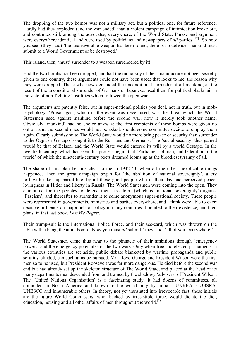The dropping of the two bombs was not a military act, but a political one, for future reference. Hardly had they exploded (and the war ended) than a violent campaign of intimidation broke out, and continues still, among the advocates, everywhere, of the World State. Phrase and argument were everywhere identical and were used by politicians and newspapers of *all* parties.<sup>[17]</sup> 'So now you see' (they said) 'the unanswerable weapon has been found; there is no defence; mankind must submit to a World Government or be destroyed.'

This island, then, 'must' surrender to a weapon surrendered by it!

Had the two bombs not been dropped, and had the monopoly of their manufacture not been secretly given to one country, these arguments could not have been used; that looks to me, the reason why they were dropped. Those who now demanded the unconditional surrender of all mankind, as the result of the unconditional surrender of Germans or Japanese, used them for political blackmail in the state of non-fighting hostilities which followed the open war.

The arguments are patently false, but in super-national politics you deal, not in truth, but in mobpsychology. 'Poison gas', which in the event was never used, was the threat which the World Statesmen used against mankind before the second war; now it merely took another name. Obviously 'mankind' had no choice anyway; the first recipients of these bombs were given no option, and the second ones would not be asked, should some committee decide to employ them again. Clearly submission to The World State would no more bring peace or security than surrender to the Ogpu or Gestapo brought it to the Russians and Germans. The 'social security' thus gained would be that of Belsen, and the World State would enforce its will by a world Gestapo. In the twentieth century, which has seen this process begin, that 'Parliament of man, and federation of the world' of which the nineteenth-century poets dreamed looms up as the bloodiest tyranny of all.

The shape of this plan became clear to me in 1942-43, when all the other inexplicable things happened. Then the great campaign began for 'the abolition of national sovereignty', a cry forthwith taken up parrot-like, by all those good people who in their day had perceived peacelovingness in Hitler and liberty in Russia. The World Statesmen were coming into the open. They clamoured for the peoples to defend their 'freedom' (which is 'national sovereignty') against 'Fascism', and thereafter to surrender it to some anonymous super-national society. These people were represented in governments, ministries and parties everywhere, and I think were able to exert decisive influence on major acts of policy in many countries. I pointed to their existence, and their plans, in that last book, *Lest We Regret*.

Their trump-suit is the International Police Force, and their ace-card, which was thrown on the table with a bang, the atom bomb. 'Now you must *all* submit,' they said, 'all of you, everywhere.'

The World Statesmen came thus near to the pinnacle of their ambitions through 'emergency powers' and the emergency potentates of the two wars. Only when free and elected parliaments in the various countries are set aside, public debate blanketed by wartime propaganda and public scrutiny blinded, can such aims be pursued. Mr. Lloyd George and President Wilson were the first men so to be used, but President Roosevelt was far more dangerous. He died before the second war end but had already set up the skeleton structure of The World State, and placed at the head of its many departments men descended from and trained by the shadowy 'advisers' of President Wilson. The 'United Nations Organisation' is a fascinating study. It had dozens of committees, all domiciled in North America and known to the world only by initials: UNRRA, COBSRA, UNESCO and innumerable others. In theory, not yet translated into irrevocable fact, these initials are the future World Commissars, who, backed by irresistible force, would dictate the diet, education, housing and all other affairs of men throughout the world.<sup>[\[18\]](#page-169-0)</sup>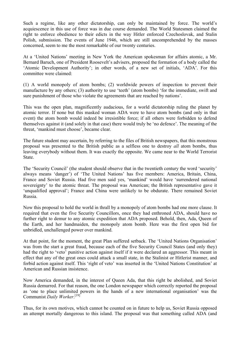Such a regime, like any other dictatorship, can only be maintained by force. The world's acquiescence in this use of force was in due course demanded. The World Statesmen claimed the right to enforce obedience to their edicts in the way Hitler enforced Czechoslovak, and Stalin Polish, submission. The events of June 1946, which are still uncomprehended by the masses concerned, seem to me the most remarkable of our twenty centuries.

At a 'United Nations' meeting in New York the American spokesman for affairs atomic, a Mr. Bernard Baruch, one of President Roosevelt's advisers, proposed the formation of a body called the 'Atomic Development Authority'; in other words, of a new set of initials, 'ADA'. For this committee were claimed:

(1) A world monopoly of atom bombs; (2) worldwide powers of inspection to prevent their manufacture by any others; (3) authority to use 'teeth' (atom bombs) 'for the immediate, swift and sure punishment of those who violate the agreements that are reached by nations'.

This was the open plan, magnificently audacious, for a world dictatorship ruling the planet by atomic terror. If none but this masked woman ADA were to have atom bombs (and only in that event) the atom bomb would indeed be irresistible force; if all others were forbidden to defend themselves against it (and solely in that case) there would truly be 'no defence'. The meaning of the threat, 'mankind must choose', became clear.

The future student may ascertain, by referring to the files of British newspapers, that this monstrous proposal was presented to the British public as a selfless one to destroy *all* atom bombs, thus leaving everybody without them. It was exactly the opposite. We came near to the World Terrorist State.

The 'Security Council' (the student should observe that in the twentieth century the word 'security' always means 'danger') of 'The United Nations' has five members: America, Britain, China, France and Soviet Russia. Had five men said yes, 'mankind' would have 'surrendered national sovereignty' to the atomic threat. The proposal was American; the British representative gave it 'unqualified approval'; France and China were unlikely to be obdurate. There remained Soviet Russia.

Now this proposal to hold the world in thrall by a monopoly of atom bombs had one more clause. It required that even the five Security Councillors, once they had enthroned ADA, should have no further right to demur to any atomic expedition that ADA proposed. Behold, then, Ada, Queen of the Earth, and her handmaiden, the monopoly atom bomb. Here was the first open bid for unbridled, unchallenged power over mankind.

At that point, for the moment, the great Plan suffered setback. The 'United Nations Organisation' was from the start a great fraud, because each of the five Security Council States (and only they) had the right to 'veto' punitive action against itself if it were declared an aggressor. This meant in effect that any of the great ones could attack a small state, in the Stalinist or Hitlerist manner, and forbid action against itself. This 'right of veto' was inserted in the 'United Nations Constitution' at American and Russian insistence.

Now America demanded, in the interest of Queen Ada, that this right be abolished, and Soviet Russia demurred. For that reason, the one London newspaper which correctly reported the proposal as 'one to place unlimited powers in the hands of a new international organisation' was the Communist Daily Worker.<sup>[\[19\]](#page-169-0)</sup>

Thus, for its own motives, which cannot be counted on in future to help us, Soviet Russia opposed an attempt mortally dangerous to this island. The proposal was that something called ADA (and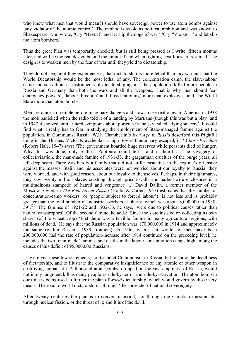who knew what men that would mean?) should have sovereign power to use atom bombs against 'any violator of the atomic control'. The method is as old as political ambition and was known to Shakespeare, who wrote, 'Cry "Havoc!" and let slip the dogs of war.' 'Cry "Violator!" and let slip the atom bombers.'

Thus the great Plan was temporarily checked, but is still being pressed as I write, fifteen months later, and will be the real design behind the tumult if and when fighting-hostilities are resumed. The design is to weaken men by the fear of war until they yield to dictatorship.

They do not see, until they experience it, that dictatorship is more lethal than any war and that the World Dictatorship would be the most lethal of any. The concentration camp, the slave-labour camp and starvation, as instruments of dictatorship against the population, killed more people in Russia and Germany than both the wars and all the weapons. That is why men should fear emergency powers', 'labour direction' and 'bread rationing' more than explosives, and The World State more than atom bombs.

Men are quick to tremble before imaginary dangers and slow to see real ones. In America in 1938 the mob panicked when the radio told it of a landing by Martians (though this was but a play) and in 1947 it showed similar herd symptoms about portents in the sky called 'flying saucers'. It could find what it really has to fear in studying the employment of State-managed famine against the population, in Communist Russia. W.H. Chamberlin's *Iron Age in Russia* described this frightful thing in the Thirties. Victor Kravchenko, a high Soviet functionary escaped, in *I Chose Freedom* (Robert Hale, 1947) says: 'The government hoarded huge reserves while peasants died of hunger. Why this was done, only Stalin's Politburo could tell - and it didn't ... The savagery of collectivisation, the man-made famine of 1931-33, the gargantuan cruelties of the purge years, all left deep scars. There was hardly a family that did not suffer casualties in the regime's offensive against the masses. Stalin and his associates were not worried about our loyalty to Russia; they were worried, and with good reason, about our loyalty to themselves. Perhaps, in their nightmares, they saw twenty million slaves crashing through prison walls and barbed-wire enclosures in a multitudinous stampede of hatred and vengeance ...' David Dallin, a former member of the Moscow Soviet, in *The Real Soviet Russia* (Hollis & Carter, 1947) estimates that the number of concentration-camp workers (or 'people subject to forced labour') 'is not less and is probably greater than the total number of industrial workers at liberty, which was about 8,000,000 in 1938-  $39'$ <sup>[\[20\]](#page-169-0)</sup> The famines of 1921-22 and 1932-33, he says, 'were due to political causes rather than natural catastrophes'. Of the second famine, he adds: 'Since the state insisted on collecting its own share' (of the wheat crop) 'first there was a terrible famine in many agricultural regions, with millions of dead.' He says that the Russian population was 170,000,000 in 1914 and approximately the same (within Russia's 1939 frontiers) its 1946, whereas it would by then have been 290,000,000 had the rate of population-increase after 1914 continued on the preceding level; he includes the two 'man-made' famines and deaths in the labour concentration camps high among the causes of this deficit of 95,000,000 Russians.

I have given these few statements, not to indict Communism in Russia, but to show the deadliness of dictatorship, and to illustrate the comparative insignificance of any atomic or other weapon in destroying human life. A thousand atom bombs, dropped on the vast emptiness of Russia, would not in my judgment kill as many people as rule-by-terror and rule-by-starvation. The atom bomb in our time is being used to further the plan of *world* dictatorship, which would govern by those very means. The road to world dictatorship is through 'the surrender of national sovereignty'.

After twenty centuries the plan is to convert mankind, not through the Christian mission, but through nuclear fission, or the threat of it; and it is of the devil.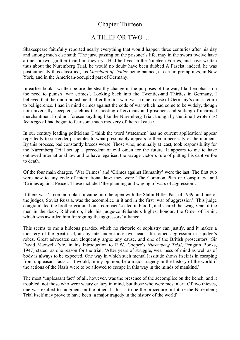## Chapter Thirteen

## A THIEF OR TWO ...

Shakespeare faithfully reported nearly everything that would happen three centuries after his day and among much else said: 'The jury, passing on the prisoner's life, may in the sworn twelve have a thief or two, guiltier than him they try.' Had he lived in the Nineteen Forties, and have written thus about the Nuremberg Trial, he would no doubt have been dubbed A Fascist; indeed, he was posthumously thus classified, his *Merchant of Venice* being banned, at certain promptings, in New York, and in the American-occupied part of Germany.

In earlier books, written before the stealthy change in the purposes of the war, I laid emphasis on the need to punish 'war crimes'. Looking back into the Twenties-and Thirties in Germany, I believed that their non-punishment, after the first war, was a chief cause of Germany's quick return to belligerence. I had in mind crimes against the code of war which had come to be widely, though not universally accepted, such as the shooting of civilians and prisoners and sinking of unarmed merchantmen. I did not foresee anything like the Nuremberg Trial, though by the time I wrote *Lest We Regret* I had begun to fear some such mockery of the real cause.

In our century leading politicians (I think the word 'statesmen' has no current application) appear repeatedly to surrender principles to what presumably appears to them a necessity of the moment. By this process, bad constantly breeds worse. Those who, nominally at least, took responsibility for the Nuremberg Trial set up a precedent of evil omen for the future. It appears to me to have outlawed international law and to have legalised the savage victor's rule of putting his captive foe to death.

Of the four main charges, 'War Crimes' and 'Crimes against Humanity' were the last. The first two were new to any code of international law: they were 'The Common Plan or Conspiracy' and 'Crimes against Peace'. These included 'the planning and waging of wars of aggression'.

If there was 'a common plan' it came into the open with the Stalin-Hitler Pact of 1939, and one of the judges, Soviet Russia, was the accomplice in it and in the first 'war of aggression'. This judge congratulated the brother-criminal on a compact 'sealed in blood', and shared the swag. One of the men in the dock, Ribbentrop, held his judge-confederate's highest honour, the Order of Lenin, which was awarded him for signing the aggressors' alliance.

This seems to me a hideous paradox which no rhetoric or sophistry can justify, and it makes a mockery of the great trial, at any rate under those two heads. It clothed aggression in a judge's robes. Great advocates can eloquently argue any cause, and one of the British prosecutors (Sir David Maxwell-Fyfe, in his Introduction to R.W. Cooper's *Nuremberg Trial*, Penguin Books, 1947) stated, as one reason for the trial: 'After years of struggle, weariness of mind as well as of body is always to be expected. One way in which such mental lassitude shows itself is in escaping from unpleasant facts ... It would, in my opinion, be a major tragedy in the history of the world if the actions of the Nazis were to be allowed to escape in this way in the minds of mankind.'

The most 'unpleasant fact' of all, however, was the presence of the accomplice on the bench, and it troubled, not those who were weary or lazy in mind, but those who were most alert. Of two thieves, one was exalted to judgment on the other. If this is to be the procedure in future the Nuremberg Trial itself may prove to have been 'a major tragedy in the history of the world'.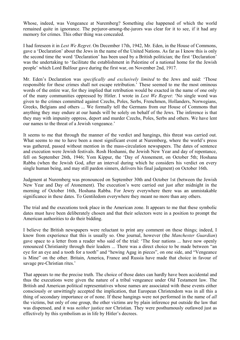Whose, indeed, was Vengeance at Nuremberg? Something else happened of which the world remained quite in ignorance. The perjuror-among-the-jurors was clear for it to see, if it had any memory for crimes. This other thing was concealed.

I had foreseen it in *Lest We Regret*. On December 17th, 1942, Mr. Eden, in the House of Commons, gave a 'Declaration' about the Jews in the name of the United Nations. As far as I know this is only the second time the word 'Declaration' has been used by a British politician; the first 'Declaration' was the undertaking to 'facilitate the establishment in Palestine of a national home for the Jewish people' which Lord Balfour gave during the first war, on November 2nd, 1917.

Mr. Eden's Declaration was *specifically and exclusively limited* to the Jews and said: 'Those responsible for these crimes shall not escape retribution.' These seemed to me the most ominous words of the entire war, for they implied that retribution would be exacted in the name of one only of the many communities oppressed by Hitler. I wrote in *Lest We Regret*: 'No single word was given to the crimes committed against Czechs, Poles, Serbs, Frenchmen, Hollanders, Norwegians, Greeks, Belgians and others ... We formally tell the Germans from our House of Commons that anything they may endure at our hands will be solely on behalf of the Jews. The inference is that they may with impunity oppress, deport and murder Czechs, Poles, Serbs and others. We have lent our names to the threat of a Jewish vengeance.'

It seems to me that through the manner of the verdict and hangings, this threat was carried out. What seems to me to have been a most significant event at Nuremberg, where the world's press was gathered, passed without mention in the mass-circulation newspapers. The dates of sentence and execution were Jewish festivals. Rosh Hoshanni, the Jewish New Year and day of repentance, fell on September 26th, 1946; Yom Kippur, the 'Day of Atonement, on October 5th; Hoshana Rabba (when the Jewish God, after an interval during which he considers his verdict on every single human being, and may still pardon sinners, delivers his final judgment) on October 16th.

Judgment at Nuremberg was pronounced on September 30th and October 1st (between the Jewish New Year and Day of Atonement). The execution's were carried out just after midnight in the morning of October 16th, Hoshana Rabba. For Jewry everywhere there was an unmistakable significance in these dates. To Gentiledom everywhere they meant no more than any others.

The trial and the executions took place in the American zone. It appears to me that these symbolic dates must have been deliberately chosen and that their selectors were in a position to prompt the American authorities to do their bidding.

I believe the British newspapers were reluctant to print any comment on these things; indeed, I know from experience that this is usually so. One journal, however (the *Manchester Guardian*) gave space to a letter from a reader who said of the trial: 'The four nations ... have now openly renounced Christianity through their leaders ... There was a direct choice to be made between "an eye for an eye and a tooth for a tooth" and "hewing Agag in pieces", on one side, and "Vengeance is Mine" on the other. Britain, America, France and Russia have made that choice in favour of savage pre-Christian rites.'

That appears to me the precise truth. The choice of those dates can hardly have been accidental and thus the executions were given the nature of a tribal vengeance under Old Testament law. The British and American political representatives whose names are associated with these events either consciously or unwittingly accepted the implication, that European Christendom was in all this a thing of secondary importance or of none. If these hangings were not performed in the name of *all* the victims, but only of one group, the other victims are by plain inference put outside the law that was dispensed, and it was *neither* justice nor Christian. They were posthumously outlawed just as effectively by this symbolism as in life by Hitler's decrees.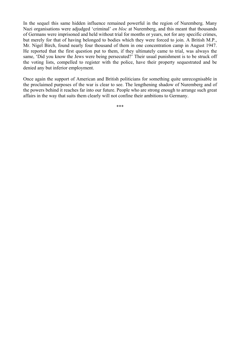In the sequel this same hidden influence remained powerful in the region of Nuremberg. Many Nazi organisations were adjudged 'criminal' *en bloc* at Nuremberg, and this meant that thousands of Germans were imprisoned and held without trial for months or years, not for any specific crimes, but merely for that of having belonged to bodies which they were forced to join. A British M.P., Mr. Nigel Birch, found nearly four thousand of them in one concentration camp in August 1947. He reported that the first question put to them, if they ultimately came to trial, was always the same, 'Did you know the Jews were being persecuted?' Their usual punishment is to be struck off the voting lists, compelled to register with the police, have their property sequestrated and be denied any but inferior employment.

Once again the support of American and British politicians for something quite unrecognisable in the proclaimed purposes of the war is clear to see. The lengthening shadow of Nuremberg and of the powers behind it reaches far into our future. People who are strong enough to arrange such great affairs in the way that suits them clearly will not confine their ambitions to Germany.

\*\*\*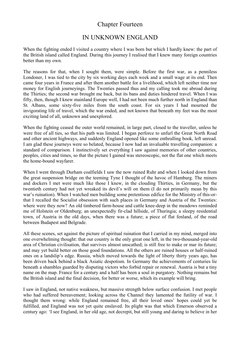## Chapter Fourteen

## IN UNKNOWN ENGLAND

When the fighting ended I visited a country where I was born but which I hardly knew: the part of the British island called England. During this journey I realised that I knew many foreign countries better than my own.

The reasons for that, when I sought them, were simple. Before the first war, as a penniless Londoner, I was tied to the city by six working days each week and a small wage at its end. Then came four years in France and after them another battle for a livelihood, which left neither time nor money for English journeyings. The Twenties passed thus and my calling took me abroad during the Thirties; the second war brought me back, but its bans and duties hindered travel. When I was fifty, then, though I knew mainland Europe well, I had not been much further north in England than St. Albans, some sixty-five miles from the south coast. For six years I had mourned the invigorating life of travel, which the war ended, and not known that beneath my feet was the most exciting land of all, unknown and unexplored.

When the fighting ceased the outer world remained, in large part, closed to the traveller, unless he were free of all ties, so that his path was limited. I began perforce to unfurl the Great North Road and other ancient highways, and suddenly England opened like some enthralling book, left unread. I am glad these journeys were so belated, because I now had an invaluable travelling companion: a standard of comparison. I instinctively set everything I saw against memories of other countries, peoples, cities and times, so that the picture I gained was stereoscopic, not the flat one which meets the home-bound wayfarer.

When I went through Durham coalfields I saw the now ruined Ruhr and when I looked down from the great suspension bridge on the teeming Tyne I thought of the havoc of Hamburg. The miners and dockers I met were much like those I knew, in the clouding Thirties, in Germany, but the twentieth century had not yet wreaked its devil's will on them (I do not primarily mean by this war's ruination). When I watched men building some pretentious edifice for the Ministry of this-orthat I recalled the Socialist obsession with such places in Germany and Austria of the Twenties: where were they now? An old timbered farm-house and cattle knee-deep in the meadows reminded me of Holstein or Oldenburg; an unexpectedly fir-clad hillside, of Thuringia; a sleepy residential town, of Austria in the old days, when there was a future; a piece of flat fenland, of the road between Budapest and Belgrade.

All these scenes, set against the picture of spiritual ruination that I carried in my mind, merged into one overwhelming thought: that our country is the only great one left, in the two-thousand-year-old area of Christian civilisation, that survives almost unscathed; is still free to make or mar its future; and may yet build better on those good foundations. All the others are ruined houses or half-ruined ones on a landslip's edge. Russia, which moved towards the light of liberty thirty years ago, has been driven back behind a black Asiatic despotism. In Germany the achievements of centuries lie beneath a shambles guarded by disputing victors who forbid repair or renewal. Austria is but a tiny name on the map. France for a century and a half has been a soul in purgatory. Nothing remains but the British island and the final decision, for better or worse, which its example will bring.

I saw in England, not native weakness, but massive strength below surface confusion. I met people who had suffered bereavement; looking across the Channel they lamented the futility of war. I thought them wrong: while England remained free, all their loved ones' hopes could yet be fulfilled, and England was not yet quite enslaved. Its plight was that which Emerson observed a century ago: 'I see England, in her old age, not decrepit, but still young and daring to believe in her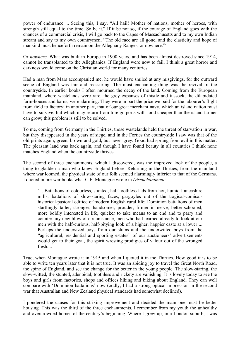power of endurance ... Seeing this, I say, "All hail! Mother of nations, mother of heroes, with strength still equal to the time. So be it." If it be not so, if the courage of England goes with the chances of a commercial crisis, I will go back to the Capes of Massachusetts and to my own Indian stream and say to my own countrymen, "The old race are all gone, and the elasticity and hope of mankind must henceforth remain on the Alleghany Ranges, or nowhere."'

Or *nowhere*. What was built in Europe in 1900 years, and has been almost destroyed since 1914, cannot be transplanted to the Alleghanies. If England were now to fail, I think a great horror and darkness would come on the Christian world for many centuries.

Had a man from Mars accompanied me, he would have smiled at any misgivings, for the outward scene of England was fair and reassuring. The most enchanting thing was the revival of the countryside. In earlier books I often mourned the decay of the land. Coming from the European mainland, where wastelands were rare, the grey expanses of thistle and tussock, the dilapidated farm-houses and barns, were alarming. They were in part the price we paid for the labourer's flight from field to factory; in another part, that of our great merchant navy, which an island nation must have to survive, but which may return from foreign ports with food cheaper than the island farmer can grow; this problem is still to be solved.

To me, coming from Germany in the Thirties, those wastelands held the threat of starvation in war, but they disappeared in the years of siege, and in the Forties the countryside I saw was that of the old prints again, green, brown and gold, but never grey. Good had sprung from evil in this matter. The pleasant land was back again, and though I have found beauty in all countries I think none matches England when the countryside thrives.

The second of three enchantments, which I discovered, was the improved look of the people, a thing to gladden a man who knew England before. Returning in the Thirties, from the mainland where war loomed, the physical state of our folk seemed alarmingly inferior to that of the Germans. I quoted in pre-war books what C.E. Montague wrote in *Disenchantment*:

'... Battalions of colourless, stunted, half-toothless lads from hot, humid Lancashire mills; battalions of slow-staring faces, gargoyles out of the tragical-comicalhistorical-pastoral edifice of modern English rural life; Dominion battalions of men startlingly taller, stronger, handsomer, prouder, firmer in nerve, better-schooled, more boldly interested in life, quicker to take means to an end and to parry and counter any new blow of circumstance, men who had learned already to look at our men with the half-curious, half-pitying look of a higher, happier caste at a lower ... Perhaps the undersized boys from our slums and the underwitted boys from the "agricultural, residential and sporting estates" of our auctioneers' advertisements would get to their goal, the spirit wresting prodigies of valour out of the wronged flesh....'

True, when Montague wrote it in 1915 and when I quoted it in the Thirties. How good it is to be able to write ten years later that it is not true. It was an abiding joy to travel the Great North Road, the spine of England, and see the change for the better in the young people. The slow-staring, the slow-witted, the stunted, adenoidal, toothless and rickety are vanishing. It is lovely today to see the boys and girls from factories, shops and offices hiking and biking about England. They can well compare with 'Dominion battalions' now (oddly, I had a strong optical impression in the second war that Australian and New Zealand physical standards had somewhat declined).

I pondered the causes for this striking improvement and decided the main one must be better housing. This was the third of the three enchantments. I remember from my youth the unhealthy and overcrowded homes of the century's beginning. Where I grew up, in a London suburb, I was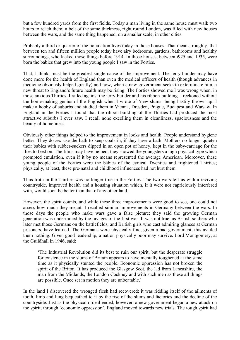but a few hundred yards from the first fields. Today a man living in the same house must walk two hours to reach them; a belt of the same thickness, right round London, was filled with new houses between the wars, and the same thing happened, on a smaller scale, in other cities.

Probably a third or quarter of the population lives today in those houses. That means, roughly, that between ten and fifteen million people today have airy bedrooms, gardens, bathrooms and healthy surroundings, who lacked those things before 1914. In those houses, between i925 and 1935, were born the babies that grew into the young people I saw in the Forties.

That, I think, must be the greatest single cause of the improvement. The jerry-builder may have done more for the health of England than even the medical officers of health (though advances in medicine obviously helped greatly) and now, when a new government seeks to exterminate him, a new threat to England's future health may be rising. The Forties showed me I was wrong when, in those anxious Thirties, I railed against the jerry-builder and his ribbon-building. I reckoned without the home-making genius of the English when I wrote of 'new slums' being hastily thrown up. I make a hobby of suburbs and studied them in Vienna, Dresden, Prague, Budapest and Warsaw. In England in the Forties I found that the ribbon-building of the Thirties had produced the most attractive suburbs I ever saw. I recall none excelling them in cleanliness, spaciousness and the beauty of homeliness.

Obviously other things helped to the improvement in looks and health. People understand hygiene better. They do *not* use the bath to keep coals in, if they have a bath. Mothers no longer quieten their babies with rubber-suckers dipped in an open pot of honey, kept in the baby-carriage for the flies to feed on. The films may have helped: they showed the youngsters a high physical type which prompted emulation, even if it by no means represented the average American. Moreover, these young people of the Forties were the babies of the cynical Twenties and frightened Thirties; physically, at least, these pre-natal and childhood influences had not hurt them.

Thus truth in the Thirties was no longer true in the Forties. The two wars left us with a reviving countryside, improved health and a housing situation which, if it were not capriciously interfered with, would soon be better than that of any other land.

However, the spirit counts, and while these three improvements were good to see, one could not assess how much they meant. I recalled similar improvements in Germany between the wars. In those days the people who make wars gave a false picture; they said the growing German generation was undermined by the ravages of the first war. It was not true, as British soldiers who later met those Germans on the battlefields, and British girls who cast admiring glances at German prisoners, have learned. The Germans were physically fine; given a bad government, this availed them nothing. Given good leadership, a nation physically poor may survive. Lord Montgomery, at the Guildhall in 1946, said:

'The Industrial Revolution did its best to ruin our spirit, but the desperate struggle for existence in the slums of Britain appears to have mentally toughened at the same time as it physically stunted the people. Economic oppression has not broken the spirit of the Briton. It has produced the Glasgow Scot, the lad from Lancashire, the man from the Midlands, the London Cockney and with such men as these all things are possible. Once set in motion they are unbeatable.'

In the land I discovered the wronged flesh had recovered; it was ridding itself of the ailments of tooth, limb and lung bequeathed to it by the rise of the slums and factories and the decline of the countryside. Just as the physical ordeal ended, however, a new government began a new attack on the spirit, through 'economic oppression'. England moved towards new trials. The tough spirit had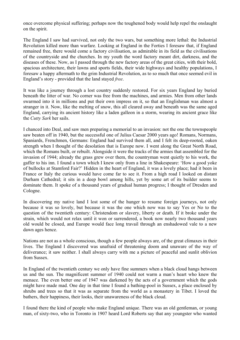once overcome physical suffering; perhaps now the toughened body would help repel the onslaught on the spirit.

The England I saw had survived, not only the two wars, but something more lethal: the Industrial Revolution killed more than warfare. Looking at England in the Forties I foresaw that, if England remained free, there would come a factory civilisation, as admirable in its field as the civilisations of the countryside and the churches. In my youth the word factory meant dirt, darkness, and the diseases of these. Now, as I passed through the new factory areas of the great cities, with their bold, spacious architecture, their lawns and sports fields, their wide highways and healthy populations, I foresaw a happy aftermath to the grim Industrial Revolution, as to so much that once seemed evil in England's story - provided that the land stayed *free*.

It was like a journey through a lost country suddenly restored. For six years England lay buried beneath the litter of war. No corner was free from the machines, and armies. Men from other lands swarmed into it in millions and put their own impress on it, so that an Englishman was almost a stranger in it. Now, like the melting of snow, this all cleared away and beneath was the same aged England, carrying its ancient history like a laden galleon in a storm, wearing its ancient grace like the *Cutty Sark* her sails.

I chanced into Deal, and saw men preparing a memorial to an invasion: not the one the townspeople saw beaten off in 1940, but the successful one of Julius Caesar 2000 years ago! Romans, Normans, Spaniards, Frenchmen, Germans: England had survived them all, and I felt its deep-rooted, oaken strength when I thought of the desolation that is Europe now. I went along the Great North Road, which the Romans built, or rebuilt. Alongside it were the tracks of the armies that assembled for the invasion of 1944; already the grass grew over them, the countryman went quietly to his work, the gaffer to his inn. I found a town which I knew only from a line in Shakespeare: 'How a good yoke of bullocks at Stamford Fair?' Hidden in the heart of England, it was a lovely place; had it been in France or Italy the curious would have come far to see it. From a high road I looked on distant Durham Cathedral; it sits in a deep bowl among hills, yet by some art of its builder seems to dominate them. It spoke of a thousand years of gradual human progress; I thought of Dresden and Cologne.

In discovering my native land I lost some of the hunger to resume foreign journeys, not only because it was so lovely, but because it was the one which now was to say Yes or No to the question of the twentieth century: Christendom or slavery, liberty or death. If it broke under the strain, which would not relax until it won or surrendered, a book now nearly two thousand years old would be closed, and Europe would face long travail through an enshadowed vale to a new dawn ages hence.

Nations are not as a whole conscious, though a few people always are, of the great climaxes in their lives. The England I discovered was unafraid of threatening doom and unaware of the way of deliverance; it saw neither. I shall always carry with me a picture of peaceful and sunlit oblivion from Sussex.

In England of the twentieth century we only have fine summers when a black cloud hangs between us and the sun. The magnificent summer of 1940 could not warm a man's heart who knew the menace. The even better one of 1947 was darkened by the acts of a government which the gods might have made mad. One day in that time I found a bathing-pool in Sussex, a place enclosed by shrubs and trees so that it was as separate from the world as a monastery in Tibet. I loved the bathers, their happiness, their looks, their unawareness of the black cloud.

I found there the kind of people who make England unique. There was an old gentleman, or young man, of sixty-two, who in Toronto in 1907 heard Lord Roberts say that any youngster who wanted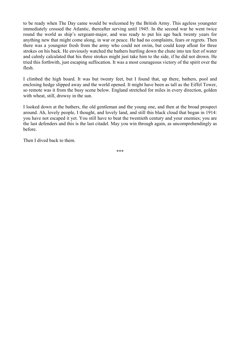to be ready when The Day came would be welcomed by the British Army. This ageless youngster immediately crossed the Atlantic, thereafter serving until 1945. In the second war he went twice round the world as ship's sergeant-major, and was ready to put his age back twenty years for anything new that might come along, in war or peace. He had no complaints, fears or regrets. Then there was a youngster fresh from the army who could not swim, but could keep afloat for three strokes on his back. He enviously watched the bathers hurtling down the chute into ten feet of water and calmly calculated that his three strokes might just take him to the side, if he did not drown. He tried this forthwith, just escaping suffocation. It was a most courageous victory of the spirit over the flesh.

I climbed the high board. It was but twenty feet, but I found that, up there, bathers, pool and enclosing hedge slipped away and the world opened. It might have been as tall as the Eiffel Tower, so remote was it from the busy scene below. England stretched for miles in every direction, golden with wheat, still, drowsy in the sun.

I looked down at the bathers, the old gentleman and the young one, and then at the broad prospect around. Ah, lovely people, I thought, and lovely land, and still this black cloud that began in 1914: you have not escaped it yet. You still have to beat the twentieth century and your enemies; you are the last defenders and this is the last citadel. May you win through again, as uncomprehendingly as before.

Then I dived back to them.

\*\*\*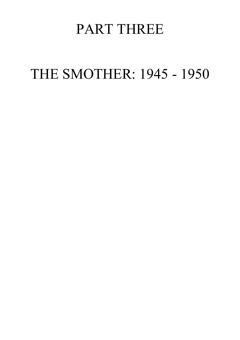## PART THREE

# THE SMOTHER: 1945 - 1950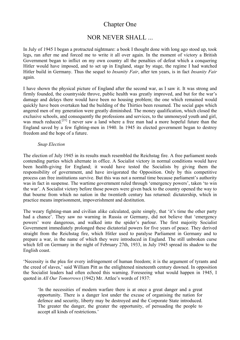## Chapter One

## NOR NEVER SHALL ...

In July of 1945 I began a protracted nightmare: a book I thought done with long ago stood up, took legs, ran after me and forced me to write it all over again. In the moment of victory a British Government began to inflict on my own country all the penalties of defeat which a conquering Hitler would have imposed, and to set up in England, stage by stage, the regime I had watched Hitler build in Germany. Thus the sequel to *Insanity Fair*, after ten years, is in fact *Insanity Fair* again.

I have shown the physical picture of England after the second war, as I saw it. It was strong and firmly founded, the countryside throve, public health was greatly improved, and but for the war's damage and delays there would have been no housing problem; the one which remained would quickly have been overtaken had the building of the Thirties been resumed. The social gaps which angered men of my generation were greatly diminished. The money qualification, which closed the exclusive schools, and consequently the professions and services, to the unmoneyed youth and girl, was much reduced.<sup>[\[21\]](#page-169-0)</sup> I never saw a land where a free man had a more hopeful future than the England saved by a few fighting-men in 1940. In 1945 its elected government began to destroy freedom and the hope of a future.

#### *Snap Election*

The election of July 1945 in its results much resembled the Reichstag fire. A free parliament needs contending parties which alternate in office. A Socialist victory in normal conditions would have been health-giving for England; it would have tested the Socialists by giving them the responsibility of government, and have invigorated the Opposition. Only by this competitive process can free institutions survive. But this was not a normal time because parliament's authority was in fact in suspense. The wartime government ruled through 'emergency powers', taken 'to win the war'. A Socialist victory before those powers were given back to the country opened the way to that bourne from which no nation in the twentieth century has returned: dictatorship, which in practice means imprisonment, impoverishment and destitution.

The weary fighting-man and civilian alike calculated, quite simply, that 'it's time the other party had a chance'. They saw no warning in Russia or Germany, did not believe that 'emergency powers' were dangerous, and walked into the spider's parlour. The first majority Socialist Government immediately prolonged these dictatorial powers for five years of peace. They derived straight from the Reichstag fire, which Hitler used to paralyse Parliament in Germany and to prepare a war, in the name of which they were introduced in England. The still unbroken curse which fell on Germany in the night of February 27th, 1933, in July 1945 spread its shadow to the English coast.

'Necessity is the plea for every infringement of human freedom; it is the argument of tyrants and the creed of slaves,' said William Pitt as the enlightened nineteenth century dawned. In opposition the Socialist leaders had often echoed this warning. Foreseeing what would happen in 1945, I quoted in *All Our Tomorrows* (1942) Mr. Attlee's words of 1937:

'In the necessities of modern warfare there is at once a great danger and a great opportunity. There is a danger lest under the excuse of organising the nation for defence and security, liberty may be destroyed and the Corporate State introduced. The greater the danger, the greater the opportunity, of persuading the people to accept all kinds of restrictions.'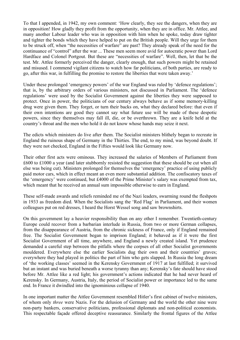To that I appended, in 1942, my own comment: 'How clearly, they see the dangers, when they are in opposition! How gladly they profit from the opportunity, when they are in office. Mr. Attlee, and many another Labour leader who was in opposition with him when he spoke, today draw tighter and tighter the bonds which they have helped to put on the British people. Will they urge for them to be struck off, when "the necessities of warfare" are past? They already speak of the need for the continuance of "control" after the war ... These men seem more avid for autocratic power than Lord Hardface and Colonel Portgout. But these are "necessities of warfare". Well, then, let that be the test. Mr. Attlee formerly perceived the danger, clearly enough, that such powers might be retained and misused. I commend vigilant citizens to watch how far politicians, of both parties, are ready to go, after this war, in fulfilling the promise to restore the liberties that were taken away.'

Under these prolonged 'emergency powers' of the war England was ruled by 'defence regulations'; that is, by the arbitrary orders of various ministers, not discussed in Parliament. The 'defence regulations' were used by the Socialist Government against the liberties they were supposed to protect. Once in power, the politicians of our century always behave as if some memory-killing drug were given them. They forget, or turn their backs on, what they declared before: that even if their own intentions are good they cannot say what future use will be made of these despotic powers, since they themselves may fall ill, die, or be overthrown. They are a knife held at the country's throat and the men who hold it do not know whose hands may seize it next.

The edicts which ministers do live after them. The Socialist ministers blithely began to recreate in England the ruinous shape of Germany in the Thirties. The end, to my mind, was beyond doubt. If they were not checked, England in the Fifties would look like Germany now.

Their other first acts were ominous. They increased the salaries of Members of Parliament from £600 to £1000 a year (and later stubbornly resisted the suggestion that these should be cut when all else was being cut). Ministers prolonged for themselves the 'emergency' practice of using publicly paid motor cars, which in effect meant an even more substantial addition. The confiscatory taxes of the 'emergency' were continued, but £4000 of the Prime Minister's salary was exempted from tax, which meant that he received an annual sum impossible otherwise to earn in England.

These self-made awards and reliefs reminded me of the Nazi leaders, swarming round the fleshpots in 1933 as freedom died. When the Socialists sang the 'Red Flag' in Parliament, and their women colleagues put on red dresses, I heard the Horst Wessel song and saw brownshirts.

On this government lay a heavier responsibility than on any other I remember. Twentieth-century Europe could recover from a barbarian interlude in Russia, from two or more German collapses, from the disappearance of Austria, from the chronic sickness of France, only if England remained free. The Socialist Government began to imprison England; it behaved as if it were the first Socialist Government of all time, anywhere, and England a newly created island. Yet prudence demanded a careful step between the pitfalls where the corpses of all other Socialist governments mouldered. Everywhere else the earlier Socialists dug their own and their countries' graves; everywhere they had played in politics the part of him who gets slapped. In Russia the long dream of 'the working classes' seemed in the Kerensky Government of 1917 at last fulfilled; it survived but an instant and was buried beneath a worse tyranny than any; Kerensky's fate should have stood before Mr. Attlee like a red light; his government's actions indicated that he had never heard of Kerensky. In Germany, Austria, Italy, the period of Socialist power or importance led to the same end. In France it dwindled into the ignominious collapse of 1940.

In one important matter the Attlee Government resembled Hitler's first cabinet of twelve ministers, of whom only *three* were Nazis. For the delusion of Germany and the world the other nine were non-party bankers, conservative politicians, professional diplomats and non-political economists. This respectable façade offered deceptive reassurance. Similarly the frontal figures of the Attlee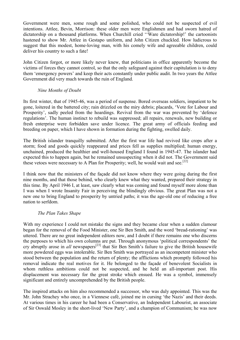Government were men, some rough and some polished, who could not be suspected of evil intentions. Attlee, Bevin, Morrison: these older men were Englishmen and had sworn hatred of dictatorship on a thousand platforms. When Churchill cried ''Ware dictatorship!' the cartoonists hastened to show Mr. Attlee in Gestapo uniform, and John Citizen chuckled. How ludicrous to suggest that this modest, home-loving man, with his comely wife and agreeable children, could deliver his country to such a fate!

John Citizen forgot, or more likely never knew, that politicians in office apparently become the victims of forces they cannot control, so that the only safeguard against their capitulation is to deny them 'emergency powers' and keep their acts constantly under public audit. In two years the Attlee Government did very much towards the ruin of England.

#### *Nine Months of Doubt*

Its first winter, that of 1945-46, was a period of suspense. Bored overseas soldiers, impatient to be gone, loitered in the battered city; rain drizzled on the miry debris; placards, 'Vote for Labour and Prosperity', sadly peeled from the hoardings. Revival from the war was prevented by 'defence regulations'. The human instinct to rebuild was suppressed; all repairs, renewals, new building or fresh enterprise were forbidden save under licence. The great army of officials feeding and breeding on paper, which I have shown in formation during the fighting, swelled daily.

The British islander tranquilly submitted. After the first war life had revived like crops after a storm; food and goods quickly reappeared and prices fell as supplies multiplied; human energy, unchained, produced the healthier and well-housed England I found in 1945-47. The islander had expected this to happen again, but he remained unsuspecting when it did not. The Government said these vetoes were necessary to A Plan for Prosperity; well, he would wait and see.<sup>[\[22\]](#page-169-0)</sup>

I think now that the ministers of the façade did not know where they were going during the first nine months, and that those behind, who clearly knew what they wanted, prepared their strategy in this time. By April 1946 I, at least, saw clearly what was coming and found myself more alone than I was when I wrote Insanity Fair in perceiving the blindingly obvious. The great Plan was not a new one to bring England to prosperity by untried paths; it was the age-old one of reducing a free nation to serfdom.

#### *The Plan Takes Shape*

With my experience I could not mistake the signs and they became clear when a sudden clamour began for the removal of the Food Minister, one Sir Ben Smith, and the word 'bread-rationing' was uttered. There are no great independent editors now, and I doubt if there remains one who discerns the purposes to which his own columns are put. Through anonymous 'political correspondents' the cry abruptly arose in *all* newspapers[\[23\]](#page-169-0) that Sir Ben Smith's failure to give the British housewife more powdered eggs was intolerable. Sir Ben Smith was portrayed as an incompetent minister who stood between the population and the return of plenty; the afflictions which promptly followed his removal indicate the real motives for it. He belonged to the façade of benevolent Socialists in whom ruthless ambitions could not be suspected, and he held an all-important post. His displacement was necessary for the great stroke which ensued. He was a symbol, immensely significant and entirely uncomprehended by the British people.

The inspired attacks on him also recommended a successor, who was duly appointed. This was the Mr. John Strachey who once, in a Viennese café, joined me in cursing 'the Nazis' and their deeds. At various times in his career he had been a Conservative, an Independent Labourist, an associate of Sir Oswald Mosley in the short-lived 'New Party', and a champion of Communism; he was now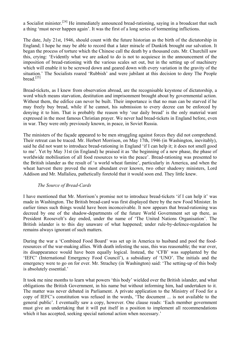a Socialist minister.<sup>[\[24\]](#page-169-0)</sup> He immediately announced bread-rationing, saying in a broadcast that such a thing 'must never happen again'. It was the first of a long series of tormenting inflictions.

The date, July 21st, 1946, should count with the future historian as the birth of the dictatorship in England; I hope he may be able to record that a later miracle of Dunkirk brought our salvation. It began the process of torture which the Chinese call the death by a thousand cuts. Mr. Churchill saw this, crying: 'Evidently what we are asked to do is not to acquiesce in the announcement of the imposition of bread-rationing with the various scales set out, but in the setting up of machinery which will enable it to be screwed down and geared down with every variation in the gravity of the situation.' The Socialists roared 'Rubbish' and were jubilant at this decision to deny The People bread $^{[25]}$  $^{[25]}$  $^{[25]}$ 

Bread-tickets, as I knew from observation abroad, are the recognisable keystone of dictatorship, a word which means starvation, destitution and imprisonment brought about by governmental action. Without them, the edifice can never be built. Their importance is that no man can be starved if he may freely buy bread, while if he cannot, his submission to every decree can be enforced by denying it to him. That is probably the reason why 'our daily bread' is the only material want expressed in the most famous Christian prayer. We never had bread-tickets in England before, even in war. They were only previously known, in peace, in Soviet Russia.

The ministers of the façade appeared to be men struggling against forces they did not comprehend. Their retreat can be traced. Mr. Herbert Morrison, on May 17th, 1946 (in Washington, inevitably), said he did not want to introduce bread-rationing in England 'if I can help it; it does not smell good to me'. Yet by May 31st (in England) he praised it as 'the beginning of a new phase, the phase of worldwide mobilisation of all food resources to win the peace'. Bread-rationing was presented to the British islander as the result of 'a world wheat famine', particularly in America, and when the wheat harvest there proved the most abundant ever known, two other shadowy ministers, Lord Addison and Mr. Mallalieu, pathetically foretold that it would soon end. They little knew.

#### *The Source of Bread-Cards*

I have mentioned that Mr. Morrison's promise not to introduce bread-tickets 'if I can help it' was made in Washington. The British bread-card was first displayed there by the new Food Minister. In earlier times such things would have been inconceivable. It now appears that bread-rationing was decreed by one of the shadow-departments of the future World Government set up there, as President Roosevelt's day ended, under the name of 'The United Nations Organisation'. The British islander is to this day unaware of what happened; under rule-by-defence-regulation he remains always ignorant of such matters.

During the war a 'Combined Food Board' was set up in America to husband and pool the foodresources of the war-making allies. With death infesting the seas, this was reasonable; the war over, its disappearance would have been equally logical. Instead, the 'CFB' was supplanted by the 'IEFC' (International Emergency Food Council'), a subsidiary of 'UNO'. The initials and the emergency were to go on for ever. Mr. Strachey (in Washington) said: 'The setting-up of this body is absolutely essential.'

It took me nine months to learn what powers 'this body' wielded over the British islander, and what obligations the British Government, in his name but without informing him, had undertaken to it. The matter was never debated in Parliament. A private application to the Ministry of Food for a copy of IEFC's constitution was refused in the words, 'The document ... is not available to the general public'. I eventually saw a copy, however. One clause reads: 'Each member government must give an undertaking that it will put itself in a position to implement all recommendations which it has accepted, seeking special national action when necessary.'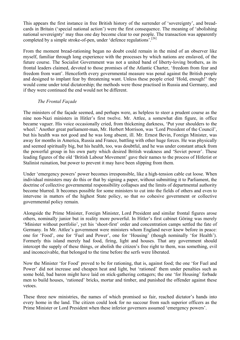This appears the first instance in free British history of the surrender of 'sovereignty', and breadcards in Britain ('special national action') were the first consequence. The meaning of 'abolishing national sovereignty' may thus one day become clear to our people. The transaction was apparently completed by a simple stroke-of-pen, under 'defence regulations'.<sup>[\[26\]](#page-170-0)</sup>

From the moment bread-rationing began no doubt could remain in the mind of an observer like myself, familiar through long experience with the processes by which nations are enslaved, of the future course. The Socialist Government was not a united band of liberty-loving brothers, as its frontal leaders claimed, devoted to those promises of the Atlantic Charter, 'freedom from fear and freedom from want'. Henceforth every governmental measure was penal against the British people and designed to implant fear by threatening want. Unless these people cried 'Hold, enough!' they would come under total dictatorship; the methods were those practised in Russia and Germany, and if they were continued the end would not be different.

#### *The Frontal Façade*

The ministers of the façade seemed, and perhaps were, as helpless to steer a prudent course as the nine non-Nazi ministers in Hitler's first twelve. Mr. Attlee, a somewhat dim figure, in office became vaguer. His voice occasionally cried, from thickening darkness, 'Put your shoulders to the wheel.' Another great parliament-man, Mr. Herbert Morrison, was 'Lord President of the Council', but his health was not good and he was long absent, ill. Mr. Ernest Bevin, Foreign Minister, was away for months in America, Russia and France, battling with other huge forces. He was physically and seemed spiritually big, but his health, too, was doubtful, and he was under constant attack from the powerful group in his own party which desired British weakness and 'Soviet power'. These leading figures of the old 'British Labour Movement' gave their names to the process of Hitlerist or Stalinist ruination, but power to prevent it may have been slipping from them.

Under 'emergency powers' power becomes irresponsible, like a high-tension cable cut loose. When individual ministers may do this or that by signing a paper, without submitting it to Parliament, the doctrine of collective governmental responsibility collapses and the limits of departmental authority become blurred. It becomes possible for some ministers to cut into the fields of others and even to intervene in matters of the highest State policy, so that *no* cohesive government or collective governmental policy remain.

Alongside the Prime Minister, Foreign Minister, Lord President and similar frontal figures arose others, nominally junior but in reality more powerful. In Hitler's first cabinet Göring was merely 'Minister without portfolio', yet his 'shoot-first' order and concentration camps settled the fate of Germany. In Mr. Attlee's government were ministers whom England never knew before in peace: one for 'Food', one for 'Fuel and Power', one for 'Housing' (though nominally 'for Health'). Formerly this island merely had food, firing, light and houses. That any government should intercept the supply of these things, or abolish the citizen's free right to them, was something, evil and inconceivable, that belonged to the time before the serfs were liberated.

Now the Minister 'for Food' proved to be for rationing, that is, against food; the one 'for Fuel and Power' did not increase and cheapen heat and light, but 'rationed' them under penalties such as some bold, bad baron might have laid on stick-gathering cottagers; the one 'for Housing' forbade men to build houses, 'rationed' bricks, mortar and timber, and punished the offender against these vetoes.

These three new ministries, the names of which promised so fair, reached dictator's hands into every home in the land. The citizen could look for no succour from such superior officers as the Prime Minister or Lord President when these inferior governors assumed 'emergency powers'.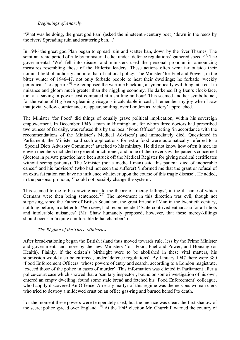#### *Beginnings of Anarchy*

'What was he doing, the great god Pan' (asked the nineteenth-century poet) 'down in the reeds by the river? Spreading ruin and scattering ban....'

In 1946 the great god Plan began to spread ruin and scatter ban, down by the river Thames. The semi-anarchic period of rule by ministerial edict under 'defence regulations' gathered speed.<sup>[\[27\]](#page-170-0)</sup> The governmental 'We' fell into disuse, and ministers used the personal pronoun in announcing measures resembling those of the Hitlerist leaders. These actions often went far outside their nominal field of authority and into that of national policy. The Minister 'for Fuel and Power', in the bitter winter of 1946-47, not only forbade people to heat their dwellings; he forbade 'weekly periodicals' to appear.[\[28\]](#page-170-0) He reimposed the wartime blackout, a symbolically evil thing, at a cost in nuisance and gloom much greater than the niggling economy. He darkened Big Ben's clock-face, too, at a saving in power-cost computed at a shilling an hour! This seemed another symbolic act, for the value of Big Ben's gleaming visage is incalculable in cash; I remember my joy when I saw that jovial yellow countenance reappear, smiling, over London as 'victory' approached.

The Minister 'for Food' did things of equally grave political implication, within his sovereign empowerment. In December 1946 a man in Birmingham, for whom three doctors had prescribed two ounces of fat daily, was refused this by the local 'Food Officer' (acting 'in accordance with the recommendations of the Minister's Medical Advisers') and immediately died. Questioned in Parliament, the Minister said such applications for extra food were automatically referred to a 'Special Diets Advisory Committee' attached to his ministry. He did not know how often it met, its eleven members included no general practitioner, and none of them ever saw the patients concerned (doctors in private practice have been struck off the Medical Register for giving medical certificates without seeing patients). The Minister (not a medical man) said this patient 'died of inoperable cancer' and his 'advisers' (who had not seen the sufferer) 'informed me that the grant or refusal of an extra fat ration can have no influence whatever upon the course of this tragic disease'. He added, in the personal pronoun, 'I could not possibly change the system'.

This seemed to me to be drawing near to the theory of 'mercy-killings', in the ill-name of which Germans were then being sentenced.<sup>[\[29\]](#page-170-0)</sup> The movement in this direction was evil, though not surprising, since the Father of British Socialism, the great Friend of Man in the twentieth century, not long before, in a letter to *The Times*, had recommended 'State-contrived euthanasia for all idiots and intolerable nuisances' (Mr. Shaw humanely proposed, however, that these mercy-killings should occur in 'a quite comfortable lethal chamber'.)

#### *The Régime of the Three Ministries*

After bread-rationing began the British island thus moved towards rule, less by the Prime Minister and government, and more by the new Ministers 'for' Food, Fuel and Power, and Housing (or Health). Plainly, if the citizen's birthright were to be abolished in these vital matters, his submission would also be enforced, under 'defence regulations'. By January 1947 there were 380 'Food Enforcement Officers' whose powers of entry and search, according to a London magistrate, 'exceed those of the police in cases of murder'. This information was elicited in Parliament after a police-court case which showed that a 'sanitary inspector', bound on some investigation of his own, entered an empty dwelling, found some stale bread and fetched his 'Food Enforcement' colleague, who happily discovered An Offence. An early martyr of this regime was the nervous woman clerk who tried to destroy a mildewed crust on an office gas-ring and burned herself to death.

For the moment these powers were temperately used, but the menace was clear: the first shadow of the secret police spread over England.<sup>[\[30\]](#page-170-0)</sup> At the 1945 election Mr. Churchill warned the country of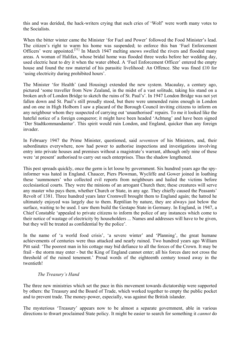this and was derided, the hack-writers crying that such cries of 'Wolf' were worth many votes to the Socialists.

When the bitter winter came the Minister 'for Fuel and Power' followed the Food Minister's lead. The citizen's right to warm his home was suspended; to enforce this ban 'Fuel Enforcement Officers' were appointed.<sup>[\[31\]](#page-171-0)</sup> In March 1947 melting snows swelled the rivers and flooded many areas. A woman of Halifax, whose bridal home was flooded three weeks before her wedding day, used electric heat to dry it when the water ebbed. A 'Fuel Enforcement Officer' entered the empty house and found the raw material of his parasitic livelihood: An Offence. She was fined £10 for 'using electricity during prohibited hours'.

The Minister 'for Health' (and Housing) extended the new system. Macaulay, a century ago, pictured 'some traveller from New Zealand, in the midst of a vast solitude, taking his stand on a broken arch of London Bridge to sketch the ruins of St. Paul's'. In 1947 London Bridge was not yet fallen down and St. Paul's still proudly stood, but there were unmended ruins enough in London and on one in High Holborn I saw a placard of the Borough Council inviting citizens to inform on any neighbour whom they suspected of carrying out 'unauthorised' repairs. To me it looked like the hateful notice of a foreign conqueror; it might have been headed 'Achtung' and have been signed 'Der Stadtkommandantur'. This spirit would ruin London, and England, quicker than any foreign invader.

In February 1947 the Prime Minister, questioned, said *seventeen* of his Ministers, and, their subordinates everywhere, now had power to authorise inspections and investigations involving entry into private houses and premises without a magistrate's warrant, although only nine of these were 'at present' authorised to carry out such enterprises. Thus the shadow lengthened.

This pest spreads quickly, once the germ is let loose by government. Six hundred years ago the spyinformer was hated in England. Chaucer, Piers Plowman, Wycliffe and Gower joined in loathing these 'summoners' who collected evil reports from neighbours and hailed the victims before ecclesiastical courts. They were the minions of an arrogant Church then; these creatures will serve any master who pays them, whether Church or State, in any age. They chiefly caused the Peasants' Revolt of 1381. Three hundred years later Cromwell brought them to England again; the hatred he ultimately enjoyed was largely due to them. Reptilian by nature, they are always just below the surface, waiting to be used. I saw them build the Gestapo State in Germany. In England, in 1947, a Chief Constable 'appealed to private citizens to inform the police of any instances which come to their notice of wastage of electricity by householders ... Names and addresses will have to be given, but they will be treated as confidential by the police'.

In the name of 'a world food crisis', 'a severe winter' and 'Planning', the great humane achievements of centuries were thus attacked and nearly ruined. Two hundred years ago William Pitt said: 'The poorest man in his cottage may bid defiance to all the forces of the Crown. It may be frail - the storm may enter - but the King of England cannot enter; all his forces dare not cross the threshold of the ruined tenement.' Proud words of the eighteenth century tossed away in the twentieth!

#### *The Treasury's Hand*

The three new ministries which set the pace in this movement towards dictatorship were supported by others: the Treasury and the Board of Trade, which worked together to empty the public pocket and to prevent trade. The money-power, especially, was against the British islander.

The mysterious 'Treasury' appears now to be almost a separate government, able in various directions to thwart proclaimed State policy. It might be easier to search for something it *cannot* do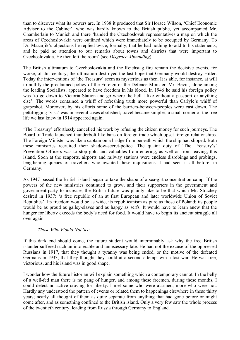than to discover what its powers are. In 1938 it produced that Sir Horace Wilson, 'Chief Economic Adviser to the Cabinet', who was hardly known to the British public, yet accompanied Mr. Chamberlain to Munich and there 'handed the Czechoslovak representatives a map on which the areas of Czechoslovakia were outlined which were immediately to be occupied by Germany. To Dr. Mazarjik's objections he replied twice, formally, that he had nothing to add to his statements, and he paid no attention to our remarks about towns and districts that were important to Czechoslovakia. He then left the room' (see *Disgrace Abounding*).

The British ultimatum to Czechoslovakia and the Reichstag fire remain the decisive events, for worse, of this century; the ultimatum destroyed the last hope that Germany would destroy Hitler. Today the interventions of 'the Treasury' seem as mysterious as then. It is able, for instance, at will to nullify the proclaimed policy of the Foreign or the Defence Minister. Mr. Bevin, alone among the leading Socialists, appeared to have freedom in his blood. In 1946 he said his foreign policy was 'to go down to Victoria Station and go where the hell I like without a passport or anything else'. The words contained a whiff of refreshing truth more powerful than Carlyle's whiff of grapeshot. Moreover, by his efforts some of the barriers-between-peoples were cast down. The pettifogging 'visa' was in several cases abolished; travel became simpler; a small corner of the free life we last knew in 1914 appeared again.

'The Treasury' effortlessly cancelled his work by refusing the citizen money for such journeys. The Board of Trade launched thunderbolt-like bans on foreign trade which upset foreign relationships. The Foreign Minister was like a captain on a bridge from beneath which the ship had slipped. Both these ministries recruited their shadow-secret-police. The quaint duty of 'The Treasury's' Prevention Officers was to stop gold and valuables from entering, as well as from leaving, this island. Soon at the seaports, airports and railway stations were endless disrobings and probings, lengthening queues of travellers who awaited these inquisitions. I had seen it all before: in Germany.

As 1947 passed the British island began to take the shape of a sea-girt concentration camp. If the powers of the new ministries continued to grow, and their supporters in the government and government-party to increase, the British future was plainly like to be that which Mr. Strachey desired in 1937: 'a free republic of an at first European and later worldwide Union of Soviet Republics'. Its freedom would be as wide, its republicanism as pure as those of Poland; its people would be as proud as galley-slaves and as happy as serfs. It would have to learn anew that the hunger for liberty exceeds the body's need for food. It would have to begin its ancient struggle all over again.

#### *Those Who Would Not See*

If this dark end should come, the future student would interminably ask why the free British islander suffered such an intolerable and unnecessary fate. He had not the excuse of the oppressed Russians in 1917, that they thought a tyranny was being ended, or the motive of the defeated Germans in 1933, that they thought they could at a second attempt win a lost war. He was free, victorious, and his island was in good shape.

I wonder how the future historian will explain something which a contemporary cannot. In the belly of a well-fed man there is no pang of hunger, and among these freemen, during these months, I could detect no active craving for liberty. I met some who were alarmed, more who were not. Hardly any understood the pattern of events or related them to happenings elsewhere in these thirty years; nearly all thought of them as quite separate from anything that had gone before or might come after, and as something confined to the British island. Only a very few saw the whole process of the twentieth century, leading from Russia through Germany to England.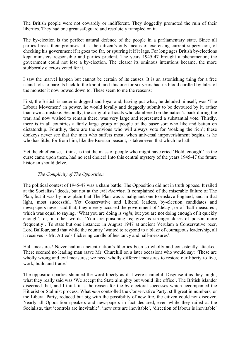The British people were not cowardly or indifferent. They doggedly promoted the ruin of their liberties. They had one great safeguard and resolutely trampled on it.

The by-election is the perfect natural defence of the people in a parliamentary state. Since all parties break their promises, it is the citizen's only means of exercising current supervision, of checking his government if it goes too far, or spurring it if it lags. For long ages British by-elections kept ministers responsible and parties prudent. The years 1945-47 brought a phenomenon; the government could not lose a by-election. The clearer its ominous intentions became, the more stubbornly electors voted for it.

I saw the marvel happen but cannot be certain of its causes. It is an astonishing thing for a free island folk to bare its back to the knout, and this one for six years had its blood curdled by tales of the monster it now bowed down to. These seem to me the reasons:

First, the British islander is dogged and loyal and, having put what, he deluded himself, was 'The Labour Movement' in power, he would loyally and doggedly submit to be devoured by it, rather than own a mistake. Secondly, the army of officials who clambered on the nation's back during the war, and now wished to remain there, was very large and represented a substantial vote. Thirdly, there is in all countries a fairly large group of people of the baser sort who like and batten on dictatorship. Fourthly, there are the envious who will always vote for 'soaking the rich'; these donkeys never see that the man who suffers most, when universal impoverishment begins, is he who has little, for from him, like the Russian peasant, is taken even that which he hath.

Yet the chief cause, I think, is that the mass of people who might have cried 'Hold, enough!' as the curse came upon them, had no real choice! Into this central mystery of the years 1945-47 the future historian should delve.

#### *The Complicity of The Opposition*

The political contest of 1945-47 was a sham battle. The Opposition did not in truth oppose. It railed at the Socialists' deeds, but not at the evil *doctrine*. It complained of the miserable failure of The Plan, but it was by now plain that The Plan was a malignant one to enslave England, and in that light, most successful. Yet Conservative and Liberal leaders, by-election candidates and newspapers never said that; they merely accused the government of 'delay', or of 'half-measures', which was equal to saying, 'What you are doing is *right*, but you are not doing enough of it quickly enough'; or, in other words, 'You are poisoning us; give us stronger doses of poison more frequently'. To state but one instance: in August 1947 at ancient Verulam a Conservative peer, Lord Balfour, said that while the country 'waited to respond to a blaze of courageous leadership, all it receives is Mr. Attlee's flickering candle of hesitancy and half-measures'.

Half-measures! Never had an ancient nation's liberties been so wholly and consistently attacked. There seemed no leading man (save Mr. Churchill on a later occasion) who would say: 'These are wholly wrong and evil measures; we need wholly different measures to restore our liberty to live, work, build and trade.'

The opposition parties shunned the word liberty as if it were shameful. Disguise it as they might, what they really said was 'We accept the State almighty but would like office'. The British islander discerned that, and I think it is the reason for the by-electoral successes which accompanied the Hitlerist or Stalinist process. What *men* controlled the Conservative Party, still great in numbers, or the Liberal Party, reduced but big with the possibility of new life, the citizen could not discover. Nearly all Opposition speakers and newspapers in fact declared, even while they railed at the Socialists, that 'controls are inevitable', 'new cuts are inevitable', 'direction of labour is inevitable'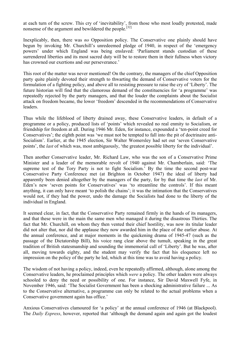at each turn of the screw. This cry of 'inevitability', from those who most loudly protested, made nonsense of the argument and bewildered the people.<sup>[\[32\]](#page-171-0)</sup>

Inexplicably, then, there was *no* Opposition policy. The Conservative one plainly should have begun by invoking Mr. Churchill's unredeemed pledge of 1940, in respect of the 'emergency powers' under which England was being enslaved: 'Parliament stands custodian of these surrendered liberties and its most sacred duty will be to restore them in their fullness when victory has crowned our exertions and our perseverance.'

This root of the matter was never mentioned! On the contrary, the managers of the chief Opposition party quite plainly devoted their strength to thwarting the demand of Conservative voters for the formulation of a fighting policy, and above all to resisting pressure to raise the cry of 'Liberty'. The future historian will find that the clamorous demand of the constituencies for 'a programme' was repeatedly rejected by the party managers, and that the louder the complaints about the Socialist attack on freedom became, the lower 'freedom' descended in the recommendations of Conservative leaders.

Thus while the lifeblood of liberty drained away, these Conservative leaders, in default of a programme or a policy, produced lists of 'points' which revealed no real enmity to Socialism, or friendship for freedom at all. During 1946 Mr. Eden, for instance, expounded a 'ten-point creed for Conservatives'; the eighth point was 'we must not be tempted to fall into the pit of doctrinaire anti-Socialism'. Earlier, at the 1945 election, Sir Walter Womersley had set out 'seven Conservative points', the *last* of which was, most ambiguously, 'the greatest possible liberty for the individual'.

Then another Conservative leader, Mr. Richard Law, who was the son of a Conservative Prime Minister and a leader of the memorable revolt of 1940 against Mr. Chamberlain, said: 'The supreme test of the Tory Party is not to fight Socialism.' By the time the second post-war Conservative Party Conference met (at Brighton in October 1947) the ideal of liberty had apparently been denied altogether by the managers of the party, for by that time the *last* of Mr. Eden's new 'seven points for Conservatives' was 'to streamline the controls'. If this meant anything, it can only have meant 'to polish the chains'; it was the intimation that the Conservatives would not, if they had the power, undo the damage the Socialists had done to the liberty of the individual in England.

It seemed clear, in fact, that the Conservative Party remained firmly in the hands of its managers, and that these were in the main the same men who managed it during the disastrous Thirties. The fact that Mr. Churchill, on whom they then vented their chief hostility, was now its titular leader did not alter that, nor did the applause they now awarded him in the place of the earlier abuse. At the annual conference, and at major moments in the quickening drama of 1945-47 (such as the passage of the Dictatorship Bill), his voice rang clear above the tumult, speaking in the great tradition of British statesmanship and sounding the immemorial call of 'Liberty'. But he was, after all, moving towards eighty, and the student may verify the fact that his eloquence left no impression on the policy of the party he led, which at this time was to avoid having a policy.

The wisdom of not having a policy, indeed, even he repeatedly affirmed, although, alone among the Conservative leaders, he proclaimed principles which *were* a policy. The other leaders were always schooled to deny the need or possibility of one. For instance, Sir David Maxwell Fyfe, in November 1946, said: 'The Socialist Government has been a shocking administrative failure ... As to the Conservative alternative, a programme can only be related to the actual problems when a Conservative government again has office.'

Anxious Conservatives clamoured for 'a policy' at the annual conference of 1946 (at Blackpool). The *Daily Express*, however, reported that 'although the demand again and again got the loudest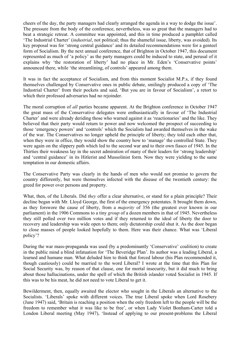cheers of the day, the party managers had clearly arranged the agenda in a way to dodge the issue'. The pressure from the body of the conference, nevertheless, was so great that the managers had to beat a strategic retreat. A committee was appointed, and this in time produced a pamphlet called 'The Industrial Charter' (*industrial*, not political; thus the shameful issue, liberty, was avoided). Its key proposal was for 'strong central guidance' and its detailed recommendations were for a genteel form of Socialism. By the next annual conference, that of Brighton in October 1947, this document represented as much of 'a policy' as the party managers could be induced to state, and perusal of it explains why 'the restoration of liberty' had no place in Mr. Eden's 'Conservative points' announced there, while 'the streamlining, of controls' appeared among them.

It was in fact the acceptance of Socialism, and from this moment Socialist M.P.s, if they found themselves challenged by Conservative ones in public debate, smilingly produced a copy of 'The Industrial Charter' from their pockets and said, 'But you are in favour of Socialism', a retort to which their professed adversaries had no rejoinder.

The moral corruption of *all* parties became apparent. At the Brighton conference in October 1947 the great mass of the Conservative delegates were enthusiastically in favour of 'The Industrial Charter' and were already deriding those who warned against it as 'reactionaries' and the like. They believed that their party would return to power and now welcomed the prospect of succeeding to those 'emergency powers' and 'controls' which the Socialists had awarded themselves in the wake of the war. The Conservatives no longer upheld the principle of liberty; they told each other that, when they were in office, they would show the country how to 'manage' the controlled State. They were again on the slippery path which led to the second war and to their own fiasco of 1945. In the Thirties their weakness lay in the secret admiration of many of their leaders for 'strong leadership' and 'central guidance' in its Hitlerist and Mussolinist form. Now they were yielding to the same temptation in our domestic affairs.

The Conservative Party was clearly in the hands of men who would not promise to govern the country differently, but were themselves infected with the disease of the twentieth century: the greed for power over persons and property.

What, then, of the Liberals. Did *they* offer a clear alternative, or stand for a plain principle? Their decline began with Mr. Lloyd George, the first of the emergency potentates. It brought them down, as they forswore the cause of liberty, from a *majority* of 356 (the greatest ever known in our parliament) in the 1906 Commons to a tiny *group* of a dozen members in that of 1945. Nevertheless they still polled over two million votes and if they returned to the ideal of liberty the door to recovery and leadership was wide open to them; only dictatorship could shut it. As the door began to close masses of people looked hopefully to them. Here was their chance. What was 'Liberal policy'?

During the war mass-propaganda was used (by a predominantly 'Conservative' coalition) to create in the public mind a blind infatuation for 'The Beveridge Plan'. Its author was a leading Liberal, a learned and humane man. What deluded him to think that forced labour (his Plan recommended it, though cautiously) could be married to the word Liberal? I wrote at the time that this Plan for Social Security was, by reason of that clause, one for mortal insecurity, but it did much to bring about those hallucinations, under the spell of which the British islander voted Socialist in 1945. If this was to be his meat, he did not need to vote Liberal to get it.

Bewilderment, then, equally awaited the elector who sought in the Liberals an alternative to the Socialists. 'Liberals' spoke with different voices. The true Liberal spoke when Lord Rosebery (June 1947) said, 'Britain is reaching a position when the only freedom left to the people will be the freedom to remember what it was like to be free', or when Lady Violet Bonham-Carter told a London Liberal meeting (May 1947), 'Instead of applying to our present-problems the Liberal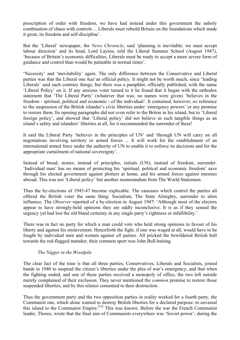prescription of order with freedom, we have had instead under this government the unholy combination of chaos with controls ... Liberals must rebuild Britain on the foundations which made it great, its freedom and self-discipline'.

But the 'Liberal' newspaper, the *News Chronicle*, said 'planning is inevitable; we must accept labour direction' and its head, Lord Layton, told the Liberal Summer School (August 1947), 'because of Britain's economic difficulties, Liberals must be ready to accept a more severe form of guidance and control than would be palatable in normal times'.

'Necessity' and 'inevitability' again. The only difference between the Conservative and Liberal parties was that the Liberal one *had* an official policy. It might not be worth much, since 'leading Liberals' said such contrary things, but there was a pamphlet, officially published, with the name 'Liberal Policy' on it. If any anxious voter turned to it he found that it began with the orthodox statement that 'The Liberal Party' (whatever that was; no names were given) 'believes in the freedom - spiritual, political and economic - of the individual'. It contained, however, *no* reference to the suspension of the British islander's civic liberties under 'emergency powers' or any promise to restore them. Its opening paragraphs did not even refer to the Briton in his island, but to 'Liberal foreign policy', and showed that 'Liberal policy' did not believe in such tangible things as an island's safety and islanders' liberties at all, for it recommended the surrender of these!

It said the Liberal Party 'believes in the principles of UN' and 'through UN will carry on all negotiations involving territory or armed forces ... It will work for the establishment of an international armed force under the authority of UN to enable it to enforce its decisions and for the appropriate curtailment of national sovereignty'.

Instead of bread, stones; instead of principles, initials (UN); instead of freedom, surrender. 'Individual man' has no means of protecting his 'spiritual, political and economic freedom' save through his elected government against plotters at home, and his armed forces against enemies abroad. This was not 'Liberal policy' but another memorandum from The World Statesmen.

Thus the by-elections of 1945-47 become explicable. The caucuses which control the parties all offered the British voter the same thing: Socialism, The State Almighty, surrender to alien influence. The *Observer* reported of a by-election in August 1947: 'Although most of the electors appear to have strongly-held opinions they are oddly inconclusive. It is as if they sensed the urgency yet had lost the old bland certainty in any single party's rightness or infallibility.'

There was in fact no party for which a man could vote who held strong opinions in favour of his liberty and against his enslavement. Henceforth the fight, if one was waged at all, would have to be fought by individual men and women against *all* parties. All pricked the bewildered British bull towards the red-flagged matador; their common sport was John Bull-baiting.

#### *The Nigger in the Woodpile*

The clear fact of the time is that all three parties, Conservatives, Liberals and Socialists, joined hands in 1940 to suspend the citizen's liberties under the plea of war's emergency; and that when the fighting ended, and one of these parties received a monopoly of office, the two left outside merely complained of their exclusion. They never mentioned the *common* promise to restore those suspended liberties, and by this silence consented to their destruction.

Thus the government party and the two opposition parties in reality worked for a fourth party, the Communist one, which alone wanted to destroy British liberties for a declared purpose: to envassal this island to the Communist Empire.[\[33\]](#page-171-0) This was known. Before the war the French Communist leader, Thorez, wrote that the final aim of Communists everywhere was 'Soviet power'; during the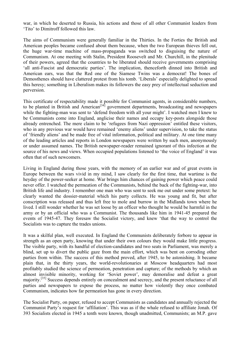war, in which he deserted to Russia, his actions and those of all other Communist leaders from 'Tito' to Dimitroff followed this law.

The aims of Communism were generally familiar in the Thirties. In the Forties the British and American peoples became confused about them because, when the two European thieves fell out, the huge war-time machine of mass-propaganda was switched to disguising the nature of Communism. At one meeting with Stalin, President Roosevelt and Mr. Churchill, in the plenitude of their powers, agreed that the countries to be liberated should receive governments comprising 'all anti-Fascist and democratic parties'. The implication, thenceforth dinned into British and American ears, was that the Red one of the Siamese Twins was a democrat! The bones of Demosthenes should have clattered protest from his tomb. 'Liberals' especially delighted to spread this heresy; something in Liberalism makes its followers the easy prey of intellectual seduction and perversion.

This certificate of respectability made it possible for Communist agents, in considerable numbers, to be planted in British and American<sup>[\[34\]](#page-171-0)</sup> government departments, broadcasting and newspapers while the fighting-man was sent to 'defend freedom with all your might'. I watched men I knew to be Communists come into England, anglicise their names and occupy key-posts alongside those already entrenched. The mere claim to be 'refugees from Nazi oppression' entitled these visitors, who in any previous war would have remained 'enemy aliens' under supervision, to take the status of 'friendly aliens' and be made free of vital information, political and military. At one time many of the leading articles and reports in London newspapers were written by such men, anonymously or under assumed names. The British newspaper-reader remained ignorant of this infection at the source of his news and views. When occupied populations listened to 'the voice of England' it was often that of such newcomers.

Living in England during those years, with the memory of an earlier war and of great events in Europe between the wars vivid in my mind, I saw clearly for the first time, that wartime is the heyday of the power-seeker at home. War brings him chances of gaining power which peace could never offer. I watched the permeation of the Communists, behind the back of the fighting-war, into British life and industry. I remember one man who was sent to seek me out under some pretext: he clearly wanted the dossier-material which his party collects. He was young and fit, but after conscription was released and thus left free to mole and burrow in the Midlands town where he lived. I still wonder whether he was set loose by an officer who thought he would be harmful in the army or by an official who was a Communist. The thousands like him in 1941-45 prepared the events of 1945-47. They foresaw the Socialist victory, and knew 'that the way to control the Socialists was to capture the trades unions.

It was a skilful plan, well executed. In England the Communists deliberately forbore to appear in strength as an open party, knowing that under their own colours they would make little progress. The visible party, with its handful of election-candidates and two seats in Parliament, was merely a blind, set up to divert the public gaze from the main effort, which was bent on corroding other parties from within. The success of this method proved, after 1945, to be astonishing. It became plain that, in the thirty years, the world-revolutionaries at Moscow headquarters had most profitably studied the science of permeation, penetration and capture; of the methods by which an almost invisible minority, working for 'Soviet power', may demoralise and defeat a great majority.<sup>[\[35\]](#page-171-0)</sup> Success depends entirely on concealment and secrecy, and the present reluctance of all parties and newspapers to expose the process, no matter how violently they once combated Communism, indicates how far permeation has gone in every direction.

The Socialist Party, on paper, refused to accept Communists as candidates and annually rejected the Communist Party's request for 'affiliation'. This was as if the whale refused to affiliate Jonah. Of 393 Socialists elected in 1945 a tenth were known, though unadmitted, Communists; an M.P. gave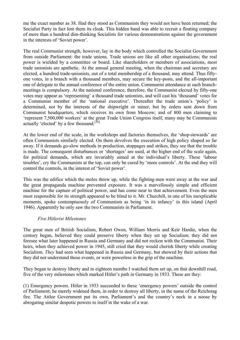me the exact number as 38. Had they stood as Communists they would not have been returned; the Socialist Party in fact lent them its cloak. This hidden band was able to recruit a floating company of more than a hundred dim-thinking Socialists for various demonstrations against the government in the interests of 'Soviet power'.

The real Communist strength, however, lay in the body which controlled the Socialist Government from outside Parliament: the trade unions. Trade unions are like all other organisations; the real power is wielded by a committee or board. Like shareholders or members of associations, most trade unionists are apathetic. At the annual general meeting, when the chairman and secretary are elected, a hundred trade-unionists, out of a total membership of a thousand, may attend. Thus fiftyone votes, in a branch with a thousand members, may secure the key-posts, and the all-important one of delegate to the annual conference of the entire union. Communist attendance at such branchmeetings is compulsory. At the national conference, therefore, the Communist elected by fifty-one votes may appear as 'representing' a thousand trade unionists, and will cast his 'thousand' votes for a Communist member of the 'national executive'. Thereafter the trade union's 'policy' is determined, not by the interests of the shipwright or miner, but by orders sent down from Communist headquarters, which receives its own from Moscow; and of 800 men claiming to 'represent 7,500,000 workers' at the great Trade Union Congress itself, many may be Communists actually 'elected' by a few thousand.<sup>[\[36\]](#page-171-0)</sup>

At the lower end of the scale, in the workshops and factories themselves, the 'shop-stewards' are often Communists similarly elected. On them devolves the execution of high policy shaped so far away. If it demands go-slow methods in production, stoppages and strikes, they see that the trouble is made. The consequent disturbances or 'shortages' are used, at the higher end of the scale again, for political demands, which are invariably aimed at the individual's liberty. These 'labour troubles', cry the Communists at the top, can only be cured by 'more controls'. At the end they will control the controls, in the interest of 'Soviet power'.

This was the edifice which the moles threw up, while the fighting-men were away at the war and the great propaganda machine prevented exposure. It was a marvellously simple and efficient machine for the capture of political power, and has come near to that achievement. Even the men most responsible for its strength appeared to be blind to it. Mr. Churchill, in one of his inexplicable moments, spoke contemptuously of Communism as being 'in its infancy' in this island (April 1946). Apparently he only saw the two Communists in Parliament.

#### *Five Hitlerist Milestones*

The great men of British Socialism, Robert Owen, William Morris and Keir Hardie, when the century began, believed they could preserve liberty when they set up Socialism; they did not foresee what later happened in Russia and Germany and did not reckon with the Communist. Their heirs, when they achieved power in 1945, still cried that they would cherish liberty while creating Socialism. *They* had seen what happened in Russia and Germany, but showed by their actions that they did not understand those events, or were powerless in the grip of the machine.

They began to destroy liberty and in eighteen months I watched them set up, on that downhill road, five of the very milestones which marked Hitler's path in Germany in 1933. These are they:

(1) Emergency powers. Hitler in 1933 succeeded to these 'emergency powers' outside the control of Parliament; he merely widened them, in order to destroy all liberty, in the name of the Reichstag fire. The Attlee Government put its own, Parliament's and the country's neck in a noose by abrogating similar despotic powers to itself in the wake of a war.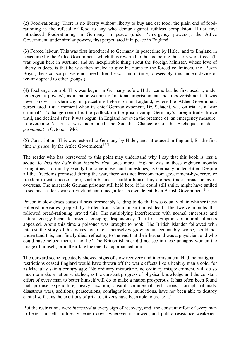(2) Food-rationing. There is no liberty without liberty to buy and eat food; the plain end of foodrationing is the refusal of food to any who demur against ruthless compulsion. Hitler first introduced food-rationing in Germany in peace (under 'emergency powers'); the Attlee Government, under similar powers, first perpetuated it in peace in England.

(3) Forced labour. This was first introduced to Germany in peacetime by Hitler, and to England in peacetime by the Attlee Government, which thus reverted to the age before the serfs were freed. (It was begun here in wartime, and an inexplicable thing about the Foreign Minister, whose love of liberty is deep, is that he was then misled to give his name to the forced coalminers, the 'Bevin Boys'; these conscripts were not freed after the war and in time, foreseeably, this ancient device of tyranny spread to other groups.)

(4) Exchange control. This was begun in Germany before Hitler came but he first used it, under 'emergency powers', as a major weapon of national imprisonment and impoverishment. It was never known in Germany in peacetime before, or in England, where the Attlee Government perpetuated it at a moment when its chief German exponent, Dr. Schacht, was on trial as a 'war criminal'. Exchange control is the padlock on the prison camp; Germany's foreign trade throve until, and declined after, it was begun. In England not even the pretence of 'an emergency measure' to overcome 'a crisis' was maintained; the Socialist Chancellor of the Exchequer made it *permanent* in October 1946.

(5) Conscription. This was restored to Germany by Hitler, and introduced in England, for the first time *in peace*, by the Attlee Government.<sup>[\[37\]](#page-171-0)</sup>

The reader who has persevered to this point may understand why I say that this book is less a sequel to *Insanity Fair* than *Insanity Fair* once more. England was in these eighteen months brought near to ruin by exactly the same moves and milestones, as Germany under Hitler. Despite all the Freedoms promised during the war, there was not freedom from government-by-decree, or freedom to eat, choose a job, start a business, build a house, buy clothes, trade abroad or invest overseas. The miserable German prisoner still held here, if he could still smile, might have smiled to see his Leader's war on England continued, after his own defeat, by a British Government.<sup>[\[38\]](#page-172-0)</sup>

Poison in slow doses causes illness foreseeably leading to death. It was equally plain whither these Hitlerist measures (copied by Hitler from Communism) must lead. The twelve months that followed bread-rationing proved this. The multiplying interferences with normal enterprise and natural energy began to breed a creeping despondency. The first symptoms of mortal ailments appeared. About this time a poisoner was brought to book. The British islander followed with interest the story of his wives, who felt themselves growing unaccountably worse, could not understand this, and finally died, reflecting to the end that their husband was a physician, and who could have helped them, if not he? The British islander did not see in these unhappy women the image of himself, or in their fate the one that approached him.

The outward scene repeatedly showed signs of slow recovery and improvement. Had the malignant restrictions ceased England would have thrown off the war's effects like a healthy man a cold, for as Macaulay said a century ago: 'No ordinary misfortune, no ordinary misgovernment, will do so much to make a nation wretched, as the constant progress of physical knowledge and the constant effort of every man to better himself will do to make a nation prosperous. It has often been found that profuse expenditure, heavy taxation, absurd commercial restrictions, corrupt tribunals, disastrous wars, seditions, persecutions, conflagrations, inundations, have not been able to destroy capital so fast as the exertions of private citizens have been able to create it.'

But the restrictions were *increased* at every sign of recovery, and 'the constant effort of every man to better himself' ruthlessly beaten down wherever it showed; and public resistance weakened.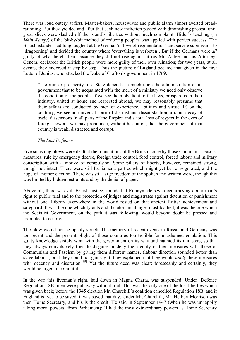There was loud outcry at first. Master-bakers, housewives and public alarm almost averted breadrationing. But they yielded and after that each new infliction passed with diminishing protest, until great slices were slashed off the island's liberties without much complaint. Hitler's teaching (in *Mein Kampf*) of the bit-by-bit method of reducing peoples was applied with perfect success. The British islander had long laughed at the German's 'love of regimentation' and servile submission to 'dragooning' and derided the country where 'everything is verboten'. But if the Germans were *all* guilty of what befell them because they did not rise against it (as Mr. Attlee and his Attorney-General declared) the British people were more guilty of their own ruination; for two years, at all events, they endorsed it step by step. Thus the picture of England became that given in the first Letter of Junius, who attacked the Duke of Grafton's government in 1769:

'The ruin or prosperity of a State depends so much upon the administration of its government that to be acquainted with the merit of a ministry we need only observe the condition of the people. If we see them obedient to the laws, prosperous in their industry, united at home and respected abroad, we may reasonably presume that their affairs are conducted by men of experience, abilities and virtue. If, on the contrary, we see an universal spirit of distrust and dissatisfaction, a rapid decay of trade, dissensions in all parts of the Empire and a total loss of respect in the eyes of foreign powers, we may pronounce, without hesitation, that the government of that country is weak, distracted and corrupt.'

#### *The Last Defences*

Five smashing blows were dealt at the foundations of the British house by those Communist-Fascist measures: rule by emergency decree, foreign trade control, food control, forced labour and military conscription with a motive of compulsion. Some pillars of liberty, however, remained strong, though not intact. There were still Parliament, parties which might yet be reinvigorated, and the hope of another election. There was still large freedom of the spoken and written word, though this was limited by hidden restraints and by the denial of paper.

Above all, there was still British justice, founded at Runnymede seven centuries ago on a man's right to public trial and to the protection of judges and magistrates against detention or punishment without one. Liberty everywhere in the world rested on that ancient British achievement and safeguard. It was the one which tyrants and dictators in all ages most loathed; it was the one which the Socialist Government, on the path it was following, would beyond doubt be pressed and prompted to destroy.

The blow would not be openly struck. The memory of recent events in Russia and Germany was too recent and the present plight of those countries too terrible for unashamed emulation. This guilty knowledge visibly went with the government on its way and haunted its ministers, so that they always convulsively tried to disguise or deny the identity of their measures with those of Communism and Fascism by giving them different names, (labour direction sounded better than slave labour); or if they could not gainsay it, they explained that they would *apply* these measures with decency and discretion.<sup>[\[39\]](#page-172-0)</sup> Yet the future deed was clear; foreseeably and certainly, they would be urged to commit it.

In the war this freeman's right, laid down in Magna Charta, was suspended. Under 'Defence Regulation 18B' men were put away without trial. This was the only one of the lost liberties which was given back; before the 1945 election Mr. Churchill's coalition cancelled Regulation 18B, and if England is 'yet to be saved, it was saved that day. Under Mr. Churchill, Mr. Herbert Morrison was then Home Secretary, and his is the credit. He said in September 1947 (when he was unhappily taking more 'powers' from Parliament): 'I had the most extraordinary powers as Home Secretary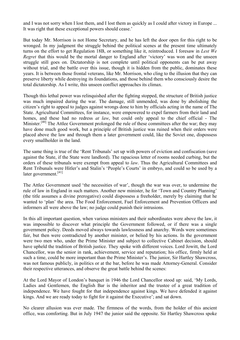and I was not sorry when I lost them, and I lost them as quickly as I could after victory in Europe ... It was right that these exceptional powers should cease.'

But today Mr. Morrison is not Home Secretary, and he has left the door open for this right to be wronged. In my judgment the struggle behind the political scenes at the present time ultimately turns on the effort to get Regulation 18B, or something like it, reintroduced. I foresaw in *Lest We Regret* that this would be the mortal danger to England after 'victory' was won and the unseen struggle still goes on. Dictatorship is not complete until political opponents can be put away without trial, and the battle over this issue, though it is hidden from the public, dominates these years. It is between those frontal veterans, like Mr. Morrison, who cling to the illusion that they can preserve liberty while destroying its foundations, and those behind them who consciously desire the total dictatorship. As I write, this unseen conflict approaches its climax.

Though this lethal power was relinquished after the fighting stopped, the structure of British justice was much impaired during the war. The damage, still unmended, was done by abolishing the citizen's right to appeal to judges against wrongs done to him by officials acting in the name of The State. Agricultural Committees, for instance, were empowered to expel farmers from their land and homes, and these had no redress *at law*, but could only appeal to the chief official - The Minister.<sup>[\[40\]](#page-172-0)</sup> The Attlee Government prolonged the rule of these committees after the war; they may have done much good work, but a principle of British justice was ruined when their orders were placed above the law and through them a later government could, like the Soviet one, dispossess every smallholder in the land.

The same thing is true of the 'Rent Tribunals' set up with powers of eviction and confiscation (save against the State, if the State were landlord). The rapacious letter of rooms needed curbing, but the orders of these tribunals were exempt from appeal to *law*. Thus the Agricultural Committees and Rent Tribunals were Hitler's and Stalin's 'People's Courts' in embryo, and could so be used by a later government.<sup>[\[41\]](#page-172-0)</sup>

The Attlee Government used 'the necessities of war', though the war was over, to undermine the rule of law in England in such matters. Another new minister, he for 'Town and Country Planning' (the title assumes a divine prerogative) could dispossess a freeholder, merely by claiming that he wanted to 'plan' the area. The Food Enforcement, Fuel Enforcement and Prevention Officers and informers all were above the law; no judge could punish their intrusions.

In this all important question, when various ministers and their subordinates were above the law, it was impossible to discover what principle the Government followed, or if there was a single government policy. Deeds moved always towards lawlessness and anarchy. Words were sometimes fair, but then were contradicted by another minister, or belied by his actions. In the government were two men who, under the Prime Minister and subject to collective Cabinet decision, should have upheld the tradition of British justice. They spoke with different voices. Lord Jowitt, the Lord Chancellor, was the senior in rank, achievement, service and reputation; his office, firmly held at such a time, could be more important than the Prime Minister's. The junior, Sir Hartley Shawcross, was not famous publicly, in politics or at the bar, before he was made Attorney-General. Consider their respective utterances, and observe the great battle behind the scenes:

At the Lord Mayor of London's banquet in 1946 the Lord Chancellor stood up: said, 'My Lords, Ladies and Gentlemen, the English Bar is the inheritor and the trustee of a great tradition of independence. We have fought for that independence against kings. We have defended it against kings. And we are ready today to fight for it against the Executive'; and sat down.

No clearer allusion was ever made. The firmness of the words, from the holder of this ancient office, was comforting. But in July 1947 the junior said the opposite. Sir Hartley Shawcross spoke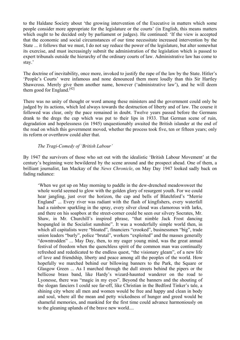to the Haldane Society about 'the growing intervention of the Executive in matters which some people consider more appropriate for the legislature or the courts' (in English, this means matters which ought to be decided only by parliament or judges). He continued: 'If the view is accepted that the economic and social circumstances of our time necessitate increased intervention by the State ... it follows that we must, I do not say reduce the power of the legislature, but alter somewhat its exercise, and must increasingly submit the administration of the legislation which is passed to expert tribunals outside the hierarchy of the ordinary courts of law. Administrative law has come to stay.'

The doctrine of inevitability, once more, invoked to justify the rape of the law by the State. Hitler's 'People's Courts' were infamous and none denounced them more loudly than this Sir Hartley Shawcross. Merely give them another name, however ('administrative law'), and he will deem them good for England.<sup>[\[42\]](#page-172-0)</sup>

There was no unity of thought or word among these ministers and the government could only be judged by its actions, which led always towards the destruction of liberty and of law. The course it followed was clear, only the pace remained in doubt. Twelve years passed before the Germans drank to the dregs the cup which was put to their lips in 1933. That German scene of ruin, degradation and hopelessness (in 1945) unquestionably awaited the British islander at the end of the road on which this government moved, whether the process took five, ten or fifteen years; only its reform or overthrow could alter that.

#### *The Tragi-Comedy of 'British Labour'*

By 1947 the survivors of those who set out with the idealistic 'British Labour Movement' at the century's beginning were bewildered by the scene around and the prospect ahead. One of them, a brilliant journalist, Ian Mackay of the *News Chronicle*, on May Day 1947 looked sadly back on fading radiance:

'When we got up on May morning to paddle in the dew-drenched meadowsweet the whole world seemed to glow with the golden glory of resurgent youth. For we could hear jangling, just over the horizon, the cap and bells of Blatchford's "Merrie England" ... Every river was radiant with the flash of kingfishers, every waterfall had a rainbow sparkling in the spray, every silver cloud was clamorous with larks, and there on his soapbox at the street-corner could be seen our silvery Socrates, Mr. Shaw, in Mr. Churchill's inspired phrase, "that nimble Jack Frost dancing bespangled in the Socialist sunshine". It was a wonderfully simple world then, in which all capitalists were "bloated", financiers "crooked", businessmen "big", trade union leaders "burly", police "brutal", workers "exploited" and the masses generally "downtrodden" ... May Day, then, to my eager young mind, was the great annual festival of freedom when the quenchless spirit of the common man was continually refreshed and rededicated to the endless quest, "the visionary gleam", of a new life of love and friendship, liberty and peace among all the peoples of the world. How hopefully we marched behind our billowing banners to the Park, the Square or Glasgow Green ... As I marched through the dull streets behind the pipers or the bellicose brass band, like Hardy's wizard-haunted wanderer on the road to Lyonesse, there was "magic in my eyes". Beyond the banners and the shouting of the slogan fanciers I could see far-off, like Christian in the Bedford Tinker's tale, a shining city where all men and women would be free and happy and clean in body and soul, where all the mean and petty wickedness of hunger and greed would be shameful memories, and mankind for the first time could advance harmoniously on to the gleaning uplands of the brave new world....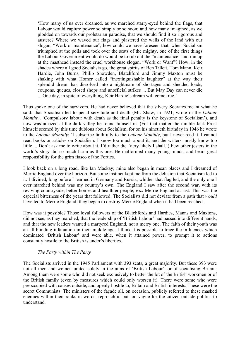'How many of us ever dreamed, as we marched starry-eyed behind the flags, that Labour would capture power so simply or so soon; and how many imagined, as we plodded on towards our proletarian paradise, that we should find it so rigorous and austere? Where we waved our flags and plastered the walls of the land with our slogan, "Work or maintenance", how could we have foreseen that, when Socialism triumphed at the polls and took over the seats of the mighty, one of the first things the Labour Government would do would be to rub out the "maintenance" and run up at the masthead instead the cruel workhouse slogan, "Work or Want"? How, in the shades where all good Socialists go, the great spirits of Ben Tillett, Tom Mann, Keir Hardie, John Burns, Philip Snowden, Blatchford and Jimmy Maxton must be shaking with what Homer called "inextinguishable laughter" at the way their splendid dream has dissolved into a nightmare of shortages and shedded loads, coupons, queues, closed shops and unofficial strikes ... But May Day can never die ... One day, in spite of everything, Keir Hardie's dream will come true.'

Thus spoke one of the survivors. He had never believed that the silvery Socrates meant what he said: that Socialism led to penal servitude and death (Mr. Shaw, in 1921, wrote in the *Labour Monthly*, 'Compulsory labour with death as the final penalty is the keystone of Socialism'), and now was amazed at the dark valley he found himself in. (For that matter the nimble Jack Frost himself seemed by this time dubious about Socialism, for on his ninetieth birthday in 1946 he wrote to the *Labour Monthly*: 'I subscribe faithfully to the *Labour Monthly*, but I never read it. I cannot read books or articles on Socialism: I know too much about it; and the writers mostly know too little ... Don't ask me to write about it. I'd rather die. Very likely I shall.') Few other jesters in the world's story did so much harm as this one. He malformed many young minds, and bears great responsibility for the grim fiasco of the Forties.

I look back on a long road, like Ian Mackay; mine also began in mean places and I dreamed of Merrie England over the horizon. But some instinct kept me from the delusion that Socialism led to it. I divined, long before I learned in Germany and Russia, whither that flag led, and the only one I ever marched behind was my country's own. The England I saw after the second war, with its reviving countryside, better homes and healthier people, *was* Merrie England at last. This was the especial bitterness of the years that followed. The Socialists did not deviate from a path that *would* have led to Merrie England; they began to destroy Merrie England when it had been reached.

How was it possible? Those loyal followers of the Blatchfords and Hardies, Manns and Maxtons, did not see, as they marched, that the leadership of 'British Labour' had passed into different hands, and that the new leaders wanted a martyred England, not a merry one. The faith of their youth was an all-blinding infatuation in their middle age. I think it is possible to trace the influences which dominated 'British Labour' and were able, when it attained power, to prompt it to actions constantly hostile to the British islander's liberties.

#### *The Party within The Party*

The Socialists arrived in the 1945 Parliament with 393 seats, a great majority. But these 393 were not all men and women united solely in the aims of 'British Labour', or of socialising Britain. Among them were some who did not seek exclusively to better the lot of the British workmen or of the British family (even by measures which could only worsen it). There were some who were preoccupied with causes outside, and openly hostile to, Britain and British interests. These were the secret Communists. The ministers of the façade all, on occasion, publicly referred to these masked enemies within their ranks in words, reproachful but too vague for the citizen outside politics to understand.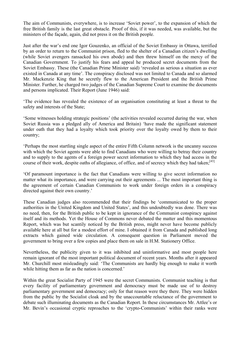The aim of Communists, everywhere, is to increase 'Soviet power', to the expansion of which the free British family is the last great obstacle. Proof of this, if it was needed, was available, but the ministers of the façade, again, did not press it on the British people.

Just after the war's end one Igor Gouzenko, an official of the Soviet Embassy in Ottawa, terrified by an order to return to the Communist prison, fled to the shelter of a Canadian citizen's dwelling (while Soviet avengers ransacked his own abode) and then threw himself on the mercy of the Canadian Government. To justify his fears and appeal he produced secret documents from the Soviet Embassy. These (the Canadian Prime Minister said) 'revealed as serious a situation as ever existed in Canada at any time'. The conspiracy disclosed was not limited to Canada and so alarmed Mr. Mackenzie King that he secretly flew to the American President and the British Prime Minister. Further, he charged two judges of the Canadian Supreme Court to examine the documents and persons implicated. Their Report (June 1946) said:

'The evidence has revealed the existence of an organisation constituting at least a threat to the safety and interests of the State;

'Some witnesses holding strategic positions' (the activities revealed occurred during the war, when Soviet Russia was a pledged ally of America and Britain) 'have made the significant statement under oath that they had a loyalty which took priority over the loyalty owed by them to their country;

'Perhaps the most startling single aspect of the entire Fifth Column network is the uncanny success with which the Soviet agents were able to find Canadians who were willing to betray their country and to supply to the agents of a foreign power secret information to which they had access in the course of their work, despite oaths of allegiance, of office, and of secrecy which they had taken;  $[43]$ 

'Of paramount importance is the fact that Canadians were willing to give secret information no matter what its importance, and were carrying out their agreements ... The most important thing is the agreement of certain Canadian Communists to work under foreign orders in a conspiracy directed against their own country.'

These Canadian judges also recommended that their findings be 'communicated to the proper authorities in the United Kingdom and United States', and this undoubtedly was done. There was no need, then, for the British public to be kept in ignorance of the Communist conspiracy against itself and its methods. Yet the House of Commons never debated the matter and this momentous Report, which was but scantily noticed by the British press, might never have become publicly available here at all but for a modest effort of mine. I obtained it from Canada and published long extracts which gained wide circulation. A consequent question in Parliament moved the government to bring over a few copies and place them on sale in H.M. Stationery Office.

Nevertheless, the publicity given to it was inhibited and uninformative and most people here remain ignorant of the most important political document of recent years. Months after it appeared Mr. Churchill most misleadingly said: 'The Communists are hardly big enough to make it worth while hitting them as far as the nation is concerned.'

Within the great Socialist Party of 1945 were the secret Communists. Communist teaching is that every facility of parliamentary government and democracy must be made use of to destroy parliamentary government and democracy; only for that reason were they there. They were hidden from the public by the Socialist cloak and by the unaccountable reluctance of the government to debate such illuminating documents as the Canadian Report. In these circumstances Mr. Attlee's or Mr. Bevin's occasional cryptic reproaches to the 'crypto-Communists' within their ranks were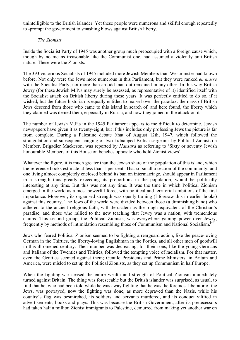unintelligible to the British islander. Yet these people were numerous and skilful enough repeatedly to -prompt the government to smashing blows against British liberty.

#### *The Zionists*

Inside the Socialist Party of 1945 was another group much preoccupied with a foreign cause which, though by no means treasonable like the Communist one, had assumed a violently anti-British nature. These were the Zionists.

The 393 victorious Socialists of 1945 included more Jewish Members than Westminster had known before. Not only were the Jews more numerous in this Parliament, but they were ranked *en masse* with the Socialist Party; not more than an odd man out remained in any other. In this way British Jewry (for these Jewish M.P.s may surely be assessed, as representative of it) identified itself with the Socialist attack on British liberty during these years. It was perfectly entitled to do so, if it wished, but the future historian is equally entitled to marvel over the paradox: the mass of British Jews descend from those who came to this island in search of, and here found, the liberty which they claimed was denied them, especially in Russia, and now they joined in the attack on it.

The number of Jewish M.P.s in the 1945 Parliament appears to me difficult to determine. Jewish newspapers have given it as twenty-eight, but if this includes only professing Jews the picture is far from complete. During a Palestine debate (that of August 12th, 1947, which followed the strangulation and subsequent hanging of two kidnapped British sergeants by Political Zionists) a Member, Brigadier Mackeson, was reported by *Hansard* as referring to 'Sixty or seventy Jewish honourable Members of this House on benches opposite who hold Zionist views'.

Whatever the figure, it is much greater than the Jewish share of the population of this island, which the reference books estimate at less than 1 per cent. That so small a section of the community, and one living almost completely enclosed behind its ban on intermarriage, should appear in Parliament in a strength thus greatly exceeding its proportions in the population, would be politically interesting at any time. But this was not any time. It was the time in which Political Zionism emerged in the world as a most powerful force, with political and territorial ambitions of the first importance. Moreover, its organised strength was openly turning (I foresaw this in earlier books) against this country. The Jews of the world were divided between those (a diminishing band) who adhered to the ancient religious faith, with Jerusalem as the rough equivalent of the Christian's paradise, and those who rallied to the new teaching that Jewry was a nation, with tremendous claims. This second group, the Political Zionists, was everywhere gaining power over Jewry, frequently by methods of intimidation resembling those of Communism and National Socialism.[\[44\]](#page-173-0)

Jews who feared Political Zionism seemed to be fighting a rearguard action, like the peace-loving German in the Thirties, the liberty-loving Englishman in the Forties, and all other men of goodwill in this ill-omened century. Their number was decreasing, for their sons, like the young Germans and Italians of the Twenties and Thirties, followed the tempting voice of racialism. For that matter, even the Gentiles seemed against them; Gentile Presidents and Prime Ministers, in Britain and America, were misled to set up the Political Zionists, as they set up Communism in half Europe.

When the fighting-war ceased the entire wealth and strength of Political Zionism immediately turned against Britain. The thing was foreseeable but the British islander was surprised, as usual, to find that he, who had been told while he was away fighting that he was the foremost liberator of the Jews, was portrayed, now the fighting was done, as more depraved than the Nazis, while his country's flag was besmirched, its soldiers and servants murdered, and its conduct vilified in advertisements, books and plays. This was because the British Government, after its predecessors had taken half a million Zionist immigrants to Palestine, demurred from making yet another war on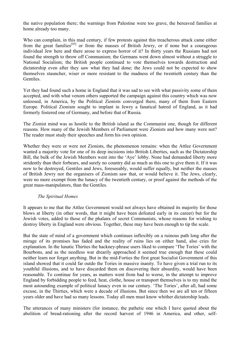the native population there; the warnings from Palestine were too grave, the bereaved families at home already too many.

Who can complain, in this mad century, if few protests against this treacherous attack came either from the great families<sup>[\[45\]](#page-173-0)</sup> or from the masses of British Jewry, or if none but a courageous individual Jew here and there arose to express horror of it? In thirty years the Russians had not found the strength to throw off Communism; the Germans went down almost without a struggle to National Socialism; the British people continued to vote themselves towards destruction and dictatorship even after they saw what they had done; the Jews could not be expected to show themselves stauncher, wiser or more resistant to the madness of the twentieth century than the Gentiles.

Yet they had found such a home in England that it was sad to see with what passivity some of them accepted, and with what venom others supported the campaign against this country which was now unloosed, in America, by the Political Zionists converged there, many of them from Eastern Europe. Political Zionism sought to implant in Jewry a fanatical hatred of England, as it had formerly fostered one of Germany, and before that of Russia.

The Zionist mind was as hostile to the British island as the Communist one, though for different reasons. How many of the Jewish Members of Parliament were Zionists and how many were not? The reader must study their speeches and form his own opinion.

Whether they were or were not Zionists, the phenomenon remains: when the Attlee Government wanted a majority vote for one of its deep incisions into British Liberties, such as the Dictatorship Bill, the bulk of the Jewish Members went into the 'Aye' lobby. None had demanded liberty more stridently than their forbears, and surely no country did as much as this one to give them it. If it was now to be destroyed, Gentiles and Jews, foreseeably, would suffer equally, but neither the masses of British Jewry nor the organisers of Zionism saw that, or would believe it. The Jews, clearly, were no more exempt from the lunacy of the twentieth century, or proof against the methods of the great mass-manipulators, than the Gentiles.

#### *The Spiritual Homes*

It appears to me that the Attlee Government would not always have obtained its majority for those blows at liberty (in other words, that it might have been defeated early in its career) but for the Jewish votes, added to those of the phalanx of secret Communists, whose reasons for wishing to destroy liberty in England were obvious. Together, these may have been enough to tip the scale.

But the state of mind of a government which continues inflexibly on a ruinous path long after the mirage of its promises has faded and the reality of ruins lies on either hand, also cries for explanation. In the lunatic Thirties the hackney-phrase users liked to compare 'The Tories' with the Bourbons, and as the needless war drearily approached it seemed true enough that these could neither learn nor forget anything. But in the mid-Forties the first great Socialist Government of this island showed that it could far outdo the Tories in massive inanity. To have given a trial run to its youthful illusions, and to have discarded them on discovering their absurdity, would have been reasonable. To continue for years, as matters went from bad to worse, in the attempt to improve England by forbidding people to feed, heat, clothe, house or transport themselves is to my mind the most astounding example of political lunacy even in our century. 'The Tories', after all, had some excuse, in the Thirties, which were a decade of illusions. But since then we are all ten or fifteen years older and have had so many lessons. Today all men must know whither dictatorship leads.

The utterances of many ministers (for instance, the pathetic one which I have quoted about the abolition of bread-rationing after the record harvest of 1946 in America, and other, self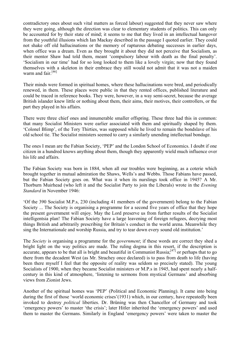contradictory ones about such vital matters as forced labour) suggested that they never saw where they were going, although the direction was clear to elementary students of politics. This can only be accounted for by their state of mind; it seems to me that they lived in an intellectual hangover from the youthful illusions which Ian Mackay described in the passage I quoted earlier. They could not shake off old hallucinations or the memory of rapturous debating successes in earlier days, when office was a dream. Even as they brought it about they did not perceive that Socialism, as their mentor Shaw had told them, meant 'compulsory labour with death as the final penalty'. 'Socialism in our time' had for so long looked to them like a lovely virgin; now that they found themselves with a skeleton in their embrace they still would not admit that it was not a maiden warm and fair  $[46]$ 

Their minds were formed in spiritual homes, where these hallucinations were bred, and periodically renewed, in them. These places were public in that they rented offices, published literature and could be traced in reference books. They were, however, in a way semi-secret, because the average British islander knew little or nothing about them, their aims, their motives, their controllers, or the part they played in his affairs.

There were three chief ones and innumerable smaller offspring. These three had this in common: that many Socialist Ministers were earlier associated with them and spiritually shaped by them. 'Colonel Blimp', of the Tory Thirties, was supposed while he lived to remain the bondslave of his old school tie. The Socialist ministers seemed to carry a similarly unending intellectual bondage.

The ones I mean are the Fabian Society, 'PEP' and the London School of Economics. I doubt if one citizen in a hundred knows anything about them, though they apparently wield much influence over his life and affairs.

The Fabian Society was born in 1884, when all our troubles were beginning, as a coterie which brought together in mutual admiration the Shaws, Wells's and Webbs. Those Fabians have passed, but the Fabian Society goes on. What was it when its nurslings took office in 1945? A Mr. Thorburn Muirhead (who left it and the Socialist Party to join the Liberals) wrote in the *Evening Standard* in November 1946:

'Of the 390 Socialist M.P.s, 230 (including 41 members of the government) belong to the Fabian Society ... The Society is organising a programme for a second five years of office that they hope the present government will enjoy. May the Lord preserve us from further results of the Socialist intelligentsia plan! The Fabian Society have a large leavening of foreign refugees, decrying most things British and arbitrarily prescribing for Britain's conduct in the world arena. Meanwhile they sing the Internationale and worship Russia, and try to tear down every sound old institution.'

The *Society* is organising a programme for the *government*; if these words are correct they shed a bright light on the way politics are made. The ruling dogma in this resort, if the description is  $\alpha$  accurate, appears to be that all is bright and beautiful in Communist Russia; $\left[47\right]$  or perhaps that to go there from the decadent West (as Mr. Strachey once declared) is to pass from death to life (having been there myself I feel that the opposite of reality was seldom so precisely stated). The young Socialists of 1900, when they became Socialist ministers or M.P.s in 1945, had spent nearly a halfcentury in this kind of atmosphere, 'listening to sermons from mystical Germans' and absorbing views from Zionist Jews.

Another of the spiritual homes was 'PEP' (Political and Economic Planning). It came into being during the first of those 'world economic crises'(1931) which, in our century, have repeatedly been invoked to destroy *political* liberties. Dr. Brüning was then Chancellor of Germany and took 'emergency powers' to master 'the crisis'; later Hitler inherited the 'emergency powers' and used them to master the Germans. Similarly in England 'emergency powers' were taken to master the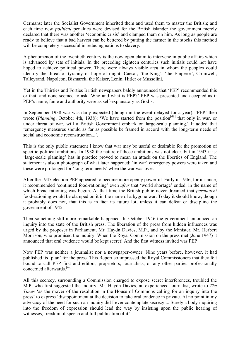Germans; later the Socialist Government inherited them and used them to master the British; and each time new *political* penalties were devised for the British islander the government merely declared that there was another 'economic crisis' and clamped them on him. As long as people are ready to believe that a bad harvest can be bettered by putting the farmer in the stocks this method will be completely successful in reducing nations to slavery.

A phenomenon of the twentieth century is the now open claim to intervene in public affairs which is advanced by sets of initials. In the preceding eighteen centuries such initials could not have hoped to achieve political power. There were always visible *men* in whom the peoples could identify the threat of tyranny or hope of might: Caesar, 'the King', 'the Emperor', Cromwell, Talleyrand, Napoleon, Bismarck, the Kaiser, Lenin, Hitler or Mussolini.

Yet in the Thirties and Forties British newspapers baldly announced that 'PEP' recommended this or that, and none seemed to ask 'Who and what is PEP?' PEP was presented and accepted as if PEP's name, fame and authority were as self-explanatory as God's.

In September 1938 war was daily expected (though in the event delayed for a year). 'PEP' then wrote (*Planning*, October 4th, 1938): 'We have started from the position<sup>[\[48\]](#page-173-0)</sup> that only in war, or under threat of war, will a British Government embark on large-scale planning.' It added that 'emergency measures should as far as possible be framed in accord with the long-term needs of social and economic reconstruction...'.

This is the only public statement I know that war may be useful or desirable for the promotion of specific political ambitions. In 1938 the nature of those ambitions was not clear, but in 1943 it is: 'large-scale planning' has in practice proved to mean an attack on the liberties of England. The statement is also a photograph of what later happened: 'in war' emergency powers were taken and these were prolonged for 'long-term needs' when the war was over.

After the 1945 election PEP appeared to become more openly powerful. Early in 1946, for instance, it recommended 'continued food-rationing' even *after* that 'world shortage' ended, in the name of which bread-rationing was begun. At that time the British public never dreamed that *permanent* food-rationing would be clamped on it in the name of a bygone war. Today it should know, though it probably does not, that this is in fact its future lot, unless it can defeat or discipline the government of 1945.

Then something still more remarkable happened. In October 1946 the government announced an inquiry into the state of the British press. The liberation of the press from hidden influences was urged by the proposer in Parliament, Mr. Haydn Davies, M.P., and by the Minister, Mr. Herbert Morrison, who promised the inquiry. When the Royal Commission on the press met (June 1947) it announced that oral evidence would be kept secret! And the first witness invited was PEP!

Now PEP was neither a journalist nor a newspaper-owner. Nine years before, however, it had published its 'plan' for the press. This Report so impressed the Royal Commissioners that they felt bound to call PEP first and editors, proprietors, journalists, or any other parties professionally concerned afterwards<sup>[\[49\]](#page-173-0)</sup>

All this secrecy, surrounding a Commission charged to expose secret interferences, troubled the M.P. who first suggested the inquiry. Mr. Haydn Davies, an experienced journalist, wrote to *The Times* 'as the mover of the resolution in the House of Commons calling for an inquiry into the press' to express 'disappointment at the decision to take oral evidence in private. At no point in my advocacy of the need for such an inquiry did I ever contemplate secrecy ... Surely a body inquiring into the freedom of expression should lead the way by insisting upon the public hearing of witnesses, freedom of speech and full publication of it'.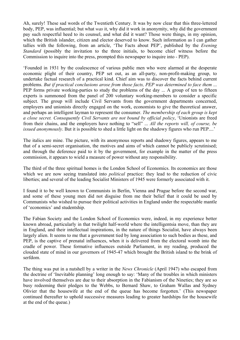Ah, surely! These sad words of the Twentieth Century. It was by now clear that this three-lettered body, PEP, was influential; but what *was* it, why did it work in anonymity, why did the government pay such respectful heed to its counsel, and what did it want? Those were things, in my opinion, which the British islander, citizen and elector deserved to know. Such information as I can gather tallies with the following, from an article, 'The Facts about PEP', published by the *Evening Standard* (possibly the invitation to the three initials, to become chief witness before the Commission to inquire into the press, prompted this newspaper to inquire into - PEP).

'Founded in 1931 by the coalescence of various public men who were alarmed at the desperate economic plight of their country, PEP set out, as an all-party, non-profit-making group, to undertake factual research of a practical kind. Chief aim was to discover the facts behind current problems. *But if practical conclusions arose from those facts, PEP was determined to face them* ... PEP forms private working-parties to study the problems of the day ... A group of ten to fifteen experts is summoned from the panel of 200 voluntary working-members to consider a specific subject. The group will include Civil Servants from the government departments concerned, employers and unionists directly engaged on the work, economists to give the theoretical answer, and perhaps an intelligent layman to represent the consumer. *The membership of each group is kept a close secret. Consequently Civil Servants are not bound by official policy*, 'Unionists are freed from their chains, and the employers have nothing to "sell" ... *All the reports will, of course, be issued anonymously*. But it is possible to shed a little light on the shadowy figures who run PEP....'

The italics are mine. The picture, with its anonymous reports and shadowy figures, appears to me that of a semi-secret organisation, the motives and aims of which cannot be publicly scrutinised; and through the deference paid to it by the government, for example in the matter of the press commission, it appears to wield a measure of power without any responsibility.

The third of the three spiritual homes is the London School of Economics. Its economics are those which we are now seeing translated into *political* practice: they lead to the reduction of civic liberties; and several of the leading Socialist Ministers of 1945 were formerly associated with it.

I found it to be well known to Communists in Berlin, Vienna and Prague before the second war, and some of these young men did not disguise from me their belief that it could be used by Communists who wished to pursue their political activities in England under the respectable mantle of 'economics' and studentship.

The Fabian Society and the London School of Economics were, indeed, in my experience better known abroad, particularly in that twilight half-world where the intelligentsia move, than they are in England, and their intellectual inspirations, in the nature of things Socialist, have always been largely alien. It seems to me that a government tied by long association to such bodies as these, and PEP, is the captive of prenatal influences, when it is delivered from the electoral womb into the cradle of power. These formative influences outside Parliament, in my reading, produced the clouded state of mind in our governors of 1945-47 which brought the British island to the brink of serfdom.

The thing was put in a nutshell by a writer in the *News Chronicle* (April 1947) who escaped from the doctrine of 'Inevitable planning' long enough to say: 'Many of the troubles in which ministers have involved themselves are due to their absorption in the Fabianism of the Nineties; they are so busy redeeming their pledges to the Webbs, to Bernard Shaw, to Graham Wallas and Sydney Olivier that the housewife at the end of the queue has become forgotten.' (This newspaper continued thereafter to uphold successive measures leading to greater hardships for the housewife at the end of the queue.)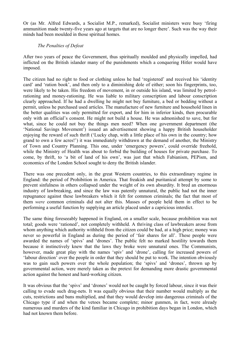Or (as Mr. Alfred Edwards, a Socialist M.P., remarked), Socialist ministers were busy 'firing ammunition made twenty-five years ago at targets that are no longer there'. Such was the way their minds had been moulded in those spiritual homes.

#### *The Penalties of Defeat*

After two years of peace the Government, thus spiritually moulded and physically impelled, had inflicted on the British islander many of the punishments which a conquering Hitler would have imposed.

The citizen had no right to food or clothing unless he had 'registered' and received his 'identity card' and 'ration book', and then only to a diminishing dole of either; soon his fingerprints, too, were likely to be taken. His freedom of movement, in or outside his island, was limited by petrolrationing and money-rationing. He was liable to military conscription and labour conscription clearly approached. If he had a dwelling he might not buy furniture, a bed or bedding without a permit, unless he purchased used articles. The manufacture of new furniture and household linen in the better qualities was only permitted for export, and for him in inferior kinds, then procurable only with an official's consent. He might not build a house. He was admonished to save, but for what, since he could not buy the things men need? When one government department (the 'National Savings Movement') issued an advertisement showing a happy British householder enjoying the reward of such thrift ('Lucky chap, with a little place of his own in the country; how grand to own a few acres!') it was immediately withdrawn at the demand of another, the Ministry of Town and Country Planning. This one, under 'emergency powers', could override freehold, while the Ministry of Health was about to forbid the building of houses for private purchase. To come, by thrift, to 'a bit of land of his own', was just that which Fabianism, PEPism, and economics of the London School sought to deny the British islander.

There was one precedent only, in the great Western countries, to this extraordinary regime in England: the period of Prohibition in America. That freakish and puritanical attempt by some to prevent sinfulness in others collapsed under the weight of its own absurdity. It bred an enormous industry of lawbreaking, and since the law was patently unnatural, the public had not the inner repugnance against these lawbreakers which it felt for common criminals; the fact that most of them *were* common criminals did not alter this. Masses of people held them in effect to be performing a useful function by supplying an article placed under a capricious interdict.

The same thing foreseeably happened in England, on a smaller scale, because prohibition was not total; goods were 'rationed', not completely withheld. A thriving class of lawbreakers arose from whom anything which authority withheld from the citizen could be had, at a high price; money was never so powerful in England as during the period of 'fair shares for all'. These people were awarded the names of 'spivs' and 'drones'. The public felt no marked hostility towards them because it instinctively knew that the laws they broke were unnatural ones. The Communists, however, made great play with the names 'spiv' and 'drone', calling for increased powers of 'labour direction' over the people in order that they should be put to work. The intention obviously was to gain such powers over the whole population; the 'spivs' and 'drones', thrown up by governmental action, were merely taken as the pretext for demanding more drastic governmental action against the honest and hard-working citizen.

It was obvious that the 'spivs' and 'drones' would not be caught by forced labour, since it was their calling to evade such drag-nets. It was equally obvious that their number would multiply as the cuts, restrictions and bans multiplied, and that they would develop into dangerous criminals of the Chicago type if and when the vetoes became complete; minor gunmen, in fact, were already numerous and murders of the kind familiar in Chicago in prohibition days began in London, which had not known them before.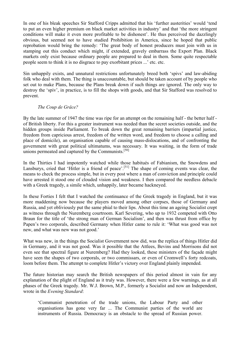In one of his bleak speeches Sir Stafford Cripps admitted that his 'further austerities' would 'tend to put an even higher premium on black market activities in industry' and that 'the more stringent conditions will make it even more profitable to be dishonest'. He thus perceived the dazzlingly obvious, but seemed not to have studied Prohibition in America, since he hoped that public reprobation would bring the remedy: 'The great body of honest producers must join with us in stamping out this conduct which might, if extended, gravely embarrass the Export Plan. Black markets only exist because ordinary people are prepared to deal in them. Some quite respectable people seem to think it is no disgrace to pay exorbitant prices ...' etc. etc.

Sin unhappily exists, and unnatural restrictions unfortunately breed both 'spivs' and law-abiding folk who deal with them. The thing is unaccountable, but should be taken account of by people who set out to make Plans, because the Plans break down if such things are ignored. The only way to destroy the 'spiv', in practice, is to fill the shops with goods, and that Sir Stafford was resolved to prevent.

### *The Coup de Grâce?*

By the late summer of 1947 the time was ripe for an attempt on the remaining half - the better half of British liberty. For this a greater instrument was needed than the secret societies outside, and the hidden groups inside Parliament. To break down the great remaining barriers (impartial justice, freedom from capricious arrest, freedom of the written word, and freedom to choose a calling and place of domicile), an organisation capable of causing mass-dislocations, and of confronting the government with great political ultimatums, was necessary. It was waiting, in the form of trade unions permeated and captured by the Communists.<sup>[\[50\]](#page-173-0)</sup>

In the Thirties I had impotently watched while those habitués of Fabianism, the Snowdens and Lansburys, cried that 'Hitler is a friend of peace'.<sup>[\[51\]](#page-174-0)</sup> The shape of coming events was clear, the means to check the process simple, but in every post where a man of conviction and principle could have arrested it stood one of clouded vision and weakness. I then compared the needless debacle with a Greek tragedy, a simile which, unhappily, later became hackneyed.

In these Forties I felt that I watched the continuance of the Greek tragedy in England, but it was more maddening now because the players moved among other corpses, those of Germany and Russia, and yet obliviously put the same phial to their lips. About this time an ageing Socialist crept as witness through the Nuremberg courtroom. Karl Severing, who up to 1932 competed with Otto Braun for the title of 'the strong man of German Socialism', and then was thrust from office by Papen's two corporals, described Germany when Hitler came to rule it: 'What was good was not new, and what was new was not good.'

What was new, in the things the Socialist Government now did, was the replica of things Hitler did in Germany, and it was not good. Was it possible that the Attlees, Bevins and Morrisons did not even see that spectral figure at Nuremberg? Had they looked, these ministers of the façade might have seen the shapes of two corporals, or two commissars, or even of Cromwell's forty redcoats, loom before them. The attempt to complete Hitler's victory over England plainly impended.

The future historian may search the British newspapers of this period almost in vain for any explanation of the plight of England as it truly was. However, there were a few warnings, as at all phases of the Greek tragedy. Mr. W.J. Brown, M.P., formerly a Socialist and now an Independent, wrote in the *Evening Standard*:

'Communist penetration of the trade unions, the Labour Party and other organisations has gone very far ... The Communist parties of the world are instruments of Russia. Democracy is an obstacle to the spread of Russian power.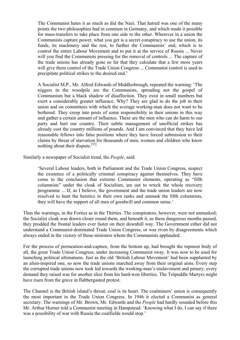The Communist hates it as much as did the Nazi. That hatred was one of the many points the two philosophies had in common in Germany, and which made it possible for mass-transfers to take place from one side to the other. Wherever in a union the Communists capture power, what you get is a secret conspiracy to use the union, its funds, its machinery and the rest, to further the Communists' end, which is to control the entire Labour Movement and to put it at the service of Russia ... Never will you find the Communists pressing for the removal of controls ... The capture of the trade unions has already gone so far that they calculate that a few more years will give them control of the Trade Union Congress ... Communist control is used to precipitate political strikes to the desired end.'

A Socialist M.P., Mr. Alfred Edwards of Middlesbrough, repeated the warning: 'The niggers in the woodpile are the Communists, spreading not the gospel of Communism but a black shadow of disaffection. They exist in small numbers but exert a considerably greater influence. Why? They are glad to do the job in their union and on committees with which the average working-man does not want to be bothered. They creep into posts of some responsibility in their unions in this way and gather a certain amount of influence. These are the men who can do harm to our party and hurt our country. Their subtle management of unofficial strikes has already cost the country millions of pounds. And I am convinced that they have led reasonable fellows into false positions where they have forced submission to their claims by threat of starvation for thousands of men, women and children who know nothing about their dispute.<sup>[\[52\]](#page-174-0)</sup>

Similarly a newspaper of Socialist trend, the *People*, said:

'Several Labour leaders, both in Parliament and the Trade Union Congress, suspect the existence of a politically criminal conspiracy against themselves. They have come to the conclusion that extreme Communist elements, operating as "fifth columnists" under the cloak of Socialism, are out to wreck the whole recovery programme ... If, as I believe, the government and the trade union leaders are now resolved to hunt the heretics in their own ranks and unmask the fifth columnists, they will have the support of all men of goodwill and common sense.'

Thus the warnings, in the Forties as in the Thirties. The conspirators, however, were not unmasked; the Socialist cloak was drawn closer round them, and beneath it, as these dangerous months passed, they prodded the frontal leaders ever faster on their downhill way. The Government either did not understand a Communist-dominated Trade Union Congress, or was riven by disagreements which always ended in the victory of those ministers whom the Communists applauded.

For the process of permeation-and-capture, from the bottom up, had brought the topmost body of all, the great Trade Union Congress, under increasing Communist sway. It was now to be used for launching political ultimatums. Just as the old 'British Labour Movement' had been supplanted by an alien-inspired one, so now the trade unions marched away from their original aims. Every step the corrupted trade unions now took led towards the working-man's enslavement and penury; every demand they raised was for another slice from his hard-won liberties. The Tolpuddle Martyrs might have risen from the grave in flabbergasted protest.

The Channel is the British island's throat; coal is its heart. The coalminers' union is consequently the most important in the Trade Union Congress. In 1946 it elected a Communist as general secretary. The warnings of Mr. Brown, Mr. Edwards and the *People* had hardly sounded before this Mr. Arthur Horner told a Communist meeting in Hampstead. 'Knowing what I do, I can say if there was a possibility of war with Russia the coalfields would stop.'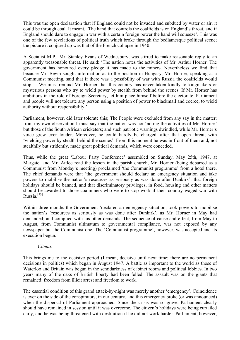This was the open declaration that if England could not be invaded and subdued by water or air, it could be through coal. It meant, 'The hand that controls the coalfields is on England's throat, and if England should dare to engage in war with a certain foreign power the hand will squeeze'. This was one of the few revelations of political truth which broke through the bedlamesque political scene; the picture it conjured up was that of the French collapse in 1940.

A Socialist M.P., Mr. Stanley Evans of Wednesbury, was stirred to make reasonable reply to an apparently treasonable threat. He said: 'The nation notes the activities of Mr. Arthur Horner. The government has honoured every pledge it has made to the miners. Nevertheless we find that because Mr. Bevin sought information as to the position in Hungary, Mr. Horner, speaking at a Communist meeting, said that if there was a possibility of war with Russia the coalfields would stop ... We must remind Mr. Horner that this country has never taken kindly to kingmakers or mysterious persons who try to wield power by stealth from behind the scenes. If Mr. Horner has ambitions in the role of Foreign Secretary, let him place himself before the electorate. Parliament and people will not tolerate any person using a position of power to blackmail and coerce, to wield authority without responsibility.'

Parliament, however, did later tolerate this; The People were excluded from any say in the matter; from my own observation I must say that the nation was not 'noting the activities of Mr. Horner' but those of the South African cricketers; and such patriotic warnings dwindled, while Mr. Horner's voice grew ever louder. Moreover, he could hardly be charged, after that open threat, with 'wielding power by stealth behind the scenes'. From this moment he was in front of them and, not stealthily but stridently, made great political demands, which were conceded.

Thus, while the great 'Labour Party Conference' assembled on Sunday, May 25th, 1947, at Margate, and Mr. Attlee read the lesson in the parish church, Mr. Horner (being debarred as a Communist from Monday's meeting) proclaimed 'the Communist programme' from a hotel there. The chief demands were that 'the government should declare an emergency situation and take powers to mobilise the nation's resources as seriously as was done after Dunkirk', that foreign holidays should be banned, and that discriminatory privileges, in food, housing and other matters should be awarded to those coalminers who were to stop work if their country waged war with Russia.[\[53\]](#page-174-0)

Within three months the Government 'declared an emergency situation; took powers to mobilise the nation's 'resources as seriously as was done after Dunkirk', as Mr. Horner in May had demanded; and complied with his other demands. The sequence of cause-and-effect, from May to August, from Communist ultimatum to governmental compliance, was not exposed by any newspaper but the Communist one. The 'Communist programme', however, was accepted and its execution begun.

### *Climax*

This brings me to the decisive period (I mean, decisive until next time; there are no permanent decisions in politics) which began in August 1947. A battle as important to the world as those of Waterloo and Britain was begun in the semidarkness of cabinet rooms and political lobbies. In two years many of the oaks of British liberty had been felled. The assault was on the giants that remained: freedom from illicit arrest and freedom to work.

The essential condition of this grand attack-by-night was merely another 'emergency'. Coincidence is ever on the side of the conspirators, in our century, and this emergency broke (or was announced) when the dispersal of Parliament approached. Since the crisis was so grave, Parliament clearly should have remained in session until it was overcome. The citizen's holidays were being curtailed daily, and he was being threatened with destitution if he did not work harder. Parliament, however,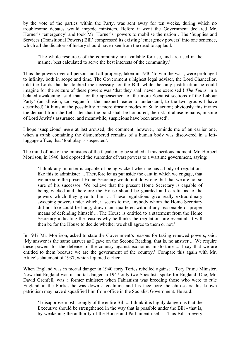by the vote of the parties within the Party, was sent away for ten weeks, during which no troublesome debates would impede ministers. Before it went the Government declared Mr. Horner's 'emergency' and took Mr. Horner's 'powers to mobilise the nation'. The 'Supplies and Services (Transitional Powers) Bill' compressed its existing 'emergency powers' into one sentence, which all the dictators of history should have risen from the dead to applaud:

'The whole resources of the community are available for use, and are used in the manner best calculated to serve the best interests of the community.'

Thus the powers over all persons and all property, taken in 1940 'to win the war', were prolonged to infinity, both in scope and time. The Government's highest legal adviser, the Lord Chancellor, told the Lords that he doubted the necessity for the Bill, while the only justification he could imagine for the seizure of these powers was 'that they shall never be exercised'! *The Times*, in a belated awakening, said that 'for the appeasement of the more Socialist sections of the Labour Party' (an allusion, too vague for the inexpert reader to understand, to the two groups I have described) 'it hints at the possibility of more drastic modes of State action; obviously this invites the demand from the Left later that the bond shall be honoured; the risk of abuse remains, in spite of Lord Jowitt's assurance, and meanwhile, suspicions have been aroused'.

I hope 'suspicions' *were* at last aroused; the comment, however, reminds me of an earlier one, when a trunk containing the dismembered remains of a human body was discovered in a leftluggage office, that 'foul play is suspected'.

The mind of one of the ministers of the façade may be studied at this perilous moment. Mr. Herbert Morrison, in 1940, had opposed the surrender of vast powers to a wartime government, saying:

'I think any minister is capable of being wicked when he has a body of regulations like this to administer ... Therefore let us put aside the cant in which we engage, that we are sure the present Home Secretary would not do wrong, but that we are not so sure of his successor. We believe that the present Home Secretary is capable of being wicked and therefore the House should be guarded and careful as to the powers which they give to him ... These regulations give really extraordinary sweeping powers under which, it seems to me, anybody whom the Home Secretary did not like could be hung, drawn and quartered without any reasonable or proper means of defending himself ... The House is entitled to a statement from the Home Secretary indicating the reasons why he thinks the regulations are essential. It will then be for the House to decide whether we shall agree to them or not.'

In 1947 Mr. Morrison, asked to state the Government's reasons for taking renewed powers, said: 'My answer is the same answer as I gave on the Second Reading, that is, no answer ... We require these powers for the defence of the country against economic misfortune ... I say that we are entitled to them because we are the government of the country.' Compare this again with Mr. Attlee's statement of 1937, which I quoted earlier.

When England was in mortal danger in 1940 forty Tories rebelled against a Tory Prime Minister. Now that England was in mortal danger in 1947 only two Socialists spoke for England. One, Mr. David Grenfell, was a former minister; when Fabianism was breeding those who were to rule England in the Forties he was down a coalmine and his face bore the chip-scars; his known patriotism may have disqualified him from office in the Socialist Government. He said:

'I disapprove most strongly of the entire Bill ... I think it is highly dangerous that the Executive should be strengthened in the way that is possible under the Bill - that is, by weakening the authority of the House and Parliament itself ... This Bill in every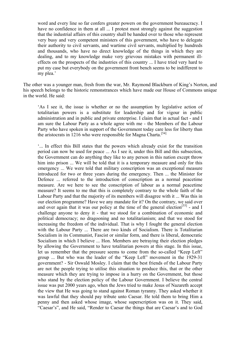word and every line so far confers greater powers on the government bureaucracy. I have no confidence in them at all ... I protest most strongly against the suggestion that the industrial affairs of this country shall be handed over to those who represent very busy and very competent ministers of this government, who have to delegate their authority to civil servants, and wartime civil servants, multiplied by hundreds and thousands, who have no direct knowledge of the things in which they are dealing, and to my knowledge make very grievous mistakes with permanent illeffects on the prospects of the industries of this country ... I have tried very hard to put my case but everybody on the government front bench seems to be indifferent to my plea.'

The other was a younger man, fresh from the war, Mr. Raymond Blackburn of King's Norton, and his speech belongs to the historic remonstrances which have made our House of Commons unique in the world. He said:

'As I see it, the issue is whether or no the assumption by legislative action of totalitarian powers is a substitute for leadership and for vigour in public administration and in public and private enterprise. I claim that in actual fact - and I am sure the Labour Party as a whole agree with me - the Members of the Labour Party who have spoken in support of the Government today care less for liberty than the aristocrats in 1216 who were responsible for Magna Charta.<sup>[\[54\]](#page-174-0)</sup>

'... In effect this Bill states that the powers which already exist for the transition period can now be used for peace ... As I see it, under this Bill and this subsection, the Government can do anything they like to any person in this nation except throw him into prison ... We will be told that it is a temporary measure and only for this emergency ... We were told that military conscription was an exceptional measure introduced for two or three years during the emergency. Then ... the Minister for Defence ... referred to the introduction of conscription as a normal peacetime measure. Are we here to see the conscription of labour as a normal peacetime measure? It seems to me that this is completely contrary to the whole faith of the Labour Party and that the majority of its members will disagree with it ... Was this in our election programme? Have we any mandate for it? On the contrary, we said over and over again that it was our policy at the time of the general election<sup>[\[55\]](#page-174-0)</sup> - and I challenge anyone to deny it - that we stood for a combination of economic and political democracy; no dragooning and no totalitarianism; and that we stood for increasing the freedom of the individual. That is why I fought the general election with the Labour Party ... There are two kinds of Socialism. There is Totalitarian Socialism in its Communist, Fascist or similar form, and there is liberal, democratic Socialism in which I believe ... Hon. Members are betraying their election pledges by allowing the Government to have totalitarian powers at this stage. In this issue, let us remember that the pressure seems to come from the so-called "Keep Left" group ... But who was the leader of the "Keep Left" movement in the 1929-31 government? - Sir Oswald Mosley. I claim that the best friends of the Labour Party are not the people trying to utilise this situation to produce this, that or the other measure which they are trying to impose in a hurry on the Government, but those who stand by the election policy of the Labour Government. I believe the central issue was put 2000 years ago, when the Jews tried to make Jesus of Nazareth accept the view that He was going to stand against Roman tyranny. They asked whether it was lawful that they should pay tribute unto Caesar. He told them to bring Him a penny and then asked whose image, whose superscription was on it. They said, "Caesar's", and He said, "Render to Caesar the things that are Caesar's and to God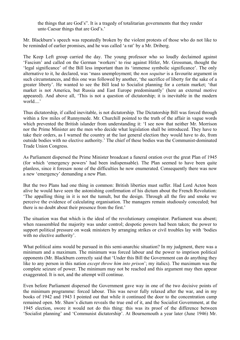the things that are God's". It is a tragedy of totalitarian governments that they render unto Caesar things that are God's.'

Mr. Blackburn's speech was repeatedly broken by the violent protests of those who do not like to be reminded of earlier promises, and he was called 'a rat' by a Mr. Driberg.

The Keep Left group carried the day. The young professor who so loudly declaimed against 'Fascism' and called on the German 'workers' to rise against Hitler, Mr. Grossman, thought the 'legal significance' of the Bill less important than its 'immense symbolic significance'. The only alternative to it, he declared, was 'mass unemployment; the *non sequitur* is a favourite argument in such circumstances, and this one was followed by another, 'the sacrifice of liberty for the sake of a greater liberty'. He wanted to see the Bill lead to Socialist planning for a certain market; 'that market is not America, but Russia and East Europe predominantly' (here an external motive appeared). And above all, 'This is not a question of dictatorship; it is inevitable in the modern world....'

Thus dictatorship, if called inevitable, is not dictatorship. The Dictatorship Bill was forced through within a few miles of Runnymede. Mr. Churchill pointed to the truth of the affair in vague words which prevented the British islander from understanding it: 'I see now that neither Mr. Morrison nor the Prime Minister are the men who decide what legislation shall be introduced. They have to take their orders, as I warned the country at the last general election they would have to do, from outside bodies with no elective authority.' The chief of these bodies was the Communist-dominated Trade Union Congress.

As Parliament dispersed the Prime Minister broadcast a funeral oration over the great Plan of 1945 (for which 'emergency powers' had been indispensable). The Plan seemed to have been quite planless, since it foresaw none of the difficulties he now enumerated. Consequently there was now a new 'emergency' demanding a new Plan.

But the two Plans had one thing in common: British liberties must suffer. Had Lord Acton been alive he would have seen the astonishing confirmation of his dictum about the French Revolution: 'The appalling thing in it is not the tumult, but the design. Through all the fire and smoke we perceive the evidence of calculating organisation. The managers remain studiously concealed; but there is no doubt about their presence from the first.'

The situation was that which is the ideal of the revolutionary conspirator. Parliament was absent; when reassembled the majority was under control; despotic powers had been taken; the power to support political pressure on weak ministers by arranging strikes or civil troubles lay with 'bodies with no elective authority'.

What political aims would be pursued in this semi-anarchic situation? In my judgment, there was a minimum and a maximum. The minimum was forced labour and the power to imprison political opponents (Mr. Blackburn correctly said that 'Under this Bill the Government can do anything they like to any person in this nation *except throw him into prison*'; my italics). The maximum was the complete seizure of power. The minimum may not be reached and this argument may then appear exaggerated. It is not, and the attempt will continue.

Even before Parliament dispersed the Government gave way in one of the two decisive points of the minimum programme: forced labour. This was never fully relaxed after the war, and in my books of 1942 and 1943 I pointed out that while it continued the door to the concentration camp remained open. Mr. Shaw's dictum reveals the true end of it, and the Socialist Government, at the 1945 election, swore it would not do this thing: this was its proof of the difference between 'Socialist planning' and 'Communist dictatorship'. At Bournemouth a year later (June 1946) Mr.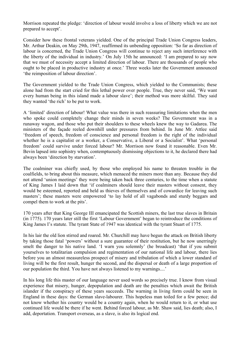Morrison repeated the pledge: 'direction of labour would involve a loss of liberty which we are not prepared to accept'.

Consider how these frontal veterans yielded. One of the principal Trade Union Congress leaders, Mr. Arthur Deakin, on May 29th, 1947, reaffirmed its unbending opposition: 'So far as direction of labour is concerned, the Trade Union Congress will continue to reject any such interference with the liberty of the individual in industry.' On July 15th he announced: 'I am prepared to say now that we must of necessity accept a limited direction of labour. There are thousands of people who ought to be placed in productive industry at once.' Three weeks later the Government announced 'the reimposition of labour direction'.

The Government yielded to the Trade Union Congress, which yielded to the Communists; these alone had from the start cried for this lethal power over people. True, they never said, 'We want every human being in this island made a labour slave'; their method was more skilful. They said they wanted 'the rich' to be put to work.

A 'limited' direction of labour! What value was there in such reassuring limitations when the men who spoke could completely change their minds in seven weeks? The Government was in a runaway wagon, and those who put their shoulders to these wheels knew the way to Gadarea. The ministers of the façade reeled downhill under pressures from behind. In June Mr. Attlee said 'freedom of speech, freedom of conscience and personal freedom is the right of the individual whether he is a capitalist or a worker, a Conservative, a Liberal or a Socialist'. What 'personal freedom' could survive under forced labour? Mr. Morrison now found it reasonable. Even Mr. Bevin lapsed into sophistry when, contemptuously dismissing objections to it, he declared there had always been 'direction by starvation'.

The coalminer was chiefly used, by those who employed his name to threaten trouble in the coalfields, to bring about this measure, which menaced the miners more than any. Because they did not attend 'union meetings' they were being taken back three centuries, to the time when a statute of King James I laid down that 'if coalminers should leave their masters without consent, they would be esteemed, reported and held as thieves of themselves and of cowardice for leaving such masters'; these masters were empowered 'to lay hold of all vagabonds and sturdy beggars and compel them to work at the pits'.

170 years after that King George III emancipated the Scottish miners, the last true slaves in Britain (in 1775). 170 years later still the first 'Labour Government' began to reintroduce the conditions of King James I's statute. The tyrant State of 1947 was identical with the tyrant Stuart of 1775.

In his lair the old lion stirred and roared. Mr. Churchill may have begun the attack on British liberty by taking those fatal 'powers' without a sure guarantee of their restitution, but he now unerringly smelt the danger to his native land. 'I warn you solemnly' (he broadcast) 'that if you submit yourselves to totalitarian compulsion and regimentation of our national life and labour, there lies before you an almost measureless prospect of misery and tribulation of which a lower standard of living will be the first result, hunger the second, and the dispersal or death of a large proportion of our population the third. You have not always listened to my warnings....'

In his long life this master of our language never used words so precisely true. I know from visual experience that misery, hunger, depopulation and death are the penalties which await the British islander if the conspiracy of these years succeeds. The warning in living form could be seen in England in these days: the German slave-labourer. This hopeless man toiled for a few pence; did not know whether his country would be a country again, when he would return to it, or what use continued life would be there if he went. Behind forced labour, as Mr. Shaw said, lies death; also, I add, deportation. Transport overseas, as a slave, is also its logical end.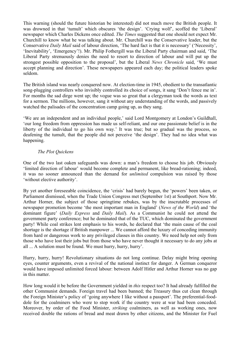This warning (should the future historian be interested) did not much move the British people. It was drowned in that 'tumult' which obscures 'the design'. 'Crying wolf', scoffed the 'Liberal' newspaper which Charles Dickens once edited. *The Times* suggested that one should not expect Mr. Churchill to know what he was talking about. Mr. Churchill was the Conservative leader, but the Conservative *Daily Mail* said of labour direction, 'The hard fact is that it is necessary' ('Necessity', 'Inevitability', 'Emergency'!). Mr. Philip Fothergill was the Liberal Party chairman and said, 'The Liberal Party strenuously denies the need to resort to direction of labour and will put up the strongest possible opposition to the proposal', but the Liberal *News Chronicle* said, 'We must accept planning and direction'. These newspapers appeared each day; the political leaders spoke seldom.

The British island was nearly conquered now. At election-time in 1945, obedient to the transatlantic song-plugging controllers who invisibly controlled its choice of songs, it sang 'Don't fence me in'. For months the sad dirge went up; the vogue was so great that a clergyman took the words as text for a sermon. The millions, however, sang it without any understanding of the words, and passively watched the palisades of the concentration camp going up, as they sang.

'We are an independent and an individual people,' said Lord Montgomery at London's Guildhall, 'our long freedom from oppression has made us self-reliant, and our one passionate belief is in the liberty of the individual to go his own way.' It was true; but so gradual was the process, so deafening the tumult, that the people did not perceive 'the design'. They had no idea what was happening.

### *The Plot Quickens*

One of the two last oaken safeguards was down: a man's freedom to choose his job. Obviously 'limited direction of labour' would become complete and permanent, like bread-rationing; indeed, it was no sooner announced than the demand for *unlimited* compulsion was raised by those 'without elective authority'.

By yet another foreseeable coincidence, the 'crisis' had barely begun, the 'powers' been taken, or Parliament dismissed, when the Trade Union Congress met (September 1st) at Southport. Now Mr. Arthur Horner, the subject of those springtime rebukes, was by the inscrutable processes of newspaper promotion become 'the most important man in England' (*News of the World*) and 'the dominant figure' (*Daily Express* and *Daily Mail*). As a Communist he could not attend the government party conference; but he dominated that of the TUC, which dominated the government party! While coal strikes lent emphasis to his words, he declared that 'the main cause of the coal shortage is the shortage if British manpower ... We cannot afford the luxury of conceding immunity from hard or dangerous work to any privileged classes in this country. We need help not only from those who have lost their jobs but from those who have never thought it necessary to do any jobs at all ... A solution must be found. We must hurry, hurry, hurry'.

Hurry, hurry, hurry! Revolutionary situations do not long continue. Delay might bring opening eyes, counter arguments, even a revival of the national instinct for danger. A German conqueror would have imposed unlimited forced labour: between Adolf Hitler and Arthur Horner was no gap in this matter.

How long would it be before the Government yielded in *this* respect too? It had already fulfilled the other Communist demands. Foreign travel had been banned; the Treasury thus cut clean through the Foreign Minister's policy of 'going anywhere I like without a passport'. The preferential-fooddole for the coalminers who were to stop work if the country were at war had been conceded. Moreover, by order of the Food Minister, *striking* coalminers, as well as working ones, now received double the rations of bread and meat drawn by other citizens, and the Minister for Fuel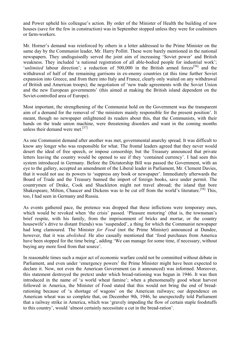and Power upheld his colleague's action. By order of the Minister of Health the building of new houses (save for the few in construction) was in September stopped unless they were for coalminers or farm-workers.

Mr. Horner's demand was reinforced by others in a letter addressed to the Prime Minister on the same day by the Communist leader, Mr. Harry Pollitt. These were barely mentioned in the national newspapers. They undisguisedly served the joint aim of increasing 'Soviet power' and British weakness. They included 'a national registration of all able-bodied people for industrial work'; '*unlimited* labour direction'; a reduction of 500,000 in the British armed forces<sup>[\[56\]](#page-174-0)</sup> and the withdrawal of half of the remaining garrisons in ex-enemy countries (at this time further Soviet expansion into Greece, and from there into Italy and France, clearly only waited on any withdrawal of British and American troops); the negotiation of 'new trade agreements with the Soviet Union and the new European governments' (this aimed at making the British island dependent on the Soviet-controlled area of Europe).

Most important, the strengthening of the Communist hold on the Government was the transparent aim of a demand for the removal of 'the ministers mainly responsible for the present position'. It meant, though no newspaper enlightened its readers about this, that the Communists, with their hands on the trade union machine, were threatening disorders and want in the coming months unless their demand were met.<sup>[\[57\]](#page-174-0)</sup>

As one Communist demand after another was met, governmental anarchy spread. It was difficult to know any longer who was responsible for what. The frontal leaders agreed that they never would desert the ideal of free speech, or impose censorship; but the Treasury announced that private letters leaving the country would be opened to see if they 'contained currency'. I had seen this system introduced in Germany. Before the Dictatorship Bill was passed the Government, with an eye to the gallery, accepted an amendment of the Liberal leader in Parliament, Mr. Clement Davies, that it would not use its powers to 'suppress any book or newspaper'. Immediately afterwards the Board of Trade and the Treasury banned the import of foreign books, save under permit. The countrymen of Drake, Cook and Shackleton might not travel abroad; the island that bore Shakespeare, Milton, Chaucer and Dickens was to be cut off from the world's literature.<sup>[\[58\]](#page-175-0)</sup> This. too, I had seen in Germany and Russia.

As events gathered pace, the pretence was dropped that these inflictions were temporary ones, which would be revoked when 'the crisis' passed. 'Pleasure motoring' (that is, the townsman's brief respite, with his family, from the imprisonment of bricks and mortar, or the country housewife's drive to distant friends) was 'suspended', a thing for which the Communist newspaper had long clamoured. The Minister *for Food* (not the Prime Minister) announced at Dundee, however, that it was *abolished*. He also casually mentioned that 'food purchases from America have been stopped for the time being', adding 'We can manage for some time, if necessary, without buying any more food from that source'.

In reasonable times such a major act of economic warfare could not be committed without debate in Parliament, and even under 'emergency powers' the Prime Minister might have been expected to declare it. Now, not even the American Government (as it announced) was informed. Moreover, this statement destroyed the pretext under which bread-rationing was begun in 1946. It was then introduced in the name of 'a world wheat famine'; when a phenomenally good wheat harvest followed in America, the Minister of Food stated that this would not bring the end of breadrationing because of 'a shortage of wagons' on the American railways; our dependence on American wheat was so complete that, on December 9th, 1946, he unexpectedly told Parliament that a railway strike in America, which was 'gravely impeding the flow of certain staple foodstuffs to this country', would 'almost certainly necessitate a cut in the bread-ration'.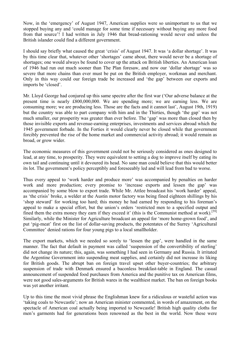Now, in the 'emergency' of August 1947, American supplies were so unimportant to us that we stopped buying any and 'could manage for some time if necessary without buying any more food from that source'! I had written in July 1946 that bread-rationing would never end unless the British islander could find a different government.

I should say briefly what caused the great 'crisis' of August 1947. It was 'a dollar shortage'. It was by this time clear that, whatever other 'shortages' came about, there would never be a shortage of shortages; one would always be found to cover up the attack on British liberties. An American loan of 1946 had run out much sooner than The Plan foresaw, and now our 'dollar shortage' was so severe that more chains than ever must be put on the British employer, workman and merchant. Only in this way could our foreign trade be increased and 'the gap' between our exports and imports be 'closed'.

Mr. Lloyd George had conjured up this same spectre after the first war ('Our adverse balance at the present time is nearly £800,000,000. We are spending more; we are earning less. We are consuming more; we are producing less. Those are the facts and it cannot last', August 19th, 1919) but the country was able to part company with him and in the Thirties, though 'the gap' was not much smaller, our prosperity was greater than ever before. The 'gap' was more than closed then by those invisible exports and revenue-earning enterprises, investments and services abroad which the 1945 government forbade. In the Forties it would clearly never be closed while that government forcibly prevented the rise of the home market and commercial activity abroad; it would remain as broad, or grow wider.

The economic measures of this government could not be seriously considered as ones designed to lead, at any time, to prosperity. They were equivalent to setting a dog to improve itself by eating its own tail and continuing until it devoured its head. No sane man could believe that this would better its lot. The government's policy perceptibly and foreseeably led and will lead from bad to worse.

Thus every appeal to 'work harder and produce more' was accompanied by penalties on harder work and more production; every promise to 'increase exports and lessen the gap' was accompanied by some blow to export trade. While Mr. Attlee broadcast his 'work harder' appeal, as 'the crisis' broke, a welder at the Austin motor factory was being fined eighteen shillings by his 'shop steward' for working too hard; this money he had earned by responding to his foreman's appeal to make a special effort, but the union's orders 'restricted men to a specified output and fined them the extra money they earn if they exceed it' (this is the Communist method at work).<sup>[\[59\]](#page-175-0)</sup> Similarly, while the Minister for Agriculture broadcast an appeal for 'more home-grown food', and put 'pig-meat' first on the list of dollar-saving products, the potentates of the Surrey 'Agricultural Committee' denied rations for four young pigs to a local smallholder.

The export markets, which we needed so sorely to 'lessen the gap', were handled in the same manner. The fact that default in payment was called 'suspension of the convertibility of sterling' did not change its nature; this, again, was something I had seen in Germany and Russia. It irritated the Argentine Government into suspending meat supplies, and certainly did not increase its liking for British goods. The abrupt ban on foreign travel upset other buyer-countries; the arbitrary suspension of trade with Denmark ensured a baconless breakfast-table in England. The casual announcement of suspended food purchases from America and the punitive tax on American films, were not good sales-arguments for British wares in the wealthiest market. The ban on foreign books was yet another irritant.

Up to this time the most vivid phrase the Englishman knew for a ridiculous or wasteful action was 'taking coals to Newcastle'; now an American minister commented, in words of amazement, on the spectacle of American coal actually being imported to Newcastle! British high quality cloths for men's garments had for generations been renowned as the best in the world. Now these were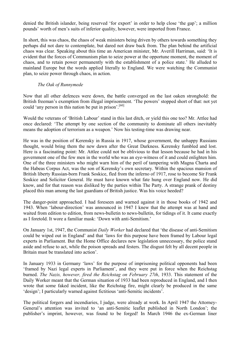denied the British islander, being reserved 'for export' in order to help close 'the gap'; a million pounds' worth of men's suits of inferior quality, however, were imported from France.

In short, this was chaos, the chaos of weak ministers being driven by others towards something they perhaps did not dare to contemplate, but dared not draw back from. The plan behind the artificial chaos was clear. Speaking about this time an American minister, Mr. Averill Harriman, said: 'It is evident that the forces of Communism plan to seize power at the opportune moment, the moment of chaos, and to retain power permanently with the establishment of a police state.' He alluded to mainland Europe but the words applied literally to England. We were watching the Communist plan, to seize power through chaos, in action.

### *The Oak of Runnymede*

Now that all other defences were down, the battle converged on the last oaken stronghold: the British freeman's exemption from illegal imprisonment. 'The powers' stopped short of that: not yet could 'any person in this nation be put in prison'.<sup>[\[60\]](#page-175-0)</sup>

Would the veterans of 'British Labour' stand in this last ditch, or yield this one too? Mr. Attlee had once declared: 'The attempt by one section of the community to dominate all others inevitably means the adoption of terrorism as a weapon.' Now his testing-time was drawing near.

He was in the position of Kerensky in Russia in 1917, whose government, the unhappy Russians thought, would bring them the new dawn after the Great Darkness. Kerensky fumbled and lost. Here is a fascinating point: Mr. Attlee could not be oblivious to that lesson because he had in his government one of the few men in the world who was an eye-witness of it and could enlighten him. One of the three ministers who might warn him of the peril of tampering with Magna Charta and the Habeas Corpus Act, was the son of Kerensky's own secretary. Within the spacious mansion of British liberty Russian-born Frank Soskice, fled from the inferno of 1917, rose to become Sir Frank Soskice and Solicitor General. He must have known what fate hung over England now. He did know, and for that reason was disliked by the parties within The Party. A strange prank of destiny placed this man among the last guardians of British justice. Was his voice heeded?

The danger-point approached. I had foreseen and warned against it in those books of 1942 and 1943. When 'labour-direction' was announced in 1947 I knew that the attempt was at hand and waited from edition to edition, from news-bulletin to news-bulletin, for tidings of it. It came exactly as I foretold. It wore a familiar mask: 'Down with anti-Semitism.'

On January 1st, 1947, the Communist *Daily Worker* had declared that 'the disease of anti-Semitism could be wiped out in England' and that 'laws for this purpose have been framed by Labour legal experts in Parliament. But the Home Office declares new legislation unnecessary, the police stand aside and refuse to act, while the poison spreads and festers. The disgust felt by all decent people in Britain must be translated into action'.

In January 1933 in Germany 'laws' for the purpose of imprisoning political opponents had been 'framed by Nazi legal experts in Parliament', and they were put in force when the Reichstag burned. *The Nazis, however, fired the Reichstag on February 27th*, 1933. This statement of the Daily Worker meant that the German situation of 1933 had been reproduced in England, and I then wrote that some faked incident, like the Reichstag fire, might clearly be produced in the same 'design'; I particularly warned against fictitious 'anti-Semitic incidents'.

The political forgers and incendiaries, I judge, were already at work. In April 1947 the Attorney-General's attention was invited to 'an anti-Semitic leaflet published in North London'; the publisher's imprint, however, was found to be forged! In March 1946 the ex-German liner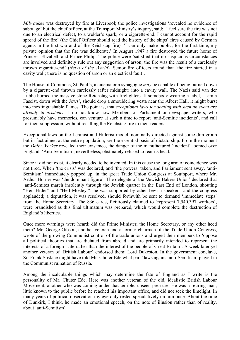*Milwaukee* was destroyed by fire at Liverpool; the police investigations 'revealed no evidence of sabotage' but the chief officer, at the Transport Ministry's inquiry, said: 'I feel sure the fire was not due to an electrical defect, to a welder's spark, or a cigarette-end. I cannot account for the rapid spread of the fire' (the Chief Officer should read the history of the ships' fires caused by German agents in the first war and of the Reichstag fire). 'I can only make public, for the first time, my private opinion that the fire was deliberate.' In August 1947 a fire destroyed the future home of Princess Elizabeth and Prince Philip. The police were 'satisfied that no suspicious circumstances are involved and definitely rule out any suggestion of arson; the fire was the result of a carelessly thrown cigarette-end' (*News of the World*). Senior fire officers found that 'the fire started in a cavity wall; there is no question of arson or an electrical fault'.

The House of Commons, St. Paul's, a cinema or a synagogue *may* be capable of being burned down by a cigarette-end thrown carelessly (after midnight) into a cavity wall. The Nazis said van der Lubbe burned the massive stone Reichstag with firelighters. If somebody wearing a label, 'I am a Fascist, down with the Jews', should drop a smouldering vesta near the Albert Hall, it might burst into inextinguishable flames. The point is, that *exceptional laws for dealing with such an event are already in existence*. I do not know how Members of Parliament or newspaper-writers, who presumably have memories, can venture at such a time to report 'anti-Semitic incidents', and call for their suppression, without recalling the Reichstag fire to their readers.

Exceptional laws on the Leninist and Hitlerist model, nominally directed against some dim group but in fact aimed at the entire population, are the essential basis of dictatorship. From the moment the *Daily Worker* revealed their existence, the danger of the manufactured 'incident' loomed over England. 'Anti-Semitism', nevertheless, obstinately refused to rear its head.

Since it did not exist, it clearly needed to be invented. In this cause the long arm of coincidence was not tired. When 'the crisis' was declared, and 'the powers' taken, and Parliament sent away, 'anti-Semitism' immediately popped up, in the great Trade Union Congress at Southport, where Mr. Arthur Horner was 'the dominant figure'. The delegate of the 'Jewish Bakers Union' declared that 'anti-Semites march insolently through the Jewish quarter in the East End of London, shouting "Heil Hitler" and "Heil Mosley"'; he was supported by other Jewish speakers, and the congress applauded; a deputation, it was resolved, should forthwith be sent to demand 'immediate steps' from the Home Secretary. The 836 cards, fictitiously claimed to 'represent 7,540,397 workers', were brandished as this final ultimatum was prepared, which would complete the destruction of England's liberties.

Once more warnings were heard; did the Prime Minister, the Home Secretary, or any other heed them? Mr. George Gibson, another veteran and a former chairman of the Trade Union Congress, wrote of the growing Communist control of the trade unions and urged their members to 'oppose all political theories that are dictated from abroad and are primarily intended to represent the interests of a foreign state rather than the interest of the people of Great Britain'. A week later yet another veteran of 'British Labour' endorsed them: Lord Dukeston. In the government conclave, Sir Frank Soskice might have told Mr. Chuter Ede what part 'laws against anti-Semitism' played in the Communist ruination of Russia.

Among the incalculable things which may determine the fate of England as I write is the personality of Mr. Chuter Ede. Here was another veteran of the old, idealistic British Labour Movement; another who was coming under that terrible, unseen pressure. He was a retiring man, little known to the public before he reached his important office, and did not seek the limelight. In many years of political observation my eye only rested speculatively on him once. About the time of Dunkirk, I think, he made an emotional speech, on the note of illusion rather than of reality, about 'anti-Semitism'.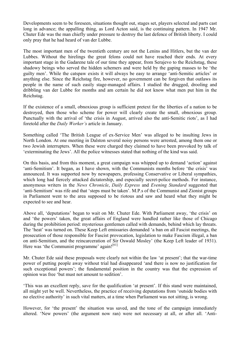Developments seem to be foreseen, situations thought out, stages set, players selected and parts cast long in advance; the appalling thing, as Lord Acton said, is the continuing pattern. In 1947 Mr. Chuter Ede was the man chiefly under pressure to destroy the last defence of British liberty. I could only pray that he had heard of van der Lubbe.

The most important men of the twentieth century are not the Lenins and Hitlers, but the van der Lubbes. Without the hirelings the great felons could not have reached their ends. At every important stage in the Gadarene tale of our time they appear, from Serajevo to the Reichstag, these shadowy beings who served the hidden schemers and were held by the gaping masses to be 'the guilty men'. While the catspaw exists it will always be easy to arrange 'anti-Semitic articles' or anything else. Since the Reichstag fire, however, no government can be forgiven that outlaws its people in the name of such easily stage-managed affairs. I studied the drugged, drooling and dribbling van der Lubbe for months and am certain he did not know what men put him in the Reichstag.

If the existence of a small, obnoxious group is sufficient pretext for the liberties of a nation to be destroyed, then those who scheme for power will clearly create the small, obnoxious group. Punctually with the arrival of 'the crisis in August, arrived also the anti-Semitic riots', as I had foretold after the *Daily Worker's* article in January.

Something called 'The British League of ex-Service Men' was alleged to be insulting Jews in North London. At one meeting in Dalston several noisy persons were arrested, among them one or two Jewish interrupters. When these were charged they claimed to have been provoked by talk of 'exterminating the Jews'. All the police witnesses stated that nothing of the kind was said.

On this basis, and from this moment, a great campaign was whipped up to demand 'action' against 'anti-Semitism'. It began, as I have shown, with the Communists months before 'the crisis' was announced. It was supported now by newspapers, professing Conservative or Liberal sympathies, which long had fiercely attacked dictatorship, and especially secret-police methods. For instance, anonymous writers in the *News Chronicle*, *Daily Express* and *Evening Standard* suggested that 'anti-Semitism' was rife and that 'steps must be taken'. M.P.s of the Communist and Zionist groups in Parliament went to the area supposed to be riotous and saw and heard what they might be expected to see and hear.

Above all, 'deputations' began to wait on Mr. Chuter Ede. With Parliament away, 'the crisis' on and 'the powers' taken, the great affairs of England were handled rather like those of Chicago during the prohibition period: mysterious gentlemen called with demands, behind which lay threats. The 'heat' was turned on. These Keep Left emissaries demanded 'a ban on all Fascist meetings, the prosecution of those responsible for Fascist provocation, legislation to make Fascism illegal, a ban on anti-Semitism, and the reincarceration of Sir Oswald Mosley' (the Keep Left leader of 1931). Here was 'the Communist programme' again! $[61]$ 

Mr. Chuter Ede said these proposals were clearly not within the law 'at present'; that the war-time power of putting people away without trial had disappeared 'and there is now no justification for such exceptional powers'; the fundamental position in the country was that the expression of opinion was free 'but must not amount to sedition'.

'This was an excellent reply, save for the qualification 'at present'. If this stand were maintained, all might yet be well. Nevertheless, the practice of receiving deputations from 'outside bodies with no elective authority' in such vital matters, at a time when Parliament was not sitting, is wrong.

However, for 'the present' the situation was saved, and the tone of the campaign immediately altered. 'New powers' (the argument now ran) were not necessary at all, or after all. 'Anti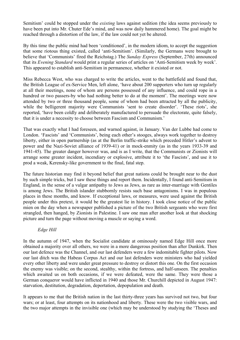Semitism' could be stopped under the *existing* laws against sedition (the idea seems previously to have been put into Mr. Chuter Ede's mind, and was now daily hammered home). The goal might be reached through a distortion of the law, if the law could not yet be altered.

By this time the public mind had been 'conditioned', in the modern idiom, to accept the suggestion that some riotous thing existed, called 'anti-Semitism'. (Similarly, the Germans were brought to believe that 'Communists' fired the Reichstag.) The *Sunday Express* (September, 27th) announced that its *Evening Standard* would print a regular series of articles on 'Anti-Semitism week by week'. This appeared to establish anti-Semitism in permanence, whether it existed or not.

Miss Rebecca West, who was charged to write the articles, went to the battlefield and found that, the British League of ex-Service Men, left alone, 'have about 200 supporters who turn up regularly at all their meetings, none of whom are persons possessed of any influence, and could rope in a hundred or two passers-by who had nothing better to do at the moment'. The meetings were now attended by two or three thousand people, some of whom had been attracted by all the publicity, while the belligerent majority were Communists 'sent to create disorder'. 'These riots', she reported, 'have been coldly and deliberately manufactured to persuade the electorate, quite falsely, that it is under a necessity to choose between Fascism and Communism.'

That was exactly what I had foreseen, and warned against, in January. Van der Lubbe had come to London. 'Fascists' and 'Communists', being each other's stooges, always work together to destroy liberty, either in open partnership (as at the Berlin traffic-strike which preceded Hitler's advent to power and the Nazi-Soviet alliance of 1939-41) or in mock-enmity (as in the years 1933-39 and 1941-45). The greater danger however was, and is as I write, that the Communists or Zionists will arrange some greater incident, incendiary or explosive, attribute it to 'the Fascists', and use it to prod a weak, Kerensky-like government to the final, fatal step.

The future historian may find it beyond belief that great nations could be brought near to the dust by such simple tricks, but I saw these things and report them. Incidentally, I found anti-Semitism in England, in the sense of a vulgar antipathy to Jews as Jews, as rare as inter-marriage with Gentiles is among Jews. The British islander stubbornly resists such base antagonisms. I was in populous places in these months, and know. If exceptional laws, or measures, were used against the British people under this pretext, it would be the greatest lie in history. I took close notice of the public mien on the day when a newspaper published a picture of the two British sergeants who were first strangled, then hanged, by Zionists in Palestine. I saw one man after another look at that shocking picture and turn the page without moving a muscle or saying a word.

### *Edge Hill*

In the autumn of 1947, when the Socialist candidate at ominously named Edge Hill once more obtained a majority over all others, we were in a more dangerous position than after Dunkirk. Then our last defence was the Channel, and our last defenders were a few indomitable fighter pilots. Now our last ditch was the Habeas Corpus Act and our last defenders were ministers who had yielded every other liberty and were under great pressure to destroy or distort this one. On the first occasion the enemy was visible; on the second, stealthy, within the fortress, and half-unseen. The penalties which awaited us on both occasions, if we were defeated, were the same. They were those a German conqueror would have inflicted in 1940 and those Mr. Churchill depicted in August 1947: starvation, destitution, degradation, deportation, depopulation and death.

It appears to me that the British nation in the last thirty-three years has survived not two, but four wars; or at least, four attempts on its nationhood and liberty. These were the two visible wars, and the two major attempts in the invisible one (which may be understood by studying the 'Theses and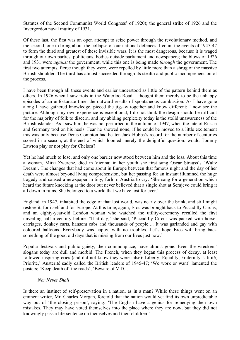Statutes of the Second Communist World Congress' of 1920); the general strike of 1926 and the Invergordon naval mutiny of 1931.

Of these last, the first was an open attempt to seize power through the revolutionary method, and the second, one to bring about the collapse of our national defences. I count the events of 1945-47 to form the third and greatest of these invisible wars. It is the most dangerous, because it is waged through our own parties, politicians, bodies outside parliament and newspapers; the blows of 1926 and 1931 were *against* the government, while this one is being made *through* the government. The first two attempts, fierce though they were, were repelled by little more than a shrug of the massive British shoulder. The third has almost succeeded through its stealth and public incomprehension of the process.

I have been through all these events and earlier understood as little of the pattern behind them as others. In 1926 when I saw riots in the Waterloo Road, I thought them merely to be the unhappy episodes of an unfortunate time, the outward results of spontaneous combustion. As I have gone along I have gathered knowledge, pieced the jigsaw together and know different; I now see the picture. Although my own experience is exceptional, I do not think the design should be difficult for the majority of folk to discern, and my abiding perplexity today is the stolid unawareness of the British islander. As I saw him, he was not perturbed in the autumn of 1947, when the fate of Russia and Germany trod on his heels. Fear he showed none; if he could be moved to a little excitement this was only because Denis Compton had beaten Jack Hobbs's record for the number of centuries scored in a season, at the end of which loomed merely the delightful question: would Tommy Lawton play or not play for Chelsea?

Yet he had much to lose, and only one barrier now stood between him and the loss. About this time a woman, Mitzi Zwerenz, died in Vienna; in her youth she first sang Oscar Strauss's 'Waltz Dream'. The changes that had come about in Europe between that famous night and the day of her death were almost beyond living comprehension, but her passing for an instant illumined the huge tragedy and caused a newspaper in tiny, forlorn Austria to cry: 'She sang for a generation which heard the future knocking at the door but never believed that a single shot at Serajevo could bring it all down in ruins. She belonged to a world that we have lost for ever.'

England, in 1947, inhabited the edge of that lost world, was nearly over the brink, and still might restore it, for itself and for Europe. At this time, again, Eros was brought back to Piccadilly Circus, and an eighty-year-old London woman who watched the utility-ceremony recalled the first unveiling half a century before. 'That day,' she said, 'Piccadilly Circus was packed with horsecarriages, donkey carts, hansom cabs and thousands of people ... It was garlanded and gay with coloured balloons. Everybody was happy, with no troubles. Let's hope Eros will bring back something of the good old days that is missing from our lives just now.'

Popular festivals and public gaiety, then commonplace, have almost gone. Even the wreckers' slogans today are dull and morbid. The French, when they began this process of decay, at least followed inspiring cries (and did not know they were false): Liberty, Equality, Fraternity. Utilité, Priorité,' Austerité sadly called the British leaders of 1945-47; 'We work or want' lamented the posters; 'Keep death off the roads'; 'Beware of V.D.'.

### *Nor Never Shall*

Is there an instinct of self-preservation in a nation, as in a man? While these things went on an eminent writer, Mr. Charles Morgan, foretold that the nation would yet find its own unpredictable way out of 'the closing prison', saying: 'The English have a genius for remedying their own mistakes. They may have voted themselves into the place where they are now, but they did not knowingly pass a life-sentence on themselves and their children.'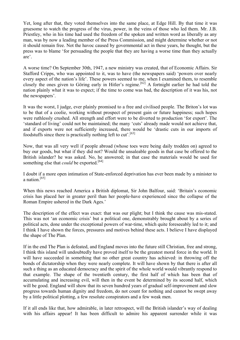Yet, long after that, they voted themselves into the same place, at Edge Hill. By that time it was gruesome to watch the progress of the virus, power, in the veins of those who led them. Mr. J.B. Priestley, who in his time had used the freedom of the spoken and written word as liberally as any man, was by now a leading member of the Press Commission, and might determine whether or not it should remain free. Not the havoc caused by governmental act in these years, he thought, but the press was to blame 'for persuading the people that they are having a worse time than they actually are'.

A worse time? On September 30th, 1947, a new ministry was created, that of Economic Affairs. Sir Stafford Cripps, who was appointed to it, was to have (the newspapers said) 'powers over nearly every aspect of the nation's life'. These powers seemed to me, when I examined them, to resemble closely the ones given to Göring early in Hitler's regime.<sup>[\[62\]](#page-176-0)</sup> A fortnight earlier he had told the nation plainly what it was to expect; if the time to come was bad, the description of it was his, not the newspapers'.

It was the worst, I judge, ever plainly promised to a free and civilised people. The Briton's lot was to be that of a coolie, working without prospect of present gain or future happiness; such hopes were ruthlessly crushed. All strength and effort were to be diverted to production 'for export'. The 'standard of living' could not be maintained; the many 'cuts' already made would not achieve that, and if exports were not sufficiently increased, there would be 'drastic cuts in our imports of foodstuffs since there is practically nothing left to cut'.[\[63\]](#page-176-0)

Now, that was all very well if people abroad (whose toes were being daily trodden on) agreed to buy our goods, but what if they did not? Would the unsaleable goods in that case be offered to the British islander? he was asked. No, he answered; in that case the materials would be used for something else that *could* be exported.<sup>[\[64\]](#page-176-0)</sup>

I doubt if a more open intimation of State-enforced deprivation has ever been made by a minister to a nation  $[65]$ 

When this news reached America a British diplomat, Sir John Balfour, said: 'Britain's economic crisis has placed her in greater peril than her people-have experienced since the collapse of the Roman Empire ushered in the Dark Ages.'

The description of the effect was exact: that was our plight; but I think the cause was mis-stated. This was not 'an economic crisis' but a political one, demonstrably brought about by a series of political acts, done under the exceptional powers of war-time, which quite foreseeably led to it; and I think I have shown the forces, pressures and motives behind these acts. I believe I have displayed the shape of The Plan.

If in the end The Plan is defeated, and England moves into the future still Christian, free and strong, I think this island will undoubtedly have proved itself to be the greatest moral force in the world. It will have succeeded in something that no other great country has achieved: in throwing off the bonds of dictatorship when they were nearly complete. It will have shown by that there is after all such a thing as an educated democracy and the spirit of the whole world would vibrantly respond to that example. The shape of the twentieth century, the first half of which has been that of accumulating and increasing evil, will then in the event be determined by its second half, which will be good. England will show that its seven hundred years of gradual self-improvement and slow progress towards human dignity and freedom, do not count for nothing and cannot be swept away by a little political plotting, a few resolute conspirators and a few weak men.

If it all ends like that, how admirable, in later retrospect, will the British islander's way of dealing with his affairs appear! It has been difficult to admire his apparent surrender while it was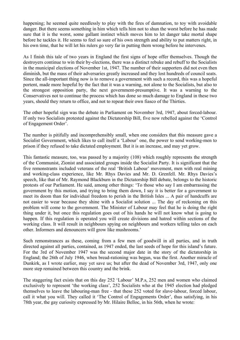happening; he seemed quite needlessly to play with the fires of damnation, to toy with avoidable danger. But there seems something in him which tells him not to shun the worst before he has made sure that it is the worst, some gallant instinct which moves him to let danger take mortal shape before he tackles it. He seems to feel so sure of his own strength and ability to put matters right, in his own time, that he will let his rulers go very far in putting them wrong before he intervenes.

As I finish this tale of two years in England the first signs of hope offer themselves. Though the destroyers continue to win their by-elections, there was a distinct rebuke and rebuff to the Socialists in the municipal elections of November 1st, 1947. The number of their supporters did not even then diminish, but the mass of their adversaries greatly increased and they lost hundreds of council seats. Since the all-important thing now is to remove a government with such a record, this was a hopeful portent, made more hopeful by the fact that it was a warning, not alone to the Socialists, but also to the strongest opposition party, the next government-presumptive. It was a warning to the Conservatives not to continue the process which has done so much damage to England in these two years, should they return to office, and not to repeat their own fiasco of the Thirties.

The other hopeful sign was the debate in Parliament on November 3rd, 1947, about forced-labour. If only two Socialists protested against the Dictatorship Bill, five now rebelled against the 'Control of Engagement Order'.

The number is pitifully and incomprehensibly small, when one considers that this measure gave a Socialist Government, which likes to call itself a 'Labour' one, the power to send working-men to prison if they refused to take dictated employment. But it is an increase, and may yet grow.

This fantastic measure, too, was passed by a majority (108) which roughly represents the strength of the Communist, Zionist and associated groups inside the Socialist Party. It is significant that the five remonstrants included veterans of the real 'British Labour' movement, men with real mining and working-class experience, like Mr. Rhys Davies and Mr. D. Grenfell. Mr. Rhys Davies's speech, like that of Mr. Raymond Blackburn in the Dictatorship Bill debate, belongs to the historic protests of our Parliament. He said, among other things: 'To those who say I am embarrassing the government by this motion, and trying to bring them down, I say it is better for a government to meet its doom than for individual freedom to perish in the British Isles ... A pair of handcuffs are not easier to wear because they shine with a Socialist solution ... The day of reckoning on this problem will come to the government. The Minister of Labour may feel that he is doing the right thing under it, but once this regulation goes out of his hands he will not know what is going to happen. If this regulation is operated you will create divisions and hatred within sections of the working class. It will result in neighbours spying on neighbours and workers telling tales on each other. Informers and denouncers will grow like mushrooms.'

Such remonstrances as these, coming from a few men of goodwill in all parties, and in truth directed against all parties, contained, as 1947 ended, the last seeds of hope for this island's future. For the 3rd of November 1947 was the second major date in the story of the dictatorship in England; the 26th of July 1946, when bread-rationing was begun, was the first. Another miracle of Dunkirk, as I wrote earlier, may yet save us; but after the dead of November 3rd, 1947, only one more step remained between this country and the brink.

The staggering fact exists that on this day 252 'Labour' M.P.s, 252 men and women who claimed exclusively to represent 'the working class', 252 Socialists who at the 1945 election had pledged themselves to leave the labouring-man free - that these 252 voted for slave-labour, forced labour, call it what you will. They called it 'The Control of Engagements Order', thus satisfying, in his 78th year, the gay curiosity expressed by Mr. Hilaire Belloc, in his 56th, when he wrote: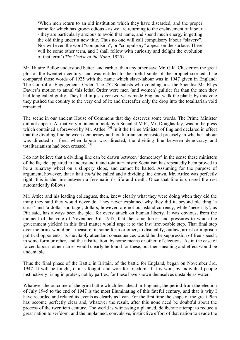'When men return to an old institution which they have discarded, and the proper name for which has grown odious - as we are returning to the enslavement of labour - they are particularly anxious to avoid that name, and spend much energy in getting the old thing under a new title. Thus no one will call compulsory labour "slavery". Nor will even the word "compulsion", or "compulsory" appear on the surface. There will be some other term, and I shall follow with curiosity and delight the evolution of that term' (*The Cruise of the Nona*, 1925).

Mr. Hilaire Belloc understood better, and earlier, than any other save Mr. G.K. Chesterton the great plot of the twentieth century, and was entitled to the rueful smile of the prophet scorned if he compared those words of 1925 with the name which slave-labour was in 1947 given in England: The Control of Engagements Order. The 252 Socialists who voted against the Socialist Mr. Rhys Davies's motion to annul this lethal Order were men (and women) guiltier far than the men they had long called guilty. They had in just over two years made England walk the plank; by this vote they pushed the country to the very end of it; and thereafter only the drop into the totalitarian void remained.

The scene in our ancient House of Commons that day deserves some words. The Prime Minister did not appear. At that very moment a book by a Socialist M.P., Mr. Douglas Jay, was in the press which contained a foreword by Mr. Attlee.<sup>[\[66\]](#page-176-0)</sup> In it the Prime Minister of England declared in effect that the dividing line between democracy and totalitarianism consisted precisely in whether labour was directed or free; when labour was directed, the dividing line between democracy and totalitarianism had been crossed.<sup>[\[67\]](#page-176-0)</sup>

I do not believe that a dividing line can be drawn between 'democracy' in the sense these ministers of the façade appeared to understand it and totalitarianism; Socialism has repeatedly been proved to be a runaway wheel on a slippery slope, and cannot be halted. Assuming for the purpose of argument, however, that a halt *could* be called and a dividing line drawn, Mr. Attlee was perfectly right: this is the line between a free nation's life and death. Once that line is crossed the rest automatically follows.

Mr. Attlee and his leading colleagues, then, knew clearly what they were doing when they did the thing they said they would never do. They never explained why they did it, beyond pleading 'a crisis' and 'a dollar shortage'; dollars, however, are not our island currency, while 'necessity', as Pitt said, has always been the plea for every attack on human liberty. It was obvious, from the moment of the vote of November 3rd, 1947, that the same forces and pressures to which the government yielded in this fatal matter would urge it to the last irrevocable step. That final step over the brink would be a measure, in some form or other, to disqualify, outlaw, arrest or imprison political opponents; its inevitably attendant consequences would be the suppression of free speech, in some form or other, and the falsification, by some means or other, of elections. As in the case of forced labour, other names would clearly be found for these, but their meaning and effect would be undeniable.

Thus the final phase of the Battle in Britain, of the battle for England, began on November 3rd, 1947. It will be fought, if it is fought, and won for freedom, if it is won, by individual people instinctively rising in protest, not by parties, for these have shown themselves unstable as water.

Whatever the outcome of the grim battle which lies ahead in England, the period from the election of July 1945 to the end of 1947 is the most illuminating of this fateful century, and that is why I have recorded and related its events as clearly as I can. For the first time the shape of the great Plan has become perfectly clear and, whatever the result, after this none need be doubtful about the process of the twentieth century. The world is witnessing a planned, deliberate attempt to reduce a great nation to serfdom, and the unplanned, convulsive, instinctive effort of that nation to evade the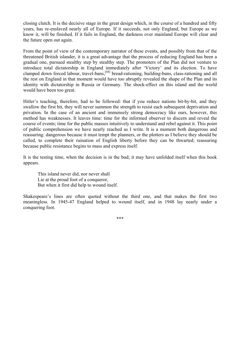closing clutch. It is the decisive stage in the great design which, in the course of a hundred and fifty years, has re-enslaved nearly all of Europe. If it succeeds, not only England, but Europe as we know it, will be finished. If it fails in England, the darkness over mainland Europe will clear and the future open out again.

From the point of view of the contemporary narrator of these events, and possibly from that of the threatened British islander, it is a great advantage that the process of reducing England has been a gradual one, pursued stealthy step by stealthy step. The promoters of the Plan did not venture to introduce total dictatorship in England immediately after 'Victory' and its election. To have clamped down forced labour, travel-bans,[\[68\]](#page-176-0) bread-rationing, building-bans, class-rationing and all the rest on England in that moment would have too abruptly revealed the shape of the Plan and its identity with dictatorship in Russia or Germany. The shock-effect on this island and the world would have been too great.

Hitler's teaching, therefore, had to be followed: that if you reduce nations bit-by-bit, and they swallow the first bit, they will never summon the strength to resist each subsequent deprivation and privation. In the case of an ancient and immensely strong democracy like ours, however, this method has weaknesses. It leaves time: time for the informed observer to discern and reveal the course of events; time for the public masses intuitively to understand and rebel against it. This point of public comprehension we have nearly reached as I write. It is a moment both dangerous and reassuring: dangerous because it must tempt the planners, or the plotters as I believe they should be called, to complete their ruination of English liberty before they can be thwarted; reassuring because public resistance begins to mass and express itself.

It is the testing time, when the decision is in the bud; it may have unfolded itself when this book appears.

This island never did, nor never shall Lie at the proud foot of a conqueror, But when it first did help to wound itself.

Shakespeare's lines are often quoted without the third one, and that makes the first two meaningless. In 1945-47 England helped to wound itself, and in 1948 lay nearly under a conquering foot.

\*\*\*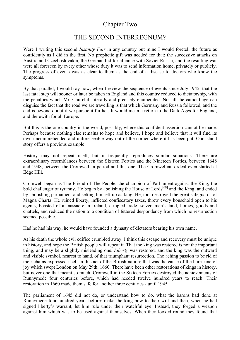## Chapter Two

### THE SECOND INTERREGNUM?

Were I writing this second *Insanity Fair* in any country but mine I would foretell the future as confidently as I did in the first. No prophetic gift was needed for that; the successive attacks on Austria and Czechoslovakia, the German bid for alliance with Soviet Russia, and the resulting war were all foreseen by every other whose duty it was to send information home, privately or publicly. The progress of events was as clear to them as the end of a disease to doctors who know the symptoms.

By that parallel, I would say now, when I review the sequence of events since July 1945, that the last fatal step will sooner or later be taken in England and this country reduced to dictatorship, with the penalties which Mr. Churchill literally and precisely enumerated. Not all the camouflage can disguise the fact that the road we are travelling is that which Germany and Russia followed, and the end is beyond doubt if we pursue it further. It would mean a return to the Dark Ages for England, and therewith for all Europe.

But this is the one country in the world, possibly, where this confident assertion cannot be made. Perhaps because nothing else remains to hope and believe, I hope and believe that it will find its own uncomprehended and unforeseeable way out of the corner where it has been put. Our island story offers a previous example:

History may not repeat itself, but it frequently reproduces similar situations. There are extraordinary resemblances between the Sixteen Forties and the Nineteen Forties, between 1648 and 1948, between the Cromwellian period and this one. The Cromwellian ordeal even started at Edge Hill.

Cromwell began as The Friend of The People, the champion of Parliament against the King, the bold challenger of tyranny. He began by abolishing the House of Lords<sup>[\[69\]](#page-177-0)</sup> and the King; and ended by abolishing parliament and setting himself up as king. He, too, destroyed the great safeguards of Magna Charta. He ruined liberty, inflicted confiscatory taxes, threw every household open to his agents, boasted of a massacre in Ireland, crippled trade, seized men's land, homes, goods and chattels, and reduced the nation to a condition of fettered despondency from which no resurrection seemed possible.

Had he had his way, he would have founded a dynasty of dictators bearing his own name.

At his death the whole evil edifice crumbled away. I think this escape and recovery must be unique in history, and hope the British people will repeat it. That the king was restored is not the important thing, and may be a slightly misleading one. *Liberty* was restored, and the king was the outward and visible symbol, nearest to hand, of that triumphant resurrection. The aching passion to be rid of their chains expressed itself in this act of the British nation; that was the cause of the hurricane of joy which swept London on May 29th, 1660. There have been other restorations of kings in history, but never one that meant so much. Cromwell in the Sixteen Forties destroyed the achievements of Runnymede four centuries before, which had needed twelve hundred years to reach. Their restoration in 1660 made them safe for another three centuries - until 1945.

The parliament of 1645 did not do, or understand how to do, what the barons had done at Runnymede four hundred years before: make the king bow to their will and then, when he had signed liberty's warrant, let him rule under their watchful eye. Instead, they forged a weapon against him which was to be used against themselves. When they looked round they found that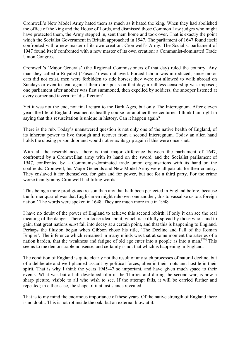Cromwell's New Model Army hated them as much as it hated the king. When they had abolished the office of the king and the House of Lords, and dismissed those Common Law judges who might have protected them, the Army stepped in, sent them home and took over. That is exactly the point which the Socialist Government in Britain approached in 1947. The parliament of 1647 found itself confronted with a new master of its own creation: Cromwell's Army. The Socialist parliament of 1947 found itself confronted with a new master of its own creation: a Communist-dominated Trade Union Congress.

Cromwell's 'Major Generals' (the Regional Commissioners of that day) ruled the country. Any man they called a Royalist ('Fascist') was outlawed. Forced labour was introduced; since motor cars did not exist, men were forbidden to ride horses; they were not allowed to walk abroad on Sundays or even to lean against their door-posts on that day; a ruthless censorship was imposed; one parliament after another was first summoned, then expelled by soldiers; the snooper listened at every corner and tavern for 'disaffection'.

Yet it was not the end, not final return to the Dark Ages, but only The Interregnum. After eleven years the life of England resumed its healthy course for another three centuries. I think I am right in saying that this resuscitation is unique in history. Can it happen again?

There is the rub. Today's unanswered question is not only one of the native health of England, of its inherent power to live through and recover from a second Interregnum. Today an alien hand holds the closing prison door and would not relax its grip again if this were once shut.

With all the resemblances, there is that major difference between the parliament of 1647, confronted by a Cromwellian army with its hand on the sword, and the Socialist parliament of 1947, confronted by a Communist-dominated trade union organisations with its hand on the coalfields. Cromwell, his Major Generals and New Model Army were all patriots for their country. They enslaved it for themselves, for gain and for power, but not for a third party. For the crime worse than tyranny Cromwell had fitting words:

'This being a more prodigious treason than any that hath been perfected in England before, because the former quarrel was that Englishmen might rule over one another, this to vassalise us to a foreign nation.' The words were spoken in 1648. They are much more true in 1948.

I have no doubt of the power of England to achieve this second rebirth, if only it can see the real meaning of the danger. There is a loose idea about, which is skilfully spread by those who stand to gain, that great nations *must* fall into decay at a certain point, and that this is happening to England. Perhaps the illusion began when Gibbon chose his title, 'The Decline and Fall of the Roman Empire'. The inference which remained in many minds was that at some moment the arteries of a nation harden, that the weakness and fatigue of old age enter into a people as into a man.<sup>[\[70\]](#page-177-0)</sup> This seems to me demonstrable nonsense, and certainly is not that which is happening in England.

The condition of England is quite clearly not the result of any such processes of natural decline, but of a deliberate and well-planned assault by political forces, alien in their roots and hostile in their spirit. That is why I think the years 1945-47 so important, and have given much space to their events. What was but a half-developed film in the Thirties and during the second war, is now a sharp picture, visible to all who wish to see. If the attempt fails, it will be carried further and repeated; in either case, the shape of it at last stands revealed.

That is to my mind the enormous importance of these years. Of the native strength of England there is no doubt. This is not rot inside the oak, but an external blow at it.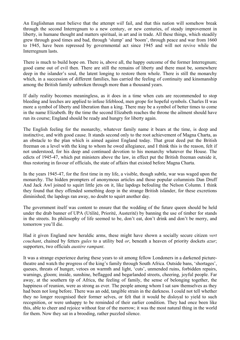An Englishman must believe that the attempt *will* fail, and that this nation will somehow break through the second Interregnum to a new century, or new centuries, of steady improvement in liberty, in humane thought and matters spiritual, in art and in trade. All these things, which steadily grew through good times and bad, through 'slump' and 'boom', through peace and war from 1660 to 1945, have been repressed by governmental act since 1945 and will not revive while the Interregnum lasts.

There is much to build hope on. There is, above all, the happy outcome of the former Interregnum; good came out of evil then. There are still the remains of liberty and there must be, somewhere deep in the islander's soul, the latent longing to restore them whole. There is still the monarchy which, in a succession of different families, has carried the feeling of continuity and kinsmanship among the British family unbroken through more than a thousand years.

If daily reality becomes meaningless, as it does in a time when cuts are recommended to stop bleeding and leeches are applied to infuse lifeblood, men grope for hopeful symbols. Charles II was more a symbol of liberty and liberation than a king. There may be a symbol of better times to come in the name Elizabeth. By the time the second Elizabeth reaches the throne the ailment should have run its course; England should be ready and hungry for liberty again.

The English feeling for the monarchy, whatever family name it bears at the time, is deep and instinctive, and with good cause. It stands second only to the root achievement of Magna Charta, as an obstacle to the plan which is aimed against England today. That great deed put the British freeman on a level with the king to whom he owed allegiance, and I think this is the reason, felt if not understood, for his deep and continued devotion to his monarchy whatever the House. The edicts of 1945-47, which put ministers above the law, in effect put the British freeman outside it, thus restoring in favour of officials, the state of affairs that existed before Magna Charta.

In the years 1945-47, for the first time in my life, a visible, though subtle, war was waged upon the monarchy. The hidden prompters of anonymous articles and those popular columnists Dan Druff And Jack Awl joined to squirt little jets on it, like lapdogs befouling the Nelson Column. I think they found that they offended something deep in the strange British islander, for these excretions diminished; the lapdogs ran away, no doubt to squirt another day.

The government itself was content to ensure that the wedding of the future queen should be held under the drab banner of UPA (Utilité, Priorité, Austerité) by banning the use of timber for stands in the streets. Its philosophy of life seemed to be, don't eat, don't drink and don't be merry, and tomorrow you'll die.

Had it given England new heraldic arms, these might have shown a socially secure citizen *vert couchant*, chained by fetters *gules* to a utility bed *or*, beneath a heaven of priority dockets *azur*; supporters, two officials *austère rampant*.

It was a strange experience during these years to sit among fellow Londoners in a darkened picturetheatre and watch the progress of the king's family through South Africa. Outside bans, 'shortages', queues, threats of hunger, vetoes on warmth and light, 'cuts', unmended ruins, forbidden repairs, warnings, gloom; inside, sunshine, beflagged and begarlanded streets, cheering, joyful people. Far away, at the southern tip of Africa, the feeling of family, the sense of belonging together, the happiness of reunion, were as strong as ever. The people among whom I sat saw themselves as they had been not long before. There was an odd, tangible strain in the darkness. I could not tell whether they no longer recognised their former selves, or felt that it would be disloyal to yield to such recognition, or were unhappy to be reminded of their earlier condition. They had once been like this, able to cheer and rejoice without fear of the morrow; it was the most natural thing in the world for them. Now they sat in a brooding, rather puzzled silence.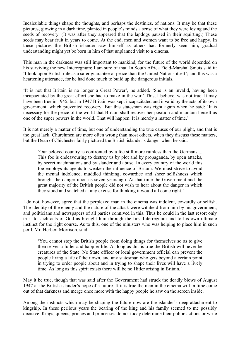Incalculable things shape the thoughts, and perhaps the destinies, of nations. It may be that these pictures, glowing in a dark time, planted in people's minds a sense of what they were losing and the seeds of recovery. (It was after they appeared that the lapdogs paused in their squirting.) These seeds may bear fruit in years to come. At the end, men and women want to be free and happy. In these pictures the British islander saw himself as others had formerly seen him; gradual understanding might yet be born in him of that unplanned visit to a cinema.

This man in the darkness was still important to mankind, for the future of the world depended on his surviving the new Interregnum: I am sure of that. In South Africa Field-Marshal Smuts said it: 'I look upon British rule as a safer guarantee of peace than the United Nations itself'; and this was a heartening utterance, for he had done much to build up the dangerous initials.

'It is not that Britain is no longer a Great Power', he added. 'She is an invalid, having been incapacitated by the great effort she had to make in the war.' This, I believe, was not true. It may have been true in 1945, but in 1947 Britain was kept incapacitated and invalid by the acts of its own government, which prevented recovery. But this statesman was right again when he said: 'It is necessary for the peace of the world that Britain shall recover her position and maintain herself as one of the super powers in the world. That will happen. It is merely a matter of time.'

It is not merely a matter of time, but one of understanding the true causes of our plight, and that is the great lack. Churchmen are more often wrong than most others, when they discuss these matters, but the Dean of Chichester fairly pictured the British islander's danger when he said:

'Our beloved country is confronted by a foe still more ruthless than the Germans ... This foe is endeavouring to destroy us by plot and by propaganda, by open attacks, by secret machinations and by slander and abuse. In every country of the world this foe employs its agents to weaken the influence of Britain. We must strive to avoid the mental indolence, muddled thinking, cowardice and sheer selfishness which brought the danger upon us seven years ago. At that time the Government and the great majority of the British people did not wish to hear about the danger in which they stood and snatched at any excuse for thinking it would all come right.'

I do not, however, agree that the perplexed man in the cinema was indolent, cowardly or selfish. The identity of the enemy and the nature of the attack were withheld from him by his government, and politicians and newspapers of all parties connived in this. Thus he could in the last resort only trust to such acts of God as brought him through the first Interregnum and to his own ultimate instinct for the right course. As to this, one of the ministers who was helping to place him in such peril, Mr. Herbert Morrison, said:

'You cannot stop the British people from doing things for themselves so as to give themselves a fuller and happier life. As long as this is true the British will never be creatures of the State. No State officer or local government official can prevent the people living a life of their own, and any statesman who gets beyond a certain point in trying to order people about and in trying to shape their lives will have a lively time. As long as this spirit exists there will be no Hitler arising in Britain.'

May it be true, though that was said after the Government had struck the deadly blows of August 1947 at the British islander's hope of a future. If it is true the man in the cinema will in time come out of that darkness and merge once more with the happy people he saw on the screen inside.

Among the instincts which may be shaping the future now are the islander's deep attachment to kingship. In these perilous years the bearing of the king and his family seemed to me possibly decisive. Kings, queens, princes and princesses do not today determine their public actions or write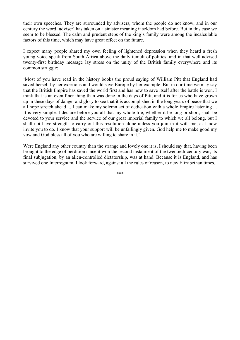their own speeches. They are surrounded by advisers, whom the people do not know, and in our century the word 'adviser' has taken on a sinister meaning it seldom had before. But in this case we seem to be blessed. The calm and prudent steps of the king's family were among the incalculable factors of this time, which may have great effect on the future.

I expect many people shared my own feeling of lightened depression when they heard a fresh young voice speak from South Africa above the daily tumult of politics, and in that well-advised twenty-first birthday message lay stress on the unity of the British family everywhere and its common struggle:

'Most of you have read in the history books the proud saying of William Pitt that England had saved herself by her exertions and would save Europe by her example. But in our time we may say that the British Empire has saved the world first and has now to save itself after the battle is won. I think that is an even finer thing than was done in the days of Pitt, and it is for us who have grown up in these days of danger and glory to see that it is accomplished in the long years of peace that we all hope stretch ahead ... I can make my solemn act of dedication with a whole Empire listening ... It is very simple. I declare before you all that my whole life, whether it be long or short, shall be devoted to your service and the service of our great imperial family to which we all belong, but I shall not have strength to carry out this resolution alone unless you join in it with me, as I now invite you to do. I know that your support will be unfailingly given. God help me to make good my vow and God bless all of you who are willing to share in it.'

Were England any other country than the strange and lovely one it is, I should say that, having been brought to the edge of perdition since it won the second instalment of the twentieth-century war, its final subjugation, by an alien-controlled dictatorship, was at hand. Because it is England, and has survived one Interregnum, I look forward, against all the rules of reason, to new Elizabethan times.

\*\*\*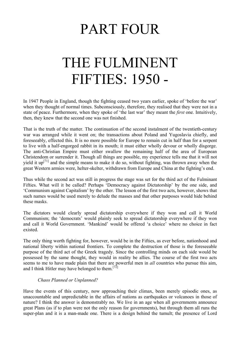## PART FOUR

# THE FULMINENT FIFTIES: 1950 -

In 1947 People in England, though the fighting ceased two years earlier, spoke of 'before the war' when they thought of normal times. Subconsciously, therefore, they realised that they were not in a state of peace. Furthermore, when they spoke of 'the last war' they meant the *first* one. Intuitively, then, they knew that the second one was not finished.

That is the truth of the matter. The continuation of the second instalment of the twentieth-century war was arranged while it went on; the transactions about Poland and Yugoslavia chiefly, and foreseeably, effected this. It is no more possible for Europe to remain cut in half than for a serpent to live with a half-engorged rabbit in its mouth; it must either wholly devour or wholly disgorge. The anti-Christian Empire must either swallow the remaining half of the area of European Christendom or surrender it. Though all things are possible, my experience tells me that it will not yield it up<sup>[\[71\]](#page-177-0)</sup> and the simple means to make it do so, without fighting, was thrown away when the great Western armies were, helter-skelter, withdrawn from Europe and China at the fighting's end.

Thus while the second act was still in progress the stage was set for the third act of the Fulminant Fifties. What will it be called? Perhaps 'Democracy against Dictatorship' by the one side, and 'Communism against Capitalism' by the other. The lesson of the first two acts, however, shows that such names would be used merely to delude the masses and that other purposes would hide behind these masks.

The dictators would clearly spread dictatorship everywhere if they won and call it World Communism; the 'democrats' would plainly seek to spread dictatorship everywhere if they won and call it World Government. 'Mankind' would be offered 'a choice' where no choice in fact existed.

The only thing worth fighting for, however, would be in the Fifties, as ever before, nationhood and national liberty within national frontiers. To complete the destruction of those is the foreseeable purpose of the third act of the Greek tragedy. Since the controlling minds on each side would be possessed by the same thought, they would in reality be allies. The course of the first two acts seems to me to have made plain that there are powerful men in *all* countries who pursue this aim, and I think Hitler may have belonged to them.<sup>[\[72\]](#page-177-0)</sup>

### *Chaos Planned or Unplanned?*

Have the events of this century, now approaching their climax, been merely episodic ones, as unaccountable and unpredictable in the affairs of nations as earthquakes or volcanoes in those of nature? I think the answer is demonstrably no. We live in an age when all governments announce great Plans (as if to plan were not the only reason for governments), but through them all runs the super-plan and it is a man-made one. There is a design behind the tumult; the presence of Lord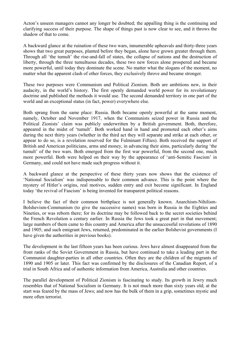Acton's unseen managers cannot any longer be doubted; the appalling thing is the continuing and clarifying success of their purpose. The shape of things past is now clear to see, and it throws the shadow of that to come.

A backward glance at the ruination of these two wars, innumerable upheavals and thirty-three years shows that two great purposes, planted before they began, alone have grown greater through them. Through all 'the tumult' the rise-and-fall of states, the collapse of nations and the destruction of liberty, through the three tumultuous decades, these two new forces alone prospered and became more powerful, until today they dominate the scene. No matter what the slogans of the moment, no matter what the apparent clash of other forces, they exclusively throve and became stronger.

These two purposes were Communism and Political Zionism. Both are ambitions new, in their audacity, in the world's history. The first openly demanded world power for its revolutionary doctrine and published the methods it would use. The second demanded territory in one part of the world and an exceptional status (in fact, power) everywhere else.

Both sprang from the same place: Russia. Both became openly powerful at the same moment, namely, October and November 1917, when the Communists seized power in Russia and the Political Zionists' claim was publicly underwritten by a British government. Both, therefore, appeared in the midst of 'tumult'. Both worked hand in hand and promoted each other's aims during the next thirty years (whether in the third act they will separate and strike at each other, or appear to do so, is a revelation reserved for the Fulminant Fifties). Both received the support of British and American politicians, arms and money, in advancing their aims, particularly during 'the tumult' of the two wars. Both emerged from the first war powerful, from the second one, much more powerful. Both were helped on their way by the appearance of 'anti-Semitic Fascism' in Germany, and could not have made such progress without it.

A backward glance at the perspective of these thirty years now shows that the existence of 'National Socialism' was indispensable to their common advance. This is the point where the mystery of Hitler's origins, real motives, sudden entry and exit become significant. In England today 'the revival of Fascism' is being invented for transparent political reasons.

I believe the fact of their common birthplace is not generally known. Anarchism-Nihilism-Bolshevism-Communism (to give the successive names) was born in Russia in the Eighties and Nineties, or was reborn there; for its doctrine may be followed back to the secret societies behind the French Revolution a century earlier. In Russia the Jews took a great part in that movement; large numbers of them came to this country and America after the unsuccessful revolutions of 1890 and 1905; and such emigrant Jews, returned, predominated in the earlier Bolshevist governments (I have given the authorities in previous books).

The development in the last fifteen years has been curious. Jews have almost disappeared from the front ranks of the Soviet Government in Russia, but have continued to take a leading part in the Communist daughter-parties in all other countries. Often they are the children of the migrants of 1890 and 1905 or later. This fact was confirmed by the disclosures of the Canadian Report, of a trial in South Africa and of authentic information from America, Australia and other countries.

The parallel development of Political Zionism is fascinating to study. Its growth in Jewry much resembles that of National Socialism in Germany. It is not much more than sixty years old; at the start was feared by the mass of Jews; and now has the bulk of them in a grip, sometimes mystic and more often terrorist.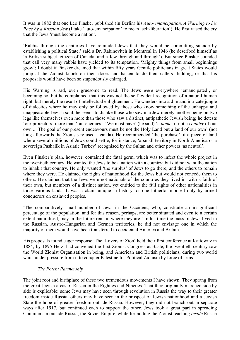It was in 1882 that one Leo Pinsker published (in Berlin) his *Auto-emancipation, A Warning to his Race by a Russian Jew* (I take 'auto-emancipation' to mean 'self-liberation'). He first raised the cry that the Jews 'must become a nation'.

'Rabbis through the centuries have reminded Jews that they would be committing suicide by establishing a political State,' said a Dr. Rabinovitch in Montreal in 1946 (he described himself as 'a British subject, citizen of Canada, and a Jew through and through'). But since Pinsker sounded that call very many rabbis have yielded to its temptation. 'Mighty things from small beginnings grow'; I doubt if Pinsker dreamed that within fifty years Gentile politicians in great States would jump at the Zionist knock on their doors and hasten to do their callers' bidding, or that his proposals would have been so stupendously enlarged.

His Warning is sad, even gruesome to read. The Jews *were* everywhere 'emancipated', or becoming so, but he complained that this was not the self-evident recognition of a natural human right, but merely the result of intellectual enlightenment. He wanders into a dim and intricate jungle of dialectics where he may only be followed by those who know something of the unhappy and unappeasable Jewish soul; he seems to dislike those who saw in a Jew merely another being on two legs like themselves even more than those who saw a distinct, antipathetic Jewish being; he detests 'our protectors' more than 'our enemies'. 'We must have' (he said) 'a *home*, if not a *country* of our own ... The goal of our present endeavours must be not the Holy Land but a land of our own' (not long afterwards the Zionists refused Uganda). He recommended 'the purchase' of a piece of land where several millions of Jews could settle, for instance, 'a small territory in North America or a sovereign Pashalik in Asiatic Turkey' recognised by the Sultan and other powers 'as neutral'.

Even Pinsker's plan, however, contained the fatal germ, which was to infect the whole project in the twentieth century. He wanted the Jews to be a nation with a country; but did not want the nation to inhabit that country. He only wanted 'the surplus' of Jews to go there, and the others to remain where they were. He claimed the rights of nationhood for the Jews but would not concede them to others. He claimed that the Jews were not nationals of the countries they lived in, with a faith of their own, but members of a distinct nation, yet entitled to the full rights of other nationalities in those various lands. It was a claim unique in history, or one hitherto imposed only by armed conquerors on enslaved peoples.

'The comparatively small number of Jews in the Occident, who, constitute an insignificant percentage of the population, and for this reason, perhaps, are better situated and even to a certain extent naturalised, may in the future remain where they are.' In his time the mass of Jews lived in the Russian, Austro-Hungarian and German territories; he did not envisage one in which the majority of them would have been transferred to occidental America and Britain.

His proposals found eager response. The 'Lovers of Zion' held their first conference at Kattowitz in 1884; by 1895 Herzl had convened the first Zionist Congress at Basle; the twentieth century saw the World Zionist Organisation in being, and American and British politicians, during two world wars, under pressure from it to conquer Palestine for Political Zionism by force of arms.

### *The Potent Partnership*

The joint root and birthplace of these two tremendous movements I have shown. They sprang from the great Jewish areas of Russia in the Eighties and Nineties. That they originally marched side by side is explicable: some Jews may have seen through revolution in Russia the way to their greater freedom inside Russia, others may have seen in the prospect of Jewish nationhood and a Jewish State the hope of greater freedom outside Russia. However, they did not branch out in separate ways after 1917, but continued each to support the other. Jews took a great part in spreading Communism outside Russia; the Soviet Empire, while forbidding the Zionist teaching *inside* Russia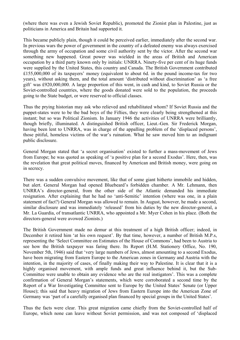(where there was even a Jewish Soviet Republic), promoted the Zionist plan in Palestine, just as politicians in America and Britain had supported it.

This became publicly plain, though it could be perceived earlier, immediately after the second war. In previous wars the power of government in the country of a defeated enemy was always exercised through the army of occupation and some civil authority sent by the victor. After the second war something new happened. Great power was wielded in the areas of British and American occupation by a third party known only by initials: UNRRA. Ninety-five per cent of its huge funds were supplied by the United States, this country and Canada. The British Government contributed £155,000,000 of its taxpayers' money (equivalent to about 6d. in the pound income-tax for two years), without asking them, and the total amount 'distributed without discrimination' as 'a free gift' was £920,000,000. A large proportion of this went, in cash and kind, to Soviet Russia or the Soviet-controlled countries, where the goods donated were sold to the population, the proceeds going to the State budget, or were reserved to official classes.

Thus the prying historian may ask who relieved and rehabilitated whom? If Soviet Russia and the puppet-states were to be the bad boys of the Fifties, they were clearly being strengthened at this instant; but so was Political Zionism. In January 1946 the activities of UNRRA were brilliantly, though briefly, illuminated. A distinguished British officer, Lieut.-Gen. Sir Frederick Morgan, having been lent to UNRRA, was in charge of the appalling problem of the 'displaced persons', those pitiful, homeless victims of the war's ruination. What he saw moved him to an indignant public disclosure.

General Morgan stated that 'a secret organisation' existed to further a mass-movement of Jews from Europe; he was quoted as speaking of 'a positive plan for a second Exodus'. Here, then, was the revelation that great political moves, financed by American and British money, were going on in secrecy.

There was a sudden convulsive movement, like that of some giant hitherto immobile and hidden, but alert. General Morgan had opened Bluebeard's forbidden chamber. A Mr. Lehmann, then UNRRA's director-general, from the other side of the Atlantic demanded his immediate resignation. After explaining that he had no 'anti-Semitic' intention (where was one, in a plain statement of fact?) General Morgan was allowed to remain. In August, however, he made a second, similar disclosure and was immediately 'released' from his duties by the new director-general, a Mr. La Guardia, of transatlantic UNRRA, who appointed a Mr. Myer Cohen in his place. (Both the directors-general were avowed Zionists.)

The British Government made no demur at this treatment of a high British officer; indeed, in December it retired him 'at his own request'. By that time, however, a number of British M.P.s, representing the 'Select Committee on Estimates of the House of Commons', had been to Austria to see how the British taxpayer was faring there. Its Report (H.M. Stationery Office, No. 190, November 5th, 1946) said that 'very large numbers of Jews, almost amounting to a second Exodus, have been migrating from Eastern Europe to the American zones in Germany and Austria with the intention, in the majority of cases, of finally making their way to Palestine. It is clear that it is a highly organised movement, with ample funds and great influence behind it, but the Sub-Committee were unable to obtain any evidence who are the real instigators'. This was a complete confirmation of General Morgan's statements, which were corroborated a second time by the Report of a War Investigating Committee sent to Europe by the United States' Senate (or Upper House); this said that heavy migration of Jews from Eastern Europe into the American Zone of Germany was 'part of a carefully organised plan financed by special groups in the United States'.

Thus the facts were clear. This great migration came chiefly from the Soviet-controlled half of Europe, which none can leave without Soviet permission, and was not composed of 'displaced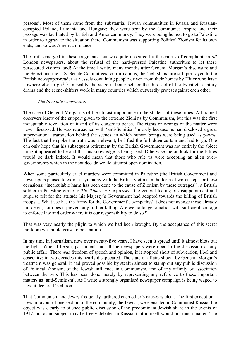persons'. Most of them came from the substantial Jewish communities in Russia and Russianoccupied Poland, Rumania and Hungary; they were sent by the Communist Empire and their passage was facilitated by British and American money. They were being helped to go to Palestine in order to aggravate the situation there. Communism was supporting Political Zionism for its own ends, and so was American finance.

The truth emerged in these fragments, but was quite obscured by the chorus of complaint, in *all* London newspapers, about the refusal of the hard-pressed Palestine authorities to let these persecuted visitors land! At the time I write, many months after General Morgan's disclosure and the Select and the U.S. Senate Committees' confirmations, the 'hell ships' are still portrayed to the British newspaper-reader as vessels containing people driven from their homes by Hitler who have nowhere else to go.<sup>[73]</sup> In reality the stage is being set for the third act of the twentieth-century drama and the scene-shifters work in many countries which outwardly protest against each other.

### *The Invisible Censorship*

The case of General Morgan is of the utmost importance to the student of these times. All trained observers knew of the support given to the extreme Zionists by Communism, but this was the first indisputable revelation of it and of its danger to peace. The rights or wrongs of the matter were never discussed. He was reproached with 'anti-Semitism' merely because he had disclosed a great super-national transaction behind the scenes, in which human beings were being used as pawns. The fact that he spoke the truth was irrelevant; he lifted the forbidden curtain and had to go. One can only hope that his subsequent retirement by the British Government was not entirely the abject thing it appeared to be and that his knowledge is being used. Otherwise the outlook for the Fifties would be dark indeed. It would mean that those who rule us were accepting an alien overgovernorship which in the next decade would attempt open domination.

When some particularly cruel murders were committed in Palestine (the British Government and newspapers paused to express sympathy with the British victims in the form of words kept for these occasions: 'incalculable harm has been done to the cause of Zionism by these outrages'), a British soldier in Palestine wrote to *The Times*. He expressed 'the general feeling of disappointment and surprise felt for the attitude his Majesty's Government had adopted towards the killing of British troops ... What use has the Army for the Government's sympathy? It does not avenge those already murdered, nor does it prevent any further killing. Are we no longer a nation with sufficient courage to enforce law and order where it is our responsibility to do so?'

That was very nearly the plight to which we had been brought. By the acceptance of this secret thraldom we should cease to be a nation.

In my time in journalism, now over twenty-five years, I have seen it spread until it almost blots out the light. When I began, parliament and all the newspapers were open to the discussion of any public affair. There *was* freedom of speech and opinion, if it stopped short of subversion, libel and obscenity; in two decades this nearly disappeared. The state of affairs shown by General Morgan's treatment was general. It had proved possible by stealth almost to stamp out any public discussion of Political Zionism, of the Jewish influence in Communism, and of any affinity or association between the two. This has been done merely by representing any reference to these important matters as 'anti-Semitism'. As I write a strongly organised newspaper campaign is being waged to have it declared 'sedition'.

That Communism and Jewry frequently furthered each other's causes is clear. The first exceptional laws in favour of one section of the community, the Jewish, were enacted in Communist Russia; the object was clearly to silence public discussion of the predominant Jewish share in the events of 1917, but as no subject may be freely debated in Russia, that in itself would not much matter. The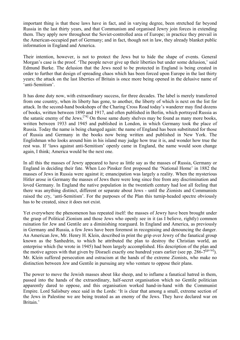important thing is that these laws have in fact, and in varying degree, been stretched far beyond Russia in the last thirty years, and that Communism and organised Jewry join forces in extending them. They apply now throughout the Soviet-controlled area of Europe; in practice they prevail in the American-occupied part of Germany; and in fact, though not in law, they already blanket public information in England and America.

Their intention, however, is not to protect the Jews but to hide the shape of events. General Morgan's case is the proof. 'The people never give up their liberties but under some delusion,' said Edmund Burke. The delusion that the Jews need to be protected in England is being created in order to further that design of spreading chaos which has been forced upon Europe in the last thirty years; the attack on the last liberties of Britain is once more being opened in the delusive name of 'anti-Semitism'.

It has done duty now, with extraordinary success, for three decades. The label is merely transferred from one country, when its liberty has gone, to another, the liberty of which is next on the list for attack. In the second-hand bookshops of the Charing Cross Road today's wanderer may find dozens of books, written between 1890 and 1917, and often published in Berlin, which portrayed Russia as the satanic enemy of the Jews.<sup>[\[74\]](#page-177-0)</sup> On those same dusty shelves may be found as many more books, written between 1933 and 1945 and published in London, in which Germany took the place of Russia. Today the name is being changed again: the name of England has been substituted for those of Russia and Germany in the books now being written and published in New York. The Englishman who looks around him in his island may judge how true it is, and wonder how true the rest was. If 'laws against anti-Semitism' openly came in England, the name would soon change again, I think; America would be the next one.

In all this the masses of Jewry appeared to have as little say as the masses of Russia, Germany or England in deciding their fate. When Leo Pinsker first proposed the 'National Home' in 1882 the masses of Jews in Russia were against it; emancipation was largely a reality. When the mysterious Hitler arose in Germany the masses of Jews there were long since free from any discrimination and loved Germany. In England the native population in the twentieth century had lost all feeling that there was anything distinct, different or separate about Jews - until the Zionists and Communists raised the cry, 'anti-Semitism'. For the purposes of the Plan this turnip-headed spectre obviously has to be created, since it does not exist.

Yet everywhere the phenomenon has repeated itself: the masses of Jewry have been brought under the grasp of Political Zionism and those Jews who openly see in it (as I believe, rightly) common ruination for Jew and Gentile are a diminishing rearguard. In England and America, as previously in Germany and Russia, a few Jews have been foremost in recognising and denouncing the danger. An American Jew, Mr. Henry H. Klein, described in print the grip over Jewry of the fanatical group known as the Sanhedrin, to which he attributed the plan to destroy the Christian world, an enterprise which (he wrote in 1945) had been largely accomplished. His description of the plan and the motive agrees with that given by Disraeli exactly one hundred years earlier (see pp. 286-7<sup>[\[go to\]](#page-149-0)</sup>). Mr. Klein suffered persecution and ostracism at the hands of the extreme Zionists, who make no distinction between Jew and Gentile in pursuing any who venture to oppose their plans.

The power to move the Jewish masses about like sheep, and to inflame a fanatical hatred in them, passed into the hands of the extraordinary, half-secret organisation which no Gentile politician apparently dared to oppose, and this organisation worked hand-in-hand with the Communist Empire. Lord Salisbury once said in the Lords: 'It is clear that among a small, extreme section of the Jews in Palestine we are being treated as an enemy of the Jews. They have declared war on Britain.'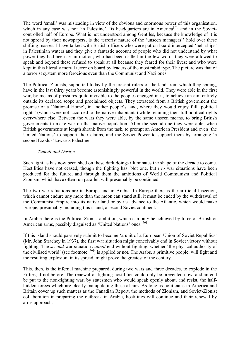The word 'small' was misleading in view of the obvious and enormous power of this organisation, which in any case was not 'in Palestine'. Its headquarters are in America<sup>[\[75\]](#page-178-0)</sup> and in the Sovietcontrolled half of Europe. What is not understood among Gentiles, because the knowledge of it is not spread by their newspapers, is the terrorist nature of the 'unseen managers'' hold over these shifting masses. I have talked with British officers who were put on board intercepted 'hell ships' in Palestinian waters and they give a fantastic account of people who did not understand by what power they had been set in motion; who had been drilled in the few words they were allowed to speak and beyond these refused to speak at all because they feared for their lives; and who were kept in this literally mortal terror on board by leaders of the most rabid type. The picture was that of a terrorist system more ferocious even than the Communist and Nazi ones.

The Political Zionists, supported today by the present rulers of the land from which they sprang, have in the last thirty years become astonishingly powerful in the world. They were able in the first war, by means of pressures quite invisible to the peoples engaged in it, to achieve an aim entirely outside its declared scope and proclaimed objects. They extracted from a British government the promise of a 'National Home', in another people's land, where they would enjoy full 'political rights' (which were not accorded to the native inhabitants) while retaining their full political rights everywhere else. Between the wars they were able, by the same unseen means, to bring British governments to make war on that native population. After the second one they were able, when British governments at length shrank from the task, to prompt an American President and even 'the United Nations' to support their claims, and the Soviet Power to support them by arranging 'a second Exodus' towards Palestine.

### *Tumult and Design*

Such light as has now been shed on these dark doings illuminates the shape of the decade to come. Hostilities have not ceased, though the fighting has. Not one, but *two* war situations have been produced for the future, and through them the ambitions of World Communism and Political Zionism, which have often run parallel, will presumably be continued.

The two war situations are in Europe and in Arabia. In Europe there is the artificial bisection, which cannot endure any more than the moon can stand still; it must be ended by the withdrawal of the Communist Empire into its native land or by its advance to the Atlantic, which would make Europe, presumably including this island, a second Soviet continent.

In Arabia there is the Political Zionist ambition, which can only be achieved by force of British or American arms, possibly disguised as 'United Nations' ones.<sup>[\[76\]](#page-178-0)</sup>

If this island should passively submit to become 'a unit of a European Union of Soviet Republics' (Mr. John Strachey in 1937), the first war situation might conceivably end in Soviet victory without fighting. The *second* war situation *cannot* end without fighting, whether 'the physical authority of the civilised world' (see footnote  $^{[76]}$  $^{[76]}$  $^{[76]}$ ) is applied or not. The Arabs, a primitive people, will fight and the resulting explosion, in its spread, might prove the greatest of the century.

This, then, is the infernal machine prepared, during two wars and three decades, to explode in the Fifties, if not before. The renewal of fighting-hostilities could only be prevented now, and an end be put to the non-fighting war, by statesmen who would speak openly about, and resist, the halfhidden forces which are clearly manipulating these affairs. As long as politicians in America and Britain cover up such matters as the Canadian Report, the methods of Zionism, and Soviet-Zionist collaboration in preparing the outbreak in Arabia, hostilities will continue and their renewal by arms approach.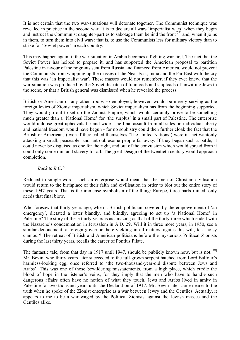It is not certain that the two war-situations will detonate together. The Communist technique was revealed in practice in the second war. It is to declare all wars 'imperialist wars' when they begin and instruct the Communist daughter-parties to sabotage them behind the front<sup>[\[77\]](#page-178-0)</sup> and, when it joins in them, to turn them into civil wars: that is, to use the Communists less for military victory than to strike for 'Soviet power' in each country.

This may happen again, if the war-situation in Arabia becomes a fighting-war first. The fact that the Soviet Power has helped to prepare it, and has supported the American proposal to partition Palestine in favour of the migrants sent from Russia and financed from America, would not prevent the Communists from whipping up the masses of the Near East, India and the Far East with the cry that this was 'an Imperialist war'. These masses would not remember, if they ever knew, that the war-situation was produced by the Soviet dispatch of trainloads and shiploads of unwitting Jews to the scene, or that a British general was dismissed when he revealed the process.

British or American or any other troops so employed, however, would be merely serving as the foreign levies of Zionist imperialism, which Soviet imperialism has from the beginning supported. They would go out to set up the Zionist Empire, which would certainly prove to be something much greater than a 'National Home' for 'the surplus' in a small part of Palestine. The enterprise would unloose great upheavals far and wide. The final assault from all sides on individual liberty and national freedom would have begun - for no sophistry could then further cloak the fact that the British or Americans (even if they called themselves 'The United Nations') were in fact wantonly attacking a small, peaceable, and untroublesome people far away. If they began such a battle, it could never be disguised as one for the right, and out of the convulsion which would spread from it could only come ruin and slavery for all. The great Design of the twentieth century would approach completion.

### *Back to B.C.?*

Reduced to simple words, such an enterprise would mean that the men of Christian civilisation would return to the birthplace of their faith and civilisation in order to blot out the entire story of these 1947 years. That is the immense symbolism of the thing: Europe, three parts ruined, only needs that final blow.

Who foresaw that thirty years ago, when a British politician, covered by the empowerment of 'an emergency', dictated a letter blandly, and blindly, agreeing to set up 'a National Home' in Palestine? The story of these thirty years is as amazing as that of the thirty-three which ended with the Nazarene's condemnation in Jerusalem in A.D. 29. Will it in three more years, in 1950, see a similar denouement: a foreign governor there yielding in all matters, against his will, to a noisy clamour? The retreat of British and American politicians before the mysterious Political Zionists during the last thirty years, recalls the career of Pontius Pilate.

The fantastic tale, from that day in 1917 until 1947, should be publicly known now, but is not.<sup>[\[78\]](#page-178-0)</sup> Mr. Bevin, who thirty years later succeeded to the full-grown serpent hatched from Lord Balfour's harmless-looking egg, once referred to 'the two-thousand-year-old dispute between Jews and Arabs'. This was one of those bewildering misstatements, from a high place, which curdle the blood of hope in the listener's veins, for they imply that the men who have to handle such dangerous affairs often have no notion of what they touch. Jews and Arabs lived in amity in Palestine for two thousand years until the Declaration of 1917. Mr. Bevin later came nearer to the truth when he spoke of the Zionist enterprise as a war between Jewry and the Gentiles. Actually, it appears to me to be a war waged by the Political Zionists against the Jewish masses and the Gentiles alike.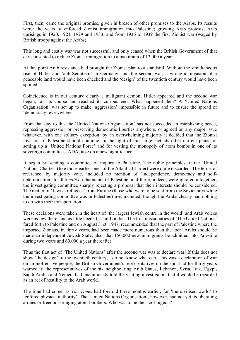First, then, came the original promise, given in breach of other promises to the Arabs. Its results were: the years of enforced Zionist immigration into Palestine; growing Arab protests; Arab uprisings in 1920, 1921, 1929 and 1933; and from 1936 to 1939 the first Zionist war (waged by British troops against the Arabs).

This long and costly war was not successful, and only ceased when the British Government of that day consented to reduce Zionist immigration to a maximum of 12,000 a year.

At that point Arab resistance had brought the Zionist plan to a standstill. Without the simultaneous rise of Hitler and 'anti-Semitism' in Germany, and the second war, a wrongful invasion of a peaceable land would have been checked and the 'design' of the twentieth century would have been spoiled.

Coincidence is in our century clearly a malignant demon; Hitler appeared and the second war began, ran its course and reached its curious end. What happened then? A 'United Nations Organisation' was set up to make 'aggression' impossible in future and to ensure the spread of 'democracy' everywhere.

From that day to this the 'United Nations Organisation' has not succeeded in establishing peace, repressing aggression or preserving democratic liberties anywhere, or agreed on any major issue whatever, with one solitary exception: by an overwhelming majority it decided that the Zionist invasion of Palestine should continue. In the light of this large fact, its other current plans for setting up a 'United Nations Force' and for vesting the monopoly of atom bombs in one of its sovereign committees, ADA, take on a new significance.

It began by sending a committee of inquiry to Palestine. The noble principles of the 'United Nations Charter' (like those earlier ones of the Atlantic Charter) were quite discarded. The terms of reference, by majority vote, included no mention of 'independence, democracy and selfdetermination' for the *native* inhabitants of Palestine, and these, indeed, were ignored altogether; the investigating committee sharply rejecting a proposal that their interests should be considered. The matter of 'Jewish refugees' from Europe (those who were to be sent from the Soviet area while the investigating committee was in Palestine) *was* included, though the Arabs clearly had nothing to do with their transportation.

These decisions were taken in the heart of 'the largest Jewish centre in the world' and Arab voices were as few there, and as little heeded, as in London. The first missionaries of 'The United Nations' fared forth to Palestine and on August 31st, 1947, recommended that the part of Palestine where the imported Zionists, in thirty years, had been made more numerous than the local Arabs should be made an independent Jewish State; also, that 150,000 new immigrants be admitted into Palestine during two years and 60,000 a year thereafter.

Thus the first act of 'The United Nations' after the second war was to declare war! If this does not show 'the design' of the twentieth century, I do not know what can. This was a declaration of war on an inoffensive people; the British Government's representatives on the spot had for thirty years warned it; the representatives of the six neighbouring Arab States, Lebanon, Syria, Irak, Egypt, Saudi Arabia and Yemen, had unanimously told the visiting investigators that it would be regarded as an act of hostility to the Arab world.

The time had come, as *The Times* had foretold three months earlier, for 'the civilised world' to 'enforce physical authority'. The 'United Nations Organisation', however, had not yet its liberating armies or freedom-bringing atom-bombers. Who was to be the stool-pigeon?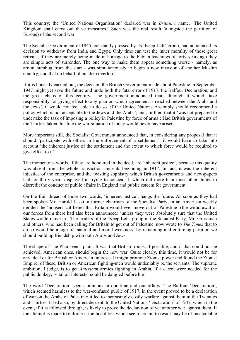This country; the 'United Nations Organisation' declared war in *Britain's* name. 'The United Kingdom shall carry out these measures.' Such was the real result (alongside the partition of Europe) of the second war.

The Socialist Government of 1945, constantly pressed by its 'Keep Left' group, had announced its decision to withdraw from India and Egypt. Only time can test the inner morality of those great retreats; if they are merely being made in homage to the Fabian teachings of forty years ago they are simple acts of surrender. The one way to make them appear something worse - namely, as arrant humbug from the start - was simultaneously to begin a new invasion of another Muslim country, and that on behalf of an alien overlord.

If it is honestly carried out, the decision the British Government made about Palestine in September 1947 might yet save the future and undo both the fatal error of 1917, the Balfour Declaration, and the great chaos of this century. The government announced that, although it would 'take responsibility for giving effect to any plan on which agreement is reached between the Arabs and the Jews', it would not feel able to do so 'if the United Nations Assembly should recommend a policy which is not acceptable to the Jews and the Arabs'; and, further, that it 'was not prepared to undertake the task of imposing a policy in Palestine by force of arms': Had British governments of the Thirties taken this line the war-situation of today would never have arisen.

More important still, the Socialist Government announced that, in considering any proposal that it should 'participate with others in the enforcement of a settlement', it would have to take into account 'the inherent justice of the settlement and the extent to which force would be required to give effect to it'.

The momentous words, if they are honoured in the deed, are 'inherent justice', because this quality was absent from the whole transaction since its beginning in 1917. In fact, it was the inherent injustice of the enterprise, and the twisting sophistry which British governments and newspapers had for thirty years displayed in trying to conceal it, which did more than most other things to discredit the conduct of public affairs in England and public esteem for government.

On the frail thread of those two words, 'inherent justice', hangs the future. As soon as they had been spoken Mr. Harold Laski, a former chairman of the Socialist Party, in an American weekly derided the 'nonsensical belief that Britain would ever move out of Palestine' (the withdrawal of our forces from there had also been announced) 'unless they were absolutely sure that the United States would move in'. The leaders of the 'Keep Left' group in the Socialist Party, Mr. Grossman and others, who had been calling for Britain to get out of Palestine, now wrote to *The Times* that to do so would be a sign of material and moral weakness; by remaining and enforcing partition we should build up friendship with both Arabs and Jews.

The shape of The Plan seems plain. It was that British troops, if possible, and if that could not be achieved, American ones, should begin the new war. Quite clearly, this time, it would not be for any ideal or for British or American interests. It might promote Zionist power and found the Zionist Empire; of these, British or American fighting-men would undeniably be the servants. The supreme ambition, I judge, is to get *American* armies fighting in Arabia. If a carrot were needed for the public donkey, 'vital oil interests' could be dangled before him.

The word 'Declaration' seems ominous in our time and our affairs. The Balfour 'Declaration', which seemed harmless to the war-confused public of 1917, in the event proved to be a declaration of war on the Arabs of Palestine; it led to increasingly costly warfare against them in the Twenties and Thirties. It led also, by direct descent, to the United Nations 'Declaration' of 1947, which in the event, if it is followed through, is likely to prove the declaration of yet another war against them. If the attempt is made to enforce it the hostilities which seem certain to result may be of incalculable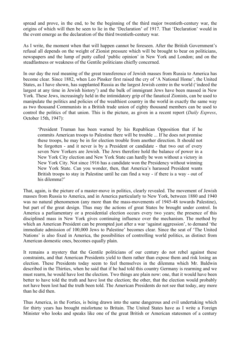spread and prove, in the end, to be the beginning of the third major twentieth-century war, the origins of which will then be seen to lie in the 'Declaration' of 1917. That 'Declaration' would in the event emerge as the declaration of the third twentieth-century war.

As I write, the moment when that will happen cannot be foreseen. After the British Government's refusal all depends on the weight of Zionist pressure which will be brought to bear on politicians, newspapers and the lump of putty called 'public opinion' in New York and London; and on the steadfastness or weakness of the Gentile politicians chiefly concerned.

In our day the real meaning of the great transference of Jewish masses from Russia to America has become clear. Since 1882, when Leo Pinsker first raised the cry of 'A National Home', the United States, as I have shown, has supplanted Russia as the largest Jewish centre in the world ('indeed the largest at any time in Jewish history') and the bulk of immigrant Jews have been massed in New York. These Jews, increasingly held in the intimidatory grip of the fanatical Zionists, can be used to manipulate the politics and policies of the wealthiest country in the world in exactly the same way as two thousand Communists in a British trade union of eighty thousand members can be used to control the politics of that union. This is the picture, as given in a recent report (*Daily Express*, October 15th, 1947):

'President Truman has been warned by his Republican Opposition that if he commits American troops to Palestine there will be trouble ... If he does not promise these troops, he may be in for election trouble from another direction. It should not be forgotten - and it never is by a President or candidate - that two out of every seven New Yorkers are Jewish. The Jews therefore hold the balance of power in a New York City election and New York State can hardly be won without a victory in New York City. Not since 1916 has a candidate won the Presidency without winning New York State. Can you wonder, then, that America's harassed President wants British troops to stay in Palestine until he can find a way - if there is a way - out of his dilemma?'

That, again, is the picture of a master-move in politics, clearly revealed. The movement of Jewish masses from Russia to America, and in America particularly to New York, between 1880 and 1940 was no natural phenomenon (any more than the mass-movements of 1945-48 towards Palestine), but part of the great design. Thus may the actions of great States be brought under control. In America a parliamentary or a presidential election occurs every two years; the presence of this disciplined mass in New York gives continuing influence over the mechanism. The method by which an American President can be prompted just after a war 'against aggression', to demand 'the immediate admission of 100,000 Jews to Palestine' becomes clear. Since the seat of 'The United Nations' is also fixed in America, the possibilities of controlling world politics, as distinct from American domestic ones, becomes equally plain.

It remains a mystery that the Gentile politicians of our century do not rebel against these constraints, and that American Presidents yield to them rather than expose them and risk losing an election. These Presidents today seem to feel themselves in the dilemma which Mr. Baldwin described in the Thirties, when he said that if he had told this country Germany is rearming and we must rearm, he would have lost the election. Two things are plain now: one, that it would have been better to have told the truth and have lost the election; the other, that the election would probably not have been lost had the truth been told. The American Presidents do not see that today, any more than he did then.

Thus America, in the Forties, is being drawn into the same dangerous and evil undertaking which for thirty years has brought misfortune to Britain. The United States have as I write a Foreign Minister who looks and speaks like one of the great British or American statesmen of a century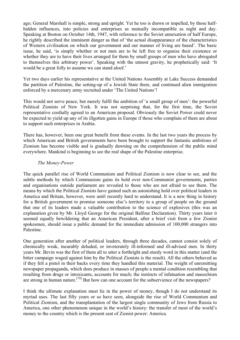ago; General Marshall is simple, strong and upright. Yet he too is drawn or impelled, by those halfhidden influences, into policies and enterprises as mutually incompatible as night and day. Speaking at Boston on October 14th, 1947, with reference to the Soviet annexation of half Europe, he rightly described the imminent danger as that of 'the actual disappearance of the characteristics of Western civilisation on which our government and our manner of living are based'. The basic issue, he said, 'is simply whether or not men are to be left free to organise their existence or whether they are to have their lives arranged for them by small groups of men who have abrogated to themselves this arbitrary power'. Speaking with the utmost gravity, he prophetically said: 'It would be a great folly to assume we can stand aloof.'

Yet two days earlier his representative at the United Nations Assembly at Lake Success demanded the partition of Palestine, the setting-up of a Jewish State there, and continued alien immigration enforced by a mercenary army recruited under 'The United Nations'!

This would not serve peace, but merely fulfil the ambition of 'a small group of men': the powerful Political Zionists of New York. It was not surprising that, for the first time, the Soviet representative cordially agreed to an American proposal. Obviously the Soviet Power could never be expected to yield up any of its illgotten gains in Europe if those who complain of them are about to support such enterprises in Arabia.

There has, however, been one great benefit from these events. In the last two years the process by which American and British governments have been brought to support the fantastic ambitions of Zionism has become visible and is gradually dawning on the comprehension of the public mind everywhere. Mankind is beginning to see the real shape of the Palestine enterprise.

### *The Money-Power*

The quick parallel rise of World Communism and Political Zionism is now clear to see, and the subtle methods by which Communism gains its hold over non-Communist governments, parties and organisations outside parliament are revealed to those who are not afraid to see them. The means by which the Political Zionists have gained such an astonishing hold over political leaders in America and Britain, however, were until recently hard to understand. It is a new thing in history for a British government to promise someone else's territory to a group of people on the ground that one of its leaders made a valuable contribution to the science of explosives (this was an explanation given by Mr. Lloyd George for the original Balfour Declaration). Thirty years later it seemed equally bewildering that an American President, after a brief visit from a few Zionist spokesmen, should issue a public demand for the immediate admission of 100,000 strangers into Palestine.

One generation after another of political leaders, through three decades, cannot consist solely of chronically weak, incurably deluded, or inveterately ill-informed and ill-advised men. In thirty years Mr. Bevin was the first of them all to utter a forthright and sturdy word in this matter (and the bitter campaign waged against him by the Political Zionists is the result). All the others behaved as if they felt a pistol in their backs every time they handled this material. The weight of unremitting newspaper propaganda, which does produce in masses of people a mental condition resembling that resulting from drugs or intoxicants, accounts for much; the instincts of infatuation and masochism are strong in human nature.<sup>[\[79\]](#page-178-0)</sup> But how can one account for the subservience of the newspapers?

I think the ultimate explanation must lie in the power of money, though I do not understand its myriad uses. The last fifty years or so have seen, alongside the rise of World Communism and Political Zionism, and the transplantation of the largest single community of Jews from Russia to America, one other phenomenon unique in the world's history: the transfer of most of the world's money to the country which is the present seat of Zionist power: America.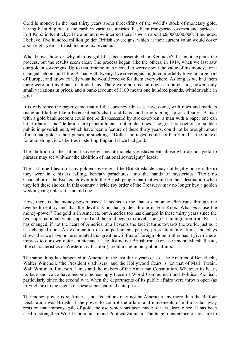Gold is money. In the past thirty years about three-fifths of the world's stock of monetary gold, having been dug out of the earth in various countries, has been transported oversea and buried at Fort Knox in Kentucky. The amount now interred there is worth about £6,000,000,000. It includes, I believe, five hundred million golden British sovereigns, which at their current value would cover about eight years' British income-tax revenue.

Who knows how or why all this gold has been assembled in Kentucky? I cannot explain the process, but the results seem clear. The process began, like the others, in 1914, when we last saw our golden sovereigns. Up to that time no man needed to worry about the value of his money, for it changed seldom and little. A man with twenty-five sovereigns might comfortably travel a large part of Europe, and know exactly what he would receive for them everywhere. As long as we had them there were no travel-bans or trade-bans. There were no ups and downs in purchasing power, only small variations in prices, and a bank-account of £100 meant one hundred pounds, withdrawable in gold.

It is only since the paper came that all the currency illnesses have come, with rates and markets rising and failing like a fever-patient's chart, and bans and barriers going up on all sides. A man with a gold bank account could not be dispossessed by stroke-of-pen; a man with a paper one can be. 'Inflation' and 'deflation' are paper ailments, not golden ones. The great transactions of sudden public impoverishment, which have been a feature of these thirty years, could not be brought about if men had gold in their purses or stockings. 'Dollar shortages' could not be offered as the pretext for abolishing civic liberties in sterling England if we had gold.

The abolition of the national sovereign meant monetary enslavement; those who do not yield to phrases may see whither 'the abolition of national sovereignty' leads.

The last time I heard of any golden sovereigns (the British islander may not legally possess them) they were in canisters falling, beneath parachutes, into the hands of mysterious 'Tito'; no Chancellor of the Exchequer ever told the British people that that would be their destination when they left these shores. In this country a bride (by order of the Treasury) may no longer buy a golden wedding ring unless it is an old one.

How, then, is the money-power used? It seems to me that a demoniac Plan runs through the twentieth century and that the devil sits on that golden throne in Fort Knox. What *men* use the money-power? The gold is in America, but America too has changed in these thirty years since the two super-national giants appeared and the gold began to travel. The great immigration from Russia has changed, if not the heart of America, at all events the face it turns towards the world, just as it has changed ours. An examination of our parliament, parties, press, literature, films and plays shows that we have not assimilated this great new influx of foreign blood; rather has it given a new impress to our own outer countenance. The distinctive British traits (or, as General Marshall said, 'the characteristics of Western civilisation') are blurring in our public affairs.

The same thing has happened in America in the last thirty years or so. The America of Ben Hecht, Walter Winchell, 'the President's advisers' and the Hollywood Czars is not that of Mark Twain, Walt Whitman, Emerson, James and the makers of the American Constitution. Whatever its heart, its face and voice have become increasingly those of World Communism and Political Zionism, particularly since the second war, when the departments of its public affairs were thrown open (as in England) to the agents of these super-national enterprises.

The money-power is *in* America, but its actions may not be American any more than the Balfour Declaration was British. If the power to control the affairs and movements of millions far away rests on that immense pile of gold, the use which has been made of it is clear to see. It has been used to strengthen World Communism and Political Zionism. The huge transference of treasure to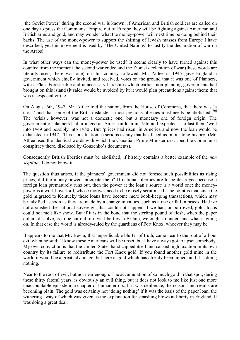'the Soviet Power' during the second war is known; if American and British soldiers are called on one day to press the Communist Empire out of Europe they will be fighting against American and British arms and gold, and may wonder what the money-power will next time be doing behind their backs. The use of the money-power to support the shifting of Jewish masses from Europe I have described; yet this movement is used by 'The United Nations' to justify the declaration of war on the Arabs!

In what other ways can the money-power be used? It seems clearly to have turned against this country from the moment the second war ended and the Zionist declaration of war (these words are literally used; there was one) on this country followed. Mr. Attlee in 1945 gave England a government which chiefly invited, and received, votes on the ground that it was one of Planners, with a Plan. Foreseeable and unnecessary hardships which earlier, non-planning governments had brought on this island (it said) would be avoided by it; it would plan precautions against them; that was its especial virtue.

On August 6th, 1947, Mr. Attlee told the nation, from the House of Commons, that there was 'a crisis' and that some of the British islander's most precious liberties must needs be abolished.<sup>[\[80\]](#page-178-0)</sup> The 'crisis', however, was not a domestic one, but a monetary one of foreign origin. The government of planners had arranged an American loan in 1946 and expected it to last them 'well into 1949 and possibly into 1950'. But 'prices had risen' in America and now the loan would be exhausted in 1947. 'This is a situation as serious as any that has faced us in our long history' (Mr. Attlee used the identical words with which the Canadian Prime Minister described the Communist conspiracy there, disclosed by Gouzenko's documents).

Consequently British liberties must be abolished; if history contains a better example of the *non sequitur*, I do not know it.

The question thus arises, if the planners' government did not foresee such possibilities as rising prices, did the money-power anticipate them? If national liberties are to be destroyed because a foreign loan prematurely runs out, then the power at the loan's source is a world one: the moneypower is a world-overlord, whose motives need to be closely scrutinised. The point is that since the gold migrated to Kentucky these loans have become mere book-keeping transactions, which may be falsified as soon as they are made by a change in values, such as a rise or fall in prices. Had we not abolished the national sovereign, that could not happen. If we had, or borrowed, gold, loans could not melt like snow. But if it is in the bond that the sterling pound of flesh, when the paper dollars dissolve, is to be cut out of civic liberties in Britain, we ought to understand what is going on. In that case the world is already-ruled by the guardians of Fort Knox, whoever they may be.

It appears to me that Mr. Bevin, that unpredictable blurter of truth, came near to the root of all our evil when he said: 'I know these Americans will be upset, but I have always got to upset somebody. My own conviction is that the United States handicapped itself and caused high taxation in its own country by its failure to redistribute the Fort Knox gold. If you found another gold mine in the world it would be a great advantage, but here is gold which has already been mined, and it is doing nothing.'

Near to the root of evil, but not near enough. The accumulation of so much gold in that spot, during these thirty fateful years, is obviously an evil thing, but it does not look to me like just one more unaccountable episode in a chapter of human errors. If it was deliberate, the reasons and results are becoming plain. The gold was certainly not 'doing nothing' if it was the basis of the paper loan, the withering-away of which was given as the explanation for smashing blows at liberty in England. It was doing a great deal.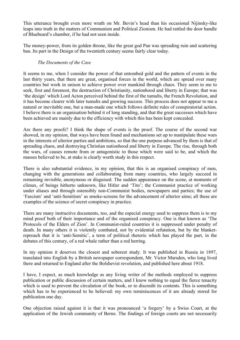This utterance brought even more wrath on Mr. Bevin's head than his occasional Nijinsky-like leaps into truth in the matters of Communism and Political Zionism. He had rattled the door handle of Bluebeard's chamber, if he had not seen inside.

The money-power, from its golden throne, like the great god Pan was spreading ruin and scattering ban. Its part in the Design of the twentieth century seems fairly clear today.

### *The Documents of the Case*

It seems to me, when I consider the power of that entombed gold and the pattern of events in the last thirty years, that there are great, organised forces in the world, which are spread over many countries but work in unison to achieve power over mankind through chaos. They seem to me to seek, first and foremost, the destruction of Christianity, nationhood and liberty in Europe; that was 'the design' which Lord Acton perceived behind the first of the tumults, the French Revolution, and it has become clearer with later tumults and growing success. This process does not appear to me a natural or inevitable one, but a man-made one which follows definite rules of conspiratorial action. I believe there is an organisation behind it of long standing, and that the great successes which have been achieved are mainly due to the efficiency with which this has been kept concealed.

Are there any proofs? I think the shape of events is the proof. The course of the second war showed, in my opinion, that ways have been found and mechanisms set up to manipulate these wars in the interests of ulterior parties and ambitions, so that the one purpose advanced by them is that of spreading chaos, and destroying Christian nationhood and liberty in Europe. The rise, through both the wars, of causes remote from or antagonistic to those which were said to be, and which the masses believed to be, at stake is clearly worth study in this respect.

There is also substantial evidence, in my opinion, that this is an organised conspiracy of men, changing with the generations and collaborating from many countries, who largely succeed in remaining invisible, anonymous or disguised. The sudden appearance on the scene, at moments of climax, of beings hitherto unknown, like Hitler and 'Tito'; the Communist practice of working under aliases and through ostensibly non-Communist bodies, newspapers and parties; the use of 'Fascism' and 'anti-Semitism' as smoke-screens for the advancement of ulterior aims; all these are examples of the science of secret conspiracy in practice.

There are many instructive documents, too, and the especial energy used to suppress them is to my mind proof both of their importance and of the organised conspiracy. One is that known as 'The Protocols of the Elders of Zion'. In Communist-ruled countries it is suppressed under penalty of death. In many others it is violently combated, not by evidential refutation, but by the blanketreproach that it is 'anti-Semitic', a term of political rhetoric which has played the part, in the debates of this century, of a red whale rather than a red herring.

In my opinion it deserves the closest and soberest study. It was published in Russia in 1897, translated into English by a British newspaper correspondent, Mr. Victor Marsden, who long lived there and returned to England after the Bolshevist revolution, and published here about 1918.

I have, I expect, as much knowledge as any living writer of the methods employed to suppress publication or public discussion of certain matters, and I know nothing to equal the fierce tenacity which is used to prevent the circulation of the book, or to discredit its contents. This is something which has to be experienced to be believed: my own reminiscences of it are already stored for publication one day.

One objection raised against it is that it was pronounced 'a forgery' by a Swiss Court, at the application of the Jewish community of Berne. The findings of foreign courts are not necessarily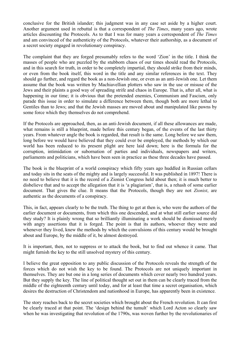conclusive for the British islander; this judgment was in any case set aside by a higher court. Another argument used in rebuttal is that a correspondent of *The Times*, many years ago, wrote articles discounting the Protocols. As to that I was for many years a correspondent of *The Times* and am convinced of the authenticity of the Protocols, whatever their authorship, as a document of a secret society engaged in revolutionary conspiracy.

The complaint that they are forged presumably refers to the word 'Zion' in the title. I think the masses of people who are puzzled by the stubborn chaos of our times should read the Protocols, and in this search for truth, in order to be completely impartial, they should strike from their minds, or even from the book itself, this word in the title and any similar references in the text. They should go further, and regard the book as a non-Jewish one, or even as an anti-Jewish one. Let them assume that the book was written by Machiavellian plotters who saw in the use or misuse of the Jews and their plaints a good way of spreading strife and chaos in Europe. That is, after all, what is happening in our time; it is obvious that the pretended enemies, Communism and Fascism, only parade this issue in order to simulate a difference between them, though both are more lethal to Gentiles than to Jews; and that the Jewish masses are moved about and manipulated like pawns by some force which they themselves do not comprehend.

If the Protocols are approached, then, as an anti-Jewish document, if all these allowances are made, what remains is still a blueprint, made before this century began, of the events of the last thirty years. From whatever angle the book is regarded, that result is the same. Long before we saw them, long before we would have believed that they could ever be employed, the methods by which our world has been reduced to its present plight are here laid down; here is the formula for the corruption, intimidation or subornation of parties and individuals, newspapers and writers, parliaments and politicians, which have been seen in practice as these three decades have passed.

The book is the blueprint of a world conspiracy which fifty years ago huddled in Russian cellars and today sits in the seats of the mighty and is largely successful. It was published in 1897! There is no need to believe that it is the record of a Zionist Congress held about then; it is much better to disbelieve that and to accept the allegation that it is 'a plagiarism', that is, a rehash of some earlier document. That gives the clue. It means that the Protocols, though they are not *Zionist*, are authentic as the documents of a conspiracy.

This, in fact, appears clearly to be the truth. The thing to get at then is, who were the authors of the earlier document or documents, from which this one descended, and at what still earlier source did they study? It is plainly wrong that so brilliantly illuminating a work should be dismissed merely with angry assertions that it is forged. The point is that its authors, whoever they were and whenever they lived, knew the methods by which the convulsions of this century would be brought about and Europe, by the middle of it, be almost destroyed.

It is important, then, not to suppress or to attack the book, but to find out whence it came. That might furnish the key to the still unsolved mystery of this century.

I believe the great opposition to any public discussion of the Protocols reveals the strength of the forces which do not wish the key to be found. The Protocols are not uniquely important in themselves. They are but one in a long series of documents which cover nearly two hundred years. But they supply the key. The line of political thought set out in them can be clearly traced from the middle of the eighteenth century until today, and for at least that time a secret organisation, which desires the destruction of Christendom and nationhood in Europe, has apparently been in existence.

The story reaches back to the secret societies which brought about the French revolution. It can first be clearly traced at that point. The 'design behind the tumult' which Lord Acton so clearly saw when he was investigating that revolution of the 1790s, was woven further by the revolutionaries of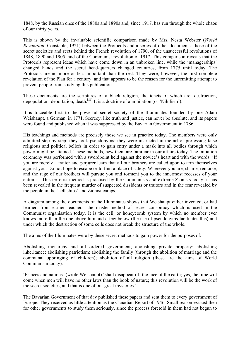1848, by the Russian ones of the 1880s and 1890s and, since 1917, has run through the whole chaos of our thirty years.

This is shown by the invaluable scientific comparison made by Mrs. Nesta Webster (*World Revolution*, Constable, 1921) between the Protocols and a series of other documents: those of the secret societies and sects behind the French revolution of 1790, of the unsuccessful revolutions of 1848, 1890 and 1905, and of the Communist revolution of 1917. This comparison reveals that the Protocols represent ideas which have come down in an unbroken line, while the 'managerships' changed hands and the secret head-quarters changed countries, from 1775 until today. The Protocols are no more or less important than the rest. They were, however, the first complete revelation of the Plan for a century, and that appears to be the reason for the unremitting attempt to prevent people from studying this publication.

These documents are the scriptures of a black religion, the tenets of which are: destruction, depopulation, deportation, death.<sup>[\[81\]](#page-178-0)</sup> It is a doctrine of annihilation (or 'Nihilism').

It is traceable first to the powerful secret society of the Illuminates founded by one Adam Weishaupt, a German, in 1771. Secrecy, like truth and justice, can never be absolute, and its papers were found and published when it was suppressed by the Bavarian Government in 1786.

His teachings and methods are precisely those we see in practice today. The members were only admitted step by step; they took pseudonyms; they were instructed in the art of professing false religious and political beliefs in order to gain entry under a mask into all bodies through which power might be attained. These methods, new then, are familiar in our affairs today. The initiation ceremony was performed with a swordpoint held against the novice's heart and with the words: 'If you are merely a traitor and perjurer learn that all our brothers are called upon to arm themselves against you. Do not hope to escape or to find a place of safety. Wherever you are, shame, remorse, and the rage of our brothers will pursue you and torment you to the innermost recesses of your entrails.' This terrorist method is practised by the Communists and extreme Zionists today; it has been revealed in the frequent murder of suspected dissidents or traitors and in the fear revealed by the people in the 'hell ships' and Zionist camps.

A diagram among the documents of the Illuminates shows that Weishaupt either invented, or had learned from earlier teachers, the master-method of secret conspiracy which is used in the Communist organisation today. It is the cell, or honeycomb system by which no member ever knows more than the one above him and a few below (the use of pseudonyms facilitates this) and under which the destruction of some cells does not break the structure of the whole.

The aims of the Illuminates were by these secret methods to gain power for the purposes of:

Abolishing monarchy and all ordered government; abolishing private property; abolishing inheritance; abolishing patriotism; abolishing the family (through the abolition of marriage and the communal upbringing of children); abolition of all religion (these are the aims of World Communism today).

'Princes and nations' (wrote Weishaupt) 'shall disappear off the face of the earth; yes, the time will come when men will have no other laws than the book of nature; this revolution will be the work of the secret societies, and that is one of our great mysteries.'

The Bavarian Government of that day published these papers and sent them to every government of Europe. They received as little attention as the Canadian Report of 1946. Small reason existed then for other governments to study them seriously, since the process foretold in them had not begun to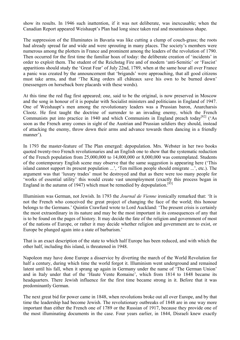show its results. In 1946 such inattention, if it was not deliberate, was inexcusable; when the Canadian Report appeared Weishaupt's Plan had long since taken real and mountainous shape.

The suppression of the Illuminates in Bavaria was like cutting a clump of couch-grass; the roots had already spread far and wide and were sprouting in many places. The society's members were numerous among the plotters in France and prominent among the leaders of the revolution of 1790. Then occurred for the first time the familiar hoax of today: the deliberate creation of 'incidents' in order to exploit them. The student of the Reichstag Fire and of modern 'anti-Semitic' or 'Fascist' apparitions should study the 'Great Fear' of July 22nd, 1789, when at the same hour all over France a panic was created by the announcement that 'brigands' were approaching, that all good citizens must take arms, and that 'The King orders all châteaux save his own to be burned down' (messengers on horseback bore placards with these words).

At this time the red flag first appeared; one, said to be the original, is now preserved in Moscow and the song in honour of it is popular with Socialist ministers and politicians in England of 1947. One of Weishaupt's men among the revolutionary leaders was a Prussian baron, Anarcharsis Clootz. He first taught the doctrine of surrender to an invading enemy, which the French Communists put into practice in 1940 and which Communists in England preach today<sup>[\[82\]](#page-178-0)</sup> ('As soon as the French army comes in sight of the Austrian and Prussian soldiers they should, instead of attacking the enemy, throw down their arms and advance towards them dancing in a friendly manner').

In 1793 the master-feature of The Plan emerged: depopulation. Mrs. Webster in her two books quoted twenty-two French revolutionaries and an English one to show that the systematic reduction of the French population from 25,000,000 to 14,000,000 or 8,000,000 was contemplated. Students of the contemporary English scene may observe that the same suggestion is appearing here ('This island cannot support its present population ...', 'Ten million people should emigrate ...', etc.). The argument was that 'luxury trades' must be destroyed and that as there were too many people for 'works of essential utility' this would create vast unemployment (exactly this process began in England in the autumn of 1947) which must be remedied by depopulation.<sup>[\[83\]](#page-178-0)</sup>

Illuminism was German, not Jewish. In 1793 the *Journal de Vienne* ironically remarked that: 'It is not the French who conceived the great project of changing the face of the world; this honour belongs to the Germans.' Quintin Crawfurd wrote to Lord Auckland: 'The present crisis is certainly the most extraordinary in its nature and may be the most important in its consequences of any that is to be found on the pages of history. It may decide the fate of the religion and government of most of the nations of Europe, or rather it may decide whether religion and government are to exist, or Europe be plunged again into a state of barbarism.'

That is an exact description of the state to which half Europe has been reduced, and with which the other half, including this island, is threatened in 1948.

Napoleon may have done Europe a disservice by diverting the march of the World Revolution for half a century, during which time the world forgot it. Illuminism went underground and remained latent until his fall, when it sprang up again in Germany under the name of 'The German Union' and in Italy under that of the 'Haute Vente Romaine', which from 1814 to 1848 became its headquarters. There Jewish influence for the first time became strong in it. Before that it was predominantly German.

The next great bid for power came in 1848, when revolutions broke out all over Europe, and by that time the leadership had become Jewish. The revolutionary outbreaks of 1848 are in one way more important than either the French one of 1789 or the Russian of 1917, because they provide one of the most illuminating documents in the case. Four years earlier, in 1844, Disraeli knew exactly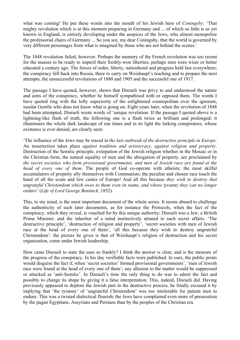what was coming! He put these words into the mouth of his Jewish hero of *Coningsby*: 'That mighty revolution which is at this moment preparing in Germany and ... of which so little is as yet known in England, is entirely developing under the auspices of the Jews, who almost monopolise the professorial chairs of Germany ... So you see, my dear Coningsby, that the world is governed by very different personages from what is imagined by those who are not behind the scenes.'

The 1848 revolution failed, however. Perhaps the memory of the French revolution was too recent for the masses to be ready to imperil their freshly-won liberties; perhaps men were wiser or better educated a century ago. The forces of order, liberty, nationhood and progress held fast everywhere; the conspiracy fell back into Russia, there to carry on Weishaupt's teaching and to prepare the next attempts, the unsuccessful revolutions of 1880 and 1905 and the successful one of 1917.

The passage I have quoted, however, shows that Disraeli was privy to and understood the nature and aims of the conspiracy, whether he himself sympathised with or opposed them. The words I have quoted ring with the lofty superiority of the enlightened cosmopolitan over the ignorant, insular Gentile who does not know what is going on. Eight years later, when the revolution of 1848 had been attempted, Disraeli wrote words of 'unique revelation. If the passage I quoted above is a lightning-like flash of truth, the following one is a flash twice as brilliant and prolonged; it illuminates the whole dark landscape of our times and in its light the lurking conspirators, whose existence is ever denied, are clearly seen:

'The influence of the Jews may be traced in *the last outbreak of the destructive principle in Europe*. An insurrection takes place *against tradition and aristocracy, against religion and property*. Destruction of the Semitic principle, extirpation of the Jewish religion whether in the Mosaic or in the Christian form, the natural equality of men and the abrogation of property, are proclaimed by *the secret societies who form provisional governments, and men of Jewish race are found at the head of every one of them*. The people of God co-operate with atheists; the most skilful accumulators of property ally themselves with Communists; the peculiar and chosen race touch the hand of all the scum and low castes of Europe! And all this because *they wish to destroy that ungrateful Christendom which owes to them even its name, and whose tyranny they can no longer endure*' (*Life of Lord George Bentinck*, 1852).

This, to my mind, is the most important document of the whole series. It seems absurd to challenge the authenticity of such later documents, as for instance the Protocols, when the fact of the conspiracy, which they reveal, is vouched for by this unique authority; Disraeli was a Jew, a British Prime Minister, and the inheritor of a mind instinctively attuned to such secret affairs. 'The destructive principle', 'destruction of religion and property', 'secret societies with men of Jewish race at the head of every one of them', 'all this because they wish to destroy ungrateful Christendom': the picture he gives is that of Weishaupt's religion of destruction and his secret organisation, come under Jewish leadership.

How came Disraeli to state the case so frankly? I think the answer is clear, and is the measure of the progress of the conspiracy. In his day verifiable facts were published. In ours, the public prints would disguise the fact if, when 'secret societies' formed provisional governments', 'men of Jewish race were found at the head of every one of them'; any allusion to the matter would be suppressed or attacked as 'anti-Semitic'. In Disraeli's time the only thing to do was to admit the fact and possibly to change its shape by giving it a false interpretation. This, indeed, Disraeli did. Having previously appeared to deplore the Jewish part in the destructive process, he finally excused it by implying that 'the tyranny' of 'ungrateful Christendom' was too intolerable for patient men to endure. This was a twisted dialectical flourish; the Jews have complained even more of persecution by the pagan Egyptians, Assyrians and Persians than by the peoples of the Christian era.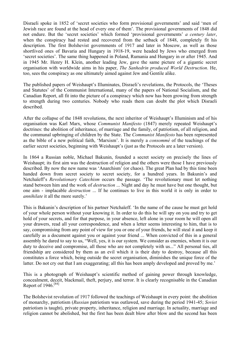Disraeli spoke in 1852 of 'secret societies who form provisional governments' and said 'men of Jewish race are found at the head of every one of them'. The provisional governments of 1848 did not endure. But the 'secret societies' which formed 'provisional governments' *a century later*, when the conspiracy had rested and recovered from the setback of 1848, completely fit his description. The first Bolshevist governments of 1917 and later in Moscow, as well as those shortlived ones of Bavaria and Hungary in 1918-19, were headed by Jews who emerged from 'secret societies'. The same thing happened in Poland, Rumania and Hungary in or after 1945. And in 1945 Mr. Henry H. Klein, another leading Jew, gave the same picture of a gigantic secret organisation with worldwide aims in his paper, *The Sanhedrin produced World Destruction*. He, too, sees the conspiracy as one ultimately aimed against Jew and Gentile alike.

The published papers of Weishaupt's Illuminates, Disraeli's revelations, the Protocols, the 'Theses and Statutes' of the Communist International, many of the papers of National Socialism, and the Canadian Report, all fit into the picture of a conspiracy which now has been growing from strength to strength during two centuries. Nobody who reads them can doubt the plot which Disraeli described.

After the collapse of the 1848 revolutions, the next inheritor of Weishaupt's Illuminism and of his organisation was Karl Marx, whose *Communist Manifesto* (1847) merely repeated Weishaupt's doctrines: the abolition of inheritance, of marriage and the family, of patriotism, of all religion, and the communal upbringing of children by the State. The *Communist Manifesto* has been represented as the bible of a new political faith, 'Marxism'. It is merely a *consommé* of the teachings of the earlier secret societies, beginning with Weishaupt's (just as the Protocols are a later version).

In 1864 a Russian noble, Michael Bakunin, founded a secret society on precisely the lines of Weishaupt; its first aim was the destruction of religion and the others were those I have previously described. By now the new name was 'Anarchism' (or chaos). The great Plan had by this time been handed down from secret society to secret society, for a hundred years. In Bakunin's and Netchaïeff's *Revolutionary Catechism* occurs the passage. 'The revolutionary must let nothing stand between him and the work of *destruction* ... Night and day he must have but one thought, but one aim - implacable *destruction* ... If he continues to live in this world it is only in order to *annihilate* it all the more surely.'

This is Bakunin's description of his partner Netchaïeff. 'In the name of the cause he must get hold of your whole person without your knowing it. In order to do this he will spy on you and try to get hold of your secrets, and for that purpose, in your absence, left alone in your room he will open all your drawers, read all your correspondence, and when a letter seems interesting to him, that is to say, compromising from any point of view for you or one of your friends, he will steal it and keep it carefully as a document against you or against your friend ... When convicted of this in a general assembly he dared to say to us, "Well, yes, it is our system. We consider as enemies, whom it is our duty to deceive and compromise, all those who are not completely with us..." All personal ties, all friendship are considered by them as an evil which it is their duty to destroy, because all this constitutes a force which, being outside the secret organisation, diminishes the unique force of the latter. Do not cry out that I am exaggerating; all this has been amply developed and proved by me.'

This is a photograph of Weishaupt's scientific method of gaining power through knowledge, concealment, deceit, blackmail, theft, perjury, and terror. It is clearly recognisable in the Canadian Report of  $1946^{[84]}$  $1946^{[84]}$  $1946^{[84]}$ 

The Bolshevist revolution of 1917 followed the teachings of Weishaupt in every point: the abolition of monarchy, patriotism (*Russian* patriotism was outlawed, save during the period 1941-45; *Soviet* patriotism is taught), private property, inheritance, religion and marriage. In actuality, marriage and religion cannot be abolished, but the first has been dealt blow after blow and the second has been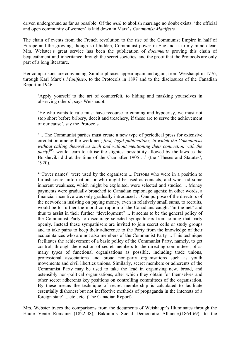driven underground as far as possible. Of the *wish* to abolish marriage no doubt exists: 'the official and open community of women' is laid down in Marx's *Communist Manifesto*.

The chain of events from the French revolution to the rise of the Communist Empire in half of Europe and the growing, though still hidden, Communist power in England is to my mind clear. Mrs. Webster's great service has been the publication of *documents* proving this chain of bequeathment-and-inheritance through the secret societies, and the proof that the Protocols are only part of a long literature.

Her comparisons are convincing. Similar phrases appear again and again, from Weishaupt in 1776, through Karl Marx's *Manifesto*, to the Protocols in 1897 and to the disclosures of the Canadian Report in 1946.

'Apply yourself to the art of counterfeit, to hiding and masking yourselves in observing others', says Weishaupt.

'He who wants to rule must have recourse to cunning and hypocrisy, we must not stop short before bribery, deceit and treachery, if these are to serve the achievement of our cause', say the Protocols.

'... The Communist parties must create a new type of periodical press for extensive circulation among the workmen; *first, legal publications, in which the Communists without calling themselves such and without mentioning their connection with the*  party,<sup>[\[85\]](#page-179-0)</sup> would learn to utilise the slightest possibility allowed by the laws as the Bolsheviki did at the time of the Czar after 1905 ...' (the 'Theses and Statutes', 1920).

'"Cover names" were used by the organisers ... Persons who were in a position to furnish secret information, or who might be used as contacts, and who had some inherent weakness, which might be exploited, were selected and studied ... Money payments were gradually broached to Canadian espionage agents; in other words, a financial incentive was only gradually introduced ... One purpose of the directors of the network in insisting on paying money, even in relatively small sums, to recruits, would be to further the moral corruption of the Canadians caught "in the net" and thus to assist in their further "development" ... It seems to be the general policy of the Communist Party to discourage selected sympathisers from joining that party openly. Instead these sympathisers are invited to join secret cells or study groups and to take pains to keep their adherence to the Party from the knowledge of their acquaintances who are not also members of the Communist Party ... This technique facilitates the achievement of a basic policy of the Communist Party, namely, to get control, through the election of secret members to the directing committees, of as many types of functional organisations as possible, including trade unions, professional associations and broad non-party organisations such as youth movements and civil liberties unions. Similarly, secret members or adherents of the Communist Party may be used to take the lead in organising new, broad, and ostensibly non-political organisations, after which they obtain for themselves and other secret adherents key positions on controlling committees of the organisation. By these means the technique of secret membership is calculated to facilitate essentially dishonest but not ineffective methods of propaganda in the interests of a foreign state' ... etc., etc. (The Canadian Report).

Mrs. Webster traces the comparisons from the documents of Weishaupt's Illuminates through the Haute Vente Romaine (1822-48), Bakunin's Social Democratic Alliance,(1864-69), to the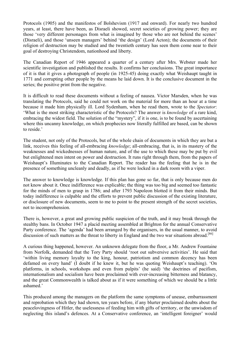Protocols (1905) and the manifestos of Bolshevism (1917 and onward). For nearly two hundred years, at least, there have been, as Disraeli showed, secret societies of growing power; they are those 'very different personages from what is imagined by those who are not behind the scenes' (Disraeli), and those 'unseen managers' behind 'the design' (Lord Acton); the documents of their religion of destruction may be studied and the twentieth century has seen them come near to their goal of destroying Christendom, nationhood and liberty.

The Canadian Report of 1946 appeared a quarter of a century after Mrs. Webster made her scientific investigation and published the results. It confirms her conclusions. The great importance of it is that it gives a photograph of people (in 1925-45) doing exactly what Weishaupt taught in 1771 and corrupting other people by the means he laid down. It is the conclusive document in the series; the positive print from the negative.

It is difficult to read these documents without a feeling of nausea. Victor Marsden, when he was translating the Protocols, said he could not work on the material for more than an hour at a time because it made him physically ill. Lord Sydenham, when he read them, wrote to the *Spectator*: 'What is the most striking characteristic of the Protocols? The answer is *knowledge* of a rare kind, embracing the widest field. The solution of the "mystery", if it is one, is to be found by ascertaining where this uncanny knowledge, on which prophecies now literally fulfilled are based, can be shown to reside.'

The student, not only of the Protocols, but of the whole chain of documents in which they are but a link, receives this feeling of all-embracing *knowledge*; all-embracing, that is, in its mastery of the weaknesses and wickednesses of human nature, and of the use to which these may be put by evil but enlightened men intent on power and destruction. It runs right through them, from the papers of Weishaupt's Illuminates to the Canadian Report. The reader has the feeling that he is in the presence of something uncleanly and deadly, as if he were locked in a dark room with a viper.

The answer to knowledge is knowledge. If this plan has gone so far, that is only because men do not know about it. Once indifference was explicable; the thing was too big and seemed too fantastic for the minds of men to grasp in 1786; and after 1793 Napoleon blotted it from their minds. But today indifference is culpable and the efforts to prevent public discussion of the existing literature, or disclosure of new documents, seem to me to point to the present strength of the secret societies, not to incomprehension.

There is, however, a great and growing public suspicion of the truth, and it may break through the stealthy bans. In October 1947 a placid meeting assembled at Brighton for the annual Conservative Party conference. The 'agenda' had been arranged by the organisers, in the usual manner, to avoid discussion of such matters as the threat to liberty in England and the two war situations abroad.<sup>[\[86\]](#page-179-0)</sup>

A curious thing happened, however. An unknown delegate from the floor, a Mr. Andrew Fountaine from Norfolk, demanded that the Tory Party should 'root out subversive activities'. He said that 'within living memory loyalty to the king, honour, patriotism and common decency has been defamed on every hand' (I doubt if he knew it, but he was quoting Weishaupt's teaching). 'On platforms, in schools, workshops and even from pulpits' (he said) 'the doctrines of pacifism, internationalism and socialism have been proclaimed with ever-increasing bitterness and blatancy, and the great Commonwealth is talked about as if it were something of which we should be a little ashamed.'

This produced among the managers on the platform the same symptoms of unease, embarrassment and reprobation which they had shown, ten years before, if any blurter proclaimed doubts about the peacelovingness of Hitler, the uselessness of feeding him with gifts of territory, or the unwisdom of neglecting this island's defences. At a Conservative conference, an 'intelligent foreigner' would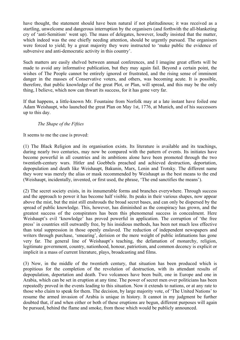have thought, the statement should have been natural if not platitudinous; it was received as a startling, unwelcome and dangerous interruption by the organisers (and forthwith the all-blanketing cry of 'anti-Semitism' went up). The mass of delegates, however, loudly insisted that the matter, which indeed was the one chiefly needing attention, should be urgently pursued. The organisers were forced to yield; by a great majority they were instructed to 'make public the evidence of subversive and anti-democratic activity in this country'.

Such matters are easily shelved between annual conferences, and I imagine great efforts will be made to avoid any informative publication, but they may again fail. Beyond a certain point, the wishes of The People cannot be entirely ignored or frustrated, and the rising sense of imminent danger in the masses of Conservative voters, and others, was becoming acute. It is possible, therefore, that public knowledge of the great Plot, or Plan, will spread, and this may be the only thing, I believe, which now can thwart its success, for it has gone very far.

If that happens, a little-known Mr. Fountaine from Norfolk may at a late instant have foiled one Adam Weishaupt, who launched the great Plan on May 1st, 1776, at Munich, and of his successors up to this day.

### *The Shape of the Fifties*

It seems to me the case is proved:

(1) The Black Religion and its organisation exists. Its literature is available and its teachings, during nearly two centuries, may now be compared with the pattern of events. Its initiates have become powerful in all countries and its ambitions alone have been promoted through the two twentieth-century wars. Hitler and Goebbels preached and achieved destruction, deportation, depopulation and death like Weishaupt, Bakunin, Marx, Lenin and Trotsky. The different name they wore was merely the alias or mask recommended by Weishaupt as the best means to the end (Weishaupt, incidentally, invented, or first used, the phrase, 'The end sanctifies the means').

(2) The secret society exists, in its innumerable forms and branches everywhere. Through success and the approach to power it has become half visible. Its peaks in their various shapes, now appear above the mist, but the mist still enshrouds the broad secret bases, and can only be dispersed by the spread of public knowledge. This, however, has diminished as the conspiracy has grown, and the greatest success of the conspirators has been this phenomenal success in concealment. Here Weishaupt's evil 'knowledge' has proved powerful in application. The corruption of 'the free press' in countries still outwardly free, by his insidious methods, has been not much less effective than total suppression in those openly enslaved. The reduction of independent newspapers and writers through purchase, 'smearing', derision or the mere weight of public infatuations has gone very far. The general line of Weishaupt's teaching, the defamation of monarchy, religion, legitimate government, country, nationhood, honour, patriotism, and common decency is explicit or implicit in a mass of current literature, plays, broadcasting and films.

(3) Now, in the middle of the twentieth century, that situation has been produced which is propitious for the completion of the revolution of destruction, with its attendant results of depopulation, deportation and death. Two volcanoes have been built, one in Europe and one in Arabia, which can be set in eruption at any time. The power of secret men over politicians has been repeatedly proved in the events leading to this situation. Now it extends to nations, or at any rate to those who claim to speak for them. The decision, by large majority vote, of 'The United Nations' to resume the armed invasion of Arabia is unique in history. It cannot in my judgment be further doubted that, if and when either or both of these eruptions are begun, different purposes will again be pursued, behind the flame and smoke, from those which would be publicly announced.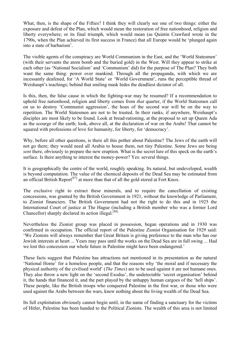What, then, is the shape of the Fifties? I think they will clearly see one of two things: either the exposure and defeat of the Plan, which would mean the restoration of free nationhood, religion and liberty everywhere; or its final triumph, which would mean (as Quintin Crawfurd wrote in the 1790s, when the Plan achieved its first success in France) that all Europe would be 'plunged again into a state of barbarism'.

The visible agents of the conspiracy are World Communism in the East, and the 'World Statesmen' (with their servants the atom bomb and the buried gold) in the West. Will they appear to strike at each other (as 'National Socialism' and 'Communism' did) for the purpose of The Plan? They both want the same thing: power over mankind. Through all the propaganda, with which we are incessantly deafened, for 'A World State' or 'World Government', runs the perceptible thread of Weishaupt's teachings; behind that smiling mask hides the deadliest dictator of all.

Is this, then, the false cause in which the fighting-war may be resumed? If a recommendation to uphold free nationhood, religion and liberty comes from *that* quarter, if the World Statesmen call on us to destroy 'Communist aggression', the hoax of the second war will be on the way to repetition. The World Statesmen are not to be trusted. In their ranks, if anywhere, Weishaupt's disciples are most likely to be found. Look at bread-rationing, at the proposal to set up Queen Ada as the scourge of the earth; look, above all, at the declaration of war on the Arabs! That cannot be squared with professions of love for humanity, for liberty, for 'democracy'.

Why, before all other questions, is there all this pother about Palestine? The Jews of the earth will not go there; they would need all Arabia to house them, not tiny Palestine. Some Jews are being *sent* there, obviously to prepare the new eruption. What is the secret lure of this speck on the earth's surface. Is there anything to interest the money-power? Yes: several things.

It is geographically the centre of the world, roughly speaking. Its natural, but undeveloped, wealth is beyond computation. The value of the chemical deposits of the Dead Sea may be estimated from an official British Report<sup>[\[87\]](#page-179-0)</sup> at more than that of all the gold stored at Fort Knox.

The exclusive right to extract these minerals, and to require the cancellation of existing concessions, was granted by the British Government in 1921, without the knowledge of Parliament, to Zionist financiers. The British Government had not the right to do this and in 1925 the International Court of justice at The Hague (including a British member who was a former Lord Chancellor) sharply declared its action illegal.<sup>[\[88\]](#page-179-0)</sup>

Nevertheless the Zionist group was placed in possession, began operations and in 1930 was confirmed in occupation. The official report of the Palestine Zionist Organisation for 1929 said: 'We Zionists will always remember that Great Britain is giving preference to the man who has our Jewish interests at heart ... Years may pass until the works on the Dead Sea are in full swing ... Had we lost this concession our whole future in Palestine might have been endangered.'

These facts suggest that Palestine has attractions not mentioned in its presentation as the natural 'National Home' for a homeless people, and that the reasons why 'the moral and if necessary the physical authority of the civilised world' (*The Times*) are to be used against it are not humane ones. They also throw a new light on the 'second Exodus', the undetectable 'secret organisation' behind it, the hands that financed it, and the part played by the unhappy human cargoes of the 'hell ships'. These people, like the British troops who conquered Palestine in the first war, or those who were used against the Arabs between the wars, knew nothing about the living wealth of the Dead Sea.

Its full exploitation obviously cannot begin until, in the name of finding a sanctuary for the victims of Hitler, Palestine has been handed to the Political Zionists. The wealth of this area is not limited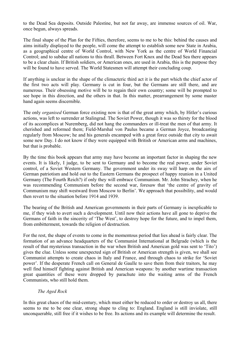to the Dead Sea deposits. Outside Palestine, but not far away, are immense sources of oil. War, once begun, always spreads.

The final shape of the Plan for the Fifties, therefore, seems to me to be this: behind the causes and aims initially displayed to the people, will come the attempt to establish some new State in Arabia, as a geographical centre of World Control, with New York as the centre of World Financial Control; and to subdue all nations to this thrall. Between Fort Knox and the Dead Sea there appears to be a clear chain. If British soldiers, or American ones, are used in Arabia, this is the purpose they will be found to have served. The World Statesmen will attempt their concluding coup.

If anything is unclear in the shape of the climacteric third act it is the part which the chief actor of the first two acts will play. Germany is cut in four, but the Germans are still there, and are numerous. Their obsessing motive will be to regain their own country; some will be prompted to see hope in this direction, and the others in that. In this matter, prearrangement by some master hand again seems discernible.

The only *organised* German force existing now is that of the great army which, by Hitler's curious actions, was left to surrender at Stalingrad. The Soviet Power, though it was so thirsty for the blood of its accomplices at Nuremberg, did not hang the commanders or ill-treat the men of that army. It cherished and reformed them; Field-Marshal von Paulus became a German Joyce, broadcasting regularly from Moscow; he and his generals encamped with a great force outside that city to await some new Day. I do not know if they were equipped with British or American arms and machines, but that is probable.

By the time this book appears that army may have become an important factor in shaping the new events. It is likely, I judge, to be sent to Germany and to become the real power, under Soviet control, of a Soviet Western Germany. The government under its sway will harp on the airs of German patriotism and hold out to the Eastern Germans the prospect of happy reunion in a United Germany (The Fourth Reich?) if only they will embrace Communism. Mr. John Strachey, when he was recommending Communism before the second war, foresaw that 'the centre of gravity of Communism may shift westward from Moscow to Berlin'. We approach that possibility, and would then revert to the situation before 1914 and 1939.

The bearing of the British and American governments in their parts of Germany is inexplicable to me, if they wish to avert such a development. Until now their actions have all gone to deprive the Germans of faith in the sincerity of 'The West', to destroy hope for the future, and to impel them, from embitterment, towards the religion of destruction.

For the rest, the shape of events to come in the momentous period that lies ahead is fairly clear. The formation of an advance headquarters of the Communist International at Belgrade (which is the result of that mysterious transaction in the war when British and American gold was sent to 'Tito') gives the clue. Unless some unexpected sign of British or American strength is given, we shall see Communist attempts to create chaos in Italy and France, and through chaos to strike for 'Soviet power'. If the desperate French call on General de Gaulle to save them from their traitors, he may well find himself fighting against British and American weapons: by another wartime transaction great quantities of these were dropped by parachute into the waiting arms of the French Communists, who still hold them.

#### *The Aged Rock*

In this great chaos of the mid-century, which must either be reduced to order or destroy us all, there seems to me to be one clear, strong shape to cling to: England. England is still inviolate, still unconquerable, still free if it wishes to be free. Its actions and its example will determine the result.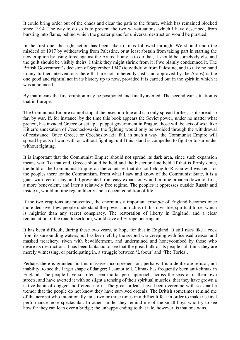It could bring order out of the chaos and clear the path to the future, which has remained blocked since 1914. The way to do so is to prevent the two war-situations, which I have described, from bursting into flame, behind which the greater plans for universal destruction would be pursued.

In the first one, the right action has been taken if it is followed through. We should undo the misdeed of 1917 by withdrawing from Palestine, or at least abstain from taking part in starting the new eruption by using force against the Arabs. If any is to do that, it should be somebody else and the guilt should be visibly theirs. I think they might shrink from it if we plainly condemned it. The British Government's decision of September 1947 (to withdraw from Palestine, and to take no hand in any further interventions there that are not 'inherently just' and approved by the Arabs) is the one good and rightful act in its history up to now, provided it is carried out in the spirit in which it was announced.

By that means the first eruption may be postponed and finally averted. The second war-situation is that in Europe.

The Communist Empire cannot stop at the bisection-line and can only spread further, as it spread so far, by war. If, for instance, by the time this book appears the Soviet power, under no matter what pretext, has invaded Greece or set up a puppet government in Prague, those will be acts of *war*, like Hitler's annexation of Czechoslovakia; the fighting would only be avoided through the withdrawal of resistance. Once Greece or Czechoslovakia fall, in such a way, the Communist Empire will spread by acts of war, with or without fighting, until this island is compelled to fight or to surrender without fighting.

It is important that the Communist Empire should not spread its dark area, since such expansion means war. To that end, Greece should be held and the bisection-line held. If that is firmly done, the hold of the Communist Empire on the countries that do not belong to Russia will weaken, for the peoples there loathe Communism. From what I saw and know of the Communist State, it is a giant with feet of clay, and if prevented from easy expansion would in time broaden down to, first, a more benevolent, and later a relatively free regime. The peoples it oppresses outside Russia and inside it, would in time regain liberty and a decent condition of life.

If the two eruptions are prevented, the enormously important *example* of England becomes once more decisive. Few people understand the power and radius of this invisible, spiritual force, which is mightier than any secret conspiracy. The restoration of liberty in England, and a clear renunciation of the road to serfdom, would save all Europe once again.

It has been difficult, during these two years, to hope for that in England. It still rises like a rock from its surrounding waters, but has been left by the second war creeping with licensed treason and masked treachery, riven with bewilderment, and undermined and honeycombed by those who desire its destruction. It has been fantastic to see that the great bulk of its people still think they are merely witnessing, or participating in, a struggle between 'Labour' and 'The Tories'.

Perhaps there is grandeur in this massive incomprehension; perhaps it is a deliberate refusal, not inability, to see the larger shape of danger; I cannot tell. Climax has frequently been anti-climax in England. The people have so often seen mortal peril approach, across the seas or in their own streets, and have averted it with so slight a tensing of their spiritual muscles, that they have grown a native habit of dogged indifference to it. The great ordeals have been overcome with so small a tremor that the people do not know they have survived ordeals. The British sometimes remind me of the acrobat who intentionally fails two or three times in a difficult feat in order to make its final performance more spectacular. In other simile, they remind me of the small boys who try to see how far they can lean over a bridge; the unhappy ending to that tale, however, is that one wins.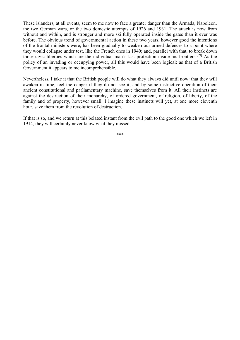These islanders, at all events, seem to me now to face a greater danger than the Armada, Napoleon, the two German wars, or the two domestic attempts of 1926 and 1931. The attack is now from without and within, and is stronger and more skilfully operated inside the gates than it ever was before. The obvious trend of governmental action in these two years, however good the intentions of the frontal ministers were, has been gradually to weaken our armed defences to a point where they would collapse under test, like the French ones in 1940; and, parallel with that, to break down those civic liberties which are the individual man's last protection inside his frontiers.[\[89\]](#page-179-0) As the policy of an invading or occupying power, all this would have been logical; as that of a British Government it appears to me incomprehensible.

Nevertheless, I take it that the British people will do what they always did until now: that they will awaken in time, feel the danger if they do not see it, and by some instinctive operation of their ancient constitutional and parliamentary machine, save themselves from it. All their instincts are against the destruction of their monarchy, of ordered government, of religion, of liberty, of the family and of property, however small. I imagine these instincts will yet, at one more eleventh hour, save them from the revolution of destruction.

If that is so, and we return at this belated instant from the evil path to the good one which we left in 1914, they will certainly never know what they missed.

\*\*\*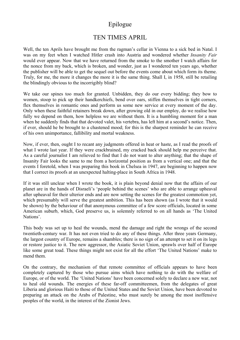# Epilogue

### TEN TIMES APRIL

Well, the ten Aprils have brought me from the ragman's cellar in Vienna to a sick bed in Natal. I was on my feet when I watched Hitler crash into Austria and wondered whether *Insanity Fair* would ever appear. Now that we have returned from the smoke to the smother I watch affairs for the nonce from my back, which is broken, and wonder, just as I wondered ten years ago, whether the publisher will be able to get the sequel out before the events come about which form its theme. Truly, for me, the more it changes the more it is the same thing. Shall I, in 1958, still be retailing the blindingly obvious to the incorrigibly blind?

We take our spines too much for granted. Unbidden, they do our every bidding; they bow to women, stoop to pick up their handkerchiefs, bend over oars, stiffen themselves in tight corners, flex themselves in romantic ones and perform us some new service at every moment of the day. Only when these faithful retainers break down, after growing old in our employ, do we realise how fully we depend on them, how helpless we are without them. It is a humbling moment for a man when he suddenly finds that that devoted valet, his vertebra, has left him at a second's notice. Then, if ever, should he be brought to a chastened mood; for this is the sharpest reminder he can receive of his own unimportance, fallibility and mortal weakness.

Now, if ever, then, ought I to recant any judgments offered in heat or haste, as I read the proofs of what I wrote last year. If they were crackbrained, my cracked back should help me perceive that. As a careful journalist I am relieved to find that I do not want to alter anything; that the shape of Insanity Fair looks the same to me from a horizontal position as from a vertical one; and that the events I foretold, when I was preparing this book in Chelsea in 1947, are beginning to happen now that I correct its proofs at an unexpected halting-place in South Africa in 1948.

If it was still unclear when I wrote the book, it is plain beyond denial now that the affairs of our planet are in the hands of Disraeli's 'people behind the scenes' who are able to arrange upheaval after upheaval for their ulterior ends and are now setting the scenes for the greatest commotion yet, which presumably will serve the greatest ambition. This has been shown (as I wrote that it would be shown) by the behaviour of that anonymous committee of a few score officials, located in some American suburb, which, God preserve us, is solemnly referred to on all hands as 'The United Nations'.

This body was set up to heal the wounds, mend the damage and right the wrongs of the second twentieth-century war. It has not even tried to do any of these things. After three years Germany, the largest country of Europe, remains a shambles; there is no sign of an attempt to set it on its legs or restore justice to it. The new aggressor, the Asiatic Soviet Union, sprawls over half of Europe like some great toad. These things might not exist for all the effort 'The United Nations' make to mend them.

On the contrary, the mechanism of that remote committee of officials appears to have been completely captured by those who pursue aims which have nothing to do with the welfare of Europe, or of the world. The 'United Nations' have been concerned solely to declare a new war, not to heal old wounds. The energies of these far-off committeemen, from the delegates of great Liberia and glorious Haiti to those of the United States and the Soviet Union, have been devoted to preparing an attack on the Arabs of Palestine, who must surely be among the most inoffensive peoples of the world, in the interest of the Zionist Jews.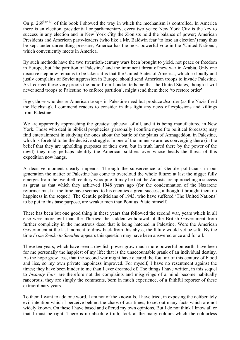On p. 269<sup>[\[go to\]](#page-140-0)</sup> of this book I showed the way in which the mechanism is controlled. In America there is an election, presidential or parliamentary, every two years; New York City is the key to success in any election and in New York City the Zionists hold the balance of power; American Presidents and American party-leaders (who like a Mr. Baldwin fear 'to lose an election') may thus be kept under unremitting pressure; America has the most powerful vote in the 'United Nations', which conveniently meets in America.

By such methods have the two twentieth-century wars been brought to yield, not peace or freedom in Europe, but 'the partition of Palestine' and the imminent threat of new war in Arabia. Only one decisive step now remains to be taken: it is that the United States of America, which so loudly and justly complains of Soviet aggression in Europe, should send American troops to invade Palestine. As I correct these very proofs the radio from London tells me that the United States, though it will never send troops to Palestine 'to enforce partition', might send them there 'to restore order'.

Ergo, those who desire American troops in Palestine need but produce *dis*order (as the Nazis fired the Reichstag). I commend readers to consider in this light any news of explosions and killings from Palestine.

We are apparently approaching the greatest upheaval of all, and it is being manufactured in New York. Those who deal in biblical prophecies (personally I confine myself to political forecasts) may find entertainment in studying the ones about the battle of the plains of Armageddon, in Palestine, which is foretold to be the decisive struggle. In one of the immense armies converging there (in the belief that they are upholding purposes of their own, but in truth lured there by the power of the devil) they may perhaps identify the American soldiers over whose heads the threat of this expedition now hangs.

A decisive moment clearly impends. Through the subservience of Gentile politicians in our generation the matter of Palestine has come to overcloud the whole future: at last the nigger fully emerges from the twentieth-century woodpile. It may be that the Zionists are approaching a success as great as that which they achieved 1948 years ago (for the condemnation of the Nazarene reformer must at the time have seemed to his enemies a great success, although it brought them no happiness in the sequel). The Gentile politicians of 1943, who have suffered 'The United Nations' to be put to this base purpose, are weaker men than Pontius Pilate himself.

There has been but one good thing in these years that followed the second war, years which in all else were more evil than the Thirties: the sudden withdrawal of the British Government from further complicity in the monstrous deed that is being hatched in Palestine. Were the American Government at the last moment to draw back from this abyss, the future would yet be safe. By the time *From Smoke to Smother* appears this question may have been answered once and for all.

These ten years, which have seen a devilish power grow much more powerful on earth, have been for me personally the happiest of my life; that is the unaccountable prank of an individual destiny. As the hope grew less, that the second war might have cleared the foul air of this century of blood and lies, so my own private happiness improved. For myself, I have no resentment against the times; they have been kinder to me than I ever dreamed of. The things I have written, in this sequel to *Insanity Fair*, are therefore not the complaints and misgivings of a mind become habitually rancorous; they are simply the comments, born in much experience, of a faithful reporter of these extraordinary years.

To them I want to add one word. I am not of the knowalls. I have tried, in exposing the deliberately evil intention which I perceive behind the chaos of our times, to set out many facts which are not widely known. On these I have based and offered my own opinions. But I do not think I know all or that I must be right. There is no absolute truth; look at the many colours which the colourless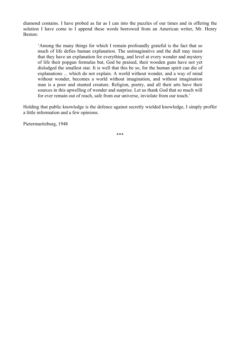diamond contains. I have probed as far as I can into the puzzles of our times and in offering the solution I have come to I append these words borrowed from an American writer, Mr. Henry Beston:

'Among the many things for which I remain profoundly grateful is the fact that so much of life defies human explanation. The unimaginative and the dull may insist that they have an explanation for everything, and level at every wonder and mystery of life their popgun formulas but, God be praised, their wooden guns have not yet dislodged the smallest star. It is well that this be so, for the human spirit can die of explanations ... which do not explain. A world without wonder, and a way of mind without wonder, becomes a world without imagination, and without imagination man is a poor and stunted creature. Religion, poetry, and all their arts have their sources in this upwelling of wonder and surprise. Let us thank God that so much will for ever remain out of reach, safe from our universe, inviolate from our touch.'

Holding that public knowledge is the defence against secretly wielded knowledge, I simply proffer a little information and a few opinions.

Pietermaritzburg, 1948

\*\*\*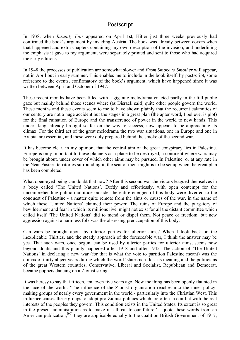### Postscript

In 1938, when *Insanity Fair* appeared on April 1st, Hitler just three weeks previously had confirmed the book's argument by invading Austria. The book was already between covers when that happened and extra chapters containing my own description of the invasion, and underlining the emphasis it gave to my argument, were separately printed and sent to those who had acquired the early editions.

In 1948 the processes of publication are somewhat slower and *From Smoke to Smother* will appear, not in April but in early summer. This enables me to include in the book itself, by postscript, some reference to the events, confirmatory of the book's argument, which have happened since it was written between April and October of 1947.

These recent months have been filled with a gigantic melodrama enacted partly in the full public gaze but mainly behind those scenes where (as Disraeli said) quite other people govern the world. These months and these events seem to me to have shown plainly that the recurrent calamities of our century are not a huge accident but the stages in a great plan (the apter word, I believe, is plot) for the final ruination of Europe and the transference of power in the world to new hands. This undertaking, already brought so far on the way to success, now appears to be approaching its climax. For the third act of the great melodrama the two war situations, one in Europe and one in Arabia, are essential, and these were duly prepared behind the smoke of the second war.

It has become clear, in my opinion, that the central aim of the great conspiracy lies in Palestine. Europe is only important to these planners as a place to be destroyed, a continent where wars may be brought about, under cover of which other aims may be pursued. In Palestine, or at any rate in the Near Eastern territories surrounding it, the seat of their might is to be set up when the great plan has been completed.

What open-eyed being can doubt that now? After this second war the victors leagued themselves in a body called 'The United Nations'. Deftly and effortlessly, with open contempt for the uncomprehending public multitude outside, the entire energies of this body were diverted to the conquest of Palestine - a matter quite remote from the aims or causes of the war, in the name of which these 'United Nations' claimed their power. The ruins of Europe and the purgatory of bewilderment and fear in which its millions live, might not exist for all the distant committee which called itself 'The United Nations' did to mend or dispel them. Not peace or freedom, but new aggression against a harmless folk was the obsessing preoccupation of this body.

Can wars be brought about by ulterior parties for ulterior aims? When I look back on the inexplicable Thirties, and the steady approach of the foreseeable war, I think the answer may be yes. That such wars, once begun, can be used by ulterior parties for ulterior aims, seems now beyond doubt and this plainly happened after 1918 and after 1945. The action of 'The United Nations' in declaring a new war (for that is what the vote to partition Palestine meant) was the climax of thirty abject years during which the word 'statesman' lost its meaning and the politicians of the great Western countries, Conservative, Liberal and Socialist, Republican and Democrat, became puppets dancing on a Zionist string.

It was heresy to say that fifteen, ten, even five years ago. Now the thing has been openly flaunted in the face of the world. 'The influence of the Zionist organisation reaches into the inner policymaking groups of nearly every government in the world - particularly into the Christian West. This influence causes these groups to adopt pro-Zionist policies which are often in conflict with the real interests of the peoples they govern. This condition exists in the United States. Its extent is so great in the present administration as to make it a threat to our future.' I quote these words from an American publication;<sup>[\[90\]](#page-179-0)</sup> they are applicable equally to the coalition British Government of 1917,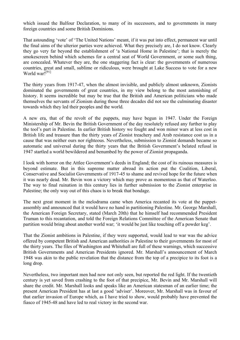which issued the Balfour Declaration, to many of its successors, and to governments in many foreign countries and some British Dominions.

That astounding 'vote' of 'The United Nations' meant, if it was put into effect, permanent war until the final aims of the ulterior parties were achieved. What they precisely are, I do not know. Clearly they go very far beyond the establishment of 'a National Home in Palestine'; that is merely the smokescreen behind which schemes for a central seat of World Government, or some such thing, are concealed. Whatever they are, the one staggering fact is clear: the governments of numerous countries, great and small, sublime or ridiculous, were brought at Lake Success to vote for a new World war![\[91\]](#page-180-0)

The thirty years from 1917-47, when the almost invisible, and publicly almost unknown, Zionists dominated the governments of great countries, in my view belong to the most astonishing of history. It seems incredible but may be true that the British and American politicians who made themselves the servants of Zionism during those three decades did not see the culminating disaster towards which they led their peoples and the world.

A new era, that of the revolt of the puppets, may have begun in 1947. Under the Foreign Ministership of Mr. Bevin the British Government of the day resolutely refused any further to play the tool's part in Palestine. In earlier British history we fought and won minor wars at less cost in British life and treasure than the thirty years of Zionist treachery and Arab resistance cost us in a cause that was neither ours nor righteous. Nevertheless, submission to Zionist demands became so automatic and universal during the thirty years that the British Government's belated refusal in 1947 startled a world bewildered and benumbed by the power of Zionist propaganda.

I look with horror on the Attlee Government's deeds in England; the cost of its ruinous measures is beyond estimate. But in this supreme matter abroad its action put the Coalition, Liberal, Conservative and Socialist Governments of 1917-45 to shame and revived hope for the future when it was nearly dead. Mr. Bevin won a victory which may prove as momentous as that of Waterloo. The way to final ruination in this century lies in further submission to the Zionist enterprise in Palestine; the only way out of this chaos is to break that bondage.

The next great moment in the melodrama came when America recanted its vote at the puppetassembly and announced that it would have no hand in partitioning Palestine. Mr. George Marshall, the American Foreign Secretary, stated (March 20th) that he himself had recommended President Truman to this recantation, and told the Foreign Relations Committee of the American Senate that partition would bring about another world war; 'it would be just like touching off a powder keg'.

That the Zionist ambitions in Palestine, if they were supported, would lead to war was the advice offered by competent British and American authorities *in* Palestine to their governments for most of the thirty years. The files of Washington and Whitehall are full of these warnings, which successive British Governments and American Presidents ignored. Mr. Marshall's announcement of March 1948 was akin to the public revelation that the distance from the top of a precipice to its foot is a long drop.

Nevertheless, two important men had now not only seen, but reported the red light. If the twentieth century is yet saved from crashing to the foot of that precipice, Mr. Bevin and Mr. Marshall will share the credit. Mr. Marshall looks and speaks like an American statesman of an earlier time; the present American President has at last a good 'adviser'. Moreover, Mr. Marshall was in favour of that earlier invasion of Europe which, as I have tried to show, would probably have prevented the fiasco of 1945-48 and have led to real victory in the second war.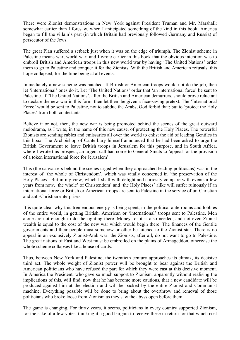There were Zionist demonstrations in New York against President Truman and Mr. Marshall; somewhat earlier than I foresaw, when I anticipated something of the kind in this book, America began to fill the villain's part (in which Britain had previously followed Germany and Russia) of persecutor of the Jews.

The great Plan suffered a setback just when it was on the edge of triumph. The Zionist scheme in Palestine means war, world war; and I wrote earlier in this book that the obvious intention was to embroil British and American troops in this new world war by having 'The United Nations' order them to go to Palestine and conquer it for the Zionists. With the British and American refusals, this hope collapsed, for the time being at all events.

Immediately a new scheme was hatched. If British or American troops would not do the job, then let 'international' ones do it. Let 'The United Nations' order that 'an international force' be sent to Palestine. If 'The United Nations', after the British and American demurrers, should prove reluctant to declare the new war in this form, then let them be given a face-saving pretext. The 'International Force' would be sent to Palestine, not to subdue the Arabs, God forbid that; but to 'protect the Holy Places' from both contestants.

Believe it or not, then, the new war is being promoted behind the scenes of the great outward melodrama, as I write, in the name of this new cause, of protecting the Holy Places. The powerful Zionists are sending cables and emissaries all over the world to enlist the aid of leading Gentiles in this hoax. The Archbishop of Canterbury himself announced that he had been asked to urge the British Government to leave British troops in Jerusalem for this purpose, and in South Africa, where I wrote this prospect, an urgent call had come to General Smuts to 'appeal for the provision of a token international force for Jerusalem'.

This (the canvassers behind the scenes urged when they approached leading politicians) was in the interest of 'the whole of Christendom', which was vitally concerned in 'the preservation of the Holy Places'. But in my view, which I shall with delight and curiosity compare with events a few years from now, 'the whole' of Christendom' and 'the Holy Places' alike will suffer ruinously if an international force or British or American troops are sent to Palestine in the service of un-Christian and anti-Christian enterprises.

It is quite clear why this tremendous energy is being spent, in the political ante-rooms and lobbies of the entire world, in getting British, American or 'international' troops sent to Palestine. Men alone are not enough to do the fighting there. Money for it is also needed, and not even Zionist wealth is equal to the cost of the new war which would begin there. The finances of the Gentile governments and their people must somehow or other be hitched to the Zionist star. There is no appeal in an exclusively Zionist-Arab war: the Zionists, after all, do not want to go to Palestine. The great nations of East and West must be embroiled on the plains of Armageddon, otherwise the whole scheme collapses like a house of cards.

Thus, between New York and Palestine, the twentieth century approaches its climax, its decisive third act. The whole weight of Zionist power will be brought to bear against the British and American politicians who have refused the part for which they were cast at this decisive moment. In America the President, who gave so much support to Zionism, apparently without realising the implications of this, will find, now that he has become more cautious, that a new candidate will be produced against him at the election and will be backed by the entire Zionist and Communist machine. Everything possible will be done to bring about the overthrow and removal of those politicians who broke loose from Zionism as they saw the abyss open before them.

The game is changing. For thirty years, it seems, politicians in every country supported Zionism, for the sake of a few votes, thinking it a good bargain to receive these in return for that which cost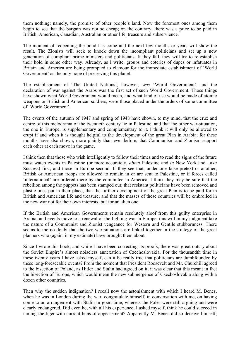them nothing: namely, the promise of other people's land. Now the foremost ones among them begin to see that the bargain was not so cheap; on the contrary, there was a price to be paid in British, American, Canadian, Australian or other life, treasure and subservience.

The moment of redeeming the bond has come and the next few months or years will show the result. The Zionists will seek to knock down the incompliant politicians and set up a new generation of compliant prime ministers and politicians. If they fail, they will try to re-establish their hold in some other way. Already, as I write, groups and coteries of dupes or infatuates in Britain and America are being prompted to clamour for the immediate establishment of 'World Government' as the only hope of preserving this planet.

The establishment of 'The United Nations', however, *was* 'World Government', and the declaration of war against the Arabs was the first act of such World Government. Those things have shown what World Government would mean, and what kind of use would be made of atomic weapons or British and American soldiers, were those placed under the orders of some committee of 'World Government'.

The events of the autumn of 1947 and spring of 1948 have shown, to my mind, that the crux and centre of this melodrama of the twentieth century lie in Palestine, and that the other war-situation, the one in Europe, is supplementary and complementary to it. I think it will only be allowed to erupt if and when it is thought helpful to the development of the great Plan in Arabia; for these months have also shown, more plainly than ever before, that Communism and Zionism support each other at each move in the game.

I think then that those who wish intelligently to follow their times and to read the signs of the future must watch events in Palestine (or more accurately, *about* Palestine and *in* New York and Lake Success) first, and those in Europe second. If they see that, under one false pretext or another, British or American troops are allowed to remain in or are sent to Palestine, or if forces called 'international' are ordered there by the committee in America, I think they may be sure that the rebellion among the puppets has been stamped out; that resistant politicians have been removed and plastic ones put in their place; that the further development of the great Plan is to be paid for in British and American life and treasure; and that the masses of these countries will be embroiled in the new war not for their own interests, but for an alien one.

If the British and American Governments remain resolutely aloof from this guilty enterprise in Arabia, and events move to a renewal of the fighting-war in Europe, this will in my judgment take the nature of a Communist and Zionist vengeance for Western and Gentile stubbornness. There seems to me no doubt that the two war-situations are linked together in the strategy of the great planners who (again, in my estimate) have brought them about.

Since I wrote this book, and while I have been correcting its proofs, there was great outcry about the Soviet Empire's almost noiseless annexation of Czechoslovakia. For the thousandth time in these twenty years I have asked myself, can it be really true that politicians are dumbfounded by these long-foreseeable events? From the moment that President Roosevelt and Mr. Churchill agreed to the bisection of Poland, as Hitler and Stalin had agreed on it, it was clear that this meant in fact the bisection of Europe, which would mean the new submergence of Czechoslovakia along with a dozen other countries.

Then why the sudden indignation? I recall now the astonishment with which I heard M. Benes, when he was in London during the war, congratulate himself, in conversation with me, on having come to an arrangement with Stalin in good time, whereas the Poles were still arguing and were clearly endangered. Did even he, with all his experience, I asked myself, think he could succeed in taming the tiger with currant-buns of appeasement? Apparently M. Benes did so deceive himself;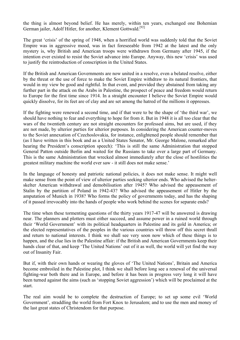the thing is almost beyond belief. He has merely, within ten years, exchanged one Bohemian German jailer, Adolf Hitler, for another, Klement Gottwald.<sup>[92]</sup>

The great 'crisis' of the spring of 1948, when a horrified world was suddenly told that the Soviet Empire was in aggressive mood, was in fact foreseeable from 1942 at the latest and the only mystery is, why British and American troops were withdrawn from Germany after 1945, if the intention ever existed to resist the Soviet advance into Europe. Anyway, this new 'crisis' was used to justify the reintroduction of conscription in the United States.

If the British and American Governments are now united in a resolve, even a belated resolve, either by the threat or the use of force to make the Soviet Empire withdraw to its natural frontiers, that would in my view be good and rightful. In that event, and provided they abstained from taking any further part in the attack on the Arabs in Palestine, the prospect of peace and freedom would return to Europe for the first time since 1914. In a straight encounter I believe the Soviet Empire would quickly dissolve, for its feet are of clay and are set among the hatred of the millions it oppresses.

If the fighting were renewed a second time, and if that were to be the shape of 'the third war', we should have nothing to fear and everything to hope for from it. But in 1948 it is all too clear that the wars of the twentieth century are not straight encounters for professed aims, but are used, if they are not made, by ulterior parties for ulterior purposes. In considering the American counter-moves to the Soviet annexation of Czechoslovakia, for instance, enlightened people should remember that (as I have written in this book and as a United States Senator, Mr. George Malone, remarked after hearing the President's conscription speech): 'This is still the same Administration that stopped General Patton outside Berlin and waited for the Russians to take over a large part of Germany. This is the same Administration that wrecked almost immediately after the close of hostilities the greatest military machine the world ever saw - it still does not make sense.'

In the language of honesty and patriotic national policies, it does not make sense. It might well make sense from the point of view of ulterior parties seeking ulterior ends. Who advised the helterskelter American withdrawal and demobilisation after 1945? Who advised the appeasement of Stalin by the partition of Poland in 1942-43? Who advised the appeasement of Hitler by the amputation of Munich in 1938? Who forms the policy of governments today, and has the shaping of it passed irrevocably into the hands of people who work behind the scenes for separate ends?

The time when these tormenting questions of the thirty years 1917-47 will be answered is drawing near. The planners and plotters must either succeed, and assume power in a ruined world through their 'World Government' with its political headquarters in Palestine and its gold in America; or the elected representatives of the peoples in the various countries will throw off this secret thrall and return to national interests. I think we shall see very soon now which of these things is to happen, and the clue lies in the Palestine affair: if the British and American Governments keep their hands clear of that, and keep 'The United Nations' out of it as well, the world will yet find the way out of Insanity Fair.

But if, with their own hands or wearing the gloves of 'The United Nations', Britain and America become embroiled in the Palestine plot, I think we shall before long see a renewal of the universal fighting-war both there and in Europe, and before it has been in progress very long it will have been turned against the aims (such as 'stopping Soviet aggression') which will be proclaimed at the start.

The real aim would be to complete the destruction of Europe; to set up some evil 'World Government', straddling the world from Fort Knox to Jerusalem; and to use the men and money of the last great states of Christendom for that purpose.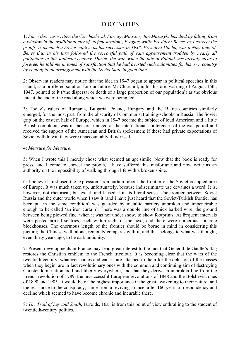## FOOTNOTES

1: *Since this was written the Czechoslovak Foreign Minister, Jan Masaryk, has died by falling from a window in the traditional city of 'defenestration', Prague; while President Benes, as I correct the proofs, is as much a Soviet captive as his successor in 1938, President Hacha, was a Nazi one. M. Benes thus in his turn followed the sorrowful path of vain appeasement trodden by nearly all politicians in this fantastic century. During the war, when the fate of Poland was already clear to foresee, he told me in tones of satisfaction that he had averted such calamities for his own country by coming to an arrangement with the Soviet State in good time*.

2: Observant readers may notice that the idea in 1947 began to appear in political speeches in this island, as a proffered solution for our future. Mr Churchill, in his historic warning of August 16th, 1947, pointed to it ('the dispersal or death of a large proportion of our population') as the obvious fate at the end of the road along which we were being led.

3: Today's rulers of Rumania, Bulgaria, Poland, Hungary and the Baltic countries similarly emerged, for the most part, from the obscurity of Communist training-schools in Russia. The Soviet grip on the eastern half of Europe, which in 1947 became the subject of loud American and a little British complaint, was in fact prearranged at the international conferences of the war period and received the support of the American and British spokesmen; if these had private expectations of Soviet withdrawal they were unaccountably ill-advised.

#### 4: *Measure for Measure*.

5: When I wrote this I merely chose what seemed an apt simile. Now that the book is ready for press, and I come to correct the proofs, I have suffered this misfortune and now write as an authority on the impossibility of walking through life with a broken spine.

6: I believe I first used the expression 'iron curtain' about the frontier of the Soviet-occupied area of Europe. It was much taken up, unfortunately, because indiscriminate use devalues a word. It is, however, not rhetorical, but exact, and I used it in its literal sense. The frontier between Soviet Russia and the outer world when I saw it (and I have just heard that the Soviet-Turkish frontier has been put in the same condition) was guarded by metallic barriers unbroken and impenetrable enough to be called 'an iron curtain'. There was a double line of thick barbed wire, the ground between being plowed fine, when it was not under snow, to show footprints. At frequent intervals were posted armed sentries, each within sight of the next, and there were numerous concrete blockhouses. The enormous length of the frontier should be borne in mind in considering this picture; the Chinese wall, alone, remotely compares with it, and that belongs to what was thought, even thirty years ago, to be dark antiquity.

7: Present developments in France may lend great interest to the fact that General de Gaulle's flag restores the Christian emblem to the French tricolour. It is becoming clear that the wars of the twentieth century, whatever names and causes are attached to them for the delusion of the masses when they begin, are in fact revolutionary ones with the common and continuing aim of destroying Christendom, nationhood and liberty everywhere, and that they derive in unbroken line from the French revolution of 1789, the unsuccessful European revolutions of 1848 and the Bolshevist ones of 1890 and 1905. It would be of the highest importance if the great awakening to their nature, and the resistance to the conspiracy, came from a reviving France, after 160 years of despondency and decline which seemed to have become chronic and incurable there.

8: *The Trial of Ley and Smith*, Jarrolds, 16s., is from this point of view enthralling to the student of twentieth-century politics.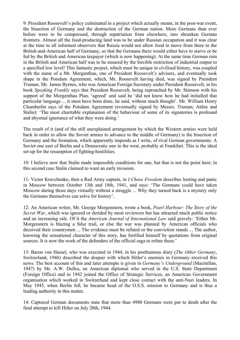9: President Roosevelt's policy culminated in a project which actually meant, in the post-war event, the bisection of Germany and the destruction of the German nation. More Germans than ever before were to be compressed, through repatriation from elsewhere, into shrunken German frontiers. Almost all the food-producing land was to be under Russian occupation and it was clear at the time to all informed observers that Russia would not allow food to move from there to the British-and-American half of Germany, so that the Germans there would either have to starve or be fed by the British and American taxpayer (which is now happening). At the same time German ruin in the British and American half was to be ensured by the forcible restriction of industrial output to a specified low level! This fantastic project, which must be unique in civilised history, was coupled with the name of a Mr. Morgenthau, one of President Roosevelt's advisers, and eventually took shape in the Potsdam Agreement, which, Mr. Roosevelt having died, was signed by President Truman. Mr. James Byrnes, who was American Foreign Secretary under President Roosevelt, in his book *Speaking Frankly* says that President Roosevelt, being reproached by Mr. Stimson with his support of the Morgenthau Plan, 'agreed' and said he 'did not know how he had initialled that particular language ... it must have been done, he said, without much thought'. Mr. William Henry Chamberlin says of the Potsdam Agreement (eventually signed by Messrs. Truman, Attlee and Stalin): 'The most charitable explanation of the behaviour of some of its signatories is profound and abysmal ignorance of what they were doing.'

The result of it (and of the still unexplained arrangement by which the Western armies were held back in order to allow the Soviet armies to advance to the middle of Germany) is the bisection of Germany and the formation, which apparently impends as I write, of rival German governments: A Soviet one east of Berlin and a Democratic one in the west, probably at Frankfurt. This is the ideal set-up for the resumption of fighting-hostilities.

10: I believe now that Stalin made impossible conditions for one, but that is not the point here; in this second case Stalin claimed to want an early invasion.

11: Victor Kravchenko, then a Red Army captain, in *I Chose Freedom* describes looting and panic in Moscow between October 13th and 18th, 1941, and says: 'The Germans could have taken Moscow during those days virtually without a struggle ... Why they turned back is a mystery only the Germans themselves can solve for history'.

12: An American writer, Mr. George Morgenstern, wrote a book, *Pearl Harbour: The Story of the Secret War*, which was ignored or derided by most reviewers but has attracted much public notice and an increasing sale. Of it the *American Journal of International Law* said gravely: 'Either Mr. Morgenstern is blazing a false trail, or else the war was planned by American officials who deceived their countrymen ... The evidence must be refuted or the conviction stands ... The author, knowing the sensational character of this story, has fortified himself by quotations from original sources. It is now the work of the defenders of the official saga to refute these.'

13: Baron von Hassel, who was executed in 1944, in his posthumous diary (*The Other Germany*, Switzerland, 1946) described the despair with which Hitler's enemies in Germany received this news. The best account of this and later attempts is given in *Germany's Underground* (Macmillan, 1947) by Mr. A.W. Dulles, an American diplomat who served in the U.S. State Department (Foreign Office) and in 1942 joined the Office of Strategic Services, an American Government organisation which worked in Switzerland and kept close contact with the anti-Nazi leaders. In May 1945, when Berlin fell, he became head of the O.S.S. mission to Germany and is thus a leading authority in this matter.

14: Captured German documents state that more than 4980 Germans were put to death after the final attempt to kill Hitler on July 20th, 1944.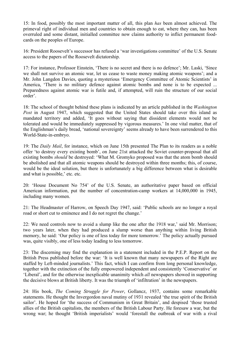15: In food, possibly the most important matter of all, this plan *has* been almost achieved. The primeval right of individual men and countries to obtain enough to eat, where they can, has been overruled and some distant, initialled committee now claims authority to inflict permanent foodcards on the peoples of Europe.

16: President Roosevelt's successor has refused a 'war investigations committee' of the U.S. Senate access to the papers of the Roosevelt dictatorship.

17: For instance, Professor Einstein, 'There is no secret and there is no defence'; Mr. Laski, 'Since we shall not survive an atomic war, let us cease to waste money making atomic weapons'; and a Mr. John Langdon Davies, quoting a mysterious 'Emergency Committee of Atomic Scientists' in America, 'There is no military defence against atomic bombs and none is to be expected ... Preparedness against atomic war is futile and, if attempted, will ruin the structure of our social order'.

18: The school of thought behind these plans is indicated by an article published in the *Washington Post* in August 1947, which suggested that the United States should take over this island as mandated territory and added, 'It goes without saying that dissident elements would not be tolerated and would be immediately suppressed by vigorous measures.' In one vital matter, that of the Englishman's daily bread, 'national sovereignty' seems already to have been surrendered to this World-State-in-embryo.

19: The *Daily Mail*, for instance, which on June 15th presented The Plan to its readers as a noble offer 'to destroy every existing bomb', on June 21st attacked the Soviet counter-proposal that all existing bombs *should* be destroyed: 'What M. Gromyko proposed was that the atom bomb should be abolished and that all atomic weapons should be destroyed within three months; this, of course, would be the ideal solution, but there is unfortunately a big difference between what is desirable and what is possible,' etc. etc.

20: 'House Document No 754' of the U.S. Senate, an authoritative paper based on official American information, put the number of concentration-camp workers at 14,000,000 in 1945, including many women.

21: The Headmaster of Harrow, on Speech Day 1947, said: 'Public schools are no longer a royal road or short cut to eminence and I do not regret the change.'

22: We need controls now to avoid a slump like the one after the 1918 war,' said Mr. Morrison; two years later, when they had produced a slump worse than anything within living British memory, he said: 'Our policy is one of less today for more tomorrow.' The policy actually pursued was, quite visibly, one of less today leading to less tomorrow.

23: The discerning may find the explanation in a statement included in the P.E.P. Report on the British Press published before the war: 'It is well known that many newspapers of the Right are staffed by Left-minded journalists.' This fact, which I can confirm from long personal knowledge, together with the extinction of the fully empowered independent and consistently 'Conservative' or 'Liberal', and for the otherwise inexplicable unanimity which *all* newspapers showed in supporting the decisive blows at British liberty. It was the triumph of 'infiltration' in the newspapers.

24: His book, *The Coming Struggle for Power*, Gollancz, 1937, contains some remarkable statements. He thought the Invergordon naval mutiny of 1931 revealed 'the true spirit of the British sailor'. He hoped for 'the success of Communism in Great Britain', and despised 'those trusted allies of the British capitalists, the members of the British Labour Party. He foresaw a war, but the wrong war; he thought 'British imperialists' would 'forestall the outbreak of war with a rival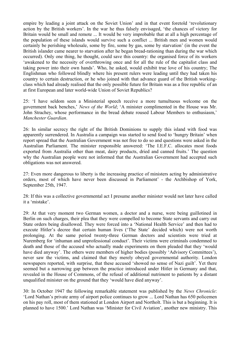empire by leading a joint attack on the Soviet Union' and in that event foretold 'revolutionary action by the British workers'. In the war he thus falsely envisaged, 'the chances of victory for Britain would be small and remote ... It would be very improbable that at all a high percentage of the population of these islands would survive such a conflict ... British men and women would certainly be perishing wholesale, some by fire, some by gas, some by starvation' (in the event the British islander came nearer to starvation after he began bread-rationing than during the war which occurred). Only one thing, he thought, could save this country: the organised force of its workers 'awakened to the necessity of overthrowing once and for all the rule of the capitalist class and taking power into their own hands'. Who, he asked, would exhibit true love of his country; The Englishman who followed blindly where his present rulers were leading until they had taken his country to certain destruction, or he who joined with that advance guard of the British workingclass which had already realised that the only possible future for Britain was as a free republic of an at first European and later world-wide Union of Soviet Republics?

25: 'I have seldom seen a Ministerial speech receive a more tumultuous welcome on the government back benches,' *News of the World*; 'A minister complimented in the House was Mr. John Strachey, whose performance in the bread debate roused Labour Members to enthusiasm,' *Manchester Guardian*.

26: In similar secrecy the right of the British Dominions to supply this island with food was apparently surrendered. In Australia a campaign was started to send food to 'hungry Britain' when report spread that the Australian Government was not free to do so and questions were asked in the Australian Parliament. The minister responsible answered: 'The I.E.F.C. allocates most foods exported from Australia other than meat, dairy products, dried and canned fruits.' The question why the Australian people were not informed that the Australian Government had accepted such obligations was not answered.

27: Even more dangerous to liberty is the increasing practice of ministers acting by administrative orders, most of which have never been discussed in Parliament' - the Archbishop of York, September 25th, 1947.

28: If this was a collective governmental act I presume another minister would not later have called it a 'mistake'.

29: At that very moment two German women, a doctor and a nurse, were being guillotined in Berlin on such charges, their plea that they were compelled to become State servants and carry out State orders being disallowed. They were forced into a 'National Health Service' and then had to execute Hitler's decree that certain human lives ('The State' decided which) were not worth prolonging. At the same period twenty-three German doctors and scientists were tried at Nuremberg for 'inhuman and unprofessional conduct'. Their victims were criminals condemned to death and those of the accused who actually made experiments on them pleaded that they 'would have died anyway'. The others were members of higher bodies (possibly 'Advisory Committees'), never saw the victims, and claimed that they merely obeyed governmental authority. London newspapers reported, with surprise, that these accused 'showed no sense of Nazi guilt'. Yet there seemed but a narrowing gap between the practice introduced under Hitler in Germany and that, revealed in the House of Commons, of the refusal of additional nutriment to patients by a distant unqualified minister on the ground that they 'would have died anyway'.

30: In October 1947 the following remarkable statement was published by the *News Chronicle*: 'Lord Nathan's private army of airport police continues to grow ... Lord Nathan has 650 policemen on his pay roll, most of them stationed at London Airport and Northolt. This is but a beginning. It is planned to have 1500.' Lord Nathan was 'Minister for Civil Aviation', another new ministry. This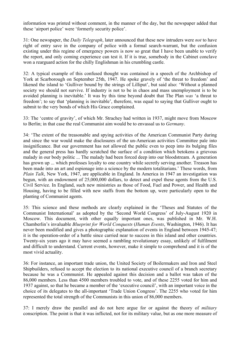information was printed without comment, in the manner of the day, but the newspaper added that these 'airport police' were 'formerly security police'.

31: One newspaper, the *Daily Telegraph*, later announced that these new intruders were *not* to have right of entry save in the company of police with a formal search-warrant, but the confusion existing under this regime of emergency powers is now so great that I have been unable to verify the report, and only coming experience can test it. If it is true, somebody in the Cabinet conclave won a rearguard action for the chilly Englishman in his crumbling castle.

32: A typical example of this confused thought was contained in a speech of the Archbishop of York at Scarborough on September 25th, 1947. He spoke gravely of 'the threat to freedom' and likened the island to 'Gulliver bound by the strings of Lilliput', but said also: 'Without a planned society we should not survive. If industry is not to be in chaos and mass unemployment is to be avoided planning is inevitable.' It was by this time beyond doubt that The Plan *was* 'a threat to freedom'; to say that 'planning is inevitable', therefore, was equal to saying that Gulliver ought to submit to the very bonds of which His Grace complained.

33: The 'centre of gravity', of which Mr. Strachey had written in 1937, might move from Moscow to Berlin; in that case the real Communist aim would be to envassal us to *Germany*.

34: 'The extent of the treasonable and spying activities of the American Communist Party during and since the war would make the disclosures of the un-American activities Committee pale into insignificance. But our government has not allowed the public even to peep into its bulging files and the general press has hardly scratched the surface of a condition which betokens a grievous malady in our body politic ... The malady had been forced deep into our bloodstream. A generation has grown up ... which professes loyalty to one country while secretly serving another. Treason has been made into an art and espionage into a science by the modern totalitarians.' These words, from *Plain Talk*, New York, 1947, are applicable in England. In America in 1947 an investigation was begun, with an endowment of 25,000,000 dollars, to detect and expel these agents from the U.S. Civil Service. In England, such new ministries as those of Food, Fuel and Power, and Health and Housing, having to be filled with new staffs from the bottom up, were particularly open to the planting of Communist agents.

35: This science and these methods are clearly explained in the 'Theses and Statutes of the Communist International' as adopted by the 'Second World Congress' of July-August 1920 in Moscow. This document, with other equally important ones, was published in Mr. W.H. Chamberlin's invaluable *Blueprint for World Conquests* (*Human Events*, Washington, 1946). It has never been modified and gives a photographic explanation of events in England between 1945-47; it is the operation-order of a battle since carried near to success in this island and other countries. Twenty-six years ago it may have seemed a rambling revolutionary essay, unlikely of fulfilment and difficult to understand. Current events, however, make it simple to comprehend and it is of the most vivid actuality.

36: For instance, an important trade union, the United Society of Boilermakers and Iron and Steel Shipbuilders, refused to accept the election to its national executive council of a branch secretary because he was a Communist. He appealed against this decision and a ballot was taken of the 86,000 members. Less than 4500 members troubled to vote, and of these 2255 voted for him and 1937 against, so that he became a member of the 'executive council', with an important voice in the choice of its delegates to the all-important 'Trade Union Congress'. The 2255 who voted for him represented the total strength of the Communists in this union of 86,000 members.

37: I merely draw the parallel and do not here argue for or against the theory of *military* conscription. The point is that it was inflicted, not for its military value, but as one more measure of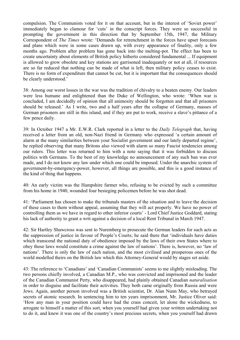compulsion. The Communists voted for it on that account, but in the interest of 'Soviet power' immediately began to clamour for 'cuts' in the conscript forces. They were so successful in prompting the government in this direction that by September 15th, 1947, the Military Correspondent of *The Times* wrote: 'Demands for retrenchment in the forces have upset forecasts and plans which were in some cases drawn up, with every appearance of finality, only a few months ago. Problem after problem has gone back into the melting-pot. The effect has been to create uncertainty about elements of British policy hitherto considered fundamental ... If equipment is allowed to grow obsolete and key stations are garrisoned inadequately or not at all, if resources are so far reduced that nothing can be made of what is left, then military policy ceases to exist. There is no form of expenditure that cannot be cut, but it is important that the consequences should be clearly understood.'

38: Among our worst losses in the war was the tradition of chivalry to a beaten enemy. Our leaders were less humane and enlightened than the Duke of Wellington, who wrote: 'When war is concluded, I am decidedly of opinion that all animosity should be forgotten and that all prisoners should be released.' As I write, two and a half years after the collapse of Germany, masses of German prisoners are still in this island, and if they are put to work, receive a slave's pittance of a few pence daily.

39: In October 1947 a Mr. E.W.R. Clark reported in a letter to the *Daily Telegraph* that, having received a letter from an old, non-Nazi friend in Germany who expressed 'a certain amount of alarm at the many similarities between your Socialist government and our lately departed regime', he replied observing that many Britons also viewed with alarm so many Fascist tendencies among our rulers. This letter was returned to him with a note saying that it was forbidden to discuss politics with Germans. To the best of my knowledge no announcement of any such ban was ever made, and I do not know any law under which one could be imposed. Under the anarchic system of government-by-emergency-power, however, all things are possible, and this is a good instance of the kind of thing that happens.

40: An early victim was the Hampshire farmer who, refusing to be evicted by such a committee from his home in 1940, wounded four besieging policemen before he was shot dead.

41: 'Parliament has chosen to make the tribunals masters of the situation and to leave the decision of these cases to them without appeal, assuming that they will act properly. We have no power of controlling them as we have in regard to other inferior courts' - Lord Chief Justice Goddard, stating his lack of authority to grant a writ against a decision of a local Rent Tribunal in March 1947.

42: Sir Hartley Shawcross was sent to Nuremberg to prosecute the German leaders for such acts as the suppression of justice in favour of People's Courts; he said there that 'individuals have duties which transcend the national duty of obedience imposed by the laws of their own States where to obey those laws would constitute a crime against the law of nations'. There is, however, no 'law of nations'. There is only the law of each nation, and the most civilised and prosperous ones of the world modelled theirs on the British law which this Attorney-General would by stages set aside.

43: The reference to 'Canadians' and 'Canadian Communists' seems to me slightly misleading. The two persons chiefly involved, a Canadian M.P., who was convicted and imprisoned and the leader of the Canadian Communist Perty, who disappeared, had plainly obtained Canadian *naturalisation* in order to disguise and facilitate their activities. They both came originally from Russia and were Jews. Again, another person involved was a British scientist, Dr. Alan Nunn May, who betrayed secrets of atomic research. In sentencing him to ten years imprisonment, Mr. Justice Oliver said: 'How any man in your position could have had the crass conceit, let alone the wickedness, to arrogate to himself a matter of this sort, when you yourself had given your written undertaking not to do it, and knew it was one of the country's most precious secrets, when you yourself had drawn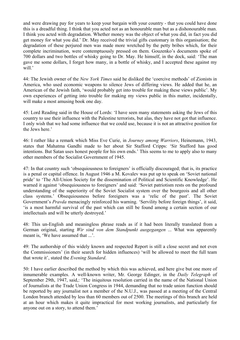and were drawing pay for years to keep your bargain with your country - that you could have done this is a dreadful thing. I think that you acted not as an honourable man but as a dishonourable man. I think you acted with degradation. Whether money was the object of what you did, in fact you did get money for what you did.' Dr. May received the trivial gifts customary in this organisation; the degradation of these perjured men was made more wretched by the petty bribes which, for their complete incrimination, were contemptuously pressed on them. Gouzenko's documents spoke of 700 dollars and two bottles of whisky going to Dr. May. He himself, in the dock, said: 'The man gave me some dollars, I forget how many, in a bottle of whisky, and I accepted these against my will<sup>'</sup>

44: The Jewish owner of the *New York Times* said he disliked the 'coercive methods' of Zionists in America, who used economic weapons to silence Jews of differing views. He added that he, an American of the Jewish faith, 'would probably get into trouble for making these views public'. My own experiences of getting into trouble for making my views public in this matter, incidentally, will make a most amusing book one day.

45: Lord Reading said in the House of Lords: 'I have seen many statements asking the Jews of this country to use their influence with the Palestine terrorists, but alas, they have not got that influence. I only wish that we had some influence that we could use, because it is not an attractive position for the Jews here.'

46: I rather like a remark which Miss Eve Curie, in *Journey among Warriors*, Heinemann, 1943, states that Mahatma Gandhi made to her about Sir Stafford Cripps: 'Sir Stafford has good intentions. But Satan uses honest people for his own ends.' This seems to me to apply also to many other members of the Socialist Government of 1945.

47: In that country such 'obsequiousness to foreigners' is officially discouraged; that is, its practice is a penal or capital offence. In August 1946 a M. Kovalev was put up to speak on 'Soviet national pride' to 'The All-Union Society for the dissemination of Political and Scientific Knowledge'. He warned it against 'obsequiousness to foreigners' and said: 'Soviet patriotism rests on the profound understanding of the superiority of the Soviet Socialist system over the bourgeois and all other class systems.' Obsequiousness before foreigners was a 'relic of the past'. The Soviet Government's *Pravda* menacingly reinforced his warning. 'Servility before foreign things', it said, 'is a most harmful survival of the past which can still be found among a certain section of our intellectuals and will be utterly destroyed.'

48: This un-English and meaningless phrase reads as if it had been literally translated from a German original, starting *Wir sind von dem Standpunkt ausgegangen* ... What was apparently meant is, 'We have assumed that ...'.

49: The authorship of this widely known and respected Report is still a close secret and not even the Commissioners' (in their search for hidden influences) 'will be allowed to meet the full team that wrote it', stated the *Evening Standard*.

50: I have earlier described the method by which this was achieved, and here give but one more of innumerable examples. A well-known writer, Mr. George Edinger, in the *Daily Telegraph* of September 29th, 1947, said,: 'The iniquitous resolution carried in the name of the National Union of Journalists at the Trade Union Congress in 1944, demanding that no trade union function should be reported by any journalist not a member of the N.U.J., was passed at a meeting of the Central London branch attended by less than 60 members out of 2500. The meetings of this branch are held at an hour which makes it quite impractical for most working journalists, and particularly for anyone out on a story, to attend them.'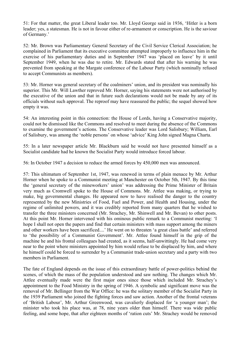51: For that matter, the great Liberal leader too. Mr. Lloyd George said in 1936, 'Hitler is a born leader; yes, a statesman. He is not in favour either of re-armament or conscription. He is the saviour of Germany.'

52: Mr. Brown was Parliamentary General Secretary of the Civil Service Clerical Association; he complained in Parliament that its executive committee attempted improperly to influence him in the exercise of his parliamentary duties and in September 1947 was 'placed on leave' by it until September 1949, when he was due to retire. Mr. Edwards stated that after his warning he was prevented from speaking at the Margate conference of the Labour Party (which nominally refused to accept Communists as members).

53: Mr. Horner was general secretary of the coalminers' union, and its president was nominally his superior. This Mr. Will Lawther reproved Mr. Horner, saying his statements were not authorised by the executive of the union and that in future such declarations would not be made by any of its officials without such approval. The reproof may have reassured the public; the sequel showed how empty it was.

54: An interesting point in this connection: the House of Lords, having a Conservative majority, could not be dismissed like the Commons and resolved to meet during the absence of the Commons to examine the government's actions. The Conservative leader was Lord Salisbury; William, Earl of Salisbury, was among the 'noble persons' on whose 'advice' King John signed Magna Charta.

55: In a later newspaper article Mr. Blackburn said he would not have presented himself as a Socialist candidate had he known the Socialist Party would introduce forced labour.

56: In October 1947 a decision to reduce the armed forces by 450,000 men was announced.

57: This ultimatum of September 1st, 1947, was renewed in terms of plain menace by Mr. Arthur Horner when he spoke to a Communist meeting at Manchester on October 5th, 1947. By this time the 'general secretary of the mineworkers' union' was addressing the Prime Minister of Britain very much as Cromwell spoke to the House of Commons. Mr. Attlee was making, or trying to make, big governmental changes. He appeared now to have realised the danger to the country represented by the new Ministries of Food, Fuel and Power, and Health and Housing, under the regime of unlimited powers, and it was credibly reported from many quarters that he wished to transfer the three ministers concerned (Mr. Strachey, Mr. Shinwell and Mr. Bevan) to other posts. At this point Mr. Horner intervened with his ominous public remark to a Communist meeting: 'I hope I shall not open the papers and find that certain ministers with mass support among the miners and other workers have been sacrificed....' He went on to threaten 'a great class battle' and referred to 'the possibility of a Communist Government'. Mr. Attlee found himself in the grip of the machine he and his frontal colleagues had created, as it seems, half-unwittingly. He had come very near to the point where ministers appointed by him would refuse to be displaced by him, and where he himself could be forced to surrender by a Communist trade-union secretary and a party with two members in Parliament.

The fate of England depends on the issue of this extraordinary battle of power-politics behind the scenes, of which the mass of the population understood and saw nothing. The changes which Mr. Attlee eventually made were the first major ones since those which included Mr. Strachey's appointment to the Food Ministry in the spring of 1946. A symbolic and significant move was the removal of Mr. Bellinger from the War Office: he was the solitary member of the Socialist Party in the 1939 Parliament who joined the fighting forces and saw action. Another of the frontal veterans of 'British Labour', Mr. Arthur Greenwood, was cavalierly displaced for 'a younger man'; the minister who took his place was, at 78, nine years older than himself. There was wide public feeling, and some hope, that after eighteen months of 'ration cuts' Mr. Strachey would be removed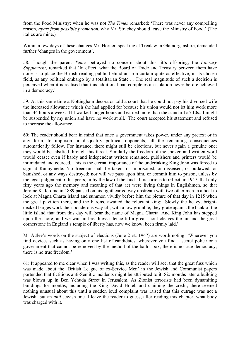from the Food Ministry; when he was not *The Times* remarked: 'There was never any compelling reason, *apart from possible promotion*, why Mr. Strachey should leave the Ministry of Food.' (The italics are mine.)

Within a few days of these changes Mr. Horner, speaking at Trealaw in Glamorganshire, demanded further 'changes in the government'.

58: Though the parent *Times* betrayed no concern about this, it's offspring, the *Literary Supplement*, remarked that 'In effect, what the Board of Trade and Treasury between them have done is to place the British reading public behind an iron curtain quite as effective, in its chosen field, as any political embargo by a totalitarian State ... The real magnitude of such a decision is perceived when it is realised that this additional ban completes an isolation never before achieved in a democracy.'

59: At this same time a Nottingham decorator told a court that he could not pay his divorced wife the increased allowance which she had applied for because his union would not let him work more than 44 hours a week. 'If I worked longer hours and earned more than the standard £5 10s., I might be suspended by my union and have no work at all.' The court accepted his statement and refused to increase the allowance.

60: The reader should bear in mind that once a government takes power, under any pretext or in any form, to imprison or disqualify political opponents, all the remaining consequences automatically follow. For instance, there might still be elections, but never again a genuine one; they would be falsified through this threat. Similarly the freedom of the spoken and written word would cease: even if hardy and independent writers remained, publishers and printers would be intimidated and coerced. This is the eternal importance of the undertaking King John was forced to sign at Runnymede: 'no freeman shall be taken, or imprisoned, or disseised, or outlawed, or banished, or any ways destroyed; nor will we pass upon him, or commit him to prison, unless by the legal judgement of his peers, or by the law of the land'. It is curious to reflect, in 1947, that only fifty years ago the memory and meaning of that act were living things in Englishmen, so that Jerome K. Jerome in 1889 paused on his lighthearted way upstream with two other men in a boat to look at Magna Charta island and summon vividly before him the picture of that day in 1215 when the great pavilion there, and the barons, awaited the reluctant king: 'Slowly the heavy, brightdecked barges work their ponderous way till, with a low grumble, they grate against the bank of the little island that from this day will bear the name of Magna Charta. And King John has stepped upon the shore, and we wait in breathless silence till a great shout cleaves the air and the great cornerstone in England's temple of liberty has, now we know, been firmly laid.'

Mr Attlee's words on the subject of elections (June 21st, 1947) are worth noting: 'Wherever you find devices such as having only one list of candidates, wherever you find a secret police or a government that cannot be removed by the method of the ballot-box, there is no true democracy, there is no true freedom.'

61: It appeared to me clear when I was writing this, as the reader will see, that the great fuss which was made about the 'British League of ex-Service Men' in the Jewish and Communist papers portended that fictitious anti-Semitic incidents might be attributed to it. Six months later a building was blown up in Ben Yehuda Street in Jerusalem. As Zionist terrorists had been dynamiting buildings for months, including the King David Hotel, and claiming the credit, there seemed nothing unusual about this until a sudden loud complaint was raised that this outrage was not a Jewish, but an *anti*-Jewish one. I leave the reader to guess, after reading this chapter, what body was charged with it.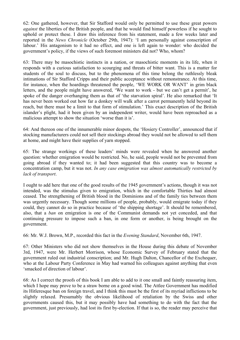62: One gathered, however, that Sir Stafford would only be permitted to use these great powers *against* the liberties of the British people, and that he would find himself powerless if he sought to uphold or protect these. I draw this inference from his statement, made a few weeks later and reported in the *News Chronicle* (October 29th, 1947): 'I am personally against conscription of labour.' His antagonism to it had no effect, and one is left again to wonder: who decided the government's policy, if the views of such foremost ministers did not? Who, whom?

63: There may be masochistic instincts in a nation, or masochistic moments in its life, when it responds with a curious satisfaction to scourging and threats of bitter want. This is a matter for students of the soul to discuss, but to the phenomena of this time belong the ruthlessly bleak intimations of Sir Stafford Cripps and their public acceptance without remonstrance. At this time, for instance, when the hoardings threatened the people, 'WE WORK OR WANT' in grim black letters, and the people might have answered, 'We want to work - but we can't get a permit', he spoke of the danger overhanging them as that of 'the starvation spiral'. He also remarked that 'It has never been worked out how far a donkey will walk after a carrot permanently held beyond its reach, but there must be a limit to that form of stimulation.' This exact description of the British islander's plight, had it been given by an independent writer, would have been reproached as a malicious attempt to show the situation 'worse than it is'.

64: And thereon one of the innumerable minor despots, the 'Hosiery Controller', announced that if stocking manufacturers could not sell their stockings abroad they would not be allowed to sell them at home, and might have their supplies of yarn stopped.

65: The strange workings of these leaders' minds were revealed when he answered another question: whether emigration would be restricted. No, he said, people would not be prevented from going abroad if they wanted to; it had been suggested that this country was to become a concentration camp, but it was not. *In any case emigration was almost automatically restricted by lack of transport*.

I ought to add here that one of the good results of the 1945 government's actions, though it was not intended, was the stimulus given to emigration, which in the comfortable Thirties had almost ceased. The strengthening of British blood in the Dominions and of the family ties between them was urgently necessary. Though some millions of people, probably, would emigrate today if they could, they cannot do so in practice because of 'the shipping shortage'. It should be remembered, also, that a *ban* on emigration is one of the Communist demands not yet conceded, and that continuing pressure to impose such a ban, in one form or another, is being brought on the government.

66: Mr. W.J. Brown, M.P., recorded this fact in the *Evening Standard*, November 6th, 1947.

67: Other Ministers who did not show themselves in the House during this debate of November 3rd, 1947, were Mr. Herbert Morrison, whose Economic Survey of February stated that the government ruled out industrial conscription; and Mr. Hugh Dalton, Chancellor of the Exchequer, who at the Labour Party Conference in May had warned his colleagues against anything that even 'smacked of direction of labour'.

68: As I correct the proofs of this book I am able to add to it one small and faintly reassuring item, which I hope may prove to be a straw borne on a good wind. The Attlee Government has modified its Hitleresque ban on foreign travel, and I think this must be the first of its myriad inflictions to be slightly relaxed. Presumably the obvious likelihood of retaliation by the Swiss and other governments caused this, but it may possibly have had something to do with the fact that the government, just previously, had lost its first by-election. If that is so, the reader may perceive that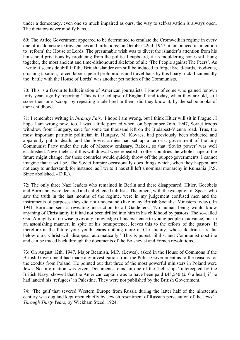under a democracy, even one so much impaired as ours, the way to self-salvation is always open. The dictators never modify bans.

69: The Attlee Government appeared to be determined to emulate the Cromwellian regime in every one of its domestic extravagances and inflictions; on October 22nd, 1947, it announced its intention to 'reform' the House of Lords. The presumable wish was to divert the islander's attention from his household privations by producing from the political cupboard, if its mouldering bones still hung together, the most ancient and time-dishonoured skeleton of all: 'The People against The Peers'. As I write it seems doubtful if the British islander can still be induced to forget bread-cards, food-cuts, crushing taxation, forced labour, petrol prohibitions and travel-bans by this hoary trick. Incidentally the 'battle with the House of Lords' was another pet notion of the Communists.

70: This is a favourite hallucination of American journalists. I know of some who gained renown forty years ago by reporting 'This is the collapse of England' and today, when they are old, still score their one 'scoop' by repeating a tale bred in them, did they know it, by the schoolbooks of their childhood.

71: I remember writing in *Insanity Fair*, 'I hope I am wrong, but I think Hitler will sit in Prague'. I hope I am wrong now, too. I was a little puzzled when, on September 26th, 1947, Soviet troops withdrew from Hungary, save for some ten thousand left on the Budapest-Vienna road. True, the most important patriotic politician in Hungary, M. Kovacs, had previously been abducted and apparently put to death, and the Soviet armies had set up a terrorist government of the tiny Communist Party under the rule of Moscow emissary, Rakosi, so that 'Soviet power' was well established. Nevertheless, if this withdrawal were repeated in other countries the whole shape of the future might change, for these countries would quickly throw off the puppet-governments. I cannot imagine that it will be. The Soviet Empire occasionally does things which, when they happen, are not easy to understand; for instance, as I write it has still left a nominal monarchy in Rumania (P.S. Since abolished. - D.R.).

72: The only three Nazi leaders who remained in Berlin and there disappeared, Hitler, Goebbels and Bormann, were declared and enlightened nihilists. The others, with the exception of Speer, who saw the truth in the last months of the regime, were in my judgement confused men and the instruments of purposes they did not understand (like many British Socialist Ministers today). In 1941 Bormann sent a revealing instruction to all Gauleiters: 'No human being would know anything of Christianity if it had not been drilled into him in his childhood by pastors. The so-called God Almighty in no wise gives any knowledge of his existence to young people in advance, but in an astonishing manner, in spite of his omnipotence, leaves this to the efforts of the pastors. If therefore in the future your youth learns nothing more of Christianity, whose doctrines are far below ours, Christ will disappear automatically.' This is purest nihilist and Communist doctrine and can be traced back through the documents of the Bolshevist and French revolutions.

73: On August 12th, 1947, Major Beamish, M.P. (Lewes), asked in the House of Commons if the British Government had made any investigation from the Polish Government as to the reasons for the exodus from Poland. He pointed out that three of the most powerful ministers in Poland were Jews. No information was given. Documents found in one of the 'hell ships' intercepted by the British Navy, showed that the American captain was to have been paid £45,540 (£10 a head) if he had landed his 'refugees' in Palestine. They were not published by the British Government.

74: 'The gulf that severed Western Europe from Russia during the latter half of the nineteenth century was dug and kept open chiefly by Jewish resentment of Russian persecution of the Jews' - *Through Thirty Years*, by Wickham Steed, 1924.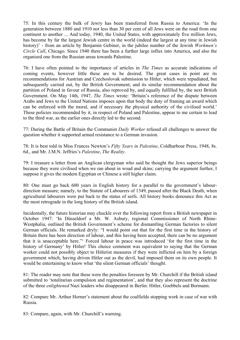<span id="page-178-0"></span>75: In this century the bulk of Jewry has been transferred from Russia to America: 'In the generation between 1880 and 1910 not less than 30 per cent of all Jews were on the road from one continent to another ... And today, 1940, the United States, with approximately five million Jews, has become by far the largest Jewish centre in the world (indeed the largest at any time in Jewish history)' - from an article by Benjamin Gebiner, in the jubilee number of the Jewish *Workmen's Circle Call*, Chicago. Since 1940 there has been a further large influx into America, and also the organised one from the Russian areas towards Palestine.

76: I have often pointed to the importance of articles in *The Times* as accurate indications of coming events, however little these are to be desired. The great cases in point are its recommendations for Austrian and Czechoslovak submission to Hitler, which were repudiated, but subsequently carried out, by the British Government; and its similar recommendation about the partition of Poland in favour of Russia, also reproved by, and equally fulfilled by, the next British Government. On May 14th, 1947, *The Times* wrote: 'Britain's reference of the dispute between Arabs and Jews to the United Nations imposes upon that body the duty of framing an award which can be enforced with the moral, and if necessary the physical authority of the civilised world.' These policies recommended by it, in respect of Poland and Palestine, appear to me certain to lead to the third war, as the earlier ones directly led to the second.

77: During the Battle of Britain the Communist *Daily Worker* refused all challenges to answer the question whether it supported armed resistance to a German invasion.

78: It is best told in Miss Frances Newton's *Fifty Years in Palestine*, Coldharbour Press, 1948, 8s. 6d., and Mr. J.M.N. Jeffries's *Palestine*, *The Reality*.

79: I treasure a letter from an Anglican clergyman who said he thought the Jews superior beings because they were civilised when we ran about in woad and skins; carrying the argument further, I suppose it gives the modern Egyptian or Chinese a still higher claim.

80: One must go back 600 years in English history for a parallel to the government's labourdirection measure; namely, to the Statute of Labourers of 1349, passed after the Black Death, when agricultural labourers were put back to the status of serfs. All history books denounce this Act as the most retrograde in the long history of the British island.

Incidentally, the future historian may chuckle over the following report from a British newspaper in October 1947: 'In Düsseldorf a Mr. W. Asbury, regional Commissioner of North Rhine-Westphalia, outlined the British Government's scheme for dismantling German factories to silent German officials. He remarked dryly: "I would point out that for the first time in the history of Britain there has been direction of labour, and this having been accepted, there can be no argument that it is unacceptable here."' Forced labour in peace was introduced 'for the first time in the history of Germany' by Hitler! This choice comment was equivalent to saying that the German worker could not possibly object to Hitlerist measures if they were inflicted on him by a foreign government which, having driven Hitler out as the devil, had imposed them on its own people. It would be entertaining to know what 'the silent German officials' thought.

81: The reader may note that these were the penalties foreseen by Mr. Churchill if the British island submitted to 'totalitarian compulsion and regimentation', and that they also represent the doctrine of the three *enlightened* Nazi leaders who disappeared in Berlin: Hitler, Goebbels and Bormann.

82: Compare Mr. Arthur Horner's statement about the coalfields stopping work in case of war with Russia.

83: Compare, again, with Mr. Churchill's warning.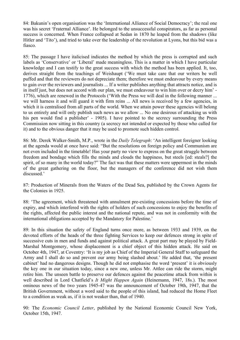<span id="page-179-0"></span>84: Bakunin's open organisation was the 'International Alliance of Social Democracy'; the real one was his secret 'Fraternal Alliance'. He belonged to the unsuccessful conspirators, as far as personal success is concerned. When France collapsed at Sedan in 1870 he leaped from the shadows (like Hitler and 'Tito'), and tried to take over the leadership of the revolution at Lyons, but this bid was a fiasco.

85: The passage I have italicised indicates the method by which the press is corrupted and such labels as 'Conservative' or 'Liberal' made meaningless. This is a matter in which I have particular knowledge and I can testify to the great success with which the method has been applied. It, too, derives straight from the teachings of Weishaupt ('We must take care that our writers be well puffed and that the reviewers do not depreciate them; therefore we must endeavour by every means to gain over the reviewers and journalists ... If a writer publishes anything that attracts notice, and is in itself just, but does not accord with our plan, we must endeavour to win him over or decry him' - 1776), which are renewed in the Protocols ('With the Press we will deal in the following manner ... we will harness it and will guard it with firm reins ... All news is received by a few agencies, in which it is centralised from all parts of the world. When we attain power these agencies will belong to us entirely and will only publish such news as we allow ... No one desirous of attacking us with his pen would find a publisher' - 1905). I have pointed to the secrecy surrounding the Press Commission now sitting in this country (a secrecy not intended or expected by those who called for it) and to the obvious danger that it may be used to promote such hidden control.

86: Mr. Derek Walker-Smith, M.P., wrote in the *Daily Telegraph*: 'An intelligent foreigner looking at the agenda would at once have said: "But the resolutions on foreign policy and Communism are not even included in the timetable! Has your party no view to express on the great struggle between freedom and bondage which fills the minds and clouds the happiness, but steels [ed: steals?] the spirit, of so many in the world today?" The fact was that these matters were uppermost in the minds of the great gathering on the floor, but the managers of the conference did not wish them discussed.'

87: Production of Minerals from the Waters of the Dead Sea, published by the Crown Agents for the Colonies in 1925.

88: 'The agreement, which threatened with annulment pre-existing concessions before the time of expiry, and which interfered with the rights of holders of such concessions to enjoy the benefits of the rights, affected the public interest and the national repute, and was not in conformity with the international obligations accepted by the Mandatory for Palestine.'

89: In this situation the safety of England turns once more, as between 1933 and 1939, on the devoted efforts of the heads of the three fighting Services to keep our defences strong in spite of successive cuts in men and funds and against political attack. A great part may be played by Field-Marshal Montgomery, whose displacement is a chief object of this hidden attack. He said on October 4th, 1947, at Coventry: 'It is my job as Chief of the Imperial General Staff to safeguard the Army and I shall do so and prevent our army being slashed about.' He added that, 'the present cabinet' had no dangerous designs. Though he did not emphasise the word 'present' it is obviously the key one in our situation today, since a new one, unless Mr. Attlee can ride the storm, might retire him. The unseen battle to preserve our defences against the peacetime attack from within is well described in Lord Chatfield's *It Might Happen Again* (Heinemann, 1947, 18s.). The most ominous news of the two years 1945-47 was the announcement of October 19th, 1947, that the British Government, without a word said to the people of this island, had reduced the Home Fleet to a condition as weak as, if it is not weaker than, that of 1940.

90: The *Economic Council Letter*, published by the National Economic Council New York, October 15th, 1947.